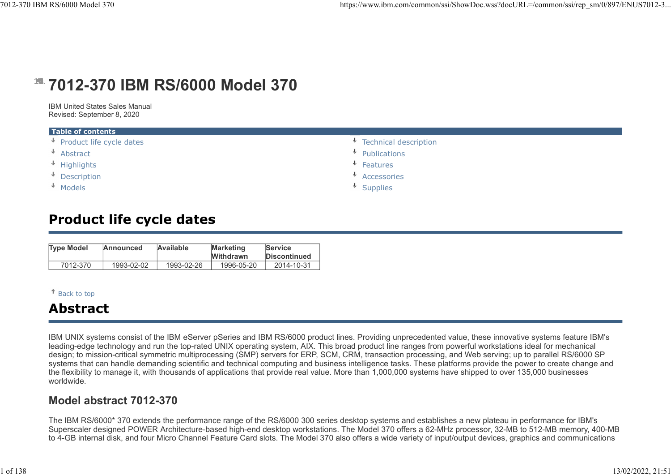# **19. 7012-370 IBM RS/6000 Model 370**

| I RS/6000 Model 370                                                                                                               |                                |                                 |                                |                                | https://www.ibm.com/common/ssi/ShowDoc.wss?docURL=/common/ssi/rep_sm/0/897/l             |
|-----------------------------------------------------------------------------------------------------------------------------------|--------------------------------|---------------------------------|--------------------------------|--------------------------------|------------------------------------------------------------------------------------------|
|                                                                                                                                   |                                |                                 | 7012-370 IBM RS/6000 Model 370 |                                |                                                                                          |
|                                                                                                                                   | IBM United States Sales Manual |                                 |                                |                                |                                                                                          |
| Revised: September 8, 2020                                                                                                        |                                |                                 |                                |                                |                                                                                          |
| Table of contents<br>↓ Product life cycle dates<br>$\overline{\phantom{a}}$ Abstract<br>* Highlights<br>+ Description<br>* Models |                                |                                 |                                |                                | ↡<br>Technical description<br>↓<br>Publications<br>Features<br>Accessories<br>* Supplies |
|                                                                                                                                   |                                | <b>Product life cycle dates</b> |                                |                                |                                                                                          |
| <b>Type Model</b>                                                                                                                 | <b>Announced</b>               | Available                       | <b>Marketing</b><br>Withdrawn  | Service<br><b>Discontinued</b> |                                                                                          |
| 7012-370                                                                                                                          | 1993-02-02                     | 1993-02-26                      | 1996-05-20                     | 2014-10-31                     |                                                                                          |
|                                                                                                                                   |                                |                                 |                                |                                |                                                                                          |
| <sup>↑</sup> Back to top                                                                                                          |                                |                                 |                                |                                |                                                                                          |
| <b>Abstract</b>                                                                                                                   |                                |                                 |                                |                                |                                                                                          |

# Product life cycle dates

| <b>Type Model</b> | Announced  | Available  | <b>Marketing</b> | <b>Service</b>      |
|-------------------|------------|------------|------------------|---------------------|
|                   |            |            | <b>Withdrawn</b> | <b>Discontinued</b> |
| 7012-370          | 1993-02-02 | 1993-02-26 | 1996-05-20       | 2014-10-31          |

## Back to top

# Abstract

IBM UNIX systems consist of the IBM eServer pSeries and IBM RS/6000 product lines. Providing unprecedented value, these innovative systems feature IBM's leading-edge technology and run the top-rated UNIX operating system, AIX. This broad product line ranges from powerful workstations ideal for mechanical design; to mission-critical symmetric multiprocessing (SMP) servers for ERP, SCM, CRM, transaction processing, and Web serving; up to parallel RS/6000 SP systems that can handle demanding scientific and technical computing and business intelligence tasks. These platforms provide the power to create change and the flexibility to manage it, with thousands of applications that provide real value. More than 1,000,000 systems have shipped to over 135,000 businesses worldwide.

## Model abstract 7012-370

The IBM RS/6000\* 370 extends the performance range of the RS/6000 300 series desktop systems and establishes a new plateau in performance for IBM's Superscaler designed POWER Architecture-based high-end desktop workstations. The Model 370 offers a 62-MHz processor, 32-MB to 512-MB memory, 400-MB to 4-GB internal disk, and four Micro Channel Feature Card slots. The Model 370 also offers a wide variety of input/output devices, graphics and communications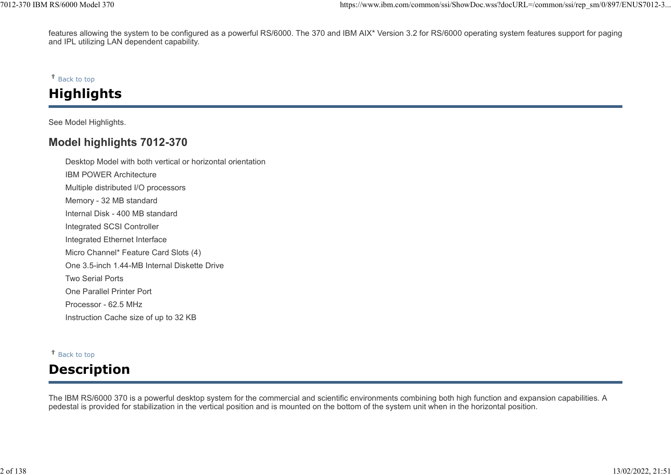features allowing the system to be configured as a powerful RS/6000. The 370 and IBM AIX\* Version 3.2 for RS/6000 operating system features support for paging and IPL utilizing LAN dependent capability. %7012-370 IBM RS/6000 Model 370<br>features allowing the system to be configured as a powerful RS/6000. The 370 and IBM AIX\* Version 3.2 for RS/6000 operating system features support for paging<br>and IPL utilizing LAN dependent

#### $*$  Back to top

# **Highlights**

See Model Highlights.

## Model highlights 7012-370

Desktop Model with both vertical or horizontal orientation IBM POWER Architecture Multiple distributed I/O processors Memory - 32 MB standard Internal Disk - 400 MB standard Integrated SCSI Controller Integrated Ethernet Interface Micro Channel\* Feature Card Slots (4) One 3.5-inch 1.44-MB Internal Diskette Drive Two Serial Ports One Parallel Printer Port Processor - 62.5 MHz Instruction Cache size of up to 32 KB

#### Back to top

# Description

The IBM RS/6000 370 is a powerful desktop system for the commercial and scientific environments combining both high function and expansion capabilities. A pedestal is provided for stabilization in the vertical position and is mounted on the bottom of the system unit when in the horizontal position.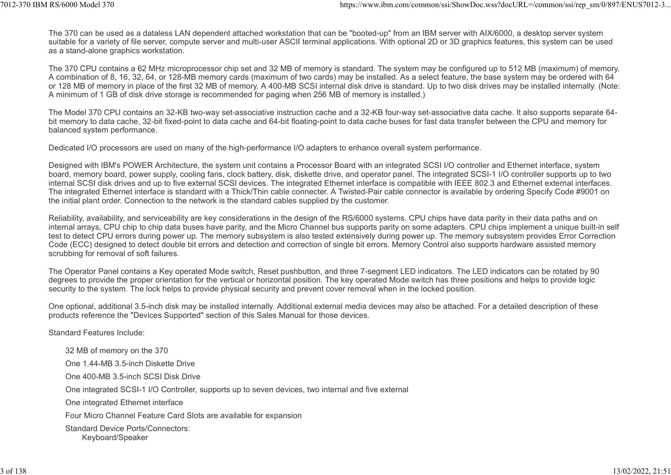The 370 can be used as a dataless LAN dependent attached workstation that can be "booted-up" from an IBM server with AIX/6000, a desktop server system suitable for a variety of file server, compute server and multi-user ASCII terminal applications. With optional 2D or 3D graphics features, this system can be used as a stand-alone graphics workstation. %7012-370 IBM RS/6000 Model 370<br>The 370 can be used as a dataless LAN dependent attached workstation that can be "booted-up" from an IBM server with AIX/6000, a desktop server system<br>suitable for a variety of file server,

The 370 CPU contains a 62 MHz microprocessor chip set and 32 MB of memory is standard. The system may be configured up to 512 MB (maximum) of memory. A combination of 8, 16, 32, 64, or 128-MB memory cards (maximum of two cards) may be installed. As a select feature, the base system may be ordered with 64 or 128 MB of memory in place of the first 32 MB of memory. A 400-MB SCSI internal disk drive is standard. Up to two disk drives may be installed internally. (Note: A minimum of 1 GB of disk drive storage is recommended for paging when 256 MB of memory is installed.)

The Model 370 CPU contains an 32-KB two-way set-associative instruction cache and a 32-KB four-way set-associative data cache. It also supports separate 64 bit memory to data cache, 32-bit fixed-point to data cache and 64-bit floating-point to data cache buses for fast data transfer between the CPU and memory for balanced system performance.

Dedicated I/O processors are used on many of the high-performance I/O adapters to enhance overall system performance.

Designed with IBM's POWER Architecture, the system unit contains a Processor Board with an integrated SCSI I/O controller and Ethernet interface, system board, memory board, power supply, cooling fans, clock battery, disk, diskette drive, and operator panel. The integrated SCSI-1 I/O controller supports up to two internal SCSI disk drives and up to five external SCSI devices. The integrated Ethernet interface is compatible with IEEE 802.3 and Ethernet external interfaces. The integrated Ethernet interface is standard with a Thick/Thin cable connecter. A Twisted-Pair cable connector is available by ordering Specify Code #9001 on the initial plant order. Connection to the network is the standard cables supplied by the customer.

Reliability, availability, and serviceability are key considerations in the design of the RS/6000 systems. CPU chips have data parity in their data paths and on internal arrays, CPU chip to chip data buses have parity, and the Micro Channel bus supports parity on some adapters. CPU chips implement a unique built-in self test to detect CPU errors during power up. The memory subsystem is also tested extensively during power up. The memory subsystem provides Error Correction Code (ECC) designed to detect double bit errors and detection and correction of single bit errors. Memory Control also supports hardware assisted memory scrubbing for removal of soft failures.

The Operator Panel contains a Key operated Mode switch, Reset pushbutton, and three 7-segment LED indicators. The LED indicators can be rotated by 90 degrees to provide the proper orientation for the vertical or horizontal position. The key operated Mode switch has three positions and helps to provide logic security to the system. The lock helps to provide physical security and prevent cover removal when in the locked position.

One optional, additional 3.5-inch disk may be installed internally. Additional external media devices may also be attached. For a detailed description of these products reference the "Devices Supported" section of this Sales Manual for those devices.

Standard Features Include:

32 MB of memory on the 370 One 1.44-MB 3.5-inch Diskette Drive One 400-MB 3.5-inch SCSI Disk Drive One integrated SCSI-1 I/O Controller, supports up to seven devices, two internal and five external One integrated Ethernet interface Four Micro Channel Feature Card Slots are available for expansion Standard Device Ports/Connectors: Keyboard/Speaker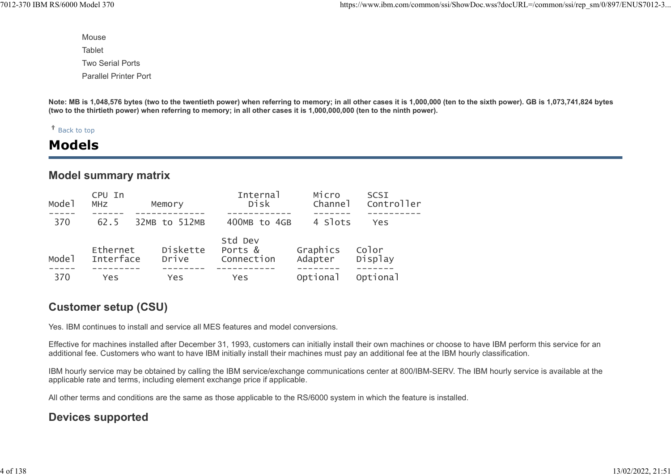Mouse **Tablet** Two Serial Ports Parallel Printer Port

Note: MB is 1,048,576 bytes (two to the twentieth power) when referring to memory; in all other cases it is 1,000,000 (ten to the sixth power). GB is 1,073,741,824 bytes (two to the thirtieth power) when referring to memory; in all other cases it is 1,000,000,000 (ten to the ninth power).

#### Back to top

## Models

## Model summary matrix

| Mode <sub>1</sub> | CPU In<br><b>MHZ</b>  | Memory            | Internal<br>Disk                 | Micro<br>Channe <sup>1</sup> | SCSI<br>Controller |
|-------------------|-----------------------|-------------------|----------------------------------|------------------------------|--------------------|
| 370               | 62.5                  | 32MB to 512MB     | 400MB to 4GB                     | 4 Slots                      | Yes                |
| Mode <sub>1</sub> | Ethernet<br>Interface | Diskette<br>Drive | Std Dev<br>Ports &<br>Connection | Graphics<br>Adapter          | Color<br>Display   |
| 370               | Yes                   | Yes               | Yes                              | Optional                     | Optional           |

## Customer setup (CSU)

Yes. IBM continues to install and service all MES features and model conversions.

Effective for machines installed after December 31, 1993, customers can initially install their own machines or choose to have IBM perform this service for an additional fee. Customers who want to have IBM initially install their machines must pay an additional fee at the IBM hourly classification.

IBM hourly service may be obtained by calling the IBM service/exchange communications center at 800/IBM-SERV. The IBM hourly service is available at the applicable rate and terms, including element exchange price if applicable.

All other terms and conditions are the same as those applicable to the RS/6000 system in which the feature is installed.

## Devices supported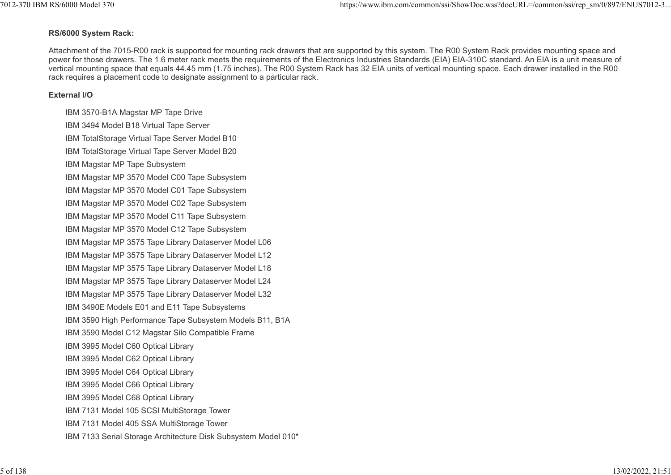#### RS/6000 System Rack:

Attachment of the 7015-R00 rack is supported for mounting rack drawers that are supported by this system. The R00 System Rack provides mounting space and power for those drawers. The 1.6 meter rack meets the requirements of the Electronics Industries Standards (EIA) EIA-310C standard. An EIA is a unit measure of vertical mounting space that equals 44.45 mm (1.75 inches). The R00 System Rack has 32 EIA units of vertical mounting space. Each drawer installed in the R00 rack requires a placement code to designate assignment to a particular rack. 1012-370 IBM RS/6000 Model 370<br> **RS/6000 System Rack:**<br>
Attachment of the 7015-R00 rack is supported for mounting rack drawers that are supported by this system. The R00 System Rack provides mounting space and<br>
Attachment

#### External I/O

IBM 3570-B1A Magstar MP Tape Drive IBM 3494 Model B18 Virtual Tape Server IBM TotalStorage Virtual Tape Server Model B10 IBM TotalStorage Virtual Tape Server Model B20 IBM Magstar MP Tape Subsystem IBM Magstar MP 3570 Model C00 Tape Subsystem IBM Magstar MP 3570 Model C01 Tape Subsystem IBM Magstar MP 3570 Model C02 Tape Subsystem IBM Magstar MP 3570 Model C11 Tape Subsystem IBM Magstar MP 3570 Model C12 Tape Subsystem IBM Magstar MP 3575 Tape Library Dataserver Model L06 IBM Magstar MP 3575 Tape Library Dataserver Model L12 IBM Magstar MP 3575 Tape Library Dataserver Model L18 IBM Magstar MP 3575 Tape Library Dataserver Model L24 IBM Magstar MP 3575 Tape Library Dataserver Model L32 IBM 3490E Models E01 and E11 Tape Subsystems IBM 3590 High Performance Tape Subsystem Models B11, B1A IBM 3590 Model C12 Magstar Silo Compatible Frame IBM 3995 Model C60 Optical Library IBM 3995 Model C62 Optical Library IBM 3995 Model C64 Optical Library IBM 3995 Model C66 Optical Library IBM 3995 Model C68 Optical Library IBM 7131 Model 105 SCSI MultiStorage Tower IBM 7131 Model 405 SSA MultiStorage Tower IBM 7133 Serial Storage Architecture Disk Subsystem Model 010\*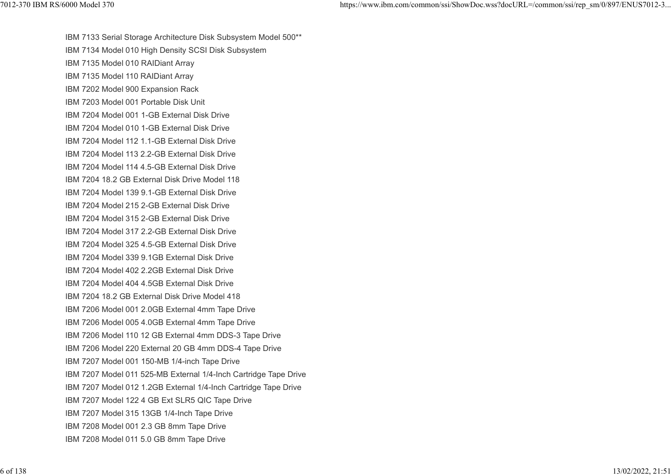IBM 7133 Serial Storage Architecture Disk Subsystem Model 500\*\* IBM 7134 Model 010 High Density SCSI Disk Subsystem IBM 7135 Model 010 RAIDiant Array IBM 7135 Model 110 RAIDiant Array IBM 7202 Model 900 Expansion Rack IBM 7203 Model 001 Portable Disk Unit IBM 7204 Model 001 1-GB External Disk Drive IBM 7204 Model 010 1-GB External Disk Drive IBM 7204 Model 112 1.1-GB External Disk Drive IBM 7204 Model 113 2.2-GB External Disk Drive IBM 7204 Model 114 4.5-GB External Disk Drive IBM 7204 18.2 GB External Disk Drive Model 118 IBM 7204 Model 139 9.1-GB External Disk Drive IBM 7204 Model 215 2-GB External Disk Drive IBM 7204 Model 315 2-GB External Disk Drive IBM 7204 Model 317 2.2-GB External Disk Drive IBM 7204 Model 325 4.5-GB External Disk Drive IBM 7204 Model 339 9.1GB External Disk Drive IBM 7204 Model 402 2.2GB External Disk Drive IBM 7204 Model 404 4.5GB External Disk Drive IBM 7204 18.2 GB External Disk Drive Model 418 IBM 7206 Model 001 2.0GB External 4mm Tape Drive IBM 7206 Model 005 4.0GB External 4mm Tape Drive IBM 7206 Model 110 12 GB External 4mm DDS-3 Tape Drive IBM 7206 Model 220 External 20 GB 4mm DDS-4 Tape Drive IBM 7207 Model 001 150-MB 1/4-inch Tape Drive IBM 7207 Model 011 525-MB External 1/4-Inch Cartridge Tape Drive IBM 7207 Model 012 1.2GB External 1/4-Inch Cartridge Tape Drive IBM 7207 Model 122 4 GB Ext SLR5 QIC Tape Drive IBM 7207 Model 315 13GB 1/4-Inch Tape Drive IBM 7208 Model 001 2.3 GB 8mm Tape Drive IBM 7208 Model 011 5.0 GB 8mm Tape Drive %7012-370 IBM RS/6000 Model 370 https://www.ibm.com/common/ssi/ShowDoc.wss?docURL=/common/ssi/rep\_sm/0/897/ENUS7012-3...<br>IBM 7133 Serial Storage Architecture Disk Subsystem Model 500\*\*<br>IBM 7134 Model 010 High Density SCSI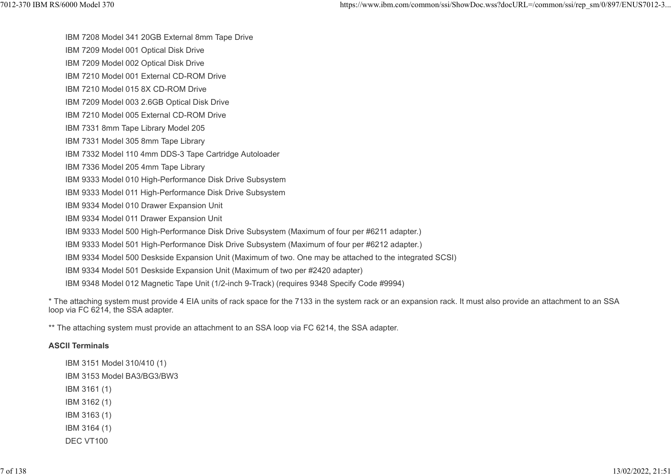IBM 7208 Model 341 20GB External 8mm Tape Drive

IBM 7209 Model 001 Optical Disk Drive

IBM 7209 Model 002 Optical Disk Drive

IBM 7210 Model 001 External CD-ROM Drive

IBM 7210 Model 015 8X CD-ROM Drive

IBM 7209 Model 003 2.6GB Optical Disk Drive

IBM 7210 Model 005 External CD-ROM Drive

IBM 7331 8mm Tape Library Model 205

IBM 7331 Model 305 8mm Tape Library

IBM 7332 Model 110 4mm DDS-3 Tape Cartridge Autoloader

IBM 7336 Model 205 4mm Tape Library

IBM 9333 Model 010 High-Performance Disk Drive Subsystem

IBM 9333 Model 011 High-Performance Disk Drive Subsystem

IBM 9334 Model 010 Drawer Expansion Unit

IBM 9334 Model 011 Drawer Expansion Unit

IBM 9333 Model 500 High-Performance Disk Drive Subsystem (Maximum of four per #6211 adapter.)

IBM 9333 Model 501 High-Performance Disk Drive Subsystem (Maximum of four per #6212 adapter.)

IBM 9334 Model 500 Deskside Expansion Unit (Maximum of two. One may be attached to the integrated SCSI)

IBM 9334 Model 501 Deskside Expansion Unit (Maximum of two per #2420 adapter)

IBM 9348 Model 012 Magnetic Tape Unit (1/2-inch 9-Track) (requires 9348 Specify Code #9994)

\* The attaching system must provide 4 EIA units of rack space for the 7133 in the system rack or an expansion rack. It must also provide an attachment to an SSA loop via FC 6214, the SSA adapter.

\*\* The attaching system must provide an attachment to an SSA loop via FC 6214, the SSA adapter.

#### ASCII Terminals

IBM 3151 Model 310/410 (1) IBM 3153 Model BA3/BG3/BW3 IBM 3161 (1) IBM 3162 (1) IBM 3163 (1) IBM 3164 (1) DEC VT100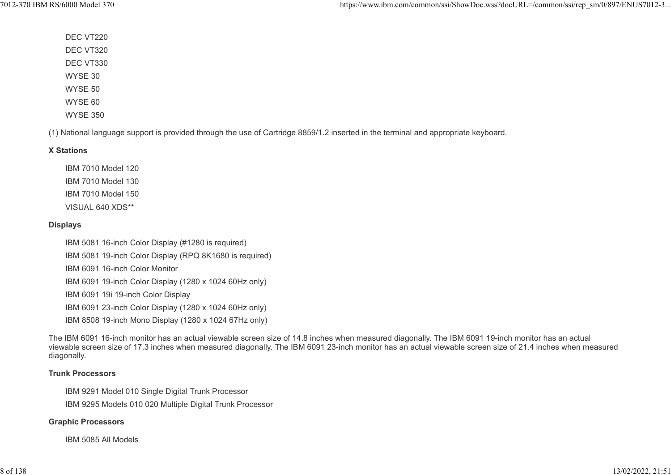DEC VT220 DEC VT320 DEC VT330 WYSE 30 WYSE 50 WYSE 60 WYSE 350

(1) National language support is provided through the use of Cartridge 8859/1.2 inserted in the terminal and appropriate keyboard.

#### X Stations

IBM 7010 Model 120 IBM 7010 Model 130 IBM 7010 Model 150 VISUAL 640 XDS\*\*

#### Displays

IBM 5081 16-inch Color Display (#1280 is required) IBM 5081 19-inch Color Display (RPQ 8K1680 is required) IBM 6091 16-inch Color Monitor IBM 6091 19-inch Color Display (1280 x 1024 60Hz only) IBM 6091 19i 19-inch Color Display IBM 6091 23-inch Color Display (1280 x 1024 60Hz only) IBM 8508 19-inch Mono Display (1280 x 1024 67Hz only)

The IBM 6091 16-inch monitor has an actual viewable screen size of 14.8 inches when measured diagonally. The IBM 6091 19-inch monitor has an actual viewable screen size of 17.3 inches when measured diagonally. The IBM 6091 23-inch monitor has an actual viewable screen size of 21.4 inches when measured diagonally.

#### Trunk Processors

IBM 9291 Model 010 Single Digital Trunk Processor

IBM 9295 Models 010 020 Multiple Digital Trunk Processor

#### Graphic Processors

IBM 5085 All Models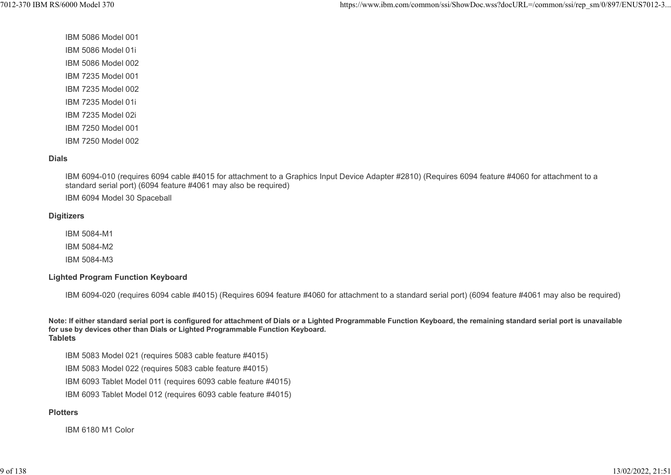IBM 5086 Model 001 IBM 5086 Model 01i IBM 5086 Model 002 IBM 7235 Model 001 IBM 7235 Model 002 IBM 7235 Model 01i IBM 7235 Model 02i IBM 7250 Model 001 IBM 7250 Model 002

#### Dials

IBM 6094-010 (requires 6094 cable #4015 for attachment to a Graphics Input Device Adapter #2810) (Requires 6094 feature #4060 for attachment to a standard serial port) (6094 feature #4061 may also be required)

IBM 6094 Model 30 Spaceball

#### **Digitizers**

IBM 5084-M1

IBM 5084-M2

IBM 5084-M3

#### Lighted Program Function Keyboard

IBM 6094-020 (requires 6094 cable #4015) (Requires 6094 feature #4060 for attachment to a standard serial port) (6094 feature #4061 may also be required)

Note: If either standard serial port is configured for attachment of Dials or a Lighted Programmable Function Keyboard, the remaining standard serial port is unavailable for use by devices other than Dials or Lighted Programmable Function Keyboard. **Tablets** 

IBM 5083 Model 021 (requires 5083 cable feature #4015)

IBM 5083 Model 022 (requires 5083 cable feature #4015)

IBM 6093 Tablet Model 011 (requires 6093 cable feature #4015)

IBM 6093 Tablet Model 012 (requires 6093 cable feature #4015)

#### **Plotters**

IBM 6180 M1 Color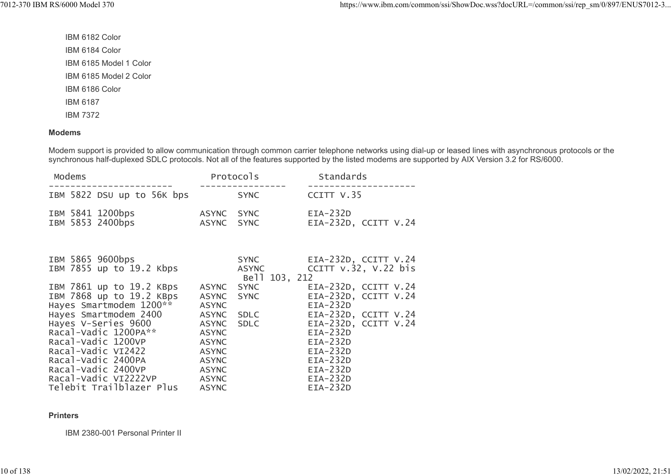IBM 6182 Color IBM 6184 Color IBM 6185 Model 1 Color IBM 6185 Model 2 Color IBM 6186 Color IBM 6187 IBM 7372

#### Modems

Modem support is provided to allow communication through common carrier telephone networks using dial-up or leased lines with asynchronous protocols or the synchronous half-duplexed SDLC protocols. Not all of the features supported by the listed modems are supported by AIX Version 3.2 for RS/6000.

| Modems                               |                            |                          | Protocols   | Standards                        |
|--------------------------------------|----------------------------|--------------------------|-------------|----------------------------------|
|                                      | IBM 5822 DSU up to 56K bps |                          | <b>SYNC</b> | CCITT V.35                       |
| IBM 5841 1200bps<br>IBM 5853 2400bps |                            | ASYNC SYNC<br>ASYNC SYNC |             | EIA-232D<br>EIA-232D, CCITT V.24 |

| IBM 5865 9600bps         |              | <b>SYNC</b>   | EIA-232D, CCITT V.24      |
|--------------------------|--------------|---------------|---------------------------|
| IBM 7855 up to 19.2 Kbps |              | ASYNC         | CCITT $v.32$ , $v.22$ bis |
|                          |              | Bell 103, 212 |                           |
| IBM 7861 up to 19.2 KBps | ASYNC        | <b>SYNC</b>   | EIA-232D, CCITT V.24      |
| IBM 7868 up to 19.2 KBps | ASYNC SYNC   |               | $EIA-232D$ , CCITT V.24   |
| Hayes Smartmodem 1200**  | <b>ASYNC</b> |               | $EIA-232D$                |
| Hayes Smartmodem 2400    | ASYNC        | SDLC          | EIA-232D, CCITT V.24      |
| Hayes V-Series 9600      | ASYNC        | <b>SDLC</b>   | EIA-232D, CCITT V.24      |
| Racal-Vadic 1200PA**     | <b>ASYNC</b> |               | $EIA-232D$                |
| Racal-Vadic 1200VP       | <b>ASYNC</b> |               | $EIA-232D$                |
| Racal-Vadic VI2422       | <b>ASYNC</b> |               | $EIA-232D$                |
| Racal-Vadic 2400PA       | <b>ASYNC</b> |               | $EIA-232D$                |
| Racal-Vadic 2400VP       | <b>ASYNC</b> |               | $EIA-232D$                |
| Racal-Vadic VI2222VP     | <b>ASYNC</b> |               | $EIA-232D$                |
| Telebit Trailblazer Plus | <b>ASYNC</b> |               | $EIA-232D$                |

#### **Printers**

IBM 2380-001 Personal Printer II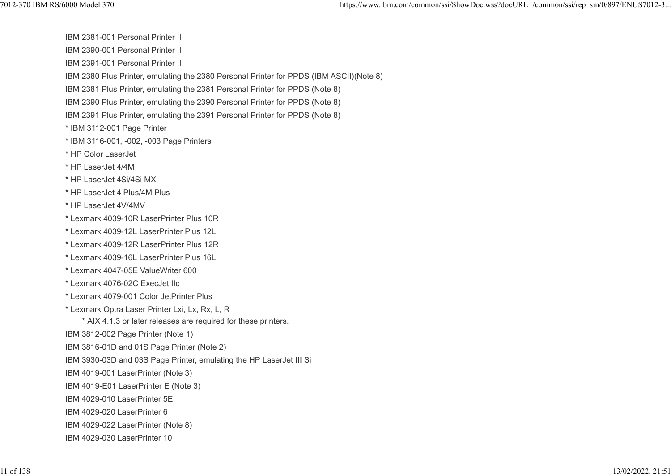IBM 2381-001 Personal Printer II

IBM 2390-001 Personal Printer II

IBM 2391-001 Personal Printer II

IBM 2380 Plus Printer, emulating the 2380 Personal Printer for PPDS (IBM ASCII)(Note 8)

IBM 2381 Plus Printer, emulating the 2381 Personal Printer for PPDS (Note 8)

IBM 2390 Plus Printer, emulating the 2390 Personal Printer for PPDS (Note 8)

IBM 2391 Plus Printer, emulating the 2391 Personal Printer for PPDS (Note 8)

\* IBM 3112-001 Page Printer

\* IBM 3116-001, -002, -003 Page Printers

\* HP Color LaserJet

\* HP LaserJet 4/4M

\* HP LaserJet 4Si/4Si MX

\* HP LaserJet 4 Plus/4M Plus

\* HP LaserJet 4V/4MV

\* Lexmark 4039-10R LaserPrinter Plus 10R

\* Lexmark 4039-12L LaserPrinter Plus 12L

\* Lexmark 4039-12R LaserPrinter Plus 12R

\* Lexmark 4039-16L LaserPrinter Plus 16L

\* Lexmark 4047-05E ValueWriter 600

\* Lexmark 4076-02C ExecJet IIc

\* Lexmark 4079-001 Color JetPrinter Plus

\* Lexmark Optra Laser Printer Lxi, Lx, Rx, L, R

\* AIX 4.1.3 or later releases are required for these printers.

IBM 3812-002 Page Printer (Note 1)

IBM 3816-01D and 01S Page Printer (Note 2)

IBM 3930-03D and 03S Page Printer, emulating the HP LaserJet III Si

IBM 4019-001 LaserPrinter (Note 3)

IBM 4019-E01 LaserPrinter E (Note 3)

IBM 4029-010 LaserPrinter 5E

IBM 4029-020 LaserPrinter 6

IBM 4029-022 LaserPrinter (Note 8)

IBM 4029-030 LaserPrinter 10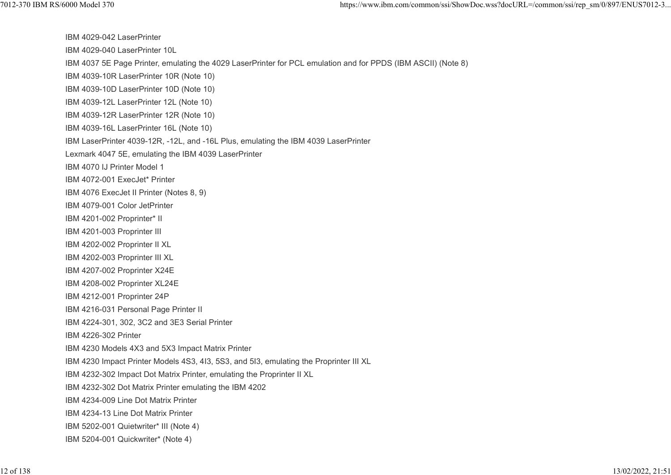IBM 4029-042 LaserPrinter IBM 4029-040 LaserPrinter 10L IBM 4037 5E Page Printer, emulating the 4029 LaserPrinter for PCL emulation and for PPDS (IBM ASCII) (Note 8) IBM 4039-10R LaserPrinter 10R (Note 10) IBM 4039-10D LaserPrinter 10D (Note 10) IBM 4039-12L LaserPrinter 12L (Note 10) IBM 4039-12R LaserPrinter 12R (Note 10) IBM 4039-16L LaserPrinter 16L (Note 10) IBM LaserPrinter 4039-12R, -12L, and -16L Plus, emulating the IBM 4039 LaserPrinter Lexmark 4047 5E, emulating the IBM 4039 LaserPrinter IBM 4070 IJ Printer Model 1 IBM 4072-001 ExecJet\* Printer IBM 4076 ExecJet II Printer (Notes 8, 9) IBM 4079-001 Color JetPrinter IBM 4201-002 Proprinter\* II IBM 4201-003 Proprinter III IBM 4202-002 Proprinter II XL IBM 4202-003 Proprinter III XL IBM 4207-002 Proprinter X24E IBM 4208-002 Proprinter XL24E IBM 4212-001 Proprinter 24P IBM 4216-031 Personal Page Printer II IBM 4224-301, 302, 3C2 and 3E3 Serial Printer IBM 4226-302 Printer IBM 4230 Models 4X3 and 5X3 Impact Matrix Printer IBM 4230 Impact Printer Models 4S3, 4I3, 5S3, and 5I3, emulating the Proprinter III XL IBM 4232-302 Impact Dot Matrix Printer, emulating the Proprinter II XL IBM 4232-302 Dot Matrix Printer emulating the IBM 4202 IBM 4234-009 Line Dot Matrix Printer IBM 4234-13 Line Dot Matrix Printer IBM 5202-001 Quietwriter\* III (Note 4) IBM 5204-001 Quickwriter\* (Note 4) 7012-370 IBM RS/6000 Model 370 https://www.ibm.com/common/ssi/ShowDoc.wss?docURL=/common/ssi/rep\_sm/0/897/ENUS7012-3...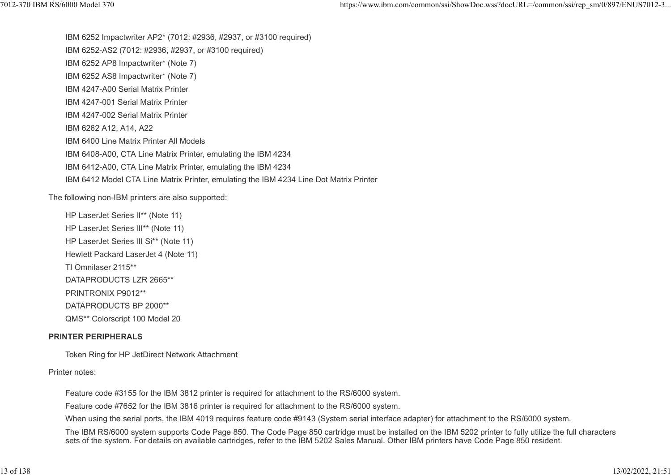IBM 6252 Impactwriter AP2\* (7012: #2936, #2937, or #3100 required) IBM 6252-AS2 (7012: #2936, #2937, or #3100 required) IBM 6252 AP8 Impactwriter\* (Note 7) IBM 6252 AS8 Impactwriter\* (Note 7) IBM 4247-A00 Serial Matrix Printer IBM 4247-001 Serial Matrix Printer IBM 4247-002 Serial Matrix Printer IBM 6262 A12, A14, A22 IBM 6400 Line Matrix Printer All Models IBM 6408-A00, CTA Line Matrix Printer, emulating the IBM 4234 IBM 6412-A00, CTA Line Matrix Printer, emulating the IBM 4234 IBM 6412 Model CTA Line Matrix Printer, emulating the IBM 4234 Line Dot Matrix Printer https://www.ibm.com/common/ssi/ShowDoc.wss?docURL=/common/ssi/rep\_sm/0/897/ENUS7012-3...<br>IBM 6252 Impactwriter AP2\* (7012: #2936, #2937, or #3100 required)<br>IBM 6252-AS2 (7012: #2936, #2937, or #3100 required)

The following non-IBM printers are also supported:

HP LaserJet Series II\*\* (Note 11) HP LaserJet Series III\*\* (Note 11) HP LaserJet Series III Si\*\* (Note 11) Hewlett Packard LaserJet 4 (Note 11) TI Omnilaser 2115\*\* DATAPRODUCTS LZR 2665\*\* PRINTRONIX P9012\*\* DATAPRODUCTS BP 2000\*\* QMS\*\* Colorscript 100 Model 20

#### PRINTER PERIPHERALS

Token Ring for HP JetDirect Network Attachment

#### Printer notes:

Feature code #3155 for the IBM 3812 printer is required for attachment to the RS/6000 system.

Feature code #7652 for the IBM 3816 printer is required for attachment to the RS/6000 system.

When using the serial ports, the IBM 4019 requires feature code #9143 (System serial interface adapter) for attachment to the RS/6000 system.

The IBM RS/6000 system supports Code Page 850. The Code Page 850 cartridge must be installed on the IBM 5202 printer to fully utilize the full characters sets of the system. For details on available cartridges, refer to the IBM 5202 Sales Manual. Other IBM printers have Code Page 850 resident.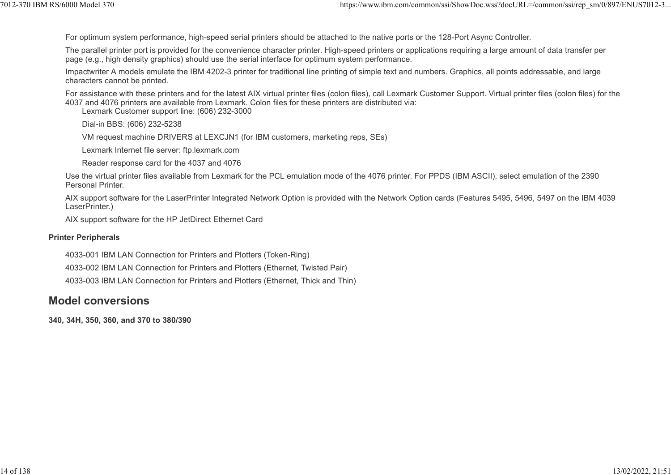For optimum system performance, high-speed serial printers should be attached to the native ports or the 128-Port Async Controller.

The parallel printer port is provided for the convenience character printer. High-speed printers or applications requiring a large amount of data transfer per page (e.g., high density graphics) should use the serial interface for optimum system performance. 1012-370 IBM RS/6000 Model 370<br>For optimum system performance, high-speed serial printers should be attached to the native ports or the 128-Port Async Controller.<br>The parallel printer port is provided for the convenience c

Impactwriter A models emulate the IBM 4202-3 printer for traditional line printing of simple text and numbers. Graphics, all points addressable, and large characters cannot be printed.

For assistance with these printers and for the latest AIX virtual printer files (colon files), call Lexmark Customer Support. Virtual printer files (colon files) for the 4037 and 4076 printers are available from Lexmark. Colon files for these printers are distributed via:

Lexmark Customer support line: (606) 232-3000

Dial-in BBS: (606) 232-5238

VM request machine DRIVERS at LEXCJN1 (for IBM customers, marketing reps, SEs)

Lexmark Internet file server: ftp.lexmark.com

Reader response card for the 4037 and 4076

Use the virtual printer files available from Lexmark for the PCL emulation mode of the 4076 printer. For PPDS (IBM ASCII), select emulation of the 2390 Personal Printer.

AIX support software for the LaserPrinter Integrated Network Option is provided with the Network Option cards (Features 5495, 5496, 5497 on the IBM 4039 LaserPrinter.)

AIX support software for the HP JetDirect Ethernet Card

#### Printer Peripherals

4033-001 IBM LAN Connection for Printers and Plotters (Token-Ring)

4033-002 IBM LAN Connection for Printers and Plotters (Ethernet, Twisted Pair)

4033-003 IBM LAN Connection for Printers and Plotters (Ethernet, Thick and Thin)

## Model conversions

340, 34H, 350, 360, and 370 to 380/390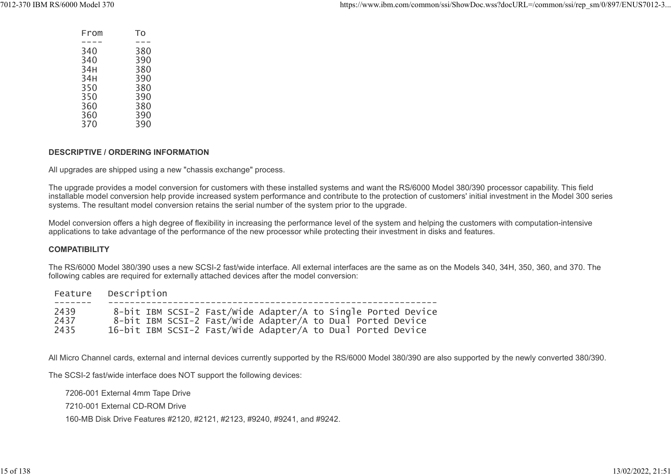| From | To  |
|------|-----|
|      |     |
| 340  | 380 |
| 340  | 390 |
| 34H  | 380 |
| 34H  | 390 |
| 350  | 380 |
| 350  | 390 |
| 360  | 380 |
| 360  | 390 |
| 370  | 390 |
|      |     |

#### DESCRIPTIVE / ORDERING INFORMATION

All upgrades are shipped using a new "chassis exchange" process.

The upgrade provides a model conversion for customers with these installed systems and want the RS/6000 Model 380/390 processor capability. This field installable model conversion help provide increased system performance and contribute to the protection of customers' initial investment in the Model 300 series systems. The resultant model conversion retains the serial number of the system prior to the upgrade.

Model conversion offers a high degree of flexibility in increasing the performance level of the system and helping the customers with computation-intensive applications to take advantage of the performance of the new processor while protecting their investment in disks and features.

#### **COMPATIBILITY**

The RS/6000 Model 380/390 uses a new SCSI-2 fast/wide interface. All external interfaces are the same as on the Models 340, 34H, 350, 360, and 370. The following cables are required for externally attached devices after the model conversion:

|      | Feature Description                                          |
|------|--------------------------------------------------------------|
| 2439 | 8-bit IBM SCSI-2 Fast/Wide Adapter/A to Single Ported Device |
| 2437 | 8-bit IBM SCSI-2 Fast/wide Adapter/A to Dual Ported Device   |
| 2435 | 16-bit IBM SCSI-2 Fast/Wide Adapter/A to Dual Ported Device  |

All Micro Channel cards, external and internal devices currently supported by the RS/6000 Model 380/390 are also supported by the newly converted 380/390.

The SCSI-2 fast/wide interface does NOT support the following devices:

7206-001 External 4mm Tape Drive

7210-001 External CD-ROM Drive

160-MB Disk Drive Features #2120, #2121, #2123, #9240, #9241, and #9242.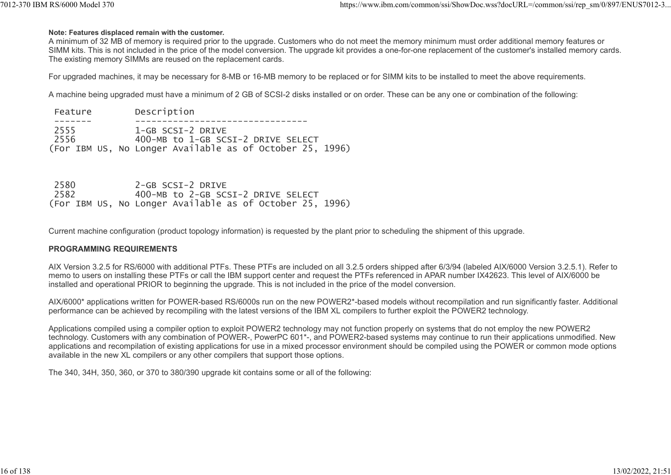#### Note: Features displaced remain with the customer.

A minimum of 32 MB of memory is required prior to the upgrade. Customers who do not meet the memory minimum must order additional memory features or SIMM kits. This is not included in the price of the model conversion. The upgrade kit provides a one-for-one replacement of the customer's installed memory cards. The existing memory SIMMs are reused on the replacement cards. Total 2-370 IBM RS/6000 Model 370<br>
Note: Features displaced remain with the customer.<br>
A minimum of 32 MB of memory is required prior to the upgrade. Customers who do not meet the memory minimum must order additional memor

For upgraded machines, it may be necessary for 8-MB or 16-MB memory to be replaced or for SIMM kits to be installed to meet the above requirements.

A machine being upgraded must have a minimum of 2 GB of SCSI-2 disks installed or on order. These can be any one or combination of the following:

| Feature | Description                                              |
|---------|----------------------------------------------------------|
|         |                                                          |
| 2555    | 1-GB SCSI-2 DRIVE                                        |
| 2556    | 400-MB to 1-GB SCSI-2 DRIVE SELECT                       |
|         | (For IBM US, No Longer Available as of October 25, 1996) |

| 2580 | 2-GB SCSI-2 DRIVE                                        |
|------|----------------------------------------------------------|
| 2582 | 400-MB to 2-GB SCSI-2 DRIVE SELECT                       |
|      | (For IBM US, No Longer Available as of October 25, 1996) |

Current machine configuration (product topology information) is requested by the plant prior to scheduling the shipment of this upgrade.

#### PROGRAMMING REQUIREMENTS

AIX Version 3.2.5 for RS/6000 with additional PTFs. These PTFs are included on all 3.2.5 orders shipped after 6/3/94 (labeled AIX/6000 Version 3.2.5.1). Refer to memo to users on installing these PTFs or call the IBM support center and request the PTFs referenced in APAR number IX42623. This level of AIX/6000 be installed and operational PRIOR to beginning the upgrade. This is not included in the price of the model conversion.

AIX/6000\* applications written for POWER-based RS/6000s run on the new POWER2\*-based models without recompilation and run significantly faster. Additional performance can be achieved by recompiling with the latest versions of the IBM XL compilers to further exploit the POWER2 technology.

Applications compiled using a compiler option to exploit POWER2 technology may not function properly on systems that do not employ the new POWER2 technology. Customers with any combination of POWER-, PowerPC 601\*-, and POWER2-based systems may continue to run their applications unmodified. New applications and recompilation of existing applications for use in a mixed processor environment should be compiled using the POWER or common mode options available in the new XL compilers or any other compilers that support those options.

The 340, 34H, 350, 360, or 370 to 380/390 upgrade kit contains some or all of the following: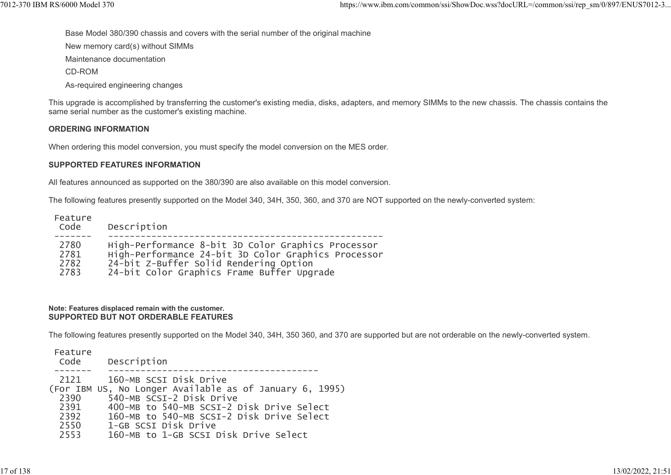Base Model 380/390 chassis and covers with the serial number of the original machine 1012-370 IBM RS/6000 Model 370 https://www.ibm.com/common/ssi/ShowDoc.wss?docURL=/common/ssi/rep\_sm/0/897/ENUS7012-3...<br>Base Model 380/390 chassis and covers with the serial number of the original machine<br>New memory card(s

New memory card(s) without SIMMs

Maintenance documentation

CD-ROM

As-required engineering changes

This upgrade is accomplished by transferring the customer's existing media, disks, adapters, and memory SIMMs to the new chassis. The chassis contains the same serial number as the customer's existing machine.

#### ORDERING INFORMATION

When ordering this model conversion, you must specify the model conversion on the MES order.

#### SUPPORTED FEATURES INFORMATION

All features announced as supported on the 380/390 are also available on this model conversion.

The following features presently supported on the Model 340, 34H, 350, 360, and 370 are NOT supported on the newly-converted system:

| Feature<br>Code | Description                                         |
|-----------------|-----------------------------------------------------|
| 2780            | High-Performance 8-bit 3D Color Graphics Processor  |
| 2781            | High-Performance 24-bit 3D Color Graphics Processor |
| 2782            | 24-bit Z-Buffer Solid Rendering Option              |
| 2783            | 24-bit Color Graphics Frame Buffer Upgrade          |

#### Note: Features displaced remain with the customer. SUPPORTED BUT NOT ORDERABLE FEATURES

The following features presently supported on the Model 340, 34H, 350 360, and 370 are supported but are not orderable on the newly-converted system.

| Feature<br>Description<br>Code                                                                                                                                                                                                                                                                                           |
|--------------------------------------------------------------------------------------------------------------------------------------------------------------------------------------------------------------------------------------------------------------------------------------------------------------------------|
| 2121<br>160-MB SCSI Disk Drive<br>(For IBM US, No Longer Available as of January 6, 1995)<br>540-MB SCSI-2 Disk Drive<br>2390<br>400-MB to 540-MB SCSI-2 Disk Drive Select<br>2391<br>160-MB to 540-MB SCSI-2 Disk Drive Select<br>2392<br>2550<br>1-GB SCSI Disk Drive<br>160-MB to 1-GB SCSI Disk Drive Select<br>2553 |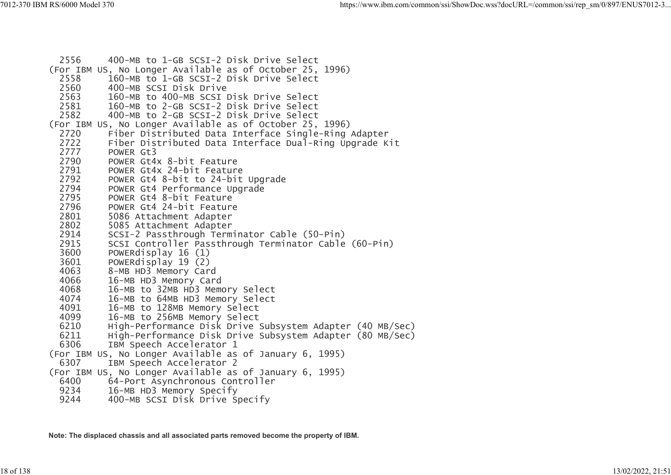```
 2556 400-MB to 1-GB SCSI-2 Disk Drive Select
(For IBM US, No Longer Available as of October 25, 1996)
   2558 160-MB to 1-GB SCSI-2 Disk Drive Select
   2560 400-MB SCSI Disk Drive
  2563 160-MB to 400-MB SCSI Disk Drive Select<br>2581 160-MB to 2-GB SCSI-2 Disk Drive Select
  2581 160-MB to 2-GB SCSI-2 Disk Drive Select<br>2582 400-MB to 2-GB SCSI-2 Disk Drive Select
              2582 400-MB to 2-GB SCSI-2 Disk Drive Select
(For IBM US, No Longer Available as of October 25, 1996)
   2720 Fiber Distributed Data Interface Single-Ring Adapter
  2722      Fiber Distributed Data Interface Dual-Ring Upgrade Kit<br>2777     POWER Gt3
  2777 POWER Gt3<br>2790 POWER Gt4
  2790 POWER Gt4x 8-bit Feature<br>2791 POWER Gt4x 24-bit Feature
  2791 POWER Gt4x 24-bit Feature<br>2792 POWER Gt4 8-bit to 24-bit
  2792 POWER Gt4 8-bit to 24-bit Upgrade<br>2794 POWER Gt4 Performance Upgrade
   2794 POWER Gt4 Performance Upgrade
  2795 POWER Gt4 8-bit Feature<br>2796 POWER Gt4 24-bit Feature
  2796 POWER Gt4 24-bit Feature<br>2801 5086 Attachment Adapter
   2801 5086 Attachment Adapter
   2802 5085 Attachment Adapter
   2914 SCSI-2 Passthrough Terminator Cable (50-Pin)
  2915 SCSI Controller Passthrough Terminator Cable (60-Pin)<br>3600 POWERdisplay 16 (1)
   3600 POWERdisplay 16 (1)
   3601 POWERdisplay 19 (2)
   4063 8-MB HD3 Memory Card
  4066 16-MB HD3 Memory Card<br>4068 16-MB to 32MB HD3 Mem
  4068 16-MB to 32MB HD3 Memory Select<br>4074 16-MB to 64MB HD3 Memory Select
  4074 16-MB to 64MB HD3 Memory Select<br>4091 16-MB to 128MB Memory Select
  4091 16-MB to 128MB Memory Select<br>4099 16-MB to 256MB Memory Select
   4099 16-MB to 256MB Memory Select
   6210 High-Performance Disk Drive Subsystem Adapter (40 MB/Sec)
   6211 High-Performance Disk Drive Subsystem Adapter (80 MB/Sec)
             IBM Speech Accelerator 1
(For IBM US, No Longer Available as of January 6, 1995)
             IBM Speech Accelerator 2
(For IBM US, No Longer Available as of January 6, 1995)<br>6400 64-Port Asynchronous Controller
   6400 64-Port Asynchronous Controller
   9234 16-MB HD3 Memory Specify
             400-MB SCSI Disk Drive Specify
```
Note: The displaced chassis and all associated parts removed become the property of IBM.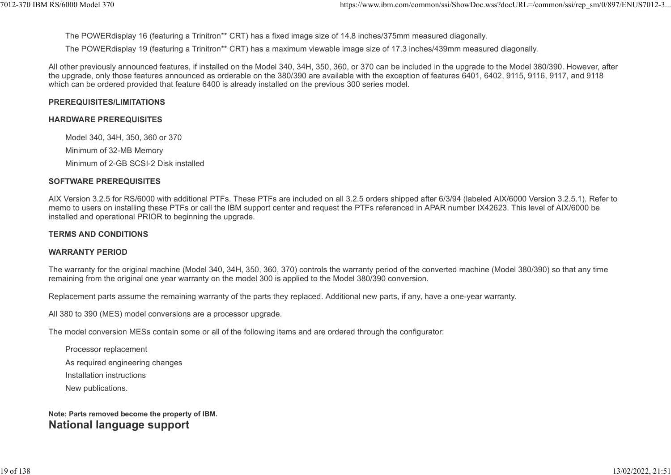The POWERdisplay 16 (featuring a Trinitron\*\* CRT) has a fixed image size of 14.8 inches/375mm measured diagonally.

The POWERdisplay 19 (featuring a Trinitron\*\* CRT) has a maximum viewable image size of 17.3 inches/439mm measured diagonally. %7012-370 IBM RS/6000 Model 370<br>The POWERdisplay 16 (featuring a Trinitron\*\* CRT) has a fixed image size of 14.8 inches/375mm measured diagonally.<br>The POWERdisplay 19 (featuring a Trinitron\*\* CRT) has a fixed image size of

All other previously announced features, if installed on the Model 340, 34H, 350, 360, or 370 can be included in the upgrade to the Model 380/390. However, after the upgrade, only those features announced as orderable on the 380/390 are available with the exception of features 6401, 6402, 9115, 9116, 9117, and 9118 which can be ordered provided that feature 6400 is already installed on the previous 300 series model.

#### PREREQUISITES/LIMITATIONS

#### HARDWARE PREREQUISITES

Model 340, 34H, 350, 360 or 370 Minimum of 32-MB Memory Minimum of 2-GB SCSI-2 Disk installed

#### SOFTWARE PREREQUISITES

AIX Version 3.2.5 for RS/6000 with additional PTFs. These PTFs are included on all 3.2.5 orders shipped after 6/3/94 (labeled AIX/6000 Version 3.2.5.1). Refer to memo to users on installing these PTFs or call the IBM support center and request the PTFs referenced in APAR number IX42623. This level of AIX/6000 be installed and operational PRIOR to beginning the upgrade.

#### TERMS AND CONDITIONS

#### WARRANTY PERIOD

The warranty for the original machine (Model 340, 34H, 350, 360, 370) controls the warranty period of the converted machine (Model 380/390) so that any time remaining from the original one year warranty on the model 300 is applied to the Model 380/390 conversion.

Replacement parts assume the remaining warranty of the parts they replaced. Additional new parts, if any, have a one-year warranty.

All 380 to 390 (MES) model conversions are a processor upgrade.

The model conversion MESs contain some or all of the following items and are ordered through the configurator:

Processor replacement

As required engineering changes

Installation instructions

New publications.

#### Note: Parts removed become the property of IBM. National language support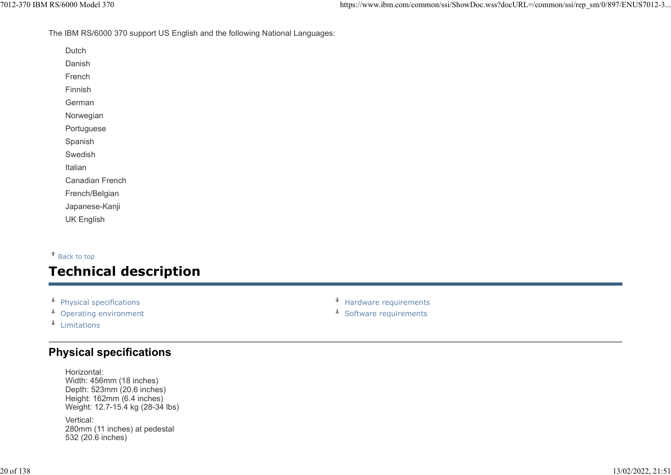#### The IBM RS/6000 370 support US English and the following National Languages:

Dutch

Danish

French

Finnish

German

Norwegian

Portuguese

Spanish

Swedish

Italian

Canadian French

French/Belgian

Japanese-Kanji

UK English

#### Back to top

# Technical description Furnism<br>
Perman<br>
Roman<br>
Specifications<br>
Specifications<br>
Specifications<br>
Italian<br>
Japanese-Kanji<br>
Japanese-Kanji<br>
Japanese-Kanji<br>
Japanese-Kanji<br>
Physical specifications<br>
Physical specifications<br>
Physical specifications<br>
Ph German<br>
Operation<br>
Syndish<br>
Syndish<br>
Syndish<br>
Syndish<br>
Syndish<br>
Syndish<br>
Japanese-Kanji<br>
UK English<br>
Set to top<br> **Decription<br>
Physical specifications<br>
\*** Hardware requirements<br>
\* Software requirements<br>
\* Software requireme

- 
- 
- Limitations

## Physical specifications

Horizontal: Width: 456mm (18 inches) Depth: 523mm (20.6 inches) Height: 162mm (6.4 inches) Weight: 12.7-15.4 kg (28-34 lbs)

Vertical: 280mm (11 inches) at pedestal 532 (20.6 inches)

- 
-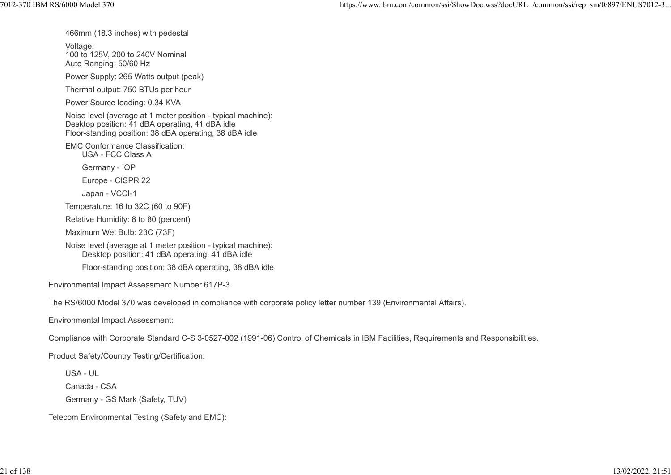466mm (18.3 inches) with pedestal

Voltage:

100 to 125V, 200 to 240V Nominal Auto Ranging; 50/60 Hz

Power Supply: 265 Watts output (peak)

Thermal output: 750 BTUs per hour

Power Source loading: 0.34 KVA

Noise level (average at 1 meter position - typical machine): Desktop position: 41 dBA operating, 41 dBA idle Floor-standing position: 38 dBA operating, 38 dBA idle

EMC Conformance Classification:

USA - FCC Class A

Germany - IOP

Europe - CISPR 22

Japan - VCCI-1

Temperature: 16 to 32C (60 to 90F)

Relative Humidity: 8 to 80 (percent)

Maximum Wet Bulb: 23C (73F)

Noise level (average at 1 meter position - typical machine): Desktop position: 41 dBA operating, 41 dBA idle

Floor-standing position: 38 dBA operating, 38 dBA idle

Environmental Impact Assessment Number 617P-3

The RS/6000 Model 370 was developed in compliance with corporate policy letter number 139 (Environmental Affairs).

Environmental Impact Assessment:

Compliance with Corporate Standard C-S 3-0527-002 (1991-06) Control of Chemicals in IBM Facilities, Requirements and Responsibilities.

Product Safety/Country Testing/Certification:

USA - UL

Canada - CSA

Germany - GS Mark (Safety, TUV)

Telecom Environmental Testing (Safety and EMC):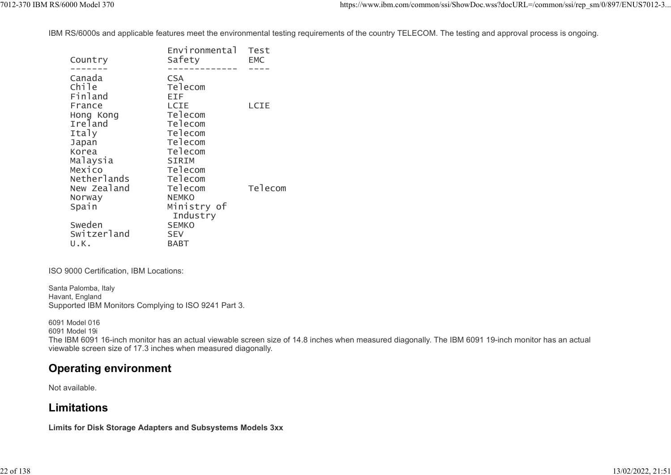IBM RS/6000s and applicable features meet the environmental testing requirements of the country TELECOM. The testing and approval process is ongoing. 1012-370 IBM RS/6000 Model 370<br>IBM RS/6000s and applicable features meet the environmental testing requirements of the country TELECOM. The testing and approval process is ongoing.<br>Environmental Test<br>Environmental Test

| Canada<br><b>CSA</b><br>Chile<br>Telecom<br>Finland<br>EIF.<br>LCIE<br>LCIE<br>France<br>Telecom<br>Hong Kong<br>Ireland<br>Telecom<br>Italy<br>Telecom<br>Telecom<br>Japan<br>Telecom<br>Korea<br>Malaysia<br>SIRIM<br>Telecom<br>Mexico<br>Netherlands<br>Telecom<br>Telecom<br>New Zealand<br>Telecom<br><b>NEMKO</b><br>Norway<br>Ministry of<br>Spain<br>Industry<br>Sweden<br><b>SEMKO</b> | Country | Environmental<br>Safety | Test<br><b>EMC</b> |
|--------------------------------------------------------------------------------------------------------------------------------------------------------------------------------------------------------------------------------------------------------------------------------------------------------------------------------------------------------------------------------------------------|---------|-------------------------|--------------------|
|                                                                                                                                                                                                                                                                                                                                                                                                  |         |                         |                    |
|                                                                                                                                                                                                                                                                                                                                                                                                  |         |                         |                    |
|                                                                                                                                                                                                                                                                                                                                                                                                  |         |                         |                    |
|                                                                                                                                                                                                                                                                                                                                                                                                  |         |                         |                    |
|                                                                                                                                                                                                                                                                                                                                                                                                  |         |                         |                    |
|                                                                                                                                                                                                                                                                                                                                                                                                  |         |                         |                    |
|                                                                                                                                                                                                                                                                                                                                                                                                  |         |                         |                    |
|                                                                                                                                                                                                                                                                                                                                                                                                  |         |                         |                    |
|                                                                                                                                                                                                                                                                                                                                                                                                  |         |                         |                    |
|                                                                                                                                                                                                                                                                                                                                                                                                  |         |                         |                    |
|                                                                                                                                                                                                                                                                                                                                                                                                  |         |                         |                    |
|                                                                                                                                                                                                                                                                                                                                                                                                  |         |                         |                    |
|                                                                                                                                                                                                                                                                                                                                                                                                  |         |                         |                    |
|                                                                                                                                                                                                                                                                                                                                                                                                  |         |                         |                    |
|                                                                                                                                                                                                                                                                                                                                                                                                  |         |                         |                    |
|                                                                                                                                                                                                                                                                                                                                                                                                  |         |                         |                    |
|                                                                                                                                                                                                                                                                                                                                                                                                  |         |                         |                    |
|                                                                                                                                                                                                                                                                                                                                                                                                  |         |                         |                    |
| Switzerland<br><b>SEV</b>                                                                                                                                                                                                                                                                                                                                                                        |         |                         |                    |
| U.K.<br>BABT                                                                                                                                                                                                                                                                                                                                                                                     |         |                         |                    |

#### ISO 9000 Certification, IBM Locations:

Santa Palomba, Italy Havant, England Supported IBM Monitors Complying to ISO 9241 Part 3.

6091 Model 016 6091 Model 19i The IBM 6091 16-inch monitor has an actual viewable screen size of 14.8 inches when measured diagonally. The IBM 6091 19-inch monitor has an actual viewable screen size of 17.3 inches when measured diagonally.

## Operating environment

Not available.

## Limitations

Limits for Disk Storage Adapters and Subsystems Models 3xx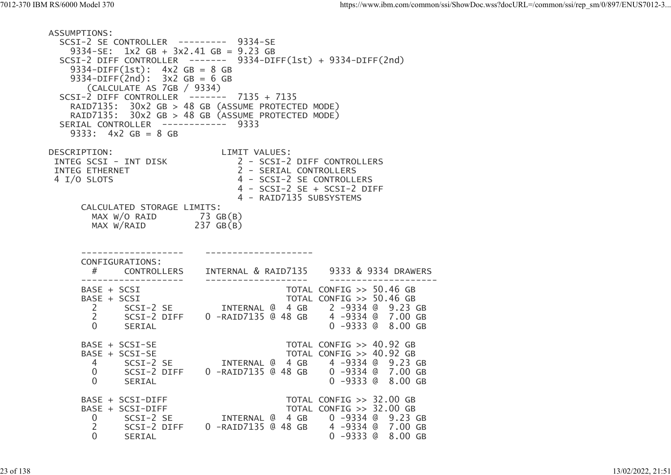| 7012-370 IBM RS/6000 Model 370                                                                                                                                                                                                                                                                                              | https://www.ibm.com/common/ssi/ShowDoc.wss?docURL=/common/ssi/rep_sm/0/897/ENUS7012-3                                                                                      |
|-----------------------------------------------------------------------------------------------------------------------------------------------------------------------------------------------------------------------------------------------------------------------------------------------------------------------------|----------------------------------------------------------------------------------------------------------------------------------------------------------------------------|
| ASSUMPTIONS:<br>SCSI-2 SE CONTROLLER --------- 9334-SE<br>9334-SE: $1x^2$ GB + $3x^2.41$ GB = 9.23 GB<br>9334-DIFF $(1st): 4x2 GB = 8 GB$<br>9334-DIFF $(2nd)$ : $3x2 GB = 6 GB$<br>(CALCULATE AS 7GB / 9334)<br>SCSI-2 DIFF CONTROLLER ------- 7135 + 7135<br>SERIAL CONTROLLER ------------ 9333<br>$9333: 4x2 GB = 8 GB$ | SCSI-2 DIFF CONTROLLER ------- $9334-DIFF(1st) + 9334-DIFF(2nd)$<br>RAID7135: 30x2 GB > 48 GB (ASSUME PROTECTED MODE)<br>RAID7135: 30x2 GB > 48 GB (ASSUME PROTECTED MODE) |
| DESCRIPTION:<br>INTEG SCSI - INT DISK<br>INTEG ETHERNET<br>4 I/O SLOTS                                                                                                                                                                                                                                                      | LIMIT VALUES:<br>2 - SCSI-2 DIFF CONTROLLERS<br>2 - SERIAL CONTROLLERS<br>4 - SCSI-2 SE CONTROLLERS<br>4 - SCSI-2 SE + SCSI-2 DIFF<br>4 - RAID7135 SUBSYSTEMS              |
| CALCULATED STORAGE LIMITS:<br>MAX W/O RAID<br>$MAX W/RAID$ 237 $GB(B)$                                                                                                                                                                                                                                                      | 73 GB(B)                                                                                                                                                                   |
| CONFIGURATIONS:<br>#<br><b>CONTROLLERS</b>                                                                                                                                                                                                                                                                                  | INTERNAL & RAID7135<br>9333 & 9334 DRAWERS                                                                                                                                 |
| --------------------<br>BASE + SCSI<br>$BASE + SCSI$<br>$\overline{2}$<br>2<br>SCSI-2 DIFF<br>$\overline{0}$<br>SERIAL                                                                                                                                                                                                      | TOTAL CONFIG >> 50.46 GB<br>TOTAL CONFIG >> 50.46 GB<br>SCSI-2 SE INTERNAL @ 4 GB 2 -9334 @ 9.23 GB<br>4 -9334 @ 7.00 GB<br>0 -RAID7135 @ 48 GB<br>0 -9333 @ 8.00 GB       |
| BASE + SCSI-SE<br>BASE + SCSI-SE<br>4<br>SCSI-2 SE<br>$\overline{0}$<br>SCSI-2 DIFF<br>$\overline{0}$<br>SERIAL                                                                                                                                                                                                             | TOTAL CONFIG >> 40.92 GB<br>TOTAL CONFIG >> 40.92 GB<br>INTERNAL @ 4 GB<br>4 -9334 @ 9.23 GB<br>0 -9334 @ 7.00 GB<br>0 -RAID7135 @ 48 GB<br>0 -9333 @ 8.00 GB              |
| BASE + SCSI-DIFF<br>BASE + SCSI-DIFF<br>SCSI-2 SE<br>$\overline{0}$<br>$\overline{2}$<br>SCSI-2 DIFF<br>$\overline{0}$<br>SERIAL                                                                                                                                                                                            | TOTAL CONFIG >> 32.00 GB<br>TOTAL CONFIG >> 32.00 GB<br>INTERNAL @ 4 GB 0 -9334 @ 9.23 GB<br>4 -9334 @ 7.00 GB<br>0 -RAID7135 @ 48 GB<br>0 -9333 @ 8.00 GB                 |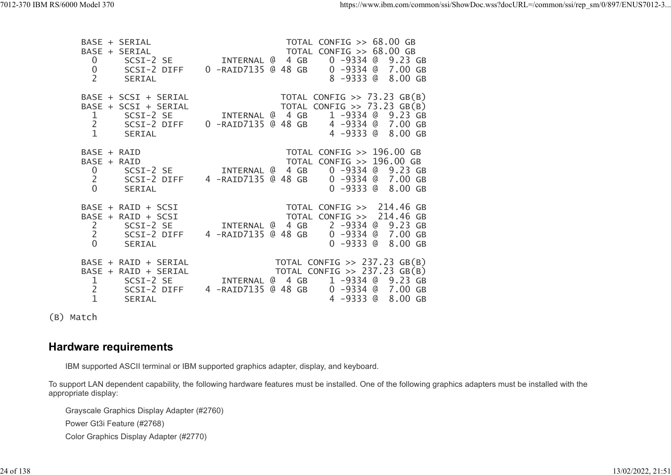| 7012-370 IBM RS/6000 Model 370 | BASE + SERIAL<br>BASE + SERIAL<br>$\overline{0}$<br>SCSI-2 SE<br>$\overline{0}$<br>SCSI-2 DIFF                                       | https://www.ibm.com/common/ssi/ShowDoc.wss?docURL=/common/ssi/rep sm/0/897/ENUS7012-3<br>TOTAL CONFIG >> 68.00 GB<br>TOTAL CONFIG >> 68.00 GB<br>0 -9334 @ 9.23 GB<br>INTERNAL @ 4 GB<br>0 -RAID7135 @ 48 GB<br>0 -9334 @ 7.00 GB |
|--------------------------------|--------------------------------------------------------------------------------------------------------------------------------------|-----------------------------------------------------------------------------------------------------------------------------------------------------------------------------------------------------------------------------------|
|                                | 2<br>SERIAL<br>BASE + SCSI + SERIAL<br>BASE + SCSI + SERIAL<br>SCSI-2 SE<br>ı<br>2<br>SCSI-2 DIFF<br>$\mathbf{1}$<br>SERIAL          | 8 -9333 @ 8.00 GB<br>TOTAL CONFIG $\gg$ 73.23 GB(B)<br>TOTAL CONFIG $\gg$ 73.23 GB(B)<br>1 -9334 @ 9.23 GB<br>INTERNAL @ 4 GB<br>0 -RAID7135 @ 48 GB<br>4 -9334 @ 7.00 GB<br>4 -9333 @ 8.00 GB                                    |
|                                | BASE + RAID<br>BASE + RAID<br>$\overline{0}$<br>SCSI-2 SE<br>$\overline{2}$<br>SCSI-2 DIFF<br>$\overline{0}$<br>SERIAL               | TOTAL CONFIG >> 196.00 GB<br>TOTAL CONFIG >> 196.00 GB<br>0 -9334 @ 9.23 GB<br>INTERNAL @ 4 GB<br>4 -RAID7135 @ 48 GB<br>0 -9334 @ 7.00 GB<br>0 -9333 @ 8.00 GB                                                                   |
|                                | BASE + RAID + SCSI<br>BASE + RAID + SCSI<br>$\mathsf{2}$<br>SCSI-2 SE<br>2<br>SCSI-2 DIFF<br>$\overline{0}$<br>SERIAL                | TOTAL CONFIG >> 214.46 GB<br>TOTAL CONFIG >> 214.46 GB<br>2 -9334 @ 9.23 GB<br>INTERNAL @ 4 GB<br>4 -RAID7135 @ 48 GB<br>0 -9334 @ 7.00 GB<br>0 -9333 @ 8.00 GB                                                                   |
|                                | BASE + RAID + SERIAL<br>BASE + RAID + SERIAL<br>$\mathbf{1}$<br>SCSI-2 SE<br>$\overline{2}$<br>SCSI-2 DIFF<br>$\mathbf{1}$<br>SERIAL | TOTAL CONFIG $\gg$ 237.23 GB(B)<br>TOTAL CONFIG $\gg$ 237.23 GB(B)<br>INTERNAL @ 4 GB<br>1 -9334 @ 9.23 GB<br>4 -RAID7135 @ 48 GB<br>0 -9334 @ 7.00 GB<br>4 -9333 @ 8.00 GB                                                       |

(B) Match

## Hardware requirements

IBM supported ASCII terminal or IBM supported graphics adapter, display, and keyboard.

To support LAN dependent capability, the following hardware features must be installed. One of the following graphics adapters must be installed with the appropriate display:

Grayscale Graphics Display Adapter (#2760) Power Gt3i Feature (#2768) Color Graphics Display Adapter (#2770)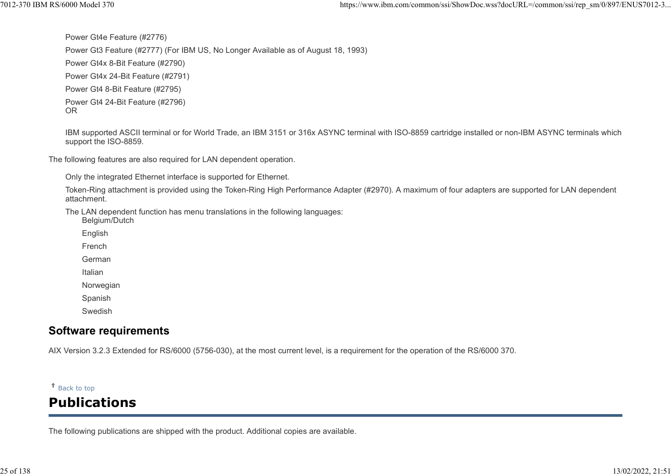Power Gt4e Feature (#2776) Power Gt3 Feature (#2777) (For IBM US, No Longer Available as of August 18, 1993) Power Gt4x 8-Bit Feature (#2790) Power Gt4x 24-Bit Feature (#2791) Power Gt4 8-Bit Feature (#2795) Power Gt4 24-Bit Feature (#2796) %7012-370 IBM RS/6000 Model 370 https://www.ibm.com/common/ssi/ShowDoc.wss?docURL=/common/ssi/rep\_sm/0/897/ENUS7012-3<br>Power Gt4e Feature (#2776)<br>Power Gt3 Feature (#2777) (For IBM US, No Longer Available as of August 18, 1

OR **OR** the contract of the contract of the contract of the contract of the contract of the contract of the contract of the contract of the contract of the contract of the contract of the contract of the contract of the co

IBM supported ASCII terminal or for World Trade, an IBM 3151 or 316x ASYNC terminal with ISO-8859 cartridge installed or non-IBM ASYNC terminals which support the ISO-8859.

The following features are also required for LAN dependent operation.

Only the integrated Ethernet interface is supported for Ethernet.

Token-Ring attachment is provided using the Token-Ring High Performance Adapter (#2970). A maximum of four adapters are supported for LAN dependent attachment.

The LAN dependent function has menu translations in the following languages:

Belgium/Dutch

English

French

German

Italian

Norwegian

Spanish

Swedish

## Software requirements

AIX Version 3.2.3 Extended for RS/6000 (5756-030), at the most current level, is a requirement for the operation of the RS/6000 370.

#### Back to top

# Publications

The following publications are shipped with the product. Additional copies are available.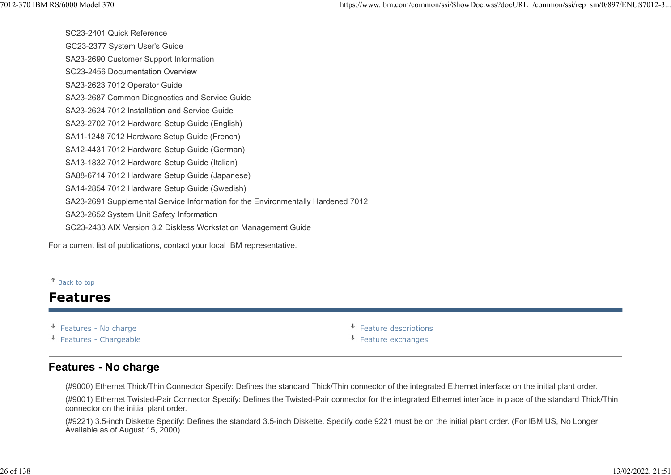SC23-2401 Quick Reference GC23-2377 System User's Guide SA23-2690 Customer Support Information SC23-2456 Documentation Overview SA23-2623 7012 Operator Guide SA23-2687 Common Diagnostics and Service Guide SA23-2624 7012 Installation and Service Guide SA23-2702 7012 Hardware Setup Guide (English) SA11-1248 7012 Hardware Setup Guide (French) SA12-4431 7012 Hardware Setup Guide (German) SA13-1832 7012 Hardware Setup Guide (Italian) SA88-6714 7012 Hardware Setup Guide (Japanese) SA14-2854 7012 Hardware Setup Guide (Swedish) SA23-2691 Supplemental Service Information for the Environmentally Hardened 7012 SA23-2652 System Unit Safety Information SC23-2433 AIX Version 3.2 Diskless Workstation Management Guide SA23-2702 7012 Hardware Setup Guide (English)<br>
SA11-1248 7012 Hardware Setup Guide (Franch)<br>
SA13-4431 7012 Hardware Setup Guide (Franch)<br>
SA13-1832 7012 Hardware Setup Guide (Italian)<br>
SA13-1832 7012 Hardware Setup Guide SA11-1248 7012 Hardware Setup Guide (French)<br>
SA13-4433 7012 Hardware Setup Guide (German)<br>
SA13-4332 7012 Hardware Setup Guide (German)<br>
SA38-8714 7012 Hardware Setup Guide (Swedish)<br>
SA38-8714 7012 Hardware Setup Guide ( 1012-370 IBM RS/6000 Model 370 https://www.ibm.com/common/ssi/ShowDoc.wss?docURL=/common/ssi/rep\_sm/0/897/ENUS7012-3...<br>SC23-2401 Quick Reference<br>GC23-2377 System User's Guide

For a current list of publications, contact your local IBM representative.

#### Back to top

## Features

↓

- 
- 

## Features - No charge

(#9000) Ethernet Thick/Thin Connector Specify: Defines the standard Thick/Thin connector of the integrated Ethernet interface on the initial plant order.

(#9001) Ethernet Twisted-Pair Connector Specify: Defines the Twisted-Pair connector for the integrated Ethernet interface in place of the standard Thick/Thin connector on the initial plant order.

(#9221) 3.5-inch Diskette Specify: Defines the standard 3.5-inch Diskette. Specify code 9221 must be on the initial plant order. (For IBM US, No Longer Available as of August 15, 2000)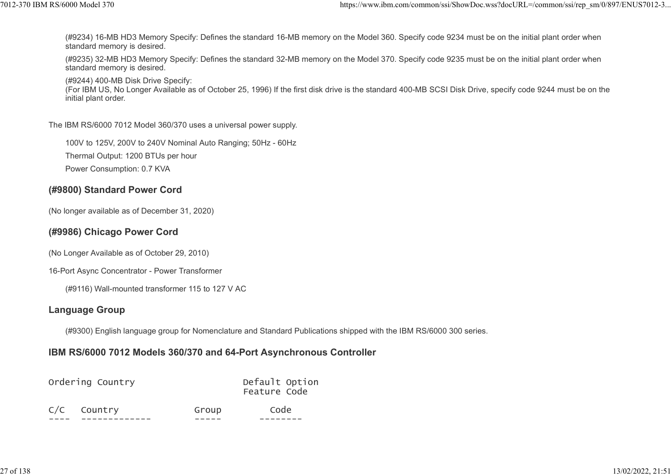(#9234) 16-MB HD3 Memory Specify: Defines the standard 16-MB memory on the Model 360. Specify code 9234 must be on the initial plant order when standard memory is desired. ttps://www.ibm.com/common/ssi/ShowDoc.wss?docURL=/common/ssi/rep\_sm/0/897/ENUS7012-3...<br>(#9234) 16-MB HD3 Memory Specify: Defines the standard 16-MB memory on the Model 360. Specify code 9234 must be on the initial plant o

(#9235) 32-MB HD3 Memory Specify: Defines the standard 32-MB memory on the Model 370. Specify code 9235 must be on the initial plant order when standard memory is desired.

(#9244) 400-MB Disk Drive Specify:

(For IBM US, No Longer Available as of October 25, 1996) If the first disk drive is the standard 400-MB SCSI Disk Drive, specify code 9244 must be on the initial plant order.

The IBM RS/6000 7012 Model 360/370 uses a universal power supply.

100V to 125V, 200V to 240V Nominal Auto Ranging; 50Hz - 60Hz

Thermal Output: 1200 BTUs per hour

Power Consumption: 0.7 KVA

#### (#9800) Standard Power Cord

(No longer available as of December 31, 2020)

#### (#9986) Chicago Power Cord

(No Longer Available as of October 29, 2010)

16-Port Async Concentrator - Power Transformer

(#9116) Wall-mounted transformer 115 to 127 V AC

#### Language Group

(#9300) English language group for Nomenclature and Standard Publications shipped with the IBM RS/6000 300 series.

#### IBM RS/6000 7012 Models 360/370 and 64-Port Asynchronous Controller

| Ordering Country |             |       | Default Option<br>Feature Code |
|------------------|-------------|-------|--------------------------------|
|                  | C/C Country | Group | Code                           |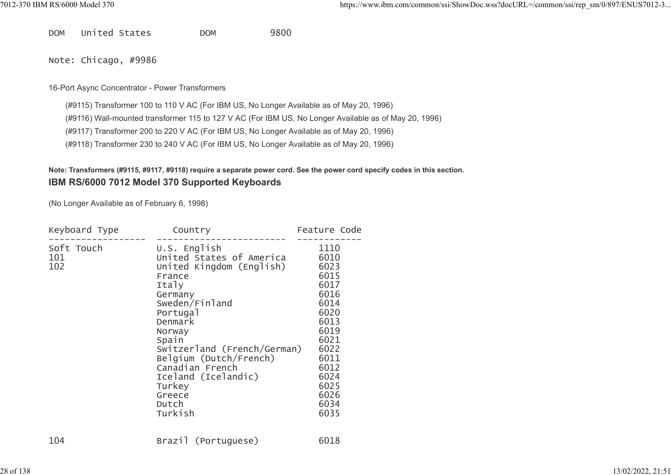DOM United States DOM 9800

Note: Chicago, #9986

#### 16-Port Async Concentrator - Power Transformers

(#9115) Transformer 100 to 110 V AC (For IBM US, No Longer Available as of May 20, 1996)

(#9116) Wall-mounted transformer 115 to 127 V AC (For IBM US, No Longer Available as of May 20, 1996)

(#9117) Transformer 200 to 220 V AC (For IBM US, No Longer Available as of May 20, 1996)

(#9118) Transformer 230 to 240 V AC (For IBM US, No Longer Available as of May 20, 1996)

#### Note: Transformers (#9115, #9117, #9118) require a separate power cord. See the power cord specify codes in this section. IBM RS/6000 7012 Model 370 Supported Keyboards

(No Longer Available as of February 6, 1998)

| Keyboard Type            | Country                                                                                                                                                                                                                                                                                                     | Feature Code                                                                                                                                         |
|--------------------------|-------------------------------------------------------------------------------------------------------------------------------------------------------------------------------------------------------------------------------------------------------------------------------------------------------------|------------------------------------------------------------------------------------------------------------------------------------------------------|
| Soft Touch<br>101<br>102 | $U.S.$ English<br>United States of America<br>United Kingdom (English)<br>France<br>Italy<br>Germany<br>Sweden/Finland<br>Portugal<br>Denmark<br>Norway<br>Spain<br>Switzerland (French/German)<br>Belgium (Dutch/French)<br>Canadian French<br>Iceland (Icelandic)<br>Turkey<br>Greece<br>Dutch<br>Turkish | 1110<br>6010<br>6023<br>6015<br>6017<br>6016<br>6014<br>6020<br>6013<br>6019<br>6021<br>6022<br>6011<br>6012<br>6024<br>6025<br>6026<br>6034<br>6035 |
| 104                      | Brazil (Portuguese)                                                                                                                                                                                                                                                                                         | 6018                                                                                                                                                 |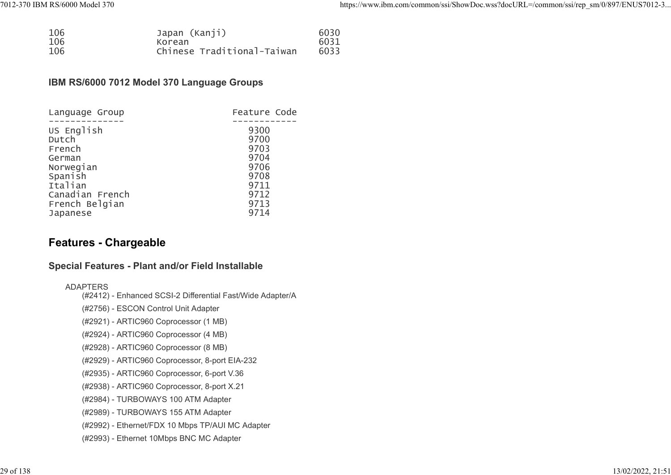| 7012-370 IBM RS/6000 Model 370 |                                                       | https://www.ibm.com/common/ssi/ShowDoc.wss?docURL=/common/ssi/rep_sm/0/897/ENUS7012-3 |
|--------------------------------|-------------------------------------------------------|---------------------------------------------------------------------------------------|
|                                |                                                       |                                                                                       |
| 106<br>106<br>106              | Japan (Kanji)<br>Korean<br>Chinese Traditional-Taiwan | 6030<br>6031<br>6033                                                                  |

#### IBM RS/6000 7012 Model 370 Language Groups

| Language Group  | Feature Code |  |
|-----------------|--------------|--|
|                 |              |  |
| US English      | 9300         |  |
| Dutch           | 9700         |  |
| French          | 9703         |  |
| German          | 9704         |  |
| Norwegian       | 9706         |  |
| Spanish         | 9708         |  |
| Italian         | 9711         |  |
| Canadian French | 9712         |  |
| French Belgian  | 9713         |  |
| Japanese        | 9714         |  |

## Features - Chargeable

#### Special Features - Plant and/or Field Installable

#### ADAPTERS

- (#2412) Enhanced SCSI-2 Differential Fast/Wide Adapter/A
- (#2756) ESCON Control Unit Adapter
- (#2921) ARTIC960 Coprocessor (1 MB)
- (#2924) ARTIC960 Coprocessor (4 MB)
- (#2928) ARTIC960 Coprocessor (8 MB)
- (#2929) ARTIC960 Coprocessor, 8-port EIA-232
- (#2935) ARTIC960 Coprocessor, 6-port V.36
- (#2938) ARTIC960 Coprocessor, 8-port X.21
- (#2984) TURBOWAYS 100 ATM Adapter
- (#2989) TURBOWAYS 155 ATM Adapter
- (#2992) Ethernet/FDX 10 Mbps TP/AUI MC Adapter
- (#2993) Ethernet 10Mbps BNC MC Adapter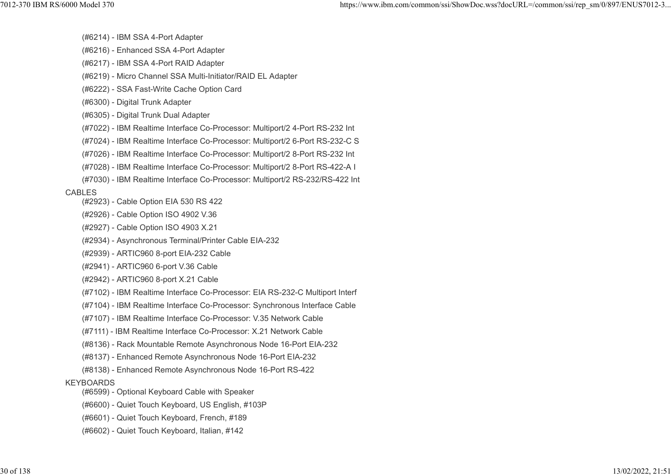- (#6214) IBM SSA 4-Port Adapter
- (#6216) Enhanced SSA 4-Port Adapter
- (#6217) IBM SSA 4-Port RAID Adapter
- (#6219) Micro Channel SSA Multi-Initiator/RAID EL Adapter
- (#6222) SSA Fast-Write Cache Option Card
- (#6300) Digital Trunk Adapter
- (#6305) Digital Trunk Dual Adapter
- (#7022) IBM Realtime Interface Co-Processor: Multiport/2 4-Port RS-232 Int
- (#7024) IBM Realtime Interface Co-Processor: Multiport/2 6-Port RS-232-C S
- (#7026) IBM Realtime Interface Co-Processor: Multiport/2 8-Port RS-232 Int
- (#7028) IBM Realtime Interface Co-Processor: Multiport/2 8-Port RS-422-A I
- (#7030) IBM Realtime Interface Co-Processor: Multiport/2 RS-232/RS-422 Int

#### CABLES

- (#2923) Cable Option EIA 530 RS 422
- (#2926) Cable Option ISO 4902 V.36
- (#2927) Cable Option ISO 4903 X.21
- (#2934) Asynchronous Terminal/Printer Cable EIA-232
- (#2939) ARTIC960 8-port EIA-232 Cable
- (#2941) ARTIC960 6-port V.36 Cable
- (#2942) ARTIC960 8-port X.21 Cable
- (#7102) IBM Realtime Interface Co-Processor: EIA RS-232-C Multiport Interf
- (#7104) IBM Realtime Interface Co-Processor: Synchronous Interface Cable
- (#7107) IBM Realtime Interface Co-Processor: V.35 Network Cable
- (#7111) IBM Realtime Interface Co-Processor: X.21 Network Cable
- (#8136) Rack Mountable Remote Asynchronous Node 16-Port EIA-232
- (#8137) Enhanced Remote Asynchronous Node 16-Port EIA-232
- (#8138) Enhanced Remote Asynchronous Node 16-Port RS-422

#### KEYBOARDS

- (#6599) Optional Keyboard Cable with Speaker
- (#6600) Quiet Touch Keyboard, US English, #103P
- (#6601) Quiet Touch Keyboard, French, #189
- (#6602) Quiet Touch Keyboard, Italian, #142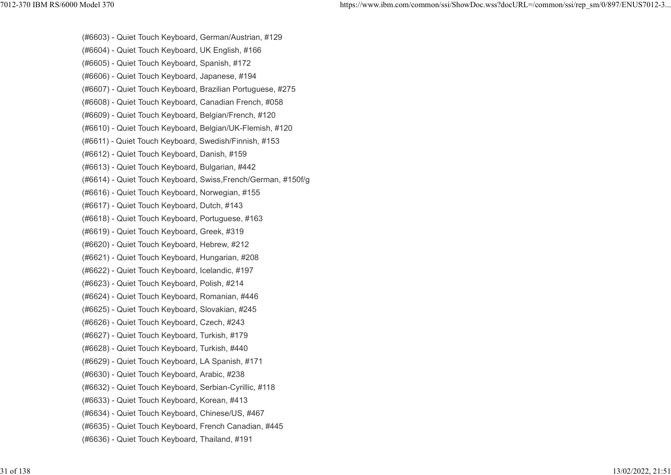(#6603) - Quiet Touch Keyboard, German/Austrian, #129 (#6604) - Quiet Touch Keyboard, UK English, #166 (#6605) - Quiet Touch Keyboard, Spanish, #172 (#6606) - Quiet Touch Keyboard, Japanese, #194 (#6607) - Quiet Touch Keyboard, Brazilian Portuguese, #275 (#6608) - Quiet Touch Keyboard, Canadian French, #058 (#6609) - Quiet Touch Keyboard, Belgian/French, #120 (#6610) - Quiet Touch Keyboard, Belgian/UK-Flemish, #120 (#6611) - Quiet Touch Keyboard, Swedish/Finnish, #153 (#6612) - Quiet Touch Keyboard, Danish, #159 (#6613) - Quiet Touch Keyboard, Bulgarian, #442 (#6614) - Quiet Touch Keyboard, Swiss,French/German, #150f/g (#6616) - Quiet Touch Keyboard, Norwegian, #155 (#6617) - Quiet Touch Keyboard, Dutch, #143 (#6618) - Quiet Touch Keyboard, Portuguese, #163 (#6619) - Quiet Touch Keyboard, Greek, #319 (#6620) - Quiet Touch Keyboard, Hebrew, #212 (#6621) - Quiet Touch Keyboard, Hungarian, #208 (#6622) - Quiet Touch Keyboard, Icelandic, #197 (#6623) - Quiet Touch Keyboard, Polish, #214 (#6624) - Quiet Touch Keyboard, Romanian, #446 (#6625) - Quiet Touch Keyboard, Slovakian, #245 (#6626) - Quiet Touch Keyboard, Czech, #243 (#6627) - Quiet Touch Keyboard, Turkish, #179 (#6628) - Quiet Touch Keyboard, Turkish, #440 (#6629) - Quiet Touch Keyboard, LA Spanish, #171 (#6630) - Quiet Touch Keyboard, Arabic, #238 (#6632) - Quiet Touch Keyboard, Serbian-Cyrillic, #118 (#6633) - Quiet Touch Keyboard, Korean, #413 (#6634) - Quiet Touch Keyboard, Chinese/US, #467 (#6635) - Quiet Touch Keyboard, French Canadian, #445 (#6636) - Quiet Touch Keyboard, Thailand, #191 7012-370 IBM RS/6000 Model 370 https://www.ibm.com/common/ssi/ShowDoc.wss?docURL=/common/ssi/rep\_sm/0/897/ENUS7012-3...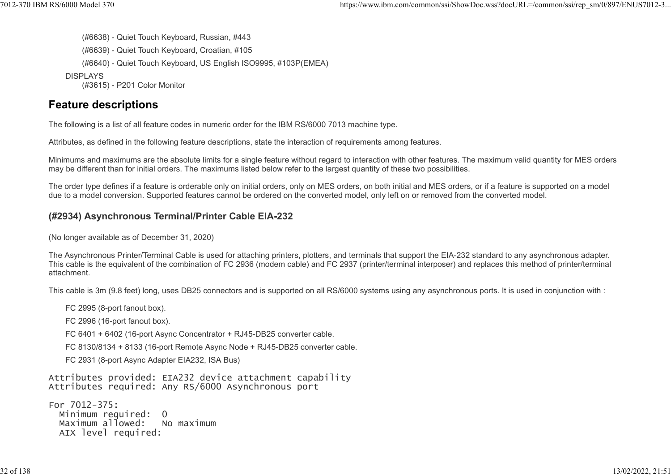(#6638) - Quiet Touch Keyboard, Russian, #443 (#6639) - Quiet Touch Keyboard, Croatian, #105 (#6640) - Quiet Touch Keyboard, US English ISO9995, #103P(EMEA) **DISPLAYS** (#3615) - P201 Color Monitor %7012-370 IBM RS/6000 Model 370<br>https://www.ibm.com/common/ssi/ShowDoc.wss?docURL=/common/ssi/rep\_sm/0/897/ENUS7012-3...<br>(#6638) - Quiet Touch Keyboard, Russian, #443)<br>(#6639) - Quiet Touch Keyboard, Croatian, #105

## Feature descriptions

The following is a list of all feature codes in numeric order for the IBM RS/6000 7013 machine type.

Attributes, as defined in the following feature descriptions, state the interaction of requirements among features.

Minimums and maximums are the absolute limits for a single feature without regard to interaction with other features. The maximum valid quantity for MES orders may be different than for initial orders. The maximums listed below refer to the largest quantity of these two possibilities.

The order type defines if a feature is orderable only on initial orders, only on MES orders, on both initial and MES orders, or if a feature is supported on a model due to a model conversion. Supported features cannot be ordered on the converted model, only left on or removed from the converted model.

## (#2934) Asynchronous Terminal/Printer Cable EIA-232

(No longer available as of December 31, 2020)

The Asynchronous Printer/Terminal Cable is used for attaching printers, plotters, and terminals that support the EIA-232 standard to any asynchronous adapter. This cable is the equivalent of the combination of FC 2936 (modem cable) and FC 2937 (printer/terminal interposer) and replaces this method of printer/terminal attachment.

This cable is 3m (9.8 feet) long, uses DB25 connectors and is supported on all RS/6000 systems using any asynchronous ports. It is used in conjunction with :

FC 2995 (8-port fanout box). FC 2996 (16-port fanout box). FC 6401 + 6402 (16-port Async Concentrator + RJ45-DB25 converter cable.

FC 8130/8134 + 8133 (16-port Remote Async Node + RJ45-DB25 converter cable.

FC 2931 (8-port Async Adapter EIA232, ISA Bus)

Attributes provided: EIA232 device attachment capability Attributes required: Any RS/6000 Asynchronous port

For 7012-375: Minimum required: 0<br>Maximum allowed: No maximum Maximum allowed: AIX level required: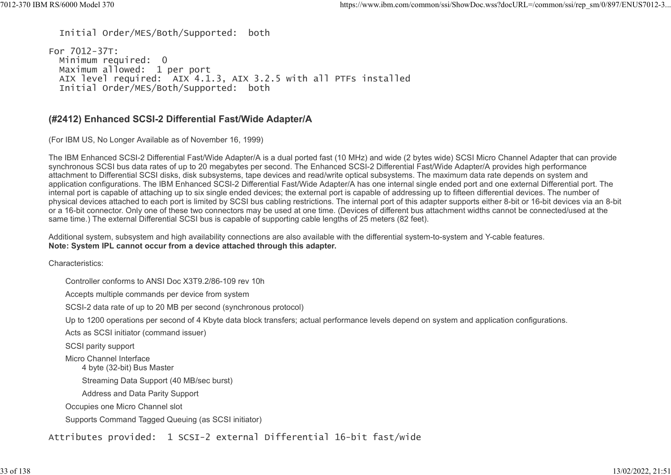Initial Order/MES/Both/Supported: both

For 7012-37T: Minimum required: 0 Maximum allowed: 1 per port AIX level required: AIX 4.1.3, AIX 3.2.5 with all PTFs installed Initial Order/MES/Both/Supported: both 7012-370 IBM RS/6000 Model 370 https://www.ibm.com/common/ssi/ShowDoc.wss?docURL=/common/ssi/rep\_sm/0/897/ENUS7012-3...

#### (#2412) Enhanced SCSI-2 Differential Fast/Wide Adapter/A

(For IBM US, No Longer Available as of November 16, 1999)

The IBM Enhanced SCSI-2 Differential Fast/Wide Adapter/A is a dual ported fast (10 MHz) and wide (2 bytes wide) SCSI Micro Channel Adapter that can provide synchronous SCSI bus data rates of up to 20 megabytes per second. The Enhanced SCSI-2 Differential Fast/Wide Adapter/A provides high performance attachment to Differential SCSI disks, disk subsystems, tape devices and read/write optical subsystems. The maximum data rate depends on system and application configurations. The IBM Enhanced SCSI-2 Differential Fast/Wide Adapter/A has one internal single ended port and one external Differential port. The internal port is capable of attaching up to six single ended devices; the external port is capable of addressing up to fifteen differential devices. The number of physical devices attached to each port is limited by SCSI bus cabling restrictions. The internal port of this adapter supports either 8-bit or 16-bit devices via an 8-bit or a 16-bit connector. Only one of these two connectors may be used at one time. (Devices of different bus attachment widths cannot be connected/used at the same time.) The external Differential SCSI bus is capable of supporting cable lengths of 25 meters (82 feet).

Additional system, subsystem and high availability connections are also available with the differential system-to-system and Y-cable features. Note: System IPL cannot occur from a device attached through this adapter.

Characteristics:

Controller conforms to ANSI Doc X3T9.2/86-109 rev 10h

Accepts multiple commands per device from system

SCSI-2 data rate of up to 20 MB per second (synchronous protocol)

Up to 1200 operations per second of 4 Kbyte data block transfers; actual performance levels depend on system and application configurations.

Acts as SCSI initiator (command issuer)

SCSI parity support

Micro Channel Interface

4 byte (32-bit) Bus Master

Streaming Data Support (40 MB/sec burst)

Address and Data Parity Support

Occupies one Micro Channel slot

Supports Command Tagged Queuing (as SCSI initiator)

Attributes provided: 1 SCSI-2 external Differential 16-bit fast/wide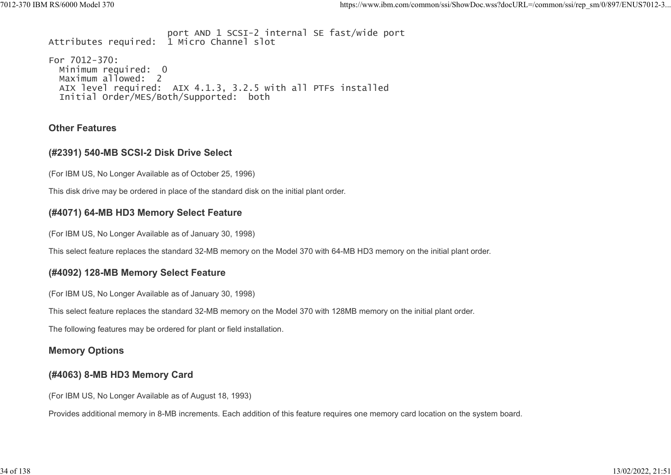port AND 1 SCSI-2 internal SE fast/wide port Attributes required: 1 Micro Channel slot For 7012-370: Minimum required: 0 Maximum allowed: 2 AIX level required: AIX 4.1.3, 3.2.5 with all PTFs installed Initial Order/MES/Both/Supported: both %7012-370 IBM RS/6000 Model 370 https://www.ibm.com/common/ssi/ShowDoc.wss?docURL=/common/ssi/rep\_sm/0/897/ENUS7012-3<br>port AND 1 SCSI-2 internal SE fast/wide port<br>Attributes required: 1 Micro Channel slot

#### Other Features

#### (#2391) 540-MB SCSI-2 Disk Drive Select

(For IBM US, No Longer Available as of October 25, 1996)

This disk drive may be ordered in place of the standard disk on the initial plant order.

#### (#4071) 64-MB HD3 Memory Select Feature

(For IBM US, No Longer Available as of January 30, 1998)

This select feature replaces the standard 32-MB memory on the Model 370 with 64-MB HD3 memory on the initial plant order.

#### (#4092) 128-MB Memory Select Feature

(For IBM US, No Longer Available as of January 30, 1998)

This select feature replaces the standard 32-MB memory on the Model 370 with 128MB memory on the initial plant order.

The following features may be ordered for plant or field installation.

#### Memory Options

#### (#4063) 8-MB HD3 Memory Card

(For IBM US, No Longer Available as of August 18, 1993)

Provides additional memory in 8-MB increments. Each addition of this feature requires one memory card location on the system board.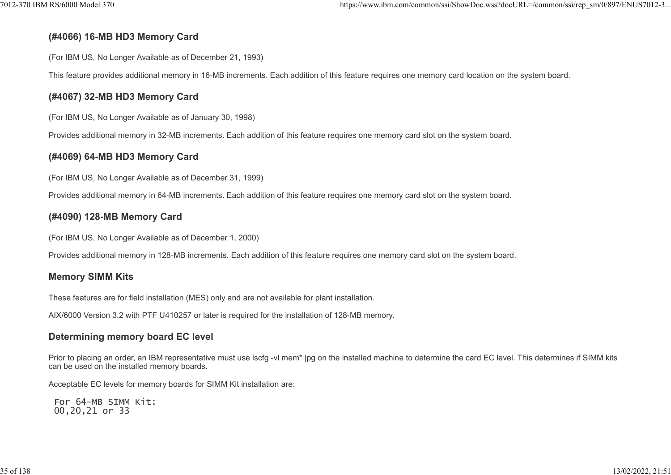## (#4066) 16-MB HD3 Memory Card

(For IBM US, No Longer Available as of December 21, 1993)

This feature provides additional memory in 16-MB increments. Each addition of this feature requires one memory card location on the system board.

## (#4067) 32-MB HD3 Memory Card

(For IBM US, No Longer Available as of January 30, 1998)

Provides additional memory in 32-MB increments. Each addition of this feature requires one memory card slot on the system board.

## (#4069) 64-MB HD3 Memory Card

(For IBM US, No Longer Available as of December 31, 1999)

Provides additional memory in 64-MB increments. Each addition of this feature requires one memory card slot on the system board.

## (#4090) 128-MB Memory Card

(For IBM US, No Longer Available as of December 1, 2000)

Provides additional memory in 128-MB increments. Each addition of this feature requires one memory card slot on the system board.

## Memory SIMM Kits

These features are for field installation (MES) only and are not available for plant installation.

AIX/6000 Version 3.2 with PTF U410257 or later is required for the installation of 128-MB memory.

## Determining memory board EC level

Prior to placing an order, an IBM representative must use lscfg -vl mem<sup>\*</sup> |pg on the installed machine to determine the card EC level. This determines if SIMM kits can be used on the installed memory boards.

Acceptable EC levels for memory boards for SIMM Kit installation are:

 For 64-MB SIMM Kit: 00,20,21 or 33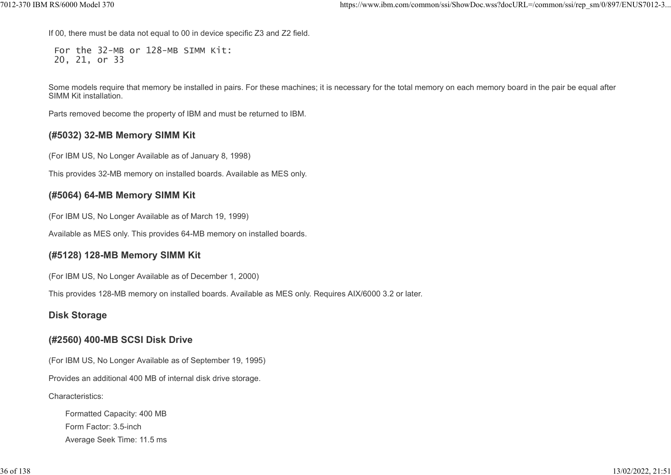If 00, there must be data not equal to 00 in device specific Z3 and Z2 field.

 For the 32-MB or 128-MB SIMM Kit: 20, 21, or 33

Some models require that memory be installed in pairs. For these machines; it is necessary for the total memory on each memory board in the pair be equal after SIMM Kit installation.

Parts removed become the property of IBM and must be returned to IBM.

## (#5032) 32-MB Memory SIMM Kit

(For IBM US, No Longer Available as of January 8, 1998)

This provides 32-MB memory on installed boards. Available as MES only.

## (#5064) 64-MB Memory SIMM Kit

(For IBM US, No Longer Available as of March 19, 1999)

Available as MES only. This provides 64-MB memory on installed boards.

#### (#5128) 128-MB Memory SIMM Kit

(For IBM US, No Longer Available as of December 1, 2000)

This provides 128-MB memory on installed boards. Available as MES only. Requires AIX/6000 3.2 or later.

#### Disk Storage

#### (#2560) 400-MB SCSI Disk Drive

(For IBM US, No Longer Available as of September 19, 1995)

Provides an additional 400 MB of internal disk drive storage.

Characteristics:

Formatted Capacity: 400 MB Form Factor: 3.5-inch Average Seek Time: 11.5 ms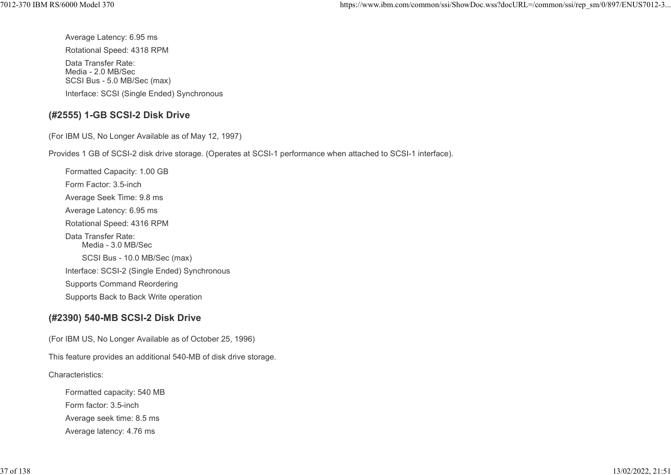Average Latency: 6.95 ms Rotational Speed: 4318 RPM Data Transfer Rate: Media - 2.0 MB/Sec SCSI Bus - 5.0 MB/Sec (max) 7012-370 IBM RS/6000 Model 370 https://www.ibm.com/common/ssi/ShowDoc.wss?docURL=/common/ssi/rep\_sm/0/897/ENUS7012-3...

Interface: SCSI (Single Ended) Synchronous

#### (#2555) 1-GB SCSI-2 Disk Drive

(For IBM US, No Longer Available as of May 12, 1997)

Provides 1 GB of SCSI-2 disk drive storage. (Operates at SCSI-1 performance when attached to SCSI-1 interface).

Formatted Capacity: 1.00 GB Form Factor: 3.5-inch Average Seek Time: 9.8 ms Average Latency: 6.95 ms Rotational Speed: 4316 RPM Data Transfer Rate: Media - 3.0 MB/Sec SCSI Bus - 10.0 MB/Sec (max) Interface: SCSI-2 (Single Ended) Synchronous Supports Command Reordering Supports Back to Back Write operation

# (#2390) 540-MB SCSI-2 Disk Drive

(For IBM US, No Longer Available as of October 25, 1996)

This feature provides an additional 540-MB of disk drive storage.

Characteristics:

Formatted capacity: 540 MB Form factor: 3.5-inch Average seek time: 8.5 ms Average latency: 4.76 ms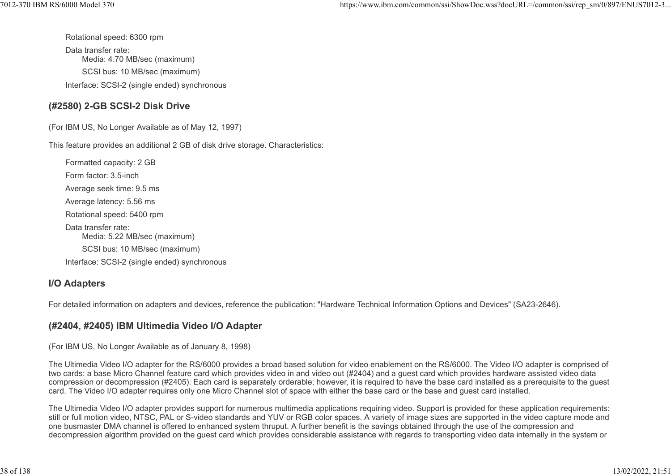Rotational speed: 6300 rpm

Data transfer rate: Media: 4.70 MB/sec (maximum) SCSI bus: 10 MB/sec (maximum) Interface: SCSI-2 (single ended) synchronous

#### (#2580) 2-GB SCSI-2 Disk Drive

(For IBM US, No Longer Available as of May 12, 1997)

This feature provides an additional 2 GB of disk drive storage. Characteristics:

Formatted capacity: 2 GB Form factor: 3.5-inch Average seek time: 9.5 ms Average latency: 5.56 ms Rotational speed: 5400 rpm Data transfer rate: Media: 5.22 MB/sec (maximum) SCSI bus: 10 MB/sec (maximum) Interface: SCSI-2 (single ended) synchronous

#### I/O Adapters

For detailed information on adapters and devices, reference the publication: "Hardware Technical Information Options and Devices" (SA23-2646).

# (#2404, #2405) IBM Ultimedia Video I/O Adapter

(For IBM US, No Longer Available as of January 8, 1998)

The Ultimedia Video I/O adapter for the RS/6000 provides a broad based solution for video enablement on the RS/6000. The Video I/O adapter is comprised of two cards: a base Micro Channel feature card which provides video in and video out (#2404) and a guest card which provides hardware assisted video data compression or decompression (#2405). Each card is separately orderable; however, it is required to have the base card installed as a prerequisite to the guest card. The Video I/O adapter requires only one Micro Channel slot of space with either the base card or the base and guest card installed.

The Ultimedia Video I/O adapter provides support for numerous multimedia applications requiring video. Support is provided for these application requirements: still or full motion video, NTSC, PAL or S-video standards and YUV or RGB color spaces. A variety of image sizes are supported in the video capture mode and one busmaster DMA channel is offered to enhanced system thruput. A further benefit is the savings obtained through the use of the compression and decompression algorithm provided on the guest card which provides considerable assistance with regards to transporting video data internally in the system or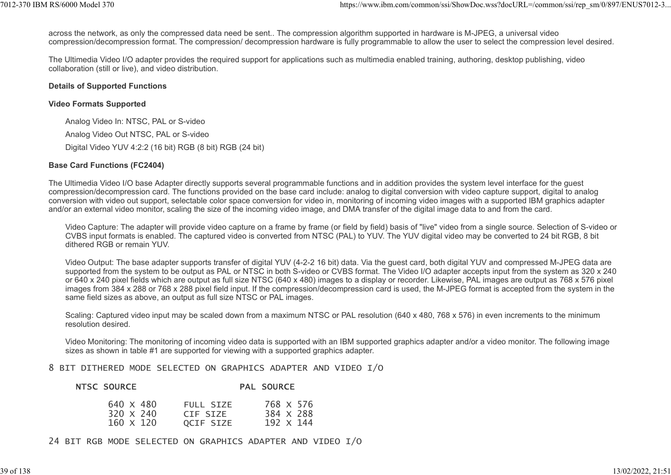across the network, as only the compressed data need be sent.. The compression algorithm supported in hardware is M-JPEG, a universal video compression/decompression format. The compression/ decompression hardware is fully programmable to allow the user to select the compression level desired. 1012-370 IBM RS/6000 Model 370<br>across the network, as only the compressed data need be sent.. The compression algorithm supported in hardware is M-JPEG, a universal video<br>compression/decompression format. The compression/

The Ultimedia Video I/O adapter provides the required support for applications such as multimedia enabled training, authoring, desktop publishing, video collaboration (still or live), and video distribution.

#### Details of Supported Functions

#### Video Formats Supported

Analog Video In: NTSC, PAL or S-video Analog Video Out NTSC, PAL or S-video Digital Video YUV 4:2:2 (16 bit) RGB (8 bit) RGB (24 bit)

#### Base Card Functions (FC2404)

The Ultimedia Video I/O base Adapter directly supports several programmable functions and in addition provides the system level interface for the guest compression/decompression card. The functions provided on the base card include: analog to digital conversion with video capture support, digital to analog conversion with video out support, selectable color space conversion for video in, monitoring of incoming video images with a supported IBM graphics adapter and/or an external video monitor, scaling the size of the incoming video image, and DMA transfer of the digital image data to and from the card.

Video Capture: The adapter will provide video capture on a frame by frame (or field by field) basis of "live" video from a single source. Selection of S-video or CVBS input formats is enabled. The captured video is converted from NTSC (PAL) to YUV. The YUV digital video may be converted to 24 bit RGB, 8 bit dithered RGB or remain YUV.

Video Output: The base adapter supports transfer of digital YUV (4-2-2 16 bit) data. Via the guest card, both digital YUV and compressed M-JPEG data are supported from the system to be output as PAL or NTSC in both S-video or CVBS format. The Video I/O adapter accepts input from the system as 320 x 240 or 640 x 240 pixel fields which are output as full size NTSC (640 x 480) images to a display or recorder. Likewise, PAL images are output as 768 x 576 pixel images from 384 x 288 or 768 x 288 pixel field input. If the compression/decompression card is used, the M-JPEG format is accepted from the system in the same field sizes as above, an output as full size NTSC or PAL images.

Scaling: Captured video input may be scaled down from a maximum NTSC or PAL resolution (640 x 480, 768 x 576) in even increments to the minimum resolution desired.

Video Monitoring: The monitoring of incoming video data is supported with an IBM supported graphics adapter and/or a video monitor. The following image sizes as shown in table #1 are supported for viewing with a supported graphics adapter.

#### 8 BIT DITHERED MODE SELECTED ON GRAPHICS ADAPTER AND VIDEO I/O

| <b>NTSC SOURCE</b> | <b>PAL SOURCE</b> |
|--------------------|-------------------|
|                    |                   |

| 640 X 480        | FULL SIZE | 768 X 576 |
|------------------|-----------|-----------|
| $320 \times 240$ | CIF SIZE  | 384 X 288 |
| $160 \times 120$ | OCIF SIZE | 192 X 144 |

24 BIT RGB MODE SELECTED ON GRAPHICS ADAPTER AND VIDEO I/O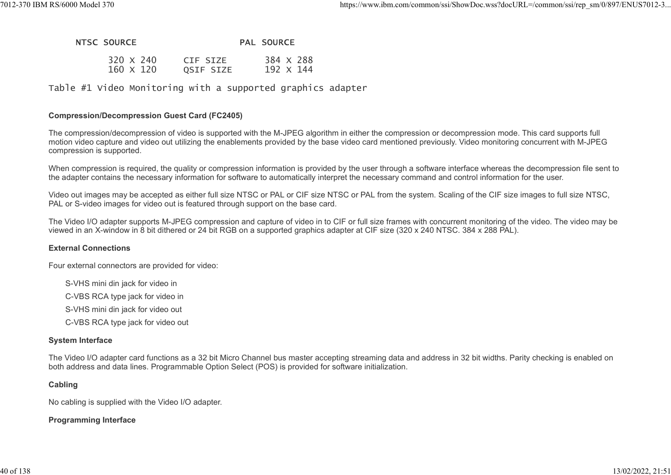# NTSC SOURCE PAL SOURCE 7012-370 IBM RS/6000 Model 370 https://www.ibm.com/common/ssi/ShowDoc.wss?docURL=/common/ssi/rep\_sm/0/897/ENUS7012-3...<br>NTSC SOURCE<br>229 M 249 AL SOURCE

| $320 \times 240$ | CIF SIZE  | 384 X 288 |
|------------------|-----------|-----------|
| 160 X 120        | QSIF SIZE | 192 X 144 |

Table #1 Video Monitoring with a supported graphics adapter

#### Compression/Decompression Guest Card (FC2405)

The compression/decompression of video is supported with the M-JPEG algorithm in either the compression or decompression mode. This card supports full motion video capture and video out utilizing the enablements provided by the base video card mentioned previously. Video monitoring concurrent with M-JPEG compression is supported.

When compression is required, the quality or compression information is provided by the user through a software interface whereas the decompression file sent to the adapter contains the necessary information for software to automatically interpret the necessary command and control information for the user.

Video out images may be accepted as either full size NTSC or PAL or CIF size NTSC or PAL from the system. Scaling of the CIF size images to full size NTSC, PAL or S-video images for video out is featured through support on the base card.

The Video I/O adapter supports M-JPEG compression and capture of video in to CIF or full size frames with concurrent monitoring of the video. The video may be viewed in an X-window in 8 bit dithered or 24 bit RGB on a supported graphics adapter at CIF size (320 x 240 NTSC. 384 x 288 PAL).

#### External Connections

Four external connectors are provided for video:

S-VHS mini din jack for video in

C-VBS RCA type jack for video in

S-VHS mini din jack for video out

C-VBS RCA type jack for video out

#### System Interface

The Video I/O adapter card functions as a 32 bit Micro Channel bus master accepting streaming data and address in 32 bit widths. Parity checking is enabled on both address and data lines. Programmable Option Select (POS) is provided for software initialization.

#### Cabling

No cabling is supplied with the Video I/O adapter.

#### Programming Interface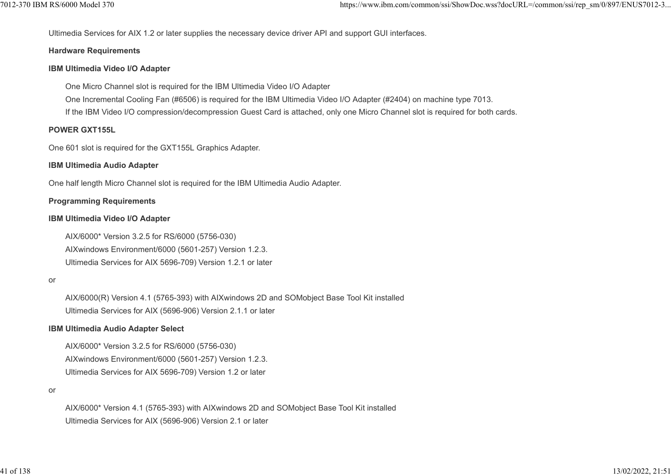Ultimedia Services for AIX 1.2 or later supplies the necessary device driver API and support GUI interfaces. 7012-370 IBM RS/6000 Model 370 https://www.ibm.com/common/ssi/ShowDoc.wss?docURL=/common/ssi/rep\_sm/0/897/ENUS7012-3...

#### Hardware Requirements

#### IBM Ultimedia Video I/O Adapter

One Micro Channel slot is required for the IBM Ultimedia Video I/O Adapter

One Incremental Cooling Fan (#6506) is required for the IBM Ultimedia Video I/O Adapter (#2404) on machine type 7013.

If the IBM Video I/O compression/decompression Guest Card is attached, only one Micro Channel slot is required for both cards.

#### POWER GXT155L

One 601 slot is required for the GXT155L Graphics Adapter.

#### IBM Ultimedia Audio Adapter

One half length Micro Channel slot is required for the IBM Ultimedia Audio Adapter.

#### Programming Requirements

#### IBM Ultimedia Video I/O Adapter

AIX/6000\* Version 3.2.5 for RS/6000 (5756-030) AIXwindows Environment/6000 (5601-257) Version 1.2.3. Ultimedia Services for AIX 5696-709) Version 1.2.1 or later

#### or

AIX/6000(R) Version 4.1 (5765-393) with AIXwindows 2D and SOMobject Base Tool Kit installed Ultimedia Services for AIX (5696-906) Version 2.1.1 or later

#### IBM Ultimedia Audio Adapter Select

AIX/6000\* Version 3.2.5 for RS/6000 (5756-030) AIXwindows Environment/6000 (5601-257) Version 1.2.3. Ultimedia Services for AIX 5696-709) Version 1.2 or later

#### or

AIX/6000\* Version 4.1 (5765-393) with AIXwindows 2D and SOMobject Base Tool Kit installed Ultimedia Services for AIX (5696-906) Version 2.1 or later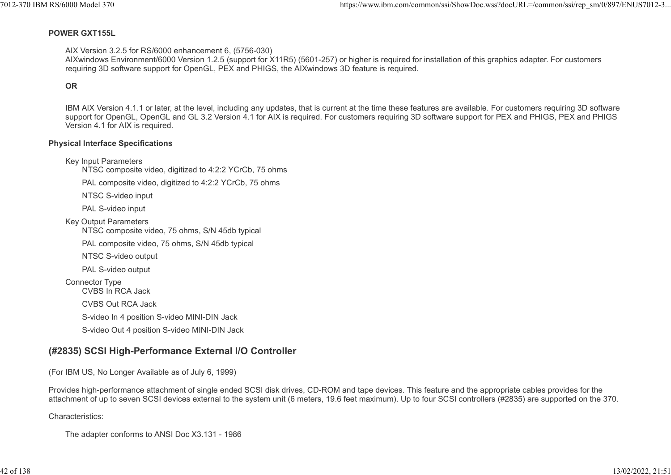#### POWER GXT155L

AIX Version 3.2.5 for RS/6000 enhancement 6, (5756-030)

AIXwindows Environment/6000 Version 1.2.5 (support for X11R5) (5601-257) or higher is required for installation of this graphics adapter. For customers requiring 3D software support for OpenGL, PEX and PHIGS, the AIXwindows 3D feature is required.

#### **OR OR OR**

IBM AIX Version 4.1.1 or later, at the level, including any updates, that is current at the time these features are available. For customers requiring 3D software support for OpenGL, OpenGL and GL 3.2 Version 4.1 for AIX is required. For customers requiring 3D software support for PEX and PHIGS, PEX and PHIGS Version 4.1 for AIX is required.

#### Physical Interface Specifications

Key Input Parameters

NTSC composite video, digitized to 4:2:2 YCrCb, 75 ohms

PAL composite video, digitized to 4:2:2 YCrCb, 75 ohms

NTSC S-video input

PAL S-video input

Key Output Parameters

NTSC composite video, 75 ohms, S/N 45db typical

PAL composite video, 75 ohms, S/N 45db typical

NTSC S-video output

PAL S-video output

Connector Type

CVBS In RCA Jack

CVBS Out RCA Jack

S-video In 4 position S-video MINI-DIN Jack

S-video Out 4 position S-video MINI-DIN Jack

# (#2835) SCSI High-Performance External I/O Controller

(For IBM US, No Longer Available as of July 6, 1999)

Provides high-performance attachment of single ended SCSI disk drives, CD-ROM and tape devices. This feature and the appropriate cables provides for the attachment of up to seven SCSI devices external to the system unit (6 meters, 19.6 feet maximum). Up to four SCSI controllers (#2835) are supported on the 370.

Characteristics:

The adapter conforms to ANSI Doc X3.131 - 1986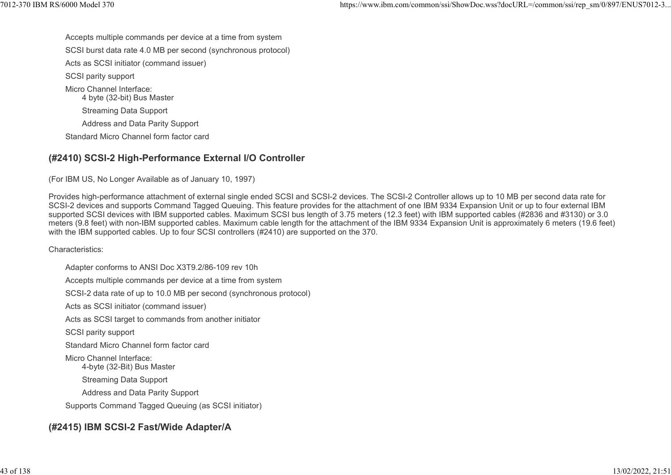Accepts multiple commands per device at a time from system SCSI burst data rate 4.0 MB per second (synchronous protocol) Acts as SCSI initiator (command issuer) SCSI parity support Micro Channel Interface: 4 byte (32-bit) Bus Master Streaming Data Support Address and Data Parity Support Standard Micro Channel form factor card %%7012-370 IBM RS/6000 Model 370<br>https://www.ibm.com/common/ssi/ShowDoc.wss?docURL=/common/ssi/rep\_sm/0/897/ENUS7012-3...<br>SCSI burst data rate 4.0 MB per second (synchronous protocol)

#### (#2410) SCSI-2 High-Performance External I/O Controller

(For IBM US, No Longer Available as of January 10, 1997)

Provides high-performance attachment of external single ended SCSI and SCSI-2 devices. The SCSI-2 Controller allows up to 10 MB per second data rate for SCSI-2 devices and supports Command Tagged Queuing. This feature provides for the attachment of one IBM 9334 Expansion Unit or up to four external IBM supported SCSI devices with IBM supported cables. Maximum SCSI bus length of 3.75 meters (12.3 feet) with IBM supported cables (#2836 and #3130) or 3.0 meters (9.8 feet) with non-IBM supported cables. Maximum cable length for the attachment of the IBM 9334 Expansion Unit is approximately 6 meters (19.6 feet) with the IBM supported cables. Up to four SCSI controllers (#2410) are supported on the 370.

Characteristics:

Adapter conforms to ANSI Doc X3T9.2/86-109 rev 10h Accepts multiple commands per device at a time from system SCSI-2 data rate of up to 10.0 MB per second (synchronous protocol) Acts as SCSI initiator (command issuer) Acts as SCSI target to commands from another initiator SCSI parity support Standard Micro Channel form factor card Micro Channel Interface: 4-byte (32-Bit) Bus Master Streaming Data Support Address and Data Parity Support Supports Command Tagged Queuing (as SCSI initiator)

# (#2415) IBM SCSI-2 Fast/Wide Adapter/A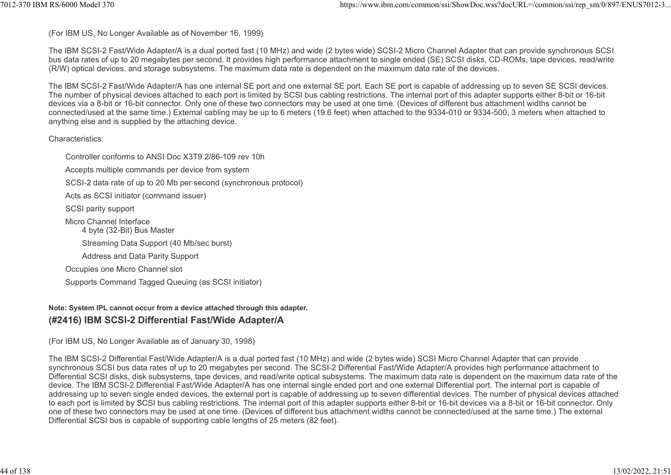(For IBM US, No Longer Available as of November 16, 1999)

The IBM SCSI-2 Fast/Wide Adapter/A is a dual ported fast (10 MHz) and wide (2 bytes wide) SCSI-2 Micro Channel Adapter that can provide synchronous SCSI bus data rates of up to 20 megabytes per second. It provides high performance attachment to single ended (SE) SCSI disks, CD-ROMs, tape devices, read/write (R/W) optical devices, and storage subsystems. The maximum data rate is dependent on the maximum data rate of the devices. 1012-370 IBM RS/6000 Model 370<br>(For IBM US, No Longer Available as of November 16, 1999)<br>The IBM SCSI-2 Fast/Wide Adapter/A is a dual ported fast (10 MHz) and wide (2 bytes wide) SCSI-2 Micro Channel Adapter that can provi

The IBM SCSI-2 Fast/Wide Adapter/A has one internal SE port and one external SE port. Each SE port is capable of addressing up to seven SE SCSI devices. The number of physical devices attached to each port is limited by SCSI bus cabling restrictions. The internal port of this adapter supports either 8-bit or 16-bit devices via a 8-bit or 16-bit connector. Only one of these two connectors may be used at one time. (Devices of different bus attachment widths cannot be connected/used at the same time.) External cabling may be up to 6 meters (19.6 feet) when attached to the 9334-010 or 9334-500, 3 meters when attached to anything else and is supplied by the attaching device.

Characteristics:

Controller conforms to ANSI Doc X3T9.2/86-109 rev 10h Accepts multiple commands per device from system SCSI-2 data rate of up to 20 Mb per second (synchronous protocol) Acts as SCSI initiator (command issuer) SCSI parity support Micro Channel Interface 4 byte (32-Bit) Bus Master Streaming Data Support (40 Mb/sec burst) Address and Data Parity Support Occupies one Micro Channel slot Supports Command Tagged Queuing (as SCSI initiator)

#### Note: System IPL cannot occur from a device attached through this adapter. (#2416) IBM SCSI-2 Differential Fast/Wide Adapter/A

(For IBM US, No Longer Available as of January 30, 1998)

The IBM SCSI-2 Differential Fast/Wide Adapter/A is a dual ported fast (10 MHz) and wide (2 bytes wide) SCSI Micro Channel Adapter that can provide synchronous SCSI bus data rates of up to 20 megabytes per second. The SCSI-2 Differential Fast/Wide Adapter/A provides high performance attachment to Differential SCSI disks, disk subsystems, tape devices, and read/write optical subsystems. The maximum data rate is dependent on the maximum data rate of the device. The IBM SCSI-2 Differential Fast/Wide Adapter/A has one internal single ended port and one external Differential port. The internal port is capable of addressing up to seven single ended devices, the external port is capable of addressing up to seven differential devices. The number of physical devices attached to each port is limited by SCSI bus cabling restrictions. The internal port of this adapter supports either 8-bit or 16-bit devices via a 8-bit or 16-bit connector. Only one of these two connectors may be used at one time. (Devices of different bus attachment widths cannot be connected/used at the same time.) The external Differential SCSI bus is capable of supporting cable lengths of 25 meters (82 feet).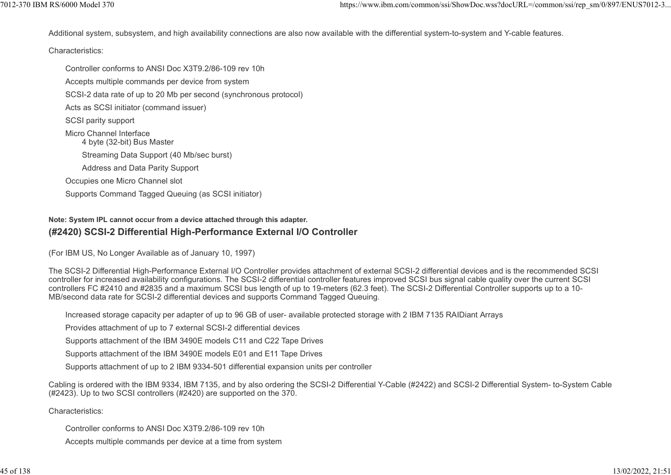Additional system, subsystem, and high availability connections are also now available with the differential system-to-system and Y-cable features. %7012-370 IBM RS/6000 Model 370<br>https://www.ibm.com/common/ssi/ShowDoc.wss?docURL=/common/ssi/rep\_sm/0/897/ENUS7012-3...<br>Additional system, subsystem, and high availability connections are also now available with the diffe

#### Characteristics:

Controller conforms to ANSI Doc X3T9.2/86-109 rev 10h Accepts multiple commands per device from system SCSI-2 data rate of up to 20 Mb per second (synchronous protocol) Acts as SCSI initiator (command issuer) SCSI parity support Micro Channel Interface 4 byte (32-bit) Bus Master Streaming Data Support (40 Mb/sec burst) Address and Data Parity Support Occupies one Micro Channel slot Supports Command Tagged Queuing (as SCSI initiator)

#### Note: System IPL cannot occur from a device attached through this adapter. (#2420) SCSI-2 Differential High-Performance External I/O Controller

(For IBM US, No Longer Available as of January 10, 1997)

The SCSI-2 Differential High-Performance External I/O Controller provides attachment of external SCSI-2 differential devices and is the recommended SCSI controller for increased availability configurations. The SCSI-2 differential controller features improved SCSI bus signal cable quality over the current SCSI controllers FC #2410 and #2835 and a maximum SCSI bus length of up to 19-meters (62.3 feet). The SCSI-2 Differential Controller supports up to a 10- MB/second data rate for SCSI-2 differential devices and supports Command Tagged Queuing.

Increased storage capacity per adapter of up to 96 GB of user- available protected storage with 2 IBM 7135 RAIDiant Arrays

Provides attachment of up to 7 external SCSI-2 differential devices

Supports attachment of the IBM 3490E models C11 and C22 Tape Drives

Supports attachment of the IBM 3490E models E01 and E11 Tape Drives

Supports attachment of up to 2 IBM 9334-501 differential expansion units per controller

Cabling is ordered with the IBM 9334, IBM 7135, and by also ordering the SCSI-2 Differential Y-Cable (#2422) and SCSI-2 Differential System- to-System Cable (#2423). Up to two SCSI controllers (#2420) are supported on the 370.

#### Characteristics:

Controller conforms to ANSI Doc X3T9.2/86-109 rev 10h

Accepts multiple commands per device at a time from system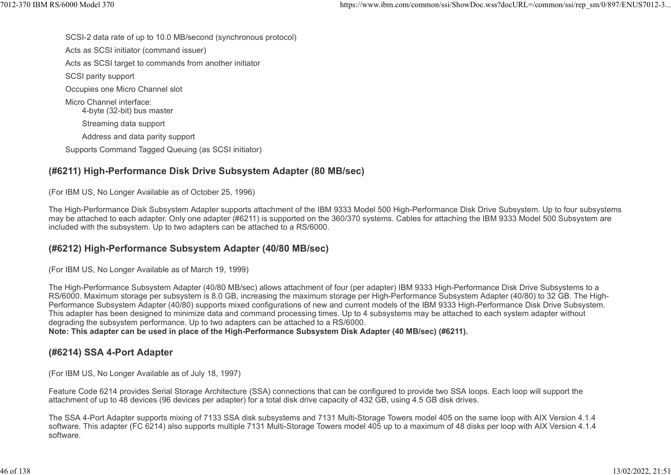SCSI-2 data rate of up to 10.0 MB/second (synchronous protocol) Acts as SCSI initiator (command issuer) Acts as SCSI target to commands from another initiator SCSI parity support Occupies one Micro Channel slot Micro Channel interface: 4-byte (32-bit) bus master Streaming data support Address and data parity support Supports Command Tagged Queuing (as SCSI initiator) %%7012-370 IBM RS/6000 Model 370<br>SCSI-2 data rate of up to 10.0 MB/second (synchronous protocol)<br>Acts as SCSI initiator (command issuer)

# (#6211) High-Performance Disk Drive Subsystem Adapter (80 MB/sec)

(For IBM US, No Longer Available as of October 25, 1996)

The High-Performance Disk Subsystem Adapter supports attachment of the IBM 9333 Model 500 High-Performance Disk Drive Subsystem. Up to four subsystems may be attached to each adapter. Only one adapter (#6211) is supported on the 360/370 systems. Cables for attaching the IBM 9333 Model 500 Subsystem are included with the subsystem. Up to two adapters can be attached to a RS/6000.

# (#6212) High-Performance Subsystem Adapter (40/80 MB/sec)

(For IBM US, No Longer Available as of March 19, 1999)

The High-Performance Subsystem Adapter (40/80 MB/sec) allows attachment of four (per adapter) IBM 9333 High-Performance Disk Drive Subsystems to a RS/6000. Maximum storage per subsystem is 8.0 GB, increasing the maximum storage per High-Performance Subsystem Adapter (40/80) to 32 GB. The High-Performance Subsystem Adapter (40/80) supports mixed configurations of new and current models of the IBM 9333 High-Performance Disk Drive Subsystem. This adapter has been designed to minimize data and command processing times. Up to 4 subsystems may be attached to each system adapter without degrading the subsystem performance. Up to two adapters can be attached to a RS/6000.

Note: This adapter can be used in place of the High-Performance Subsystem Disk Adapter (40 MB/sec) (#6211).

#### (#6214) SSA 4-Port Adapter

(For IBM US, No Longer Available as of July 18, 1997)

Feature Code 6214 provides Serial Storage Architecture (SSA) connections that can be configured to provide two SSA loops. Each loop will support the attachment of up to 48 devices (96 devices per adapter) for a total disk drive capacity of 432 GB, using 4.5 GB disk drives.

The SSA 4-Port Adapter supports mixing of 7133 SSA disk subsystems and 7131 Multi-Storage Towers model 405 on the same loop with AIX Version 4.1.4 software. This adapter (FC 6214) also supports multiple 7131 Multi-Storage Towers model 405 up to a maximum of 48 disks per loop with AIX Version 4.1.4 software.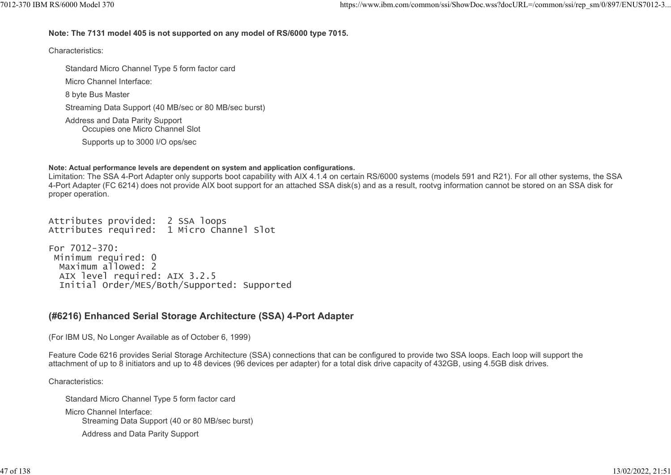# Note: The 7131 model 405 is not supported on any model of RS/6000 type 7015. 7012-370 IBM RS/6000 Model 370 https://www.ibm.com/common/ssi/ShowDoc.wss?docURL=/common/ssi/rep\_sm/0/897/ENUS7012-3...

Characteristics:

Standard Micro Channel Type 5 form factor card Micro Channel Interface: 8 byte Bus Master Streaming Data Support (40 MB/sec or 80 MB/sec burst) Address and Data Parity Support Occupies one Micro Channel Slot Supports up to 3000 I/O ops/sec

#### Note: Actual performance levels are dependent on system and application configurations.

Limitation: The SSA 4-Port Adapter only supports boot capability with AIX 4.1.4 on certain RS/6000 systems (models 591 and R21). For all other systems, the SSA 4-Port Adapter (FC 6214) does not provide AIX boot support for an attached SSA disk(s) and as a result, rootvg information cannot be stored on an SSA disk for proper operation.

Attributes provided: 2 SSA loops Attributes required: 1 Micro Channel Slot

For 7012-370: Minimum required: 0 Maximum allowed: 2 AIX level required: AIX 3.2.5 Initial Order/MES/Both/Supported: Supported

# (#6216) Enhanced Serial Storage Architecture (SSA) 4-Port Adapter

(For IBM US, No Longer Available as of October 6, 1999)

Feature Code 6216 provides Serial Storage Architecture (SSA) connections that can be configured to provide two SSA loops. Each loop will support the attachment of up to 8 initiators and up to 48 devices (96 devices per adapter) for a total disk drive capacity of 432GB, using 4.5GB disk drives.

Characteristics:

Standard Micro Channel Type 5 form factor card Micro Channel Interface: Streaming Data Support (40 or 80 MB/sec burst) Address and Data Parity Support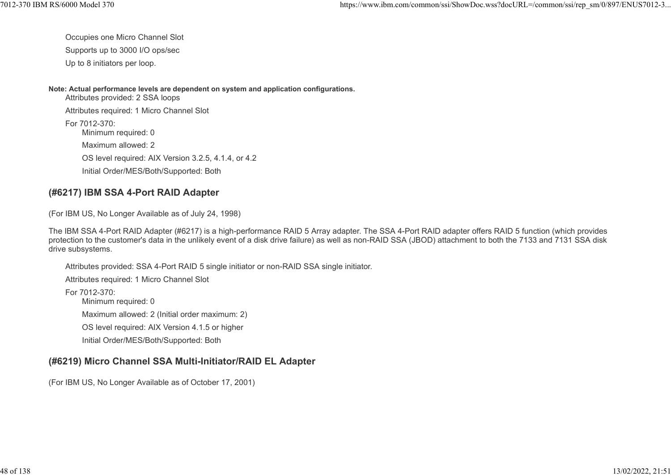Occupies one Micro Channel Slot

Supports up to 3000 I/O ops/sec

Up to 8 initiators per loop.

Note: Actual performance levels are dependent on system and application configurations.

Attributes provided: 2 SSA loops Attributes required: 1 Micro Channel Slot For 7012-370: Minimum required: 0 Maximum allowed: 2 OS level required: AIX Version 3.2.5, 4.1.4, or 4.2 Initial Order/MES/Both/Supported: Both

# (#6217) IBM SSA 4-Port RAID Adapter

(For IBM US, No Longer Available as of July 24, 1998)

The IBM SSA 4-Port RAID Adapter (#6217) is a high-performance RAID 5 Array adapter. The SSA 4-Port RAID adapter offers RAID 5 function (which provides protection to the customer's data in the unlikely event of a disk drive failure) as well as non-RAID SSA (JBOD) attachment to both the 7133 and 7131 SSA disk drive subsystems.

Attributes provided: SSA 4-Port RAID 5 single initiator or non-RAID SSA single initiator.

Attributes required: 1 Micro Channel Slot

For 7012-370: Minimum required: 0 Maximum allowed: 2 (Initial order maximum: 2) OS level required: AIX Version 4.1.5 or higher Initial Order/MES/Both/Supported: Both

# (#6219) Micro Channel SSA Multi-Initiator/RAID EL Adapter

(For IBM US, No Longer Available as of October 17, 2001)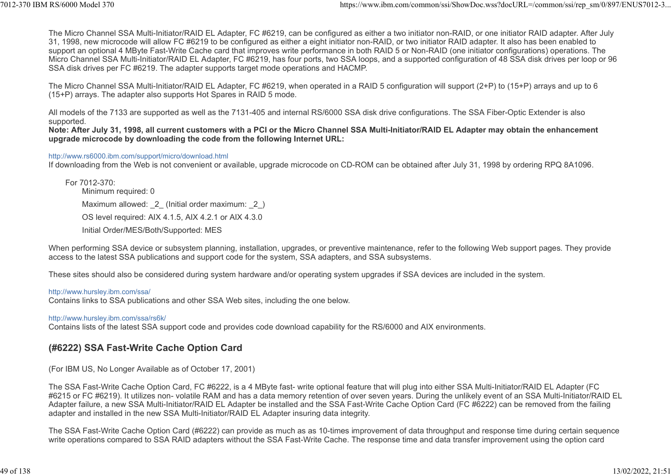The Micro Channel SSA Multi-Initiator/RAID EL Adapter, FC #6219, can be configured as either a two initiator non-RAID, or one initiator RAID adapter. After July 31, 1998, new microcode will allow FC #6219 to be configured as either a eight initiator non-RAID, or two initiator RAID adapter. It also has been enabled to support an optional 4 MByte Fast-Write Cache card that improves write performance in both RAID 5 or Non-RAID (one initiator configurations) operations. The Micro Channel SSA Multi-Initiator/RAID EL Adapter, FC #6219, has four ports, two SSA loops, and a supported configuration of 48 SSA disk drives per loop or 96 SSA disk drives per FC #6219. The adapter supports target mode operations and HACMP. ttps://www.ibm.com/common/ssi/ShowDoc.wss?docURL=/common/ssi/rep\_sm/0/897/ENUS7012-3...<br>The Micro Channel SSA Multi-Initiator/RAID EL Adapter, FC #6219, can be configured as either a two initiator non-RAID, or one initiato

The Micro Channel SSA Multi-Initiator/RAID EL Adapter, FC #6219, when operated in a RAID 5 configuration will support (2+P) to (15+P) arrays and up to 6 (15+P) arrays. The adapter also supports Hot Spares in RAID 5 mode.

All models of the 7133 are supported as well as the 7131-405 and internal RS/6000 SSA disk drive configurations. The SSA Fiber-Optic Extender is also supported.

Note: After July 31, 1998, all current customers with a PCI or the Micro Channel SSA Multi-Initiator/RAID EL Adapter may obtain the enhancement upgrade microcode by downloading the code from the following Internet URL:

#### http://www.rs6000.ibm.com/support/micro/download.html

If downloading from the Web is not convenient or available, upgrade microcode on CD-ROM can be obtained after July 31, 1998 by ordering RPQ 8A1096.

For 7012-370: Minimum required: 0 Maximum allowed: 2 (Initial order maximum: 2) OS level required: AIX 4.1.5, AIX 4.2.1 or AIX 4.3.0 Initial Order/MES/Both/Supported: MES

When performing SSA device or subsystem planning, installation, upgrades, or preventive maintenance, refer to the following Web support pages. They provide access to the latest SSA publications and support code for the system, SSA adapters, and SSA subsystems.

These sites should also be considered during system hardware and/or operating system upgrades if SSA devices are included in the system.

#### http://www.hursley.ibm.com/ssa/

Contains links to SSA publications and other SSA Web sites, including the one below.

#### http://www.hursley.ibm.com/ssa/rs6k/

Contains lists of the latest SSA support code and provides code download capability for the RS/6000 and AIX environments.

#### (#6222) SSA Fast-Write Cache Option Card

(For IBM US, No Longer Available as of October 17, 2001)

The SSA Fast-Write Cache Option Card, FC #6222, is a 4 MByte fast- write optional feature that will plug into either SSA Multi-Initiator/RAID EL Adapter (FC #6215 or FC #6219). It utilizes non- volatile RAM and has a data memory retention of over seven years. During the unlikely event of an SSA Multi-Initiator/RAID EL Adapter failure, a new SSA Multi-Initiator/RAID EL Adapter be installed and the SSA Fast-Write Cache Option Card (FC #6222) can be removed from the failing adapter and installed in the new SSA Multi-Initiator/RAID EL Adapter insuring data integrity.

The SSA Fast-Write Cache Option Card (#6222) can provide as much as as 10-times improvement of data throughput and response time during certain sequence write operations compared to SSA RAID adapters without the SSA Fast-Write Cache. The response time and data transfer improvement using the option card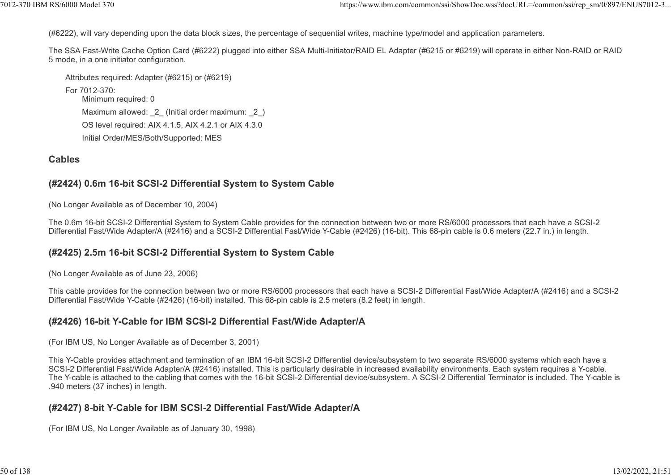(#6222), will vary depending upon the data block sizes, the percentage of sequential writes, machine type/model and application parameters.

The SSA Fast-Write Cache Option Card (#6222) plugged into either SSA Multi-Initiator/RAID EL Adapter (#6215 or #6219) will operate in either Non-RAID or RAID 5 mode, in a one initiator configuration. ttps://www.ibm.com/common/ssi/ShowDoc.wss?docURL=/common/ssi/rep\_sm/0/897/ENUS7012-3...<br>(#6222), will vary depending upon the data block sizes, the percentage of sequential writes, machine type/model and application parame

Attributes required: Adapter (#6215) or (#6219)

For 7012-370: Minimum required: 0 Maximum allowed: 2 (Initial order maximum: 2) OS level required: AIX 4.1.5, AIX 4.2.1 or AIX 4.3.0 Initial Order/MES/Both/Supported: MES

#### Cables

#### (#2424) 0.6m 16-bit SCSI-2 Differential System to System Cable

(No Longer Available as of December 10, 2004)

The 0.6m 16-bit SCSI-2 Differential System to System Cable provides for the connection between two or more RS/6000 processors that each have a SCSI-2 Differential Fast/Wide Adapter/A (#2416) and a SCSI-2 Differential Fast/Wide Y-Cable (#2426) (16-bit). This 68-pin cable is 0.6 meters (22.7 in.) in length.

#### (#2425) 2.5m 16-bit SCSI-2 Differential System to System Cable

(No Longer Available as of June 23, 2006)

This cable provides for the connection between two or more RS/6000 processors that each have a SCSI-2 Differential Fast/Wide Adapter/A (#2416) and a SCSI-2 Differential Fast/Wide Y-Cable (#2426) (16-bit) installed. This 68-pin cable is 2.5 meters (8.2 feet) in length.

#### (#2426) 16-bit Y-Cable for IBM SCSI-2 Differential Fast/Wide Adapter/A

(For IBM US, No Longer Available as of December 3, 2001)

This Y-Cable provides attachment and termination of an IBM 16-bit SCSI-2 Differential device/subsystem to two separate RS/6000 systems which each have a SCSI-2 Differential Fast/Wide Adapter/A (#2416) installed. This is particularly desirable in increased availability environments. Each system requires a Y-cable. The Y-cable is attached to the cabling that comes with the 16-bit SCSI-2 Differential device/subsystem. A SCSI-2 Differential Terminator is included. The Y-cable is .940 meters (37 inches) in length.

# (#2427) 8-bit Y-Cable for IBM SCSI-2 Differential Fast/Wide Adapter/A

(For IBM US, No Longer Available as of January 30, 1998)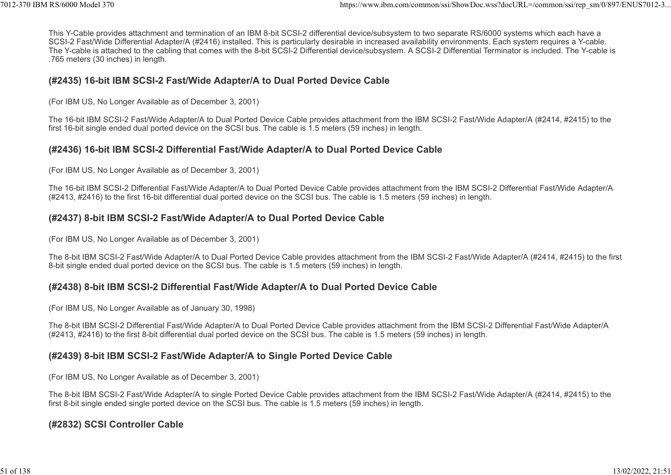This Y-Cable provides attachment and termination of an IBM 8-bit SCSI-2 differential device/subsystem to two separate RS/6000 systems which each have a SCSI-2 Fast/Wide Differential Adapter/A (#2416) installed. This is particularly desirable in increased availability environments. Each system requires a Y-cable. The Y-cable is attached to the cabling that comes with the 8-bit SCSI-2 Differential device/subsystem. A SCSI-2 Differential Terminator is included. The Y-cable is .765 meters (30 inches) in length. ttps://www.ibm.com/common/ssi/ShowDoc.wss?docURL=/common/ssi/rep\_sm/0/897/ENUS7012-3...<br>This Y-Cable provides attachment and termination of an IBM 8-bit SCSI-2 differential device/subsystem to two separate RS/6000 systems

#### (#2435) 16-bit IBM SCSI-2 Fast/Wide Adapter/A to Dual Ported Device Cable

(For IBM US, No Longer Available as of December 3, 2001)

The 16-bit IBM SCSI-2 Fast/Wide Adapter/A to Dual Ported Device Cable provides attachment from the IBM SCSI-2 Fast/Wide Adapter/A (#2414, #2415) to the first 16-bit single ended dual ported device on the SCSI bus. The cable is 1.5 meters (59 inches) in length.

#### (#2436) 16-bit IBM SCSI-2 Differential Fast/Wide Adapter/A to Dual Ported Device Cable

(For IBM US, No Longer Available as of December 3, 2001)

The 16-bit IBM SCSI-2 Differential Fast/Wide Adapter/A to Dual Ported Device Cable provides attachment from the IBM SCSI-2 Differential Fast/Wide Adapter/A (#2413, #2416) to the first 16-bit differential dual ported device on the SCSI bus. The cable is 1.5 meters (59 inches) in length.

# (#2437) 8-bit IBM SCSI-2 Fast/Wide Adapter/A to Dual Ported Device Cable

(For IBM US, No Longer Available as of December 3, 2001)

The 8-bit IBM SCSI-2 Fast/Wide Adapter/A to Dual Ported Device Cable provides attachment from the IBM SCSI-2 Fast/Wide Adapter/A (#2414, #2415) to the first 8-bit single ended dual ported device on the SCSI bus. The cable is 1.5 meters (59 inches) in length.

# (#2438) 8-bit IBM SCSI-2 Differential Fast/Wide Adapter/A to Dual Ported Device Cable

(For IBM US, No Longer Available as of January 30, 1998)

The 8-bit IBM SCSI-2 Differential Fast/Wide Adapter/A to Dual Ported Device Cable provides attachment from the IBM SCSI-2 Differential Fast/Wide Adapter/A (#2413, #2416) to the first 8-bit differential dual ported device on the SCSI bus. The cable is 1.5 meters (59 inches) in length.

#### (#2439) 8-bit IBM SCSI-2 Fast/Wide Adapter/A to Single Ported Device Cable

(For IBM US, No Longer Available as of December 3, 2001)

The 8-bit IBM SCSI-2 Fast/Wide Adapter/A to single Ported Device Cable provides attachment from the IBM SCSI-2 Fast/Wide Adapter/A (#2414, #2415) to the first 8-bit single ended single ported device on the SCSI bus. The cable is 1.5 meters (59 inches) in length.

# (#2832) SCSI Controller Cable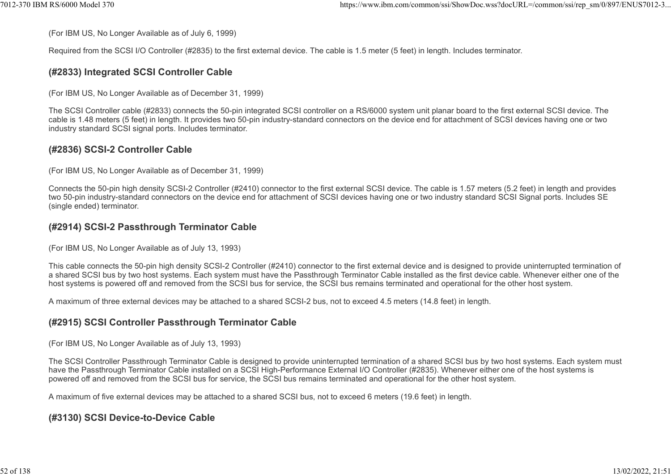(For IBM US, No Longer Available as of July 6, 1999)

Required from the SCSI I/O Controller (#2835) to the first external device. The cable is 1.5 meter (5 feet) in length. Includes terminator. https://www.ibm.com/common/ssi/ShowDoc.wss?docURL=/common/ssi/rep\_sm/0/897/ENUS7012-3...<br>(For IBM US, No Longer Available as of July 6, 1999)<br>Required from the SCSI I/O Controller (#2835) to the first external device. The

#### (#2833) Integrated SCSI Controller Cable

(For IBM US, No Longer Available as of December 31, 1999)

The SCSI Controller cable (#2833) connects the 50-pin integrated SCSI controller on a RS/6000 system unit planar board to the first external SCSI device. The cable is 1.48 meters (5 feet) in length. It provides two 50-pin industry-standard connectors on the device end for attachment of SCSI devices having one or two industry standard SCSI signal ports. Includes terminator.

# (#2836) SCSI-2 Controller Cable

(For IBM US, No Longer Available as of December 31, 1999)

Connects the 50-pin high density SCSI-2 Controller (#2410) connector to the first external SCSI device. The cable is 1.57 meters (5.2 feet) in length and provides two 50-pin industry-standard connectors on the device end for attachment of SCSI devices having one or two industry standard SCSI Signal ports. Includes SE (single ended) terminator.

#### (#2914) SCSI-2 Passthrough Terminator Cable

(For IBM US, No Longer Available as of July 13, 1993)

This cable connects the 50-pin high density SCSI-2 Controller (#2410) connector to the first external device and is designed to provide uninterrupted termination of a shared SCSI bus by two host systems. Each system must have the Passthrough Terminator Cable installed as the first device cable. Whenever either one of the host systems is powered off and removed from the SCSI bus for service, the SCSI bus remains terminated and operational for the other host system.

A maximum of three external devices may be attached to a shared SCSI-2 bus, not to exceed 4.5 meters (14.8 feet) in length.

# (#2915) SCSI Controller Passthrough Terminator Cable

(For IBM US, No Longer Available as of July 13, 1993)

The SCSI Controller Passthrough Terminator Cable is designed to provide uninterrupted termination of a shared SCSI bus by two host systems. Each system must have the Passthrough Terminator Cable installed on a SCSI High-Performance External I/O Controller (#2835). Whenever either one of the host systems is powered off and removed from the SCSI bus for service, the SCSI bus remains terminated and operational for the other host system.

A maximum of five external devices may be attached to a shared SCSI bus, not to exceed 6 meters (19.6 feet) in length.

#### (#3130) SCSI Device-to-Device Cable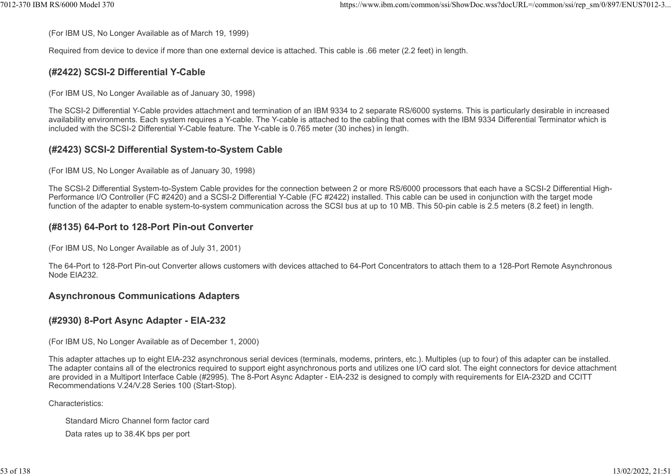(For IBM US, No Longer Available as of March 19, 1999)

Required from device to device if more than one external device is attached. This cable is .66 meter (2.2 feet) in length. %7012-370 IBM RS/6000 Model 370 https://www.ibm.com/common/ssi/ShowDoc.wss?docURL=/common/ssi/rep\_sm/0/897/ENUS7012-3...<br>(For IBM US, No Longer Available as of March 19, 1999)<br>Required from device to device if more than on

# (#2422) SCSI-2 Differential Y-Cable

(For IBM US, No Longer Available as of January 30, 1998)

The SCSI-2 Differential Y-Cable provides attachment and termination of an IBM 9334 to 2 separate RS/6000 systems. This is particularly desirable in increased availability environments. Each system requires a Y-cable. The Y-cable is attached to the cabling that comes with the IBM 9334 Differential Terminator which is included with the SCSI-2 Differential Y-Cable feature. The Y-cable is 0.765 meter (30 inches) in length.

# (#2423) SCSI-2 Differential System-to-System Cable

(For IBM US, No Longer Available as of January 30, 1998)

The SCSI-2 Differential System-to-System Cable provides for the connection between 2 or more RS/6000 processors that each have a SCSI-2 Differential High-Performance I/O Controller (FC #2420) and a SCSI-2 Differential Y-Cable (FC #2422) installed. This cable can be used in conjunction with the target mode function of the adapter to enable system-to-system communication across the SCSI bus at up to 10 MB. This 50-pin cable is 2.5 meters (8.2 feet) in length.

#### (#8135) 64-Port to 128-Port Pin-out Converter

(For IBM US, No Longer Available as of July 31, 2001)

The 64-Port to 128-Port Pin-out Converter allows customers with devices attached to 64-Port Concentrators to attach them to a 128-Port Remote Asynchronous Node EIA232.

#### Asynchronous Communications Adapters

#### (#2930) 8-Port Async Adapter - EIA-232

(For IBM US, No Longer Available as of December 1, 2000)

This adapter attaches up to eight EIA-232 asynchronous serial devices (terminals, modems, printers, etc.). Multiples (up to four) of this adapter can be installed. The adapter contains all of the electronics required to support eight asynchronous ports and utilizes one I/O card slot. The eight connectors for device attachment are provided in a Multiport Interface Cable (#2995). The 8-Port Async Adapter - EIA-232 is designed to comply with requirements for EIA-232D and CCITT Recommendations V.24/V.28 Series 100 (Start-Stop).

Characteristics:

Standard Micro Channel form factor card

Data rates up to 38.4K bps per port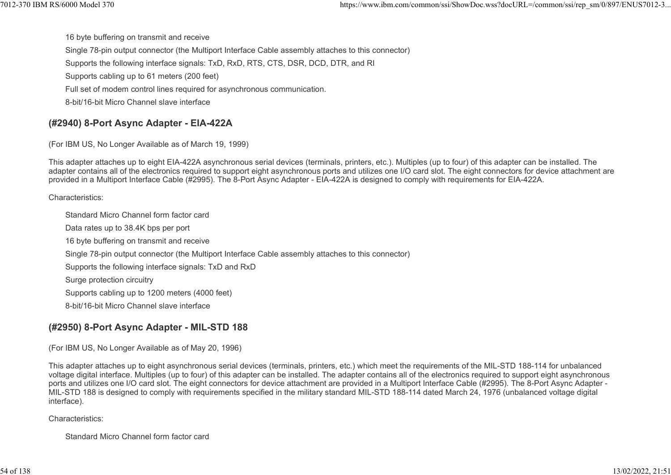16 byte buffering on transmit and receive Single 78-pin output connector (the Multiport Interface Cable assembly attaches to this connector) Supports the following interface signals: TxD, RxD, RTS, CTS, DSR, DCD, DTR, and RI Supports cabling up to 61 meters (200 feet) Full set of modem control lines required for asynchronous communication. 8-bit/16-bit Micro Channel slave interface %%7012-370 IBM RS/6000 Model 370<br>16 https://www.ibm.com/common/ssi/ShowDoc.wss?docURL=/common/ssi/rep\_sm/0/897/ENUS7012-3...<br>16 hyte buffering on transmit and receive<br>Single 78-pin output connector (the Multiport Interface

#### (#2940) 8-Port Async Adapter - EIA-422A

(For IBM US, No Longer Available as of March 19, 1999)

This adapter attaches up to eight EIA-422A asynchronous serial devices (terminals, printers, etc.). Multiples (up to four) of this adapter can be installed. The adapter contains all of the electronics required to support eight asynchronous ports and utilizes one I/O card slot. The eight connectors for device attachment are provided in a Multiport Interface Cable (#2995). The 8-Port Async Adapter - EIA-422A is designed to comply with requirements for EIA-422A.

Characteristics:

Standard Micro Channel form factor card Data rates up to 38.4K bps per port 16 byte buffering on transmit and receive Single 78-pin output connector (the Multiport Interface Cable assembly attaches to this connector) Supports the following interface signals: TxD and RxD Surge protection circuitry Supports cabling up to 1200 meters (4000 feet) 8-bit/16-bit Micro Channel slave interface

# (#2950) 8-Port Async Adapter - MIL-STD 188

(For IBM US, No Longer Available as of May 20, 1996)

This adapter attaches up to eight asynchronous serial devices (terminals, printers, etc.) which meet the requirements of the MIL-STD 188-114 for unbalanced voltage digital interface. Multiples (up to four) of this adapter can be installed. The adapter contains all of the electronics required to support eight asynchronous ports and utilizes one I/O card slot. The eight connectors for device attachment are provided in a Multiport Interface Cable (#2995). The 8-Port Async Adapter - MIL-STD 188 is designed to comply with requirements specified in the military standard MIL-STD 188-114 dated March 24, 1976 (unbalanced voltage digital interface).

Characteristics:

Standard Micro Channel form factor card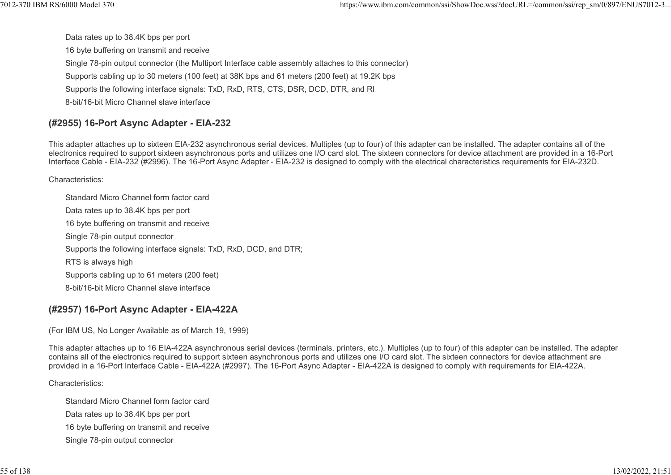Data rates up to 38.4K bps per port 16 byte buffering on transmit and receive Single 78-pin output connector (the Multiport Interface cable assembly attaches to this connector) Supports cabling up to 30 meters (100 feet) at 38K bps and 61 meters (200 feet) at 19.2K bps Supports the following interface signals: TxD, RxD, RTS, CTS, DSR, DCD, DTR, and RI 8-bit/16-bit Micro Channel slave interface %7012-370 IBM RS/6000 Model 370 https://www.ibm.com/common/ssi/ShowDoc.wss?docURL=/common/ssi/rep\_sm/0/897/ENUS7012-3...<br>Data rates up to 38.4K bps per port<br>16 byte buffering on transmit and receive

# (#2955) 16-Port Async Adapter - EIA-232

This adapter attaches up to sixteen EIA-232 asynchronous serial devices. Multiples (up to four) of this adapter can be installed. The adapter contains all of the electronics required to support sixteen asynchronous ports and utilizes one I/O card slot. The sixteen connectors for device attachment are provided in a 16-Port Interface Cable - EIA-232 (#2996). The 16-Port Async Adapter - EIA-232 is designed to comply with the electrical characteristics requirements for EIA-232D.

Characteristics:

Standard Micro Channel form factor card Data rates up to 38.4K bps per port 16 byte buffering on transmit and receive Single 78-pin output connector Supports the following interface signals: TxD, RxD, DCD, and DTR; RTS is always high Supports cabling up to 61 meters (200 feet) 8-bit/16-bit Micro Channel slave interface

# (#2957) 16-Port Async Adapter - EIA-422A

(For IBM US, No Longer Available as of March 19, 1999)

This adapter attaches up to 16 EIA-422A asynchronous serial devices (terminals, printers, etc.). Multiples (up to four) of this adapter can be installed. The adapter contains all of the electronics required to support sixteen asynchronous ports and utilizes one I/O card slot. The sixteen connectors for device attachment are provided in a 16-Port Interface Cable - EIA-422A (#2997). The 16-Port Async Adapter - EIA-422A is designed to comply with requirements for EIA-422A.

Characteristics:

Standard Micro Channel form factor card Data rates up to 38.4K bps per port 16 byte buffering on transmit and receive Single 78-pin output connector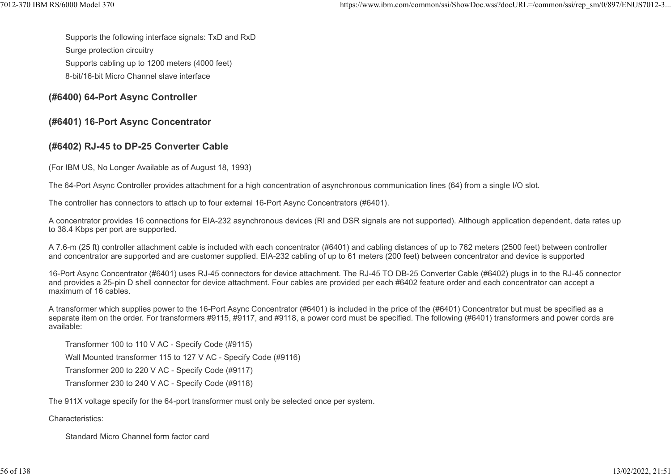Supports the following interface signals: TxD and RxD %7012-370 IBM RS/6000 Model 370<br>https://www.ibm.com/common/ssi/ShowDoc.wss?docURL=/common/ssi/rep\_sm/0/897/ENUS7012-3...<br>Supports the following interface signals: TxD and RxD<br>Surge protection circuitry

Surge protection circuitry

Supports cabling up to 1200 meters (4000 feet)

8-bit/16-bit Micro Channel slave interface

# (#6400) 64-Port Async Controller

# (#6401) 16-Port Async Concentrator

# (#6402) RJ-45 to DP-25 Converter Cable

(For IBM US, No Longer Available as of August 18, 1993)

The 64-Port Async Controller provides attachment for a high concentration of asynchronous communication lines (64) from a single I/O slot.

The controller has connectors to attach up to four external 16-Port Async Concentrators (#6401).

A concentrator provides 16 connections for EIA-232 asynchronous devices (RI and DSR signals are not supported). Although application dependent, data rates up to 38.4 Kbps per port are supported.

A 7.6-m (25 ft) controller attachment cable is included with each concentrator (#6401) and cabling distances of up to 762 meters (2500 feet) between controller and concentrator are supported and are customer supplied. EIA-232 cabling of up to 61 meters (200 feet) between concentrator and device is supported

16-Port Async Concentrator (#6401) uses RJ-45 connectors for device attachment. The RJ-45 TO DB-25 Converter Cable (#6402) plugs in to the RJ-45 connector and provides a 25-pin D shell connector for device attachment. Four cables are provided per each #6402 feature order and each concentrator can accept a maximum of 16 cables.

A transformer which supplies power to the 16-Port Async Concentrator (#6401) is included in the price of the (#6401) Concentrator but must be specified as a separate item on the order. For transformers #9115, #9117, and #9118, a power cord must be specified. The following (#6401) transformers and power cords are available:

Transformer 100 to 110 V AC - Specify Code (#9115)

Wall Mounted transformer 115 to 127 V AC - Specify Code (#9116)

Transformer 200 to 220 V AC - Specify Code (#9117)

Transformer 230 to 240 V AC - Specify Code (#9118)

The 911X voltage specify for the 64-port transformer must only be selected once per system.

Characteristics:

Standard Micro Channel form factor card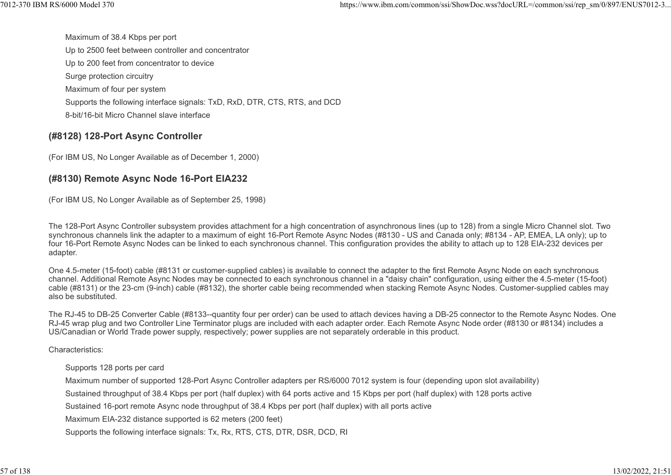Maximum of 38.4 Kbps per port Up to 2500 feet between controller and concentrator Up to 200 feet from concentrator to device Surge protection circuitry Maximum of four per system Supports the following interface signals: TxD, RxD, DTR, CTS, RTS, and DCD 8-bit/16-bit Micro Channel slave interface %7012-370 IBM RS/6000 Model 370<br>https://www.ibm.com/common/ssi/ShowDoc.wss?docURL=/common/ssi/rep\_sm/0/897/ENUS7012-3...<br>Up to 2500 feet between controller and concentrator

#### (#8128) 128-Port Async Controller

(For IBM US, No Longer Available as of December 1, 2000)

#### (#8130) Remote Async Node 16-Port EIA232

(For IBM US, No Longer Available as of September 25, 1998)

The 128-Port Async Controller subsystem provides attachment for a high concentration of asynchronous lines (up to 128) from a single Micro Channel slot. Two synchronous channels link the adapter to a maximum of eight 16-Port Remote Async Nodes (#8130 - US and Canada only; #8134 - AP, EMEA, LA only); up to four 16-Port Remote Async Nodes can be linked to each synchronous channel. This configuration provides the ability to attach up to 128 EIA-232 devices per adapter.

One 4.5-meter (15-foot) cable (#8131 or customer-supplied cables) is available to connect the adapter to the first Remote Async Node on each synchronous channel. Additional Remote Async Nodes may be connected to each synchronous channel in a "daisy chain" configuration, using either the 4.5-meter (15-foot) cable (#8131) or the 23-cm (9-inch) cable (#8132), the shorter cable being recommended when stacking Remote Async Nodes. Customer-supplied cables may also be substituted.

The RJ-45 to DB-25 Converter Cable (#8133--quantity four per order) can be used to attach devices having a DB-25 connector to the Remote Async Nodes. One RJ-45 wrap plug and two Controller Line Terminator plugs are included with each adapter order. Each Remote Async Node order (#8130 or #8134) includes a US/Canadian or World Trade power supply, respectively; power supplies are not separately orderable in this product.

Characteristics:

Supports 128 ports per card

Maximum number of supported 128-Port Async Controller adapters per RS/6000 7012 system is four (depending upon slot availability)

Sustained throughput of 38.4 Kbps per port (half duplex) with 64 ports active and 15 Kbps per port (half duplex) with 128 ports active

Sustained 16-port remote Async node throughput of 38.4 Kbps per port (half duplex) with all ports active

Maximum EIA-232 distance supported is 62 meters (200 feet)

Supports the following interface signals: Tx, Rx, RTS, CTS, DTR, DSR, DCD, RI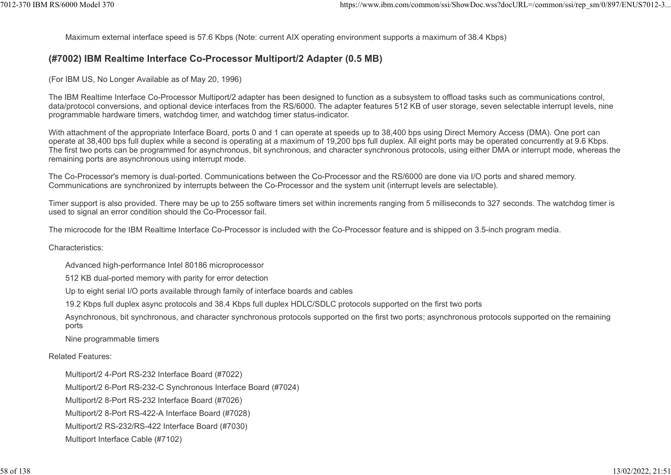Maximum external interface speed is 57.6 Kbps (Note: current AIX operating environment supports a maximum of 38.4 Kbps) 1012-370 IBM RS/6000 Model 370<br>Maximum external interface speed is 57.6 Kbps (Note: current AIX operating environment supports a maximum of 38.4 Kbps)<br>(H7002) IBM Boaltimo Interface Co Brocossor Multiport/2 Adaptor (0.5 MB

#### (#7002) IBM Realtime Interface Co-Processor Multiport/2 Adapter (0.5 MB)

(For IBM US, No Longer Available as of May 20, 1996)

The IBM Realtime Interface Co-Processor Multiport/2 adapter has been designed to function as a subsystem to offload tasks such as communications control, data/protocol conversions, and optional device interfaces from the RS/6000. The adapter features 512 KB of user storage, seven selectable interrupt levels, nine programmable hardware timers, watchdog timer, and watchdog timer status-indicator.

With attachment of the appropriate Interface Board, ports 0 and 1 can operate at speeds up to 38,400 bps using Direct Memory Access (DMA). One port can operate at 38,400 bps full duplex while a second is operating at a maximum of 19,200 bps full duplex. All eight ports may be operated concurrently at 9.6 Kbps. The first two ports can be programmed for asynchronous, bit synchronous, and character synchronous protocols, using either DMA or interrupt mode, whereas the remaining ports are asynchronous using interrupt mode.

The Co-Processor's memory is dual-ported. Communications between the Co-Processor and the RS/6000 are done via I/O ports and shared memory. Communications are synchronized by interrupts between the Co-Processor and the system unit (interrupt levels are selectable).

Timer support is also provided. There may be up to 255 software timers set within increments ranging from 5 milliseconds to 327 seconds. The watchdog timer is used to signal an error condition should the Co-Processor fail.

The microcode for the IBM Realtime Interface Co-Processor is included with the Co-Processor feature and is shipped on 3.5-inch program media.

Characteristics:

Advanced high-performance Intel 80186 microprocessor

512 KB dual-ported memory with parity for error detection

Up to eight serial I/O ports available through family of interface boards and cables

19.2 Kbps full duplex async protocols and 38.4 Kbps full duplex HDLC/SDLC protocols supported on the first two ports

Asynchronous, bit synchronous, and character synchronous protocols supported on the first two ports; asynchronous protocols supported on the remaining ports

Nine programmable timers

Related Features:

Multiport/2 4-Port RS-232 Interface Board (#7022)

Multiport/2 6-Port RS-232-C Synchronous Interface Board (#7024)

Multiport/2 8-Port RS-232 Interface Board (#7026)

Multiport/2 8-Port RS-422-A Interface Board (#7028)

Multiport/2 RS-232/RS-422 Interface Board (#7030)

Multiport Interface Cable (#7102)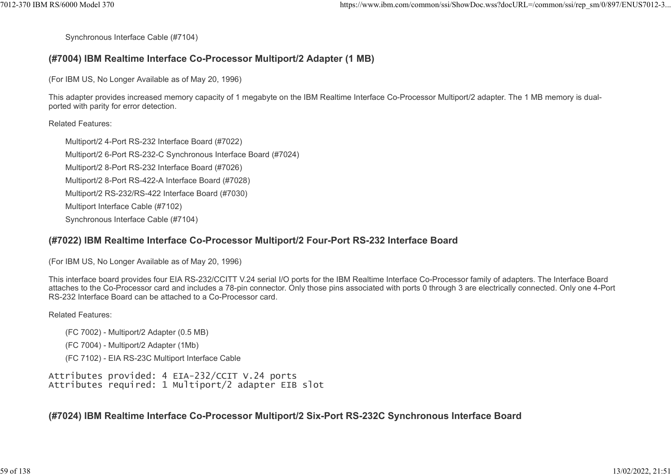Synchronous Interface Cable (#7104)

#### (#7004) IBM Realtime Interface Co-Processor Multiport/2 Adapter (1 MB)

(For IBM US, No Longer Available as of May 20, 1996)

This adapter provides increased memory capacity of 1 megabyte on the IBM Realtime Interface Co-Processor Multiport/2 adapter. The 1 MB memory is dualported with parity for error detection.

#### Related Features:

Multiport/2 4-Port RS-232 Interface Board (#7022) Multiport/2 6-Port RS-232-C Synchronous Interface Board (#7024) Multiport/2 8-Port RS-232 Interface Board (#7026) Multiport/2 8-Port RS-422-A Interface Board (#7028) Multiport/2 RS-232/RS-422 Interface Board (#7030) Multiport Interface Cable (#7102) Synchronous Interface Cable (#7104)

#### (#7022) IBM Realtime Interface Co-Processor Multiport/2 Four-Port RS-232 Interface Board

(For IBM US, No Longer Available as of May 20, 1996)

This interface board provides four EIA RS-232/CCITT V.24 serial I/O ports for the IBM Realtime Interface Co-Processor family of adapters. The Interface Board attaches to the Co-Processor card and includes a 78-pin connector. Only those pins associated with ports 0 through 3 are electrically connected. Only one 4-Port RS-232 Interface Board can be attached to a Co-Processor card.

#### Related Features:

- (FC 7002) Multiport/2 Adapter (0.5 MB)
- (FC 7004) Multiport/2 Adapter (1Mb)
- (FC 7102) EIA RS-23C Multiport Interface Cable

Attributes provided: 4 EIA-232/CCIT V.24 ports Attributes required: 1 Multiport/2 adapter EIB slot

(#7024) IBM Realtime Interface Co-Processor Multiport/2 Six-Port RS-232C Synchronous Interface Board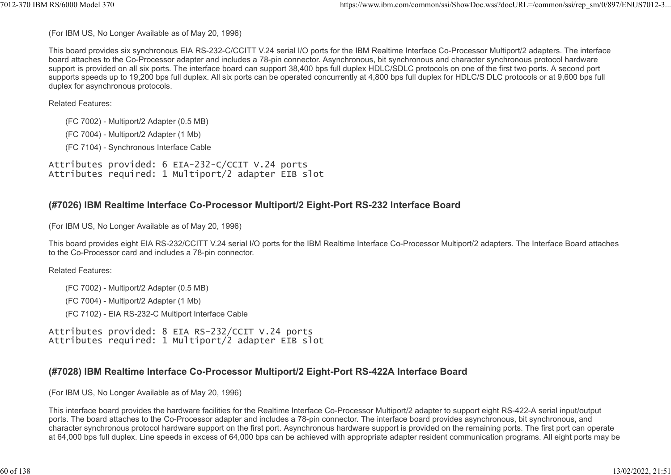(For IBM US, No Longer Available as of May 20, 1996)

This board provides six synchronous EIA RS-232-C/CCITT V.24 serial I/O ports for the IBM Realtime Interface Co-Processor Multiport/2 adapters. The interface board attaches to the Co-Processor adapter and includes a 78-pin connector. Asynchronous, bit synchronous and character synchronous protocol hardware support is provided on all six ports. The interface board can support 38,400 bps full duplex HDLC/SDLC protocols on one of the first two ports. A second port supports speeds up to 19,200 bps full duplex. All six ports can be operated concurrently at 4,800 bps full duplex for HDLC/S DLC protocols or at 9,600 bps full duplex for asynchronous protocols. %%7012-370 IBM RS/6000 Model 370<br>(For IBM US, No Longer Available as of May 20, 1996)<br>This board provides six synchronous EIA RS-232-C/CCITT V.24 serial I/O ports for the IBM Realtime Interface Co-Processor Multiport/2 ada

Related Features:

(FC 7002) - Multiport/2 Adapter (0.5 MB)

(FC 7004) - Multiport/2 Adapter (1 Mb)

(FC 7104) - Synchronous Interface Cable

Attributes provided: 6 EIA-232-C/CCIT V.24 ports Attributes required: 1 Multiport/2 adapter EIB slot

# (#7026) IBM Realtime Interface Co-Processor Multiport/2 Eight-Port RS-232 Interface Board

(For IBM US, No Longer Available as of May 20, 1996)

This board provides eight EIA RS-232/CCITT V.24 serial I/O ports for the IBM Realtime Interface Co-Processor Multiport/2 adapters. The Interface Board attaches to the Co-Processor card and includes a 78-pin connector.

Related Features:

(FC 7002) - Multiport/2 Adapter (0.5 MB)

(FC 7004) - Multiport/2 Adapter (1 Mb)

(FC 7102) - EIA RS-232-C Multiport Interface Cable

Attributes provided: 8 EIA RS-232/CCIT V.24 ports Attributes required: 1 Multiport/2 adapter EIB slot

# (#7028) IBM Realtime Interface Co-Processor Multiport/2 Eight-Port RS-422A Interface Board

(For IBM US, No Longer Available as of May 20, 1996)

This interface board provides the hardware facilities for the Realtime Interface Co-Processor Multiport/2 adapter to support eight RS-422-A serial input/output ports. The board attaches to the Co-Processor adapter and includes a 78-pin connector. The interface board provides asynchronous, bit synchronous, and character synchronous protocol hardware support on the first port. Asynchronous hardware support is provided on the remaining ports. The first port can operate at 64,000 bps full duplex. Line speeds in excess of 64,000 bps can be achieved with appropriate adapter resident communication programs. All eight ports may be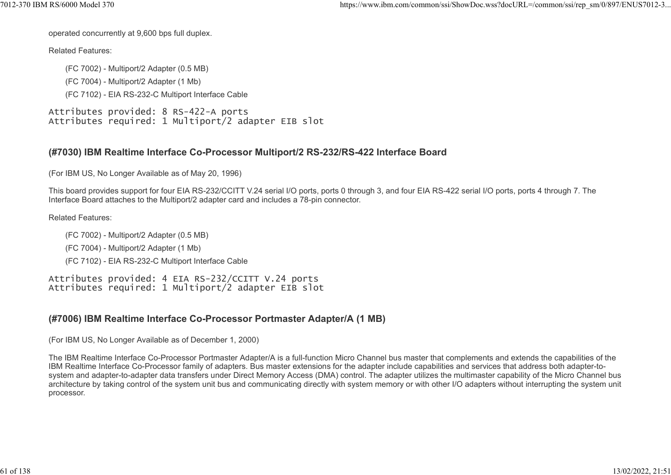operated concurrently at 9,600 bps full duplex.

Related Features:

(FC 7002) - Multiport/2 Adapter (0.5 MB) (FC 7004) - Multiport/2 Adapter (1 Mb) (FC 7102) - EIA RS-232-C Multiport Interface Cable

Attributes provided: 8 RS-422-A ports Attributes required: 1 Multiport/2 adapter EIB slot

#### (#7030) IBM Realtime Interface Co-Processor Multiport/2 RS-232/RS-422 Interface Board

(For IBM US, No Longer Available as of May 20, 1996)

This board provides support for four EIA RS-232/CCITT V.24 serial I/O ports, ports 0 through 3, and four EIA RS-422 serial I/O ports, ports 4 through 7. The Interface Board attaches to the Multiport/2 adapter card and includes a 78-pin connector.

Related Features:

- (FC 7002) Multiport/2 Adapter (0.5 MB)
- (FC 7004) Multiport/2 Adapter (1 Mb)
- (FC 7102) EIA RS-232-C Multiport Interface Cable

Attributes provided: 4 EIA RS-232/CCITT V.24 ports Attributes required: 1 Multiport/2 adapter EIB slot

# (#7006) IBM Realtime Interface Co-Processor Portmaster Adapter/A (1 MB)

(For IBM US, No Longer Available as of December 1, 2000)

The IBM Realtime Interface Co-Processor Portmaster Adapter/A is a full-function Micro Channel bus master that complements and extends the capabilities of the IBM Realtime Interface Co-Processor family of adapters. Bus master extensions for the adapter include capabilities and services that address both adapter-tosystem and adapter-to-adapter data transfers under Direct Memory Access (DMA) control. The adapter utilizes the multimaster capability of the Micro Channel bus architecture by taking control of the system unit bus and communicating directly with system memory or with other I/O adapters without interrupting the system unit processor.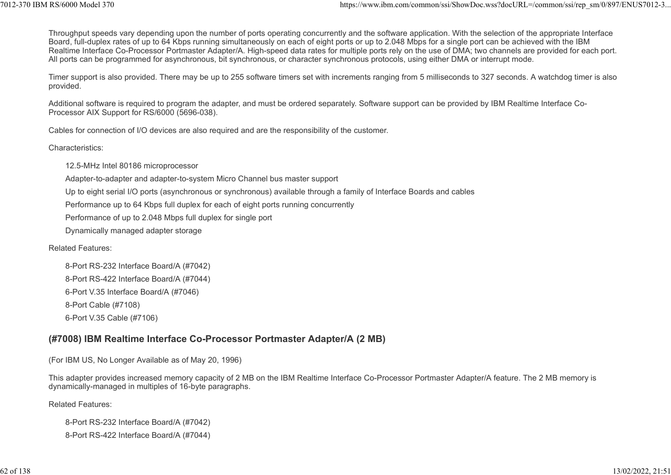Throughput speeds vary depending upon the number of ports operating concurrently and the software application. With the selection of the appropriate Interface Board, full-duplex rates of up to 64 Kbps running simultaneously on each of eight ports or up to 2.048 Mbps for a single port can be achieved with the IBM Realtime Interface Co-Processor Portmaster Adapter/A. High-speed data rates for multiple ports rely on the use of DMA; two channels are provided for each port. All ports can be programmed for asynchronous, bit synchronous, or character synchronous protocols, using either DMA or interrupt mode. 12-370 IBM RS/6000 Model 370<br>Throughput speeds vary depending upon the number of ports operating concurrently and the software application. With the selection of the appropriate Interface<br>Board, full-duplex rates of up to

Timer support is also provided. There may be up to 255 software timers set with increments ranging from 5 milliseconds to 327 seconds. A watchdog timer is also provided.

Additional software is required to program the adapter, and must be ordered separately. Software support can be provided by IBM Realtime Interface Co-Processor AIX Support for RS/6000 (5696-038).

Cables for connection of I/O devices are also required and are the responsibility of the customer.

Characteristics:

12.5-MHz Intel 80186 microprocessor

Adapter-to-adapter and adapter-to-system Micro Channel bus master support

Up to eight serial I/O ports (asynchronous or synchronous) available through a family of Interface Boards and cables

Performance up to 64 Kbps full duplex for each of eight ports running concurrently

Performance of up to 2.048 Mbps full duplex for single port

Dynamically managed adapter storage

Related Features:

8-Port RS-232 Interface Board/A (#7042) 8-Port RS-422 Interface Board/A (#7044) 6-Port V.35 Interface Board/A (#7046) 8-Port Cable (#7108) 6-Port V.35 Cable (#7106)

# (#7008) IBM Realtime Interface Co-Processor Portmaster Adapter/A (2 MB)

(For IBM US, No Longer Available as of May 20, 1996)

This adapter provides increased memory capacity of 2 MB on the IBM Realtime Interface Co-Processor Portmaster Adapter/A feature. The 2 MB memory is dynamically-managed in multiples of 16-byte paragraphs.

Related Features:

8-Port RS-232 Interface Board/A (#7042) 8-Port RS-422 Interface Board/A (#7044)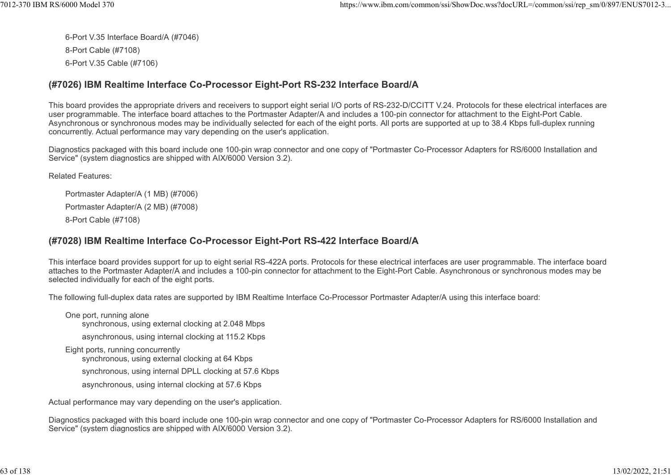6-Port V.35 Interface Board/A (#7046) 8-Port Cable (#7108) 6-Port V.35 Cable (#7106) 7012-370 IBM RS/6000 Model 370 https://www.ibm.com/common/ssi/ShowDoc.wss?docURL=/common/ssi/rep\_sm/0/897/ENUS7012-3...

#### (#7026) IBM Realtime Interface Co-Processor Eight-Port RS-232 Interface Board/A

This board provides the appropriate drivers and receivers to support eight serial I/O ports of RS-232-D/CCITT V.24. Protocols for these electrical interfaces are user programmable. The interface board attaches to the Portmaster Adapter/A and includes a 100-pin connector for attachment to the Eight-Port Cable. Asynchronous or synchronous modes may be individually selected for each of the eight ports. All ports are supported at up to 38.4 Kbps full-duplex running concurrently. Actual performance may vary depending on the user's application.

Diagnostics packaged with this board include one 100-pin wrap connector and one copy of "Portmaster Co-Processor Adapters for RS/6000 Installation and Service" (system diagnostics are shipped with AIX/6000 Version 3.2).

Related Features:

Portmaster Adapter/A (1 MB) (#7006) Portmaster Adapter/A (2 MB) (#7008) 8-Port Cable (#7108)

#### (#7028) IBM Realtime Interface Co-Processor Eight-Port RS-422 Interface Board/A

This interface board provides support for up to eight serial RS-422A ports. Protocols for these electrical interfaces are user programmable. The interface board attaches to the Portmaster Adapter/A and includes a 100-pin connector for attachment to the Eight-Port Cable. Asynchronous or synchronous modes may be selected individually for each of the eight ports.

The following full-duplex data rates are supported by IBM Realtime Interface Co-Processor Portmaster Adapter/A using this interface board:

One port, running alone synchronous, using external clocking at 2.048 Mbps asynchronous, using internal clocking at 115.2 Kbps Eight ports, running concurrently synchronous, using external clocking at 64 Kbps synchronous, using internal DPLL clocking at 57.6 Kbps asynchronous, using internal clocking at 57.6 Kbps

Actual performance may vary depending on the user's application.

Diagnostics packaged with this board include one 100-pin wrap connector and one copy of "Portmaster Co-Processor Adapters for RS/6000 Installation and Service" (system diagnostics are shipped with AIX/6000 Version 3.2).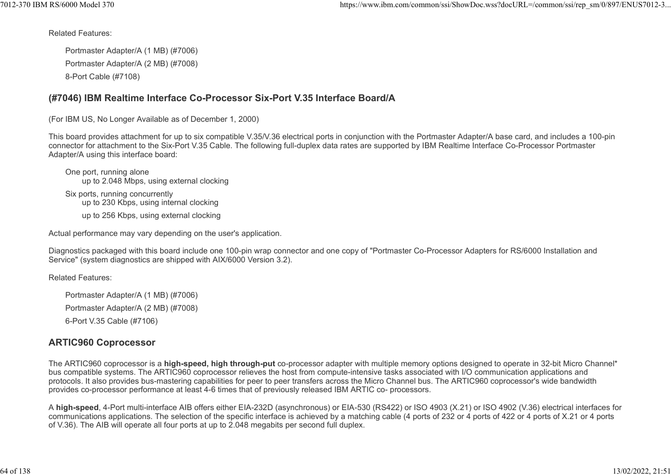Related Features:

Portmaster Adapter/A (1 MB) (#7006) Portmaster Adapter/A (2 MB) (#7008) 8-Port Cable (#7108)

#### (#7046) IBM Realtime Interface Co-Processor Six-Port V.35 Interface Board/A

(For IBM US, No Longer Available as of December 1, 2000)

This board provides attachment for up to six compatible V.35/V.36 electrical ports in conjunction with the Portmaster Adapter/A base card, and includes a 100-pin connector for attachment to the Six-Port V.35 Cable. The following full-duplex data rates are supported by IBM Realtime Interface Co-Processor Portmaster Adapter/A using this interface board:

One port, running alone up to 2.048 Mbps, using external clocking Six ports, running concurrently up to 230 Kbps, using internal clocking up to 256 Kbps, using external clocking

Actual performance may vary depending on the user's application.

Diagnostics packaged with this board include one 100-pin wrap connector and one copy of "Portmaster Co-Processor Adapters for RS/6000 Installation and Service" (system diagnostics are shipped with AIX/6000 Version 3.2).

Related Features:

Portmaster Adapter/A (1 MB) (#7006) Portmaster Adapter/A (2 MB) (#7008) 6-Port V.35 Cable (#7106)

# ARTIC960 Coprocessor

The ARTIC960 coprocessor is a high-speed, high through-put co-processor adapter with multiple memory options designed to operate in 32-bit Micro Channel\* bus compatible systems. The ARTIC960 coprocessor relieves the host from compute-intensive tasks associated with I/O communication applications and protocols. It also provides bus-mastering capabilities for peer to peer transfers across the Micro Channel bus. The ARTIC960 coprocessor's wide bandwidth provides co-processor performance at least 4-6 times that of previously released IBM ARTIC co- processors.

A high-speed, 4-Port multi-interface AIB offers either EIA-232D (asynchronous) or EIA-530 (RS422) or ISO 4903 (X.21) or ISO 4902 (V.36) electrical interfaces for communications applications. The selection of the specific interface is achieved by a matching cable (4 ports of 232 or 4 ports of 422 or 4 ports of X.21 or 4 ports of V.36). The AIB will operate all four ports at up to 2.048 megabits per second full duplex.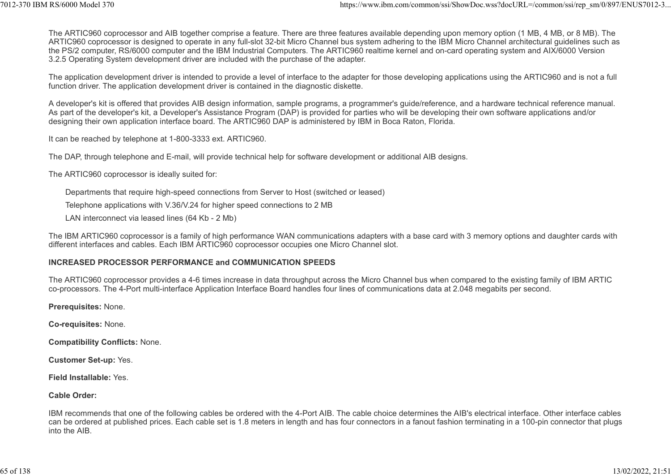The ARTIC960 coprocessor and AIB together comprise a feature. There are three features available depending upon memory option (1 MB, 4 MB, or 8 MB). The ARTIC960 coprocessor is designed to operate in any full-slot 32-bit Micro Channel bus system adhering to the IBM Micro Channel architectural guidelines such as the PS/2 computer, RS/6000 computer and the IBM Industrial Computers. The ARTIC960 realtime kernel and on-card operating system and AIX/6000 Version 3.2.5 Operating System development driver are included with the purchase of the adapter. ttps://www.ibm.com/common/ssi/ShowDoc.wss?docURL=/common/ssi/rep\_sm/0/897/ENUS7012-3...<br>The ARTIC960 coprocessor and AIB together comprise a feature. There are three features available depending upon memory option (1 MB, 4

The application development driver is intended to provide a level of interface to the adapter for those developing applications using the ARTIC960 and is not a full function driver. The application development driver is contained in the diagnostic diskette.

A developer's kit is offered that provides AIB design information, sample programs, a programmer's guide/reference, and a hardware technical reference manual. As part of the developer's kit, a Developer's Assistance Program (DAP) is provided for parties who will be developing their own software applications and/or designing their own application interface board. The ARTIC960 DAP is administered by IBM in Boca Raton, Florida.

It can be reached by telephone at 1-800-3333 ext. ARTIC960.

The DAP, through telephone and E-mail, will provide technical help for software development or additional AIB designs.

The ARTIC960 coprocessor is ideally suited for:

Departments that require high-speed connections from Server to Host (switched or leased)

Telephone applications with V.36/V.24 for higher speed connections to 2 MB

LAN interconnect via leased lines (64 Kb - 2 Mb)

The IBM ARTIC960 coprocessor is a family of high performance WAN communications adapters with a base card with 3 memory options and daughter cards with different interfaces and cables. Each IBM ARTIC960 coprocessor occupies one Micro Channel slot.

#### INCREASED PROCESSOR PERFORMANCE and COMMUNICATION SPEEDS

The ARTIC960 coprocessor provides a 4-6 times increase in data throughput across the Micro Channel bus when compared to the existing family of IBM ARTIC co-processors. The 4-Port multi-interface Application Interface Board handles four lines of communications data at 2.048 megabits per second.

Prerequisites: None.

Co-requisites: None.

Compatibility Conflicts: None.

Customer Set-up: Yes.

Field Installable: Yes.

Cable Order:

IBM recommends that one of the following cables be ordered with the 4-Port AIB. The cable choice determines the AIB's electrical interface. Other interface cables can be ordered at published prices. Each cable set is 1.8 meters in length and has four connectors in a fanout fashion terminating in a 100-pin connector that plugs into the AIB.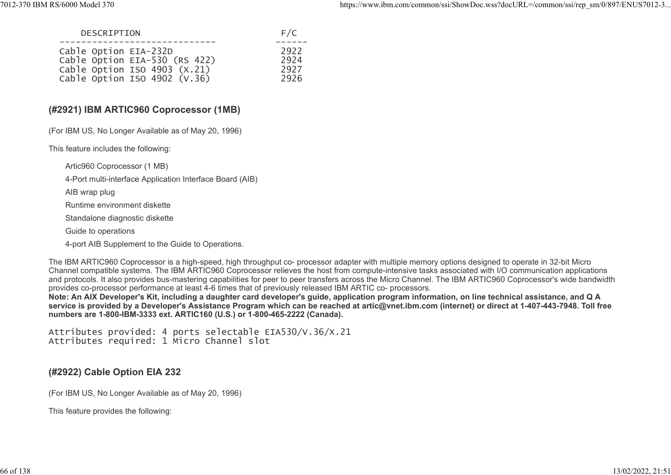| 7012-370 IBM RS/6000 Model 370                                                                                                          |                                | https://www.ibm.com/common/ssi/ShowDoc.wss?docURL=/common/ssi/rep_sm/0/897/ENUS7012-3 |
|-----------------------------------------------------------------------------------------------------------------------------------------|--------------------------------|---------------------------------------------------------------------------------------|
| DESCRIPTION                                                                                                                             | F/C                            |                                                                                       |
| -------------<br>Cable Option EIA-232D<br>Cable Option EIA-530 (RS 422)<br>Cable Option ISO 4903 (X.21)<br>Cable Option ISO 4902 (V.36) | ------<br>2922<br>2924<br>2927 |                                                                                       |
|                                                                                                                                         | 2926                           |                                                                                       |

#### (#2921) IBM ARTIC960 Coprocessor (1MB)

(For IBM US, No Longer Available as of May 20, 1996)

This feature includes the following:

Artic960 Coprocessor (1 MB)

4-Port multi-interface Application Interface Board (AIB)

AIB wrap plug

Runtime environment diskette

Standalone diagnostic diskette

Guide to operations

4-port AIB Supplement to the Guide to Operations.

The IBM ARTIC960 Coprocessor is a high-speed, high throughput co- processor adapter with multiple memory options designed to operate in 32-bit Micro Channel compatible systems. The IBM ARTIC960 Coprocessor relieves the host from compute-intensive tasks associated with I/O communication applications and protocols. It also provides bus-mastering capabilities for peer to peer transfers across the Micro Channel. The IBM ARTIC960 Coprocessor's wide bandwidth provides co-processor performance at least 4-6 times that of previously released IBM ARTIC co- processors.

Note: An AIX Developer's Kit, including a daughter card developer's guide, application program information, on line technical assistance, and Q A service is provided by a Developer's Assistance Program which can be reached at artic@vnet.ibm.com (internet) or direct at 1-407-443-7948. Toll free numbers are 1-800-IBM-3333 ext. ARTIC160 (U.S.) or 1-800-465-2222 (Canada).

Attributes provided: 4 ports selectable EIA530/V.36/X.21 Attributes required: 1 Micro Channel slot

#### (#2922) Cable Option EIA 232

(For IBM US, No Longer Available as of May 20, 1996)

This feature provides the following: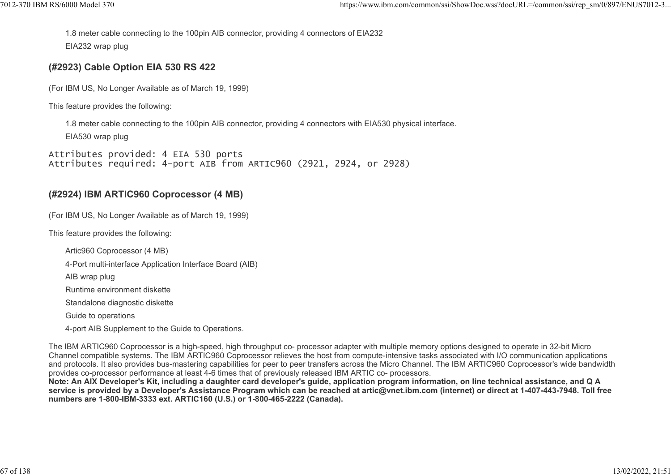1.8 meter cable connecting to the 100pin AIB connector, providing 4 connectors of EIA232 EIA232 wrap plug %7012-370 IBM RS/6000 Model 370<br>https://www.ibm.com/common/ssi/ShowDoc.wss?docURL=/common/ssi/rep\_sm/0/897/ENUS7012-3...<br>1.8 meter cable connecting to the 100pin AIB connector, providing 4 connectors of EIA232<br>EIA232 wrap

# (#2923) Cable Option EIA 530 RS 422

(For IBM US, No Longer Available as of March 19, 1999)

This feature provides the following:

1.8 meter cable connecting to the 100pin AIB connector, providing 4 connectors with EIA530 physical interface. EIA530 wrap plug

Attributes provided: 4 EIA 530 ports Attributes required: 4-port AIB from ARTIC960 (2921, 2924, or 2928)

# (#2924) IBM ARTIC960 Coprocessor (4 MB)

(For IBM US, No Longer Available as of March 19, 1999)

This feature provides the following:

Artic960 Coprocessor (4 MB)

4-Port multi-interface Application Interface Board (AIB)

AIB wrap plug

Runtime environment diskette

Standalone diagnostic diskette

Guide to operations

4-port AIB Supplement to the Guide to Operations.

The IBM ARTIC960 Coprocessor is a high-speed, high throughput co- processor adapter with multiple memory options designed to operate in 32-bit Micro Channel compatible systems. The IBM ARTIC960 Coprocessor relieves the host from compute-intensive tasks associated with I/O communication applications and protocols. It also provides bus-mastering capabilities for peer to peer transfers across the Micro Channel. The IBM ARTIC960 Coprocessor's wide bandwidth provides co-processor performance at least 4-6 times that of previously released IBM ARTIC co- processors.

Note: An AIX Developer's Kit, including a daughter card developer's guide, application program information, on line technical assistance, and Q A service is provided by a Developer's Assistance Program which can be reached at artic@vnet.ibm.com (internet) or direct at 1-407-443-7948. Toll free numbers are 1-800-IBM-3333 ext. ARTIC160 (U.S.) or 1-800-465-2222 (Canada).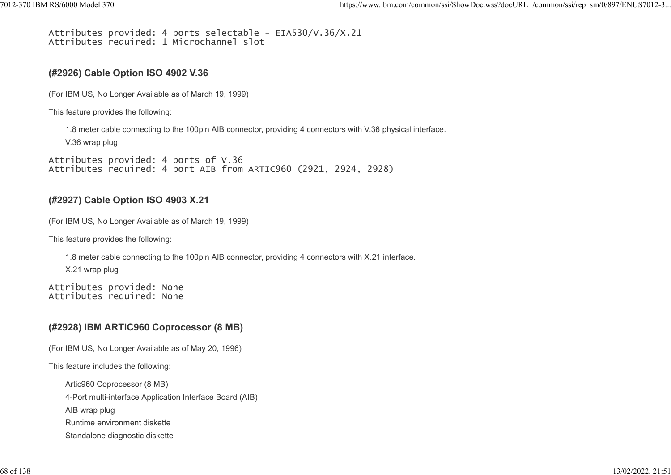# Attributes provided: 4 ports selectable - EIA530/V.36/X.21 Attributes required: 1 Microchannel slot 7012-370 IBM RS/6000 Model 370 https://www.ibm.com/common/ssi/ShowDoc.wss?docURL=/common/ssi/rep\_sm/0/897/ENUS7012-3...

#### (#2926) Cable Option ISO 4902 V.36

(For IBM US, No Longer Available as of March 19, 1999)

This feature provides the following:

1.8 meter cable connecting to the 100pin AIB connector, providing 4 connectors with V.36 physical interface.

V.36 wrap plug

Attributes provided: 4 ports of V.36 Attributes required: 4 port AIB from ARTIC960 (2921, 2924, 2928)

#### (#2927) Cable Option ISO 4903 X.21

(For IBM US, No Longer Available as of March 19, 1999)

This feature provides the following:

1.8 meter cable connecting to the 100pin AIB connector, providing 4 connectors with X.21 interface.

X.21 wrap plug

Attributes provided: None Attributes required: None

# (#2928) IBM ARTIC960 Coprocessor (8 MB)

(For IBM US, No Longer Available as of May 20, 1996)

This feature includes the following:

Artic960 Coprocessor (8 MB) 4-Port multi-interface Application Interface Board (AIB) AIB wrap plug Runtime environment diskette Standalone diagnostic diskette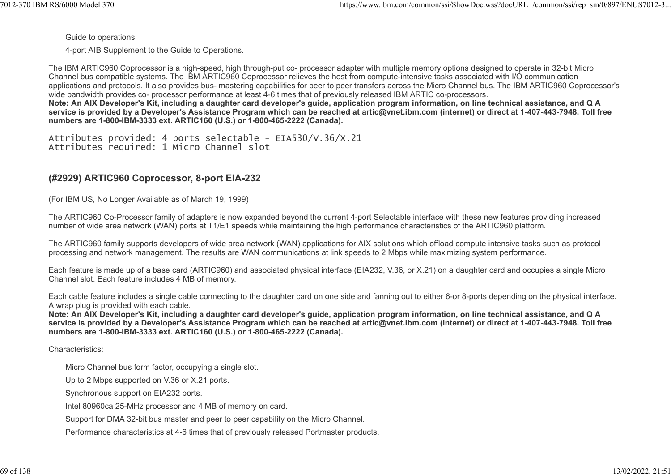Guide to operations

4-port AIB Supplement to the Guide to Operations.

The IBM ARTIC960 Coprocessor is a high-speed, high through-put co- processor adapter with multiple memory options designed to operate in 32-bit Micro Channel bus compatible systems. The IBM ARTIC960 Coprocessor relieves the host from compute-intensive tasks associated with I/O communication applications and protocols. It also provides bus- mastering capabilities for peer to peer transfers across the Micro Channel bus. The IBM ARTIC960 Coprocessor's wide bandwidth provides co- processor performance at least 4-6 times that of previously released IBM ARTIC co-processors. Note: An AIX Developer's Kit, including a daughter card developer's guide, application program information, on line technical assistance, and Q A service is provided by a Developer's Assistance Program which can be reached at artic@vnet.ibm.com (internet) or direct at 1-407-443-7948. Toll free numbers are 1-800-IBM-3333 ext. ARTIC160 (U.S.) or 1-800-465-2222 (Canada).

Attributes provided: 4 ports selectable - EIA530/V.36/X.21 Attributes required: 1 Micro Channel slot

# (#2929) ARTIC960 Coprocessor, 8-port EIA-232

(For IBM US, No Longer Available as of March 19, 1999)

The ARTIC960 Co-Processor family of adapters is now expanded beyond the current 4-port Selectable interface with these new features providing increased number of wide area network (WAN) ports at T1/E1 speeds while maintaining the high performance characteristics of the ARTIC960 platform.

The ARTIC960 family supports developers of wide area network (WAN) applications for AIX solutions which offload compute intensive tasks such as protocol processing and network management. The results are WAN communications at link speeds to 2 Mbps while maximizing system performance.

Each feature is made up of a base card (ARTIC960) and associated physical interface (EIA232, V.36, or X.21) on a daughter card and occupies a single Micro Channel slot. Each feature includes 4 MB of memory.

Each cable feature includes a single cable connecting to the daughter card on one side and fanning out to either 6-or 8-ports depending on the physical interface. A wrap plug is provided with each cable.

Note: An AIX Developer's Kit, including a daughter card developer's guide, application program information, on line technical assistance, and Q A service is provided by a Developer's Assistance Program which can be reached at artic@vnet.ibm.com (internet) or direct at 1-407-443-7948. Toll free numbers are 1-800-IBM-3333 ext. ARTIC160 (U.S.) or 1-800-465-2222 (Canada).

Characteristics:

Micro Channel bus form factor, occupying a single slot.

Up to 2 Mbps supported on V.36 or X.21 ports.

Synchronous support on EIA232 ports.

Intel 80960ca 25-MHz processor and 4 MB of memory on card.

Support for DMA 32-bit bus master and peer to peer capability on the Micro Channel.

Performance characteristics at 4-6 times that of previously released Portmaster products.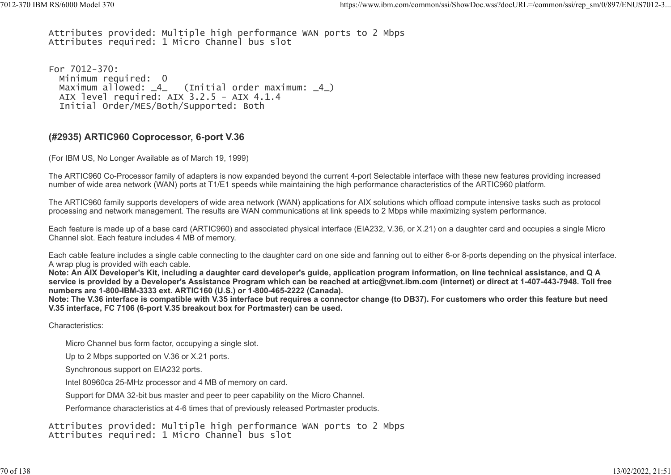Attributes provided: Multiple high performance WAN ports to 2 Mbps Attributes required: 1 Micro Channel bus slot %7012-370 IBM RS/6000 Model 370<br>Attributes provided: Multiple high performance WAN ports to 2 Mbps<br>Attributes required: 1 Micro Channel bus slot

For 7012-370: Minimum required: 0 Maximum allowed:  $4$  (Initial order maximum:  $4$ ) AIX level required: AIX 3.2.5 - AIX 4.1.4 Initial Order/MES/Both/Supported: Both

#### (#2935) ARTIC960 Coprocessor, 6-port V.36

(For IBM US, No Longer Available as of March 19, 1999)

The ARTIC960 Co-Processor family of adapters is now expanded beyond the current 4-port Selectable interface with these new features providing increased number of wide area network (WAN) ports at T1/E1 speeds while maintaining the high performance characteristics of the ARTIC960 platform.

The ARTIC960 family supports developers of wide area network (WAN) applications for AIX solutions which offload compute intensive tasks such as protocol processing and network management. The results are WAN communications at link speeds to 2 Mbps while maximizing system performance.

Each feature is made up of a base card (ARTIC960) and associated physical interface (EIA232, V.36, or X.21) on a daughter card and occupies a single Micro Channel slot. Each feature includes 4 MB of memory.

Each cable feature includes a single cable connecting to the daughter card on one side and fanning out to either 6-or 8-ports depending on the physical interface. A wrap plug is provided with each cable.

Note: An AIX Developer's Kit, including a daughter card developer's guide, application program information, on line technical assistance, and Q A service is provided by a Developer's Assistance Program which can be reached at artic@vnet.ibm.com (internet) or direct at 1-407-443-7948. Toll free numbers are 1-800-IBM-3333 ext. ARTIC160 (U.S.) or 1-800-465-2222 (Canada).

Note: The V.36 interface is compatible with V.35 interface but requires a connector change (to DB37). For customers who order this feature but need V.35 interface, FC 7106 (6-port V.35 breakout box for Portmaster) can be used.

Characteristics:

Micro Channel bus form factor, occupying a single slot.

Up to 2 Mbps supported on V.36 or X.21 ports.

Synchronous support on EIA232 ports.

Intel 80960ca 25-MHz processor and 4 MB of memory on card.

Support for DMA 32-bit bus master and peer to peer capability on the Micro Channel.

Performance characteristics at 4-6 times that of previously released Portmaster products.

Attributes provided: Multiple high performance WAN ports to 2 Mbps Attributes required: 1 Micro Channel bus slot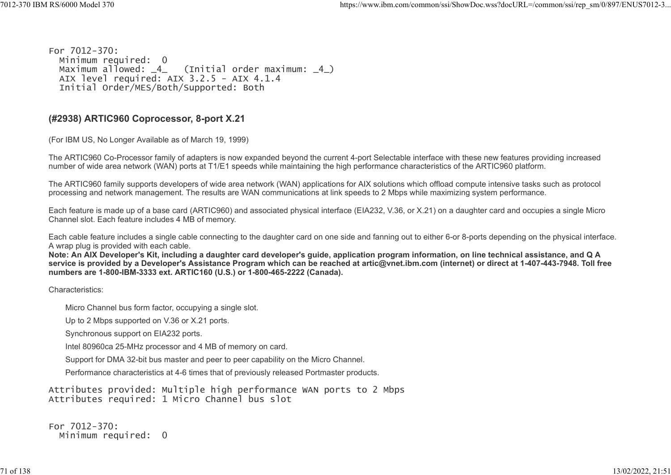For 7012-370: Minimum required: 0<br>Maximum allowed: \_4\_  $(Initial order maximum: _4)$ AIX level required:  $AIX$  3.2.5 -  $AIX$  4.1.4 Initial Order/MES/Both/Supported: Both %7012-370 IBM RS/6000 Model 370 https://www.ibm.com/common/ssi/ShowDoc.wss?docURL=/common/ssi/rep\_sm/0/897/ENUS7012-3...<br>For 7012-370:

#### (#2938) ARTIC960 Coprocessor, 8-port X.21

(For IBM US, No Longer Available as of March 19, 1999)

The ARTIC960 Co-Processor family of adapters is now expanded beyond the current 4-port Selectable interface with these new features providing increased number of wide area network (WAN) ports at T1/E1 speeds while maintaining the high performance characteristics of the ARTIC960 platform.

The ARTIC960 family supports developers of wide area network (WAN) applications for AIX solutions which offload compute intensive tasks such as protocol processing and network management. The results are WAN communications at link speeds to 2 Mbps while maximizing system performance.

Each feature is made up of a base card (ARTIC960) and associated physical interface (EIA232, V.36, or X.21) on a daughter card and occupies a single Micro Channel slot. Each feature includes 4 MB of memory.

Each cable feature includes a single cable connecting to the daughter card on one side and fanning out to either 6-or 8-ports depending on the physical interface. A wrap plug is provided with each cable.

Note: An AIX Developer's Kit, including a daughter card developer's guide, application program information, on line technical assistance, and Q A service is provided by a Developer's Assistance Program which can be reached at artic@vnet.ibm.com (internet) or direct at 1-407-443-7948. Toll free numbers are 1-800-IBM-3333 ext. ARTIC160 (U.S.) or 1-800-465-2222 (Canada).

Characteristics:

Micro Channel bus form factor, occupying a single slot.

Up to 2 Mbps supported on V.36 or X.21 ports.

Synchronous support on EIA232 ports.

Intel 80960ca 25-MHz processor and 4 MB of memory on card.

Support for DMA 32-bit bus master and peer to peer capability on the Micro Channel.

Performance characteristics at 4-6 times that of previously released Portmaster products.

Attributes provided: Multiple high performance WAN ports to 2 Mbps Attributes required: 1 Micro Channel bus slot

For 7012-370: Minimum required: 0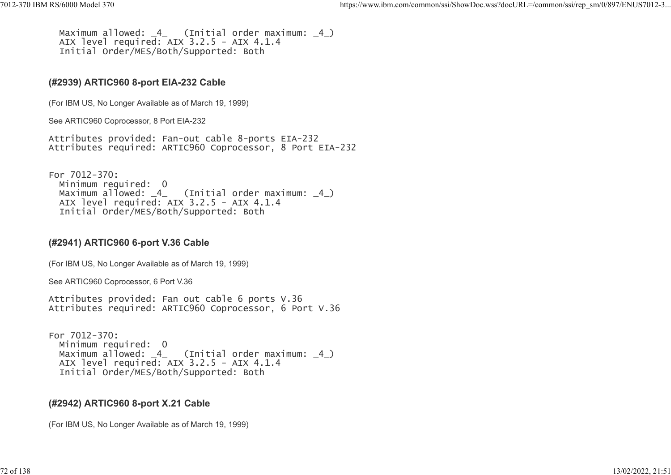```
Maximum allowed: \overline{4} (Initial order maximum: \overline{4})
               AIX level required: AIX 3.2.5 - AIX 4.1.4
                Initial Order/MES/Both/Supported: Both
%7012-370 IBM RS/6000 Model 370<br>https://www.ibm.com/common/ssi/ShowDoc.wss?docURL=/common/ssi/rep_sm/0/897/ENUS7012-3...<br>Maximum allowed: _4_ (Initial order maximum: _4_)<br>AIX level required: AIX 3.2.5 - AIX 4.1.4<br>Initial O
```
#### (#2939) ARTIC960 8-port EIA-232 Cable

(For IBM US, No Longer Available as of March 19, 1999)

See ARTIC960 Coprocessor, 8 Port EIA-232

Attributes provided: Fan-out cable 8-ports EIA-232 Attributes required: ARTIC960 Coprocessor, 8 Port EIA-232

For 7012-370: Minimum required: 0<br>Maximum allowed: 4 (Initial order maximum:  $\_4$ ) AIX level required: AIX 3.2.5 - AIX 4.1.4 Initial Order/MES/Both/Supported: Both

# (#2941) ARTIC960 6-port V.36 Cable

(For IBM US, No Longer Available as of March 19, 1999)

See ARTIC960 Coprocessor, 6 Port V.36

Attributes provided: Fan out cable 6 ports V.36 Attributes required: ARTIC960 Coprocessor, 6 Port V.36

```
For 7012-370:
   Minimum required: 0
 Maximum allowed: \frac{4}{10} (Initial order maximum: \frac{4}{10})
   AIX level required: AIX 3.2.5 - AIX 4.1.4
   Initial Order/MES/Both/Supported: Both
```
# (#2942) ARTIC960 8-port X.21 Cable

(For IBM US, No Longer Available as of March 19, 1999)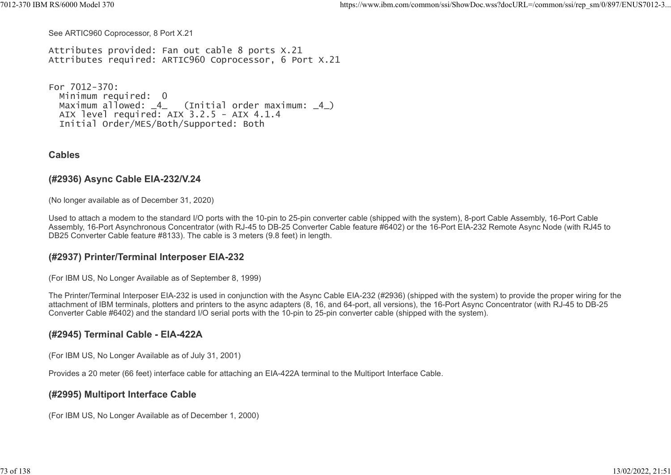See ARTIC960 Coprocessor, 8 Port X.21

Attributes provided: Fan out cable 8 ports X.21 Attributes required: ARTIC960 Coprocessor, 6 Port X.21 %7012-370 IBM RS/6000 Model 370 https://www.ibm.com/common/ssi/ShowDoc.wss?docURL=/common/ssi/rep\_sm/0/897/ENUS7012-3...<br>See ARTIC960 Coprocessor, 8 Port X.21<br>Attributes provided: Fan out cable 8 ports X.21

For 7012-370: Minimum required: 0<br>Maximum allowed: 4  $(Initial order maximum: 4)$  AIX level required: AIX 3.2.5 - AIX 4.1.4 Initial Order/MES/Both/Supported: Both

#### **Cables**

#### (#2936) Async Cable EIA-232/V.24

(No longer available as of December 31, 2020)

Used to attach a modem to the standard I/O ports with the 10-pin to 25-pin converter cable (shipped with the system), 8-port Cable Assembly, 16-Port Cable Assembly, 16-Port Asynchronous Concentrator (with RJ-45 to DB-25 Converter Cable feature #6402) or the 16-Port EIA-232 Remote Async Node (with RJ45 to DB25 Converter Cable feature #8133). The cable is 3 meters (9.8 feet) in length.

#### (#2937) Printer/Terminal Interposer EIA-232

(For IBM US, No Longer Available as of September 8, 1999)

The Printer/Terminal Interposer EIA-232 is used in conjunction with the Async Cable EIA-232 (#2936) (shipped with the system) to provide the proper wiring for the attachment of IBM terminals, plotters and printers to the async adapters (8, 16, and 64-port, all versions), the 16-Port Async Concentrator (with RJ-45 to DB-25 Converter Cable #6402) and the standard I/O serial ports with the 10-pin to 25-pin converter cable (shipped with the system).

#### (#2945) Terminal Cable - EIA-422A

(For IBM US, No Longer Available as of July 31, 2001)

Provides a 20 meter (66 feet) interface cable for attaching an EIA-422A terminal to the Multiport Interface Cable.

#### (#2995) Multiport Interface Cable

(For IBM US, No Longer Available as of December 1, 2000)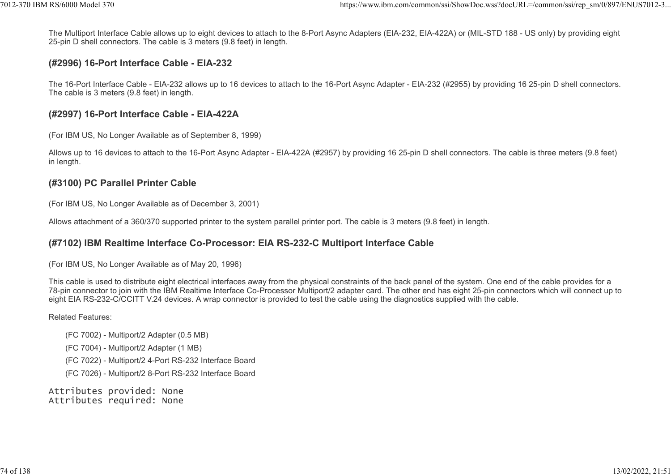The Multiport Interface Cable allows up to eight devices to attach to the 8-Port Async Adapters (EIA-232, EIA-422A) or (MIL-STD 188 - US only) by providing eight 25-pin D shell connectors. The cable is 3 meters (9.8 feet) in length. %7012-370 IBM RS/6000 Model 370<br>The Multiport Interface Cable allows up to eight devices to attach to the 8-Port Async Adapters (EIA-232, EIA-422A) or (MIL-STD 188 - US only) by providing eight<br>25-pin D shell connectors. T

#### (#2996) 16-Port Interface Cable - EIA-232

The 16-Port Interface Cable - EIA-232 allows up to 16 devices to attach to the 16-Port Async Adapter - EIA-232 (#2955) by providing 16 25-pin D shell connectors. The cable is 3 meters (9.8 feet) in length.

#### (#2997) 16-Port Interface Cable - EIA-422A

(For IBM US, No Longer Available as of September 8, 1999)

Allows up to 16 devices to attach to the 16-Port Async Adapter - EIA-422A (#2957) by providing 16 25-pin D shell connectors. The cable is three meters (9.8 feet) in length.

#### (#3100) PC Parallel Printer Cable

(For IBM US, No Longer Available as of December 3, 2001)

Allows attachment of a 360/370 supported printer to the system parallel printer port. The cable is 3 meters (9.8 feet) in length.

#### (#7102) IBM Realtime Interface Co-Processor: EIA RS-232-C Multiport Interface Cable

(For IBM US, No Longer Available as of May 20, 1996)

This cable is used to distribute eight electrical interfaces away from the physical constraints of the back panel of the system. One end of the cable provides for a 78-pin connector to join with the IBM Realtime Interface Co-Processor Multiport/2 adapter card. The other end has eight 25-pin connectors which will connect up to eight EIA RS-232-C/CCITT V.24 devices. A wrap connector is provided to test the cable using the diagnostics supplied with the cable.

#### Related Features:

- (FC 7002) Multiport/2 Adapter (0.5 MB)
- (FC 7004) Multiport/2 Adapter (1 MB)
- (FC 7022) Multiport/2 4-Port RS-232 Interface Board
- (FC 7026) Multiport/2 8-Port RS-232 Interface Board

Attributes provided: None Attributes required: None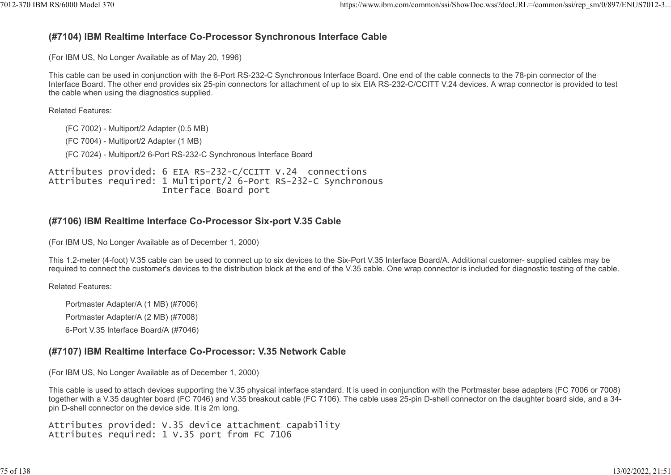# (#7104) IBM Realtime Interface Co-Processor Synchronous Interface Cable https://www.ibm.com/common/ssi/ShowDoc.wss?docURL=/common/ssi/rep\_sm/0/897/ENUS7012-3...<br>(#7104) IBM Realtime Interface Co-Processor Synchronous Interface Cable)<br>(For IBM US, No Longer Available as of May 20, 1996)

(For IBM US, No Longer Available as of May 20, 1996)

This cable can be used in conjunction with the 6-Port RS-232-C Synchronous Interface Board. One end of the cable connects to the 78-pin connector of the Interface Board. The other end provides six 25-pin connectors for attachment of up to six EIA RS-232-C/CCITT V.24 devices. A wrap connector is provided to test the cable when using the diagnostics supplied.

Related Features:

(FC 7002) - Multiport/2 Adapter (0.5 MB)

(FC 7004) - Multiport/2 Adapter (1 MB)

(FC 7024) - Multiport/2 6-Port RS-232-C Synchronous Interface Board

Attributes provided: 6 EIA RS-232-C/CCITT V.24 connections Attributes required: 1 Multiport/2 6-Port RS-232-C Synchronous Interface Board port

## (#7106) IBM Realtime Interface Co-Processor Six-port V.35 Cable

(For IBM US, No Longer Available as of December 1, 2000)

This 1.2-meter (4-foot) V.35 cable can be used to connect up to six devices to the Six-Port V.35 Interface Board/A. Additional customer- supplied cables may be required to connect the customer's devices to the distribution block at the end of the V.35 cable. One wrap connector is included for diagnostic testing of the cable.

Related Features:

Portmaster Adapter/A (1 MB) (#7006) Portmaster Adapter/A (2 MB) (#7008) 6-Port V.35 Interface Board/A (#7046)

(#7107) IBM Realtime Interface Co-Processor: V.35 Network Cable

(For IBM US, No Longer Available as of December 1, 2000)

This cable is used to attach devices supporting the V.35 physical interface standard. It is used in conjunction with the Portmaster base adapters (FC 7006 or 7008) together with a V.35 daughter board (FC 7046) and V.35 breakout cable (FC 7106). The cable uses 25-pin D-shell connector on the daughter board side, and a 34 pin D-shell connector on the device side. It is 2m long.

Attributes provided: V.35 device attachment capability Attributes required: 1 V.35 port from FC 7106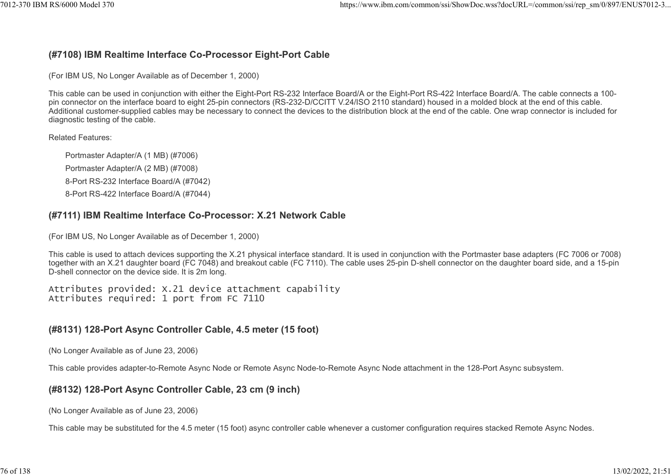#### (#7108) IBM Realtime Interface Co-Processor Eight-Port Cable

(For IBM US, No Longer Available as of December 1, 2000)

This cable can be used in conjunction with either the Eight-Port RS-232 Interface Board/A or the Eight-Port RS-422 Interface Board/A. The cable connects a 100 pin connector on the interface board to eight 25-pin connectors (RS-232-D/CCITT V.24/ISO 2110 standard) housed in a molded block at the end of this cable. Additional customer-supplied cables may be necessary to connect the devices to the distribution block at the end of the cable. One wrap connector is included for diagnostic testing of the cable.

#### Related Features:

Portmaster Adapter/A (1 MB) (#7006) Portmaster Adapter/A (2 MB) (#7008) 8-Port RS-232 Interface Board/A (#7042) 8-Port RS-422 Interface Board/A (#7044)

#### (#7111) IBM Realtime Interface Co-Processor: X.21 Network Cable

(For IBM US, No Longer Available as of December 1, 2000)

This cable is used to attach devices supporting the X.21 physical interface standard. It is used in conjunction with the Portmaster base adapters (FC 7006 or 7008) together with an X.21 daughter board (FC 7048) and breakout cable (FC 7110). The cable uses 25-pin D-shell connector on the daughter board side, and a 15-pin D-shell connector on the device side. It is 2m long.

Attributes provided: X.21 device attachment capability Attributes required: 1 port from FC 7110

#### (#8131) 128-Port Async Controller Cable, 4.5 meter (15 foot)

(No Longer Available as of June 23, 2006)

This cable provides adapter-to-Remote Async Node or Remote Async Node-to-Remote Async Node attachment in the 128-Port Async subsystem.

#### (#8132) 128-Port Async Controller Cable, 23 cm (9 inch)

(No Longer Available as of June 23, 2006)

This cable may be substituted for the 4.5 meter (15 foot) async controller cable whenever a customer configuration requires stacked Remote Async Nodes.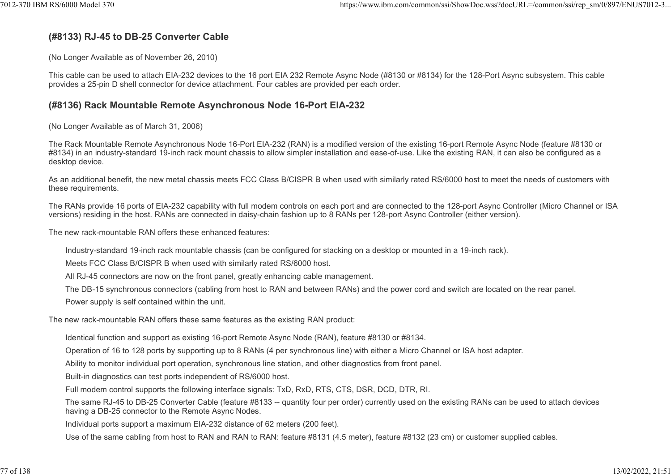## (#8133) RJ-45 to DB-25 Converter Cable

(No Longer Available as of November 26, 2010)

This cable can be used to attach EIA-232 devices to the 16 port EIA 232 Remote Async Node (#8130 or #8134) for the 128-Port Async subsystem. This cable provides a 25-pin D shell connector for device attachment. Four cables are provided per each order.

#### (#8136) Rack Mountable Remote Asynchronous Node 16-Port EIA-232

(No Longer Available as of March 31, 2006)

The Rack Mountable Remote Asynchronous Node 16-Port EIA-232 (RAN) is a modified version of the existing 16-port Remote Async Node (feature #8130 or #8134) in an industry-standard 19-inch rack mount chassis to allow simpler installation and ease-of-use. Like the existing RAN, it can also be configured as a desktop device.

As an additional benefit, the new metal chassis meets FCC Class B/CISPR B when used with similarly rated RS/6000 host to meet the needs of customers with these requirements.

The RANs provide 16 ports of EIA-232 capability with full modem controls on each port and are connected to the 128-port Async Controller (Micro Channel or ISA versions) residing in the host. RANs are connected in daisy-chain fashion up to 8 RANs per 128-port Async Controller (either version).

The new rack-mountable RAN offers these enhanced features:

Industry-standard 19-inch rack mountable chassis (can be configured for stacking on a desktop or mounted in a 19-inch rack).

Meets FCC Class B/CISPR B when used with similarly rated RS/6000 host.

All RJ-45 connectors are now on the front panel, greatly enhancing cable management.

The DB-15 synchronous connectors (cabling from host to RAN and between RANs) and the power cord and switch are located on the rear panel.

Power supply is self contained within the unit.

The new rack-mountable RAN offers these same features as the existing RAN product:

Identical function and support as existing 16-port Remote Async Node (RAN), feature #8130 or #8134.

Operation of 16 to 128 ports by supporting up to 8 RANs (4 per synchronous line) with either a Micro Channel or ISA host adapter.

Ability to monitor individual port operation, synchronous line station, and other diagnostics from front panel.

Built-in diagnostics can test ports independent of RS/6000 host.

Full modem control supports the following interface signals: TxD, RxD, RTS, CTS, DSR, DCD, DTR, RI.

The same RJ-45 to DB-25 Converter Cable (feature #8133 -- quantity four per order) currently used on the existing RANs can be used to attach devices having a DB-25 connector to the Remote Async Nodes.

Individual ports support a maximum EIA-232 distance of 62 meters (200 feet).

Use of the same cabling from host to RAN and RAN to RAN: feature #8131 (4.5 meter), feature #8132 (23 cm) or customer supplied cables.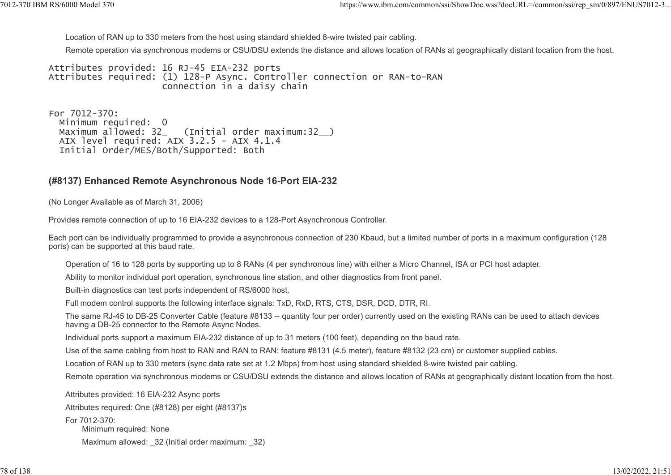Location of RAN up to 330 meters from the host using standard shielded 8-wire twisted pair cabling.

Remote operation via synchronous modems or CSU/DSU extends the distance and allows location of RANs at geographically distant location from the host. %7012-370 IBM RS/6000 Model 370<br>Location of RAN up to 330 meters from the host using standard shielded 8-wire twisted pair cabling.<br>Remote operation via synchronous modems or CSU/DSU extends the distance and allows locatio

Attributes provided: 16 RJ-45 EIA-232 ports Attributes required: (1) 128-P Async. Controller connection or RAN-to-RAN connection in a daisy chain

For 7012-370: Minimum required: 0 Maximum allowed: 32 (Initial order maximum:32) AIX level required: AIX 3.2.5 - AIX 4.1.4 Initial Order/MES/Both/Supported: Both

#### (#8137) Enhanced Remote Asynchronous Node 16-Port EIA-232

(No Longer Available as of March 31, 2006)

Provides remote connection of up to 16 EIA-232 devices to a 128-Port Asynchronous Controller.

Each port can be individually programmed to provide a asynchronous connection of 230 Kbaud, but a limited number of ports in a maximum configuration (128 ports) can be supported at this baud rate.

Operation of 16 to 128 ports by supporting up to 8 RANs (4 per synchronous line) with either a Micro Channel, ISA or PCI host adapter.

Ability to monitor individual port operation, synchronous line station, and other diagnostics from front panel.

Built-in diagnostics can test ports independent of RS/6000 host.

Full modem control supports the following interface signals: TxD, RxD, RTS, CTS, DSR, DCD, DTR, RI.

The same RJ-45 to DB-25 Converter Cable (feature #8133 -- quantity four per order) currently used on the existing RANs can be used to attach devices having a DB-25 connector to the Remote Async Nodes.

Individual ports support a maximum EIA-232 distance of up to 31 meters (100 feet), depending on the baud rate.

Use of the same cabling from host to RAN and RAN to RAN: feature #8131 (4.5 meter), feature #8132 (23 cm) or customer supplied cables.

Location of RAN up to 330 meters (sync data rate set at 1.2 Mbps) from host using standard shielded 8-wire twisted pair cabling.

Remote operation via synchronous modems or CSU/DSU extends the distance and allows location of RANs at geographically distant location from the host.

Attributes provided: 16 EIA-232 Async ports

Attributes required: One (#8128) per eight (#8137)s

For 7012-370:

Minimum required: None

Maximum allowed: 32 (Initial order maximum: 32)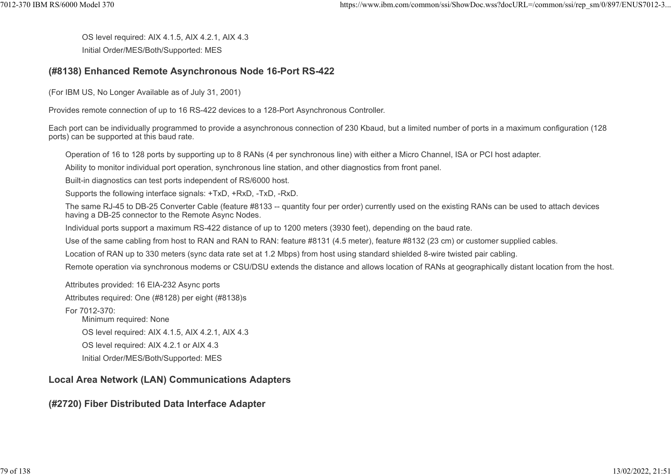OS level required: AIX 4.1.5, AIX 4.2.1, AIX 4.3 Initial Order/MES/Both/Supported: MES %7012-370 IBM RS/6000 Model 370 https://www.ibm.com/common/ssi/ShowDoc.wss?docURL=/common/ssi/rep\_sm/0/897/ENUS7012-3<br>OS level required: AIX 4.1.5, AIX 4.2.1, AIX 4.3<br>Initial Order/MES/Both/Supported: MES

#### (#8138) Enhanced Remote Asynchronous Node 16-Port RS-422

(For IBM US, No Longer Available as of July 31, 2001)

Provides remote connection of up to 16 RS-422 devices to a 128-Port Asynchronous Controller.

Each port can be individually programmed to provide a asynchronous connection of 230 Kbaud, but a limited number of ports in a maximum configuration (128 ports) can be supported at this baud rate.

Operation of 16 to 128 ports by supporting up to 8 RANs (4 per synchronous line) with either a Micro Channel, ISA or PCI host adapter.

Ability to monitor individual port operation, synchronous line station, and other diagnostics from front panel.

Built-in diagnostics can test ports independent of RS/6000 host.

Supports the following interface signals: +TxD, +RxD, -TxD, -RxD.

The same RJ-45 to DB-25 Converter Cable (feature #8133 -- quantity four per order) currently used on the existing RANs can be used to attach devices having a DB-25 connector to the Remote Async Nodes.

Individual ports support a maximum RS-422 distance of up to 1200 meters (3930 feet), depending on the baud rate.

Use of the same cabling from host to RAN and RAN to RAN: feature #8131 (4.5 meter), feature #8132 (23 cm) or customer supplied cables.

Location of RAN up to 330 meters (sync data rate set at 1.2 Mbps) from host using standard shielded 8-wire twisted pair cabling.

Remote operation via synchronous modems or CSU/DSU extends the distance and allows location of RANs at geographically distant location from the host.

Attributes provided: 16 EIA-232 Async ports

Attributes required: One (#8128) per eight (#8138)s

For 7012-370:

Minimum required: None

OS level required: AIX 4.1.5, AIX 4.2.1, AIX 4.3

OS level required: AIX 4.2.1 or AIX 4.3

Initial Order/MES/Both/Supported: MES

# Local Area Network (LAN) Communications Adapters

# (#2720) Fiber Distributed Data Interface Adapter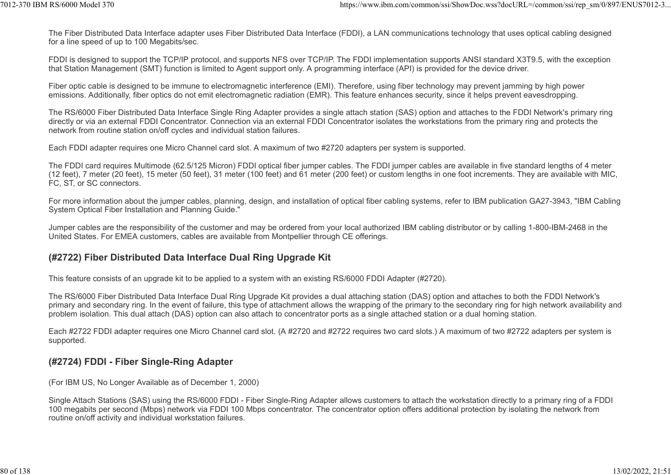The Fiber Distributed Data Interface adapter uses Fiber Distributed Data Interface (FDDI), a LAN communications technology that uses optical cabling designed for a line speed of up to 100 Megabits/sec. ttps://www.ibm.com/common/ssi/ShowDoc.wss?docURL=/common/ssi/rep\_sm/0/897/ENUS7012-3...<br>The Fiber Distributed Data Interface adapter uses Fiber Distributed Data Interface (FDDI), a LAN communications technology that uses o

FDDI is designed to support the TCP/IP protocol, and supports NFS over TCP/IP. The FDDI implementation supports ANSI standard X3T9.5, with the exception that Station Management (SMT) function is limited to Agent support only. A programming interface (API) is provided for the device driver.

Fiber optic cable is designed to be immune to electromagnetic interference (EMI). Therefore, using fiber technology may prevent jamming by high power emissions. Additionally, fiber optics do not emit electromagnetic radiation (EMR). This feature enhances security, since it helps prevent eavesdropping.

The RS/6000 Fiber Distributed Data Interface Single Ring Adapter provides a single attach station (SAS) option and attaches to the FDDI Network's primary ring directly or via an external FDDI Concentrator. Connection via an external FDDI Concentrator isolates the workstations from the primary ring and protects the network from routine station on/off cycles and individual station failures.

Each FDDI adapter requires one Micro Channel card slot. A maximum of two #2720 adapters per system is supported.

The FDDI card requires Multimode (62.5/125 Micron) FDDI optical fiber jumper cables. The FDDI jumper cables are available in five standard lengths of 4 meter (12 feet), 7 meter (20 feet), 15 meter (50 feet), 31 meter (100 feet) and 61 meter (200 feet) or custom lengths in one foot increments. They are available with MIC, FC, ST, or SC connectors.

For more information about the jumper cables, planning, design, and installation of optical fiber cabling systems, refer to IBM publication GA27-3943, "IBM Cabling System Optical Fiber Installation and Planning Guide."

Jumper cables are the responsibility of the customer and may be ordered from your local authorized IBM cabling distributor or by calling 1-800-IBM-2468 in the United States. For EMEA customers, cables are available from Montpellier through CE offerings.

#### (#2722) Fiber Distributed Data Interface Dual Ring Upgrade Kit

This feature consists of an upgrade kit to be applied to a system with an existing RS/6000 FDDI Adapter (#2720).

The RS/6000 Fiber Distributed Data Interface Dual Ring Upgrade Kit provides a dual attaching station (DAS) option and attaches to both the FDDI Network's primary and secondary ring. In the event of failure, this type of attachment allows the wrapping of the primary to the secondary ring for high network availability and problem isolation. This dual attach (DAS) option can also attach to concentrator ports as a single attached station or a dual homing station.

Each #2722 FDDI adapter requires one Micro Channel card slot. (A #2720 and #2722 requires two card slots.) A maximum of two #2722 adapters per system is supported.

#### (#2724) FDDI - Fiber Single-Ring Adapter

(For IBM US, No Longer Available as of December 1, 2000)

Single Attach Stations (SAS) using the RS/6000 FDDI - Fiber Single-Ring Adapter allows customers to attach the workstation directly to a primary ring of a FDDI 100 megabits per second (Mbps) network via FDDI 100 Mbps concentrator. The concentrator option offers additional protection by isolating the network from routine on/off activity and individual workstation failures.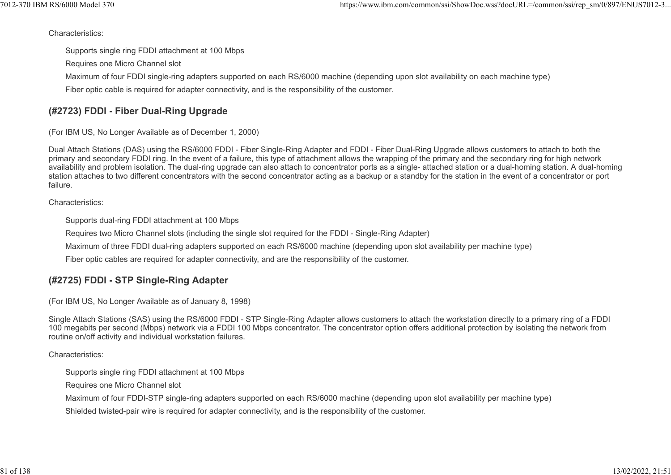Characteristics:

Supports single ring FDDI attachment at 100 Mbps

Requires one Micro Channel slot

Maximum of four FDDI single-ring adapters supported on each RS/6000 machine (depending upon slot availability on each machine type)

Fiber optic cable is required for adapter connectivity, and is the responsibility of the customer.

# (#2723) FDDI - Fiber Dual-Ring Upgrade

(For IBM US, No Longer Available as of December 1, 2000)

Dual Attach Stations (DAS) using the RS/6000 FDDI - Fiber Single-Ring Adapter and FDDI - Fiber Dual-Ring Upgrade allows customers to attach to both the primary and secondary FDDI ring. In the event of a failure, this type of attachment allows the wrapping of the primary and the secondary ring for high network availability and problem isolation. The dual-ring upgrade can also attach to concentrator ports as a single- attached station or a dual-homing station. A dual-homing station attaches to two different concentrators with the second concentrator acting as a backup or a standby for the station in the event of a concentrator or port failure.

Characteristics:

Supports dual-ring FDDI attachment at 100 Mbps

Requires two Micro Channel slots (including the single slot required for the FDDI - Single-Ring Adapter)

Maximum of three FDDI dual-ring adapters supported on each RS/6000 machine (depending upon slot availability per machine type)

Fiber optic cables are required for adapter connectivity, and are the responsibility of the customer.

# (#2725) FDDI - STP Single-Ring Adapter

(For IBM US, No Longer Available as of January 8, 1998)

Single Attach Stations (SAS) using the RS/6000 FDDI - STP Single-Ring Adapter allows customers to attach the workstation directly to a primary ring of a FDDI 100 megabits per second (Mbps) network via a FDDI 100 Mbps concentrator. The concentrator option offers additional protection by isolating the network from routine on/off activity and individual workstation failures.

Characteristics:

Supports single ring FDDI attachment at 100 Mbps

Requires one Micro Channel slot

Maximum of four FDDI-STP single-ring adapters supported on each RS/6000 machine (depending upon slot availability per machine type)

Shielded twisted-pair wire is required for adapter connectivity, and is the responsibility of the customer.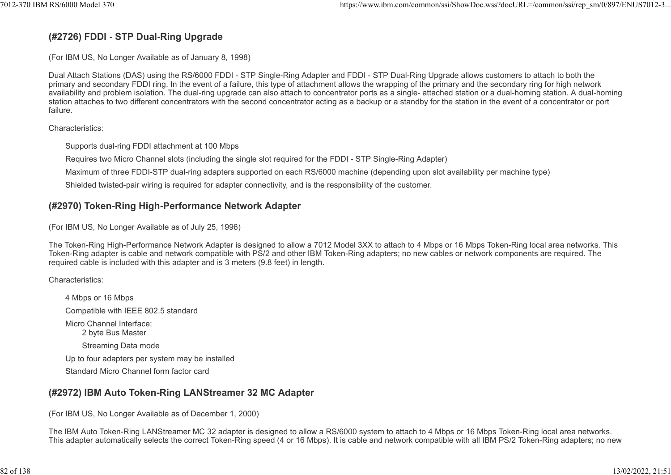# (#2726) FDDI - STP Dual-Ring Upgrade

(For IBM US, No Longer Available as of January 8, 1998)

Dual Attach Stations (DAS) using the RS/6000 FDDI - STP Single-Ring Adapter and FDDI - STP Dual-Ring Upgrade allows customers to attach to both the primary and secondary FDDI ring. In the event of a failure, this type of attachment allows the wrapping of the primary and the secondary ring for high network availability and problem isolation. The dual-ring upgrade can also attach to concentrator ports as a single- attached station or a dual-homing station. A dual-homing station attaches to two different concentrators with the second concentrator acting as a backup or a standby for the station in the event of a concentrator or port failure.

Characteristics:

Supports dual-ring FDDI attachment at 100 Mbps

Requires two Micro Channel slots (including the single slot required for the FDDI - STP Single-Ring Adapter)

Maximum of three FDDI-STP dual-ring adapters supported on each RS/6000 machine (depending upon slot availability per machine type)

Shielded twisted-pair wiring is required for adapter connectivity, and is the responsibility of the customer.

## (#2970) Token-Ring High-Performance Network Adapter

(For IBM US, No Longer Available as of July 25, 1996)

The Token-Ring High-Performance Network Adapter is designed to allow a 7012 Model 3XX to attach to 4 Mbps or 16 Mbps Token-Ring local area networks. This Token-Ring adapter is cable and network compatible with PS/2 and other IBM Token-Ring adapters; no new cables or network components are required. The required cable is included with this adapter and is 3 meters (9.8 feet) in length.

Characteristics:

4 Mbps or 16 Mbps Compatible with IEEE 802.5 standard Micro Channel Interface: 2 byte Bus Master Streaming Data mode Up to four adapters per system may be installed Standard Micro Channel form factor card

## (#2972) IBM Auto Token-Ring LANStreamer 32 MC Adapter

(For IBM US, No Longer Available as of December 1, 2000)

The IBM Auto Token-Ring LANStreamer MC 32 adapter is designed to allow a RS/6000 system to attach to 4 Mbps or 16 Mbps Token-Ring local area networks. This adapter automatically selects the correct Token-Ring speed (4 or 16 Mbps). It is cable and network compatible with all IBM PS/2 Token-Ring adapters; no new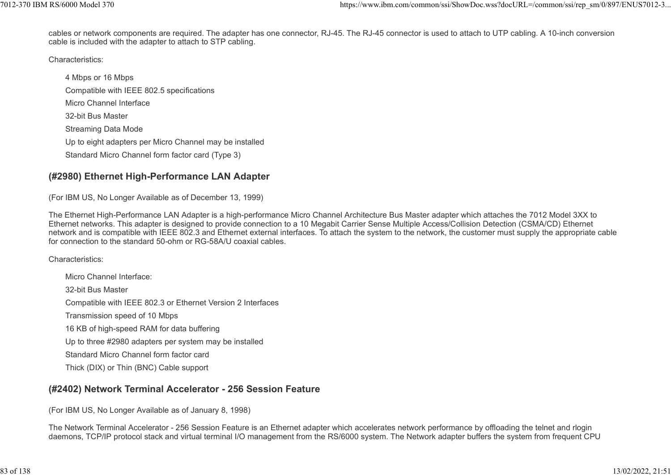cables or network components are required. The adapter has one connector, RJ-45. The RJ-45 connector is used to attach to UTP cabling. A 10-inch conversion cable is included with the adapter to attach to STP cabling. %7012-370 IBM RS/6000 Model 370<br>cables or network components are required. The adapter has one connector, RJ-45. The RJ-45 connector is used to attach to UTP cabling. A 10-inch conversion<br>cable is included with the adapter

Characteristics:

4 Mbps or 16 Mbps Compatible with IEEE 802.5 specifications Micro Channel Interface 32-bit Bus Master Streaming Data Mode Up to eight adapters per Micro Channel may be installed Standard Micro Channel form factor card (Type 3)

# (#2980) Ethernet High-Performance LAN Adapter

(For IBM US, No Longer Available as of December 13, 1999)

The Ethernet High-Performance LAN Adapter is a high-performance Micro Channel Architecture Bus Master adapter which attaches the 7012 Model 3XX to Ethernet networks. This adapter is designed to provide connection to a 10 Megabit Carrier Sense Multiple Access/Collision Detection (CSMA/CD) Ethernet network and is compatible with IEEE 802.3 and Ethernet external interfaces. To attach the system to the network, the customer must supply the appropriate cable for connection to the standard 50-ohm or RG-58A/U coaxial cables.

Characteristics:

Micro Channel Interface: 32-bit Bus Master Compatible with IEEE 802.3 or Ethernet Version 2 Interfaces Transmission speed of 10 Mbps 16 KB of high-speed RAM for data buffering Up to three #2980 adapters per system may be installed Standard Micro Channel form factor card Thick (DIX) or Thin (BNC) Cable support

# (#2402) Network Terminal Accelerator - 256 Session Feature

(For IBM US, No Longer Available as of January 8, 1998)

The Network Terminal Accelerator - 256 Session Feature is an Ethernet adapter which accelerates network performance by offloading the telnet and rlogin daemons, TCP/IP protocol stack and virtual terminal I/O management from the RS/6000 system. The Network adapter buffers the system from frequent CPU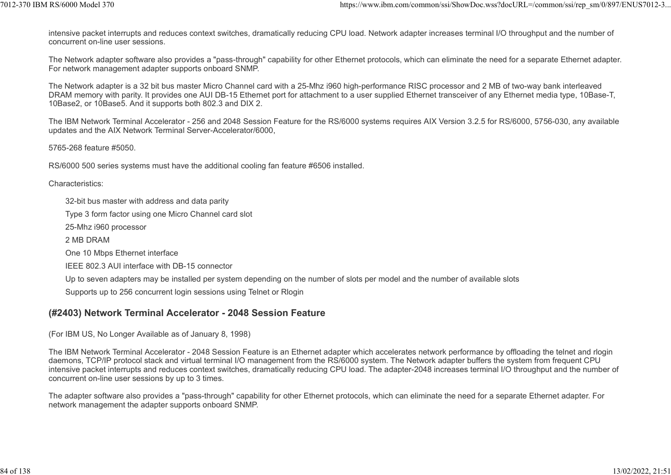intensive packet interrupts and reduces context switches, dramatically reducing CPU load. Network adapter increases terminal I/O throughput and the number of concurrent on-line user sessions. 1012-370 IBM RS/6000 Model 370<br>https://www.ibm.com/common/ssi/ShowDoc.wss?docURL=/common/ssi/rep\_sm/0/897/ENUS7012-3...<br>intensive packet interrupts and reduces context switches, dramatically reducing CPU load. Network adap

The Network adapter software also provides a "pass-through" capability for other Ethernet protocols, which can eliminate the need for a separate Ethernet adapter. For network management adapter supports onboard SNMP.

The Network adapter is a 32 bit bus master Micro Channel card with a 25-Mhz i960 high-performance RISC processor and 2 MB of two-way bank interleaved DRAM memory with parity. It provides one AUI DB-15 Ethernet port for attachment to a user supplied Ethernet transceiver of any Ethernet media type, 10Base-T, 10Base2, or 10Base5. And it supports both 802.3 and DIX 2.

The IBM Network Terminal Accelerator - 256 and 2048 Session Feature for the RS/6000 systems requires AIX Version 3.2.5 for RS/6000, 5756-030, any available updates and the AIX Network Terminal Server-Accelerator/6000,

5765-268 feature #5050.

RS/6000 500 series systems must have the additional cooling fan feature #6506 installed.

Characteristics:

32-bit bus master with address and data parity

Type 3 form factor using one Micro Channel card slot

25-Mhz i960 processor

2 MB DRAM

One 10 Mbps Ethernet interface

IEEE 802.3 AUI interface with DB-15 connector

Up to seven adapters may be installed per system depending on the number of slots per model and the number of available slots

Supports up to 256 concurrent login sessions using Telnet or Rlogin

#### (#2403) Network Terminal Accelerator - 2048 Session Feature

(For IBM US, No Longer Available as of January 8, 1998)

The IBM Network Terminal Accelerator - 2048 Session Feature is an Ethernet adapter which accelerates network performance by offloading the telnet and rlogin daemons, TCP/IP protocol stack and virtual terminal I/O management from the RS/6000 system. The Network adapter buffers the system from frequent CPU intensive packet interrupts and reduces context switches, dramatically reducing CPU load. The adapter-2048 increases terminal I/O throughput and the number of concurrent on-line user sessions by up to 3 times.

The adapter software also provides a "pass-through" capability for other Ethernet protocols, which can eliminate the need for a separate Ethernet adapter. For network management the adapter supports onboard SNMP.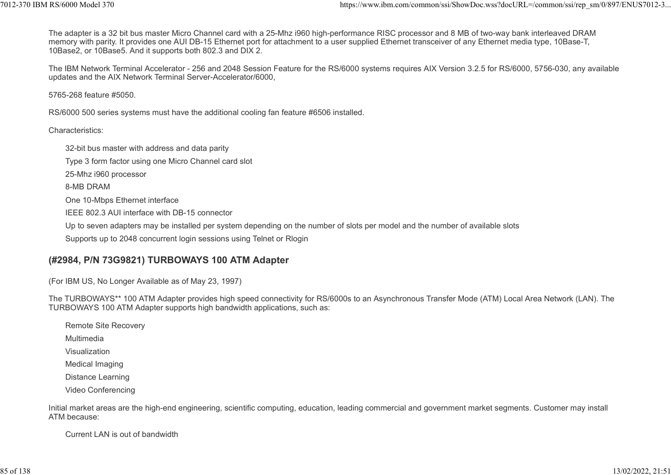The adapter is a 32 bit bus master Micro Channel card with a 25-Mhz i960 high-performance RISC processor and 8 MB of two-way bank interleaved DRAM memory with parity. It provides one AUI DB-15 Ethernet port for attachment to a user supplied Ethernet transceiver of any Ethernet media type, 10Base-T, 10Base2, or 10Base5. And it supports both 802.3 and DIX 2. https://www.ibm.com/common/ssi/ShowDoc.wss?docURL=/common/ssi/rep\_sm/0/897/ENUS7012-3...<br>The adapter is a 32 bit bus master Micro Channel card with a 25-Mhz i960 high-performance RISC processor and 8 MB of two-way bank int

The IBM Network Terminal Accelerator - 256 and 2048 Session Feature for the RS/6000 systems requires AIX Version 3.2.5 for RS/6000, 5756-030, any available updates and the AIX Network Terminal Server-Accelerator/6000,

5765-268 feature #5050.

RS/6000 500 series systems must have the additional cooling fan feature #6506 installed.

Characteristics:

32-bit bus master with address and data parity Type 3 form factor using one Micro Channel card slot 25-Mhz i960 processor 8-MB DRAM One 10-Mbps Ethernet interface IEEE 802.3 AUI interface with DB-15 connector Up to seven adapters may be installed per system depending on the number of slots per model and the number of available slots Supports up to 2048 concurrent login sessions using Telnet or Rlogin

#### (#2984, P/N 73G9821) TURBOWAYS 100 ATM Adapter

(For IBM US, No Longer Available as of May 23, 1997)

The TURBOWAYS\*\* 100 ATM Adapter provides high speed connectivity for RS/6000s to an Asynchronous Transfer Mode (ATM) Local Area Network (LAN). The TURBOWAYS 100 ATM Adapter supports high bandwidth applications, such as:

Remote Site Recovery

Multimedia

Visualization

Medical Imaging

Distance Learning

Video Conferencing

Initial market areas are the high-end engineering, scientific computing, education, leading commercial and government market segments. Customer may install ATM because:

Current LAN is out of bandwidth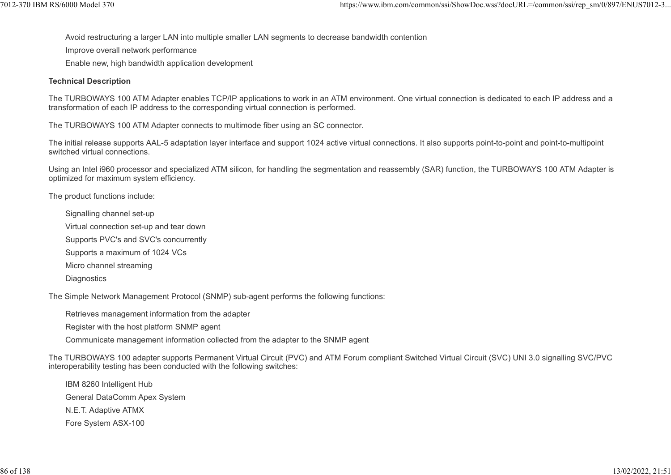Avoid restructuring a larger LAN into multiple smaller LAN segments to decrease bandwidth contention 7012-370 IBM RS/6000 Model 370 https://www.ibm.com/common/ssi/ShowDoc.wss?docURL=/common/ssi/rep\_sm/0/897/ENUS7012-3...

Improve overall network performance

Enable new, high bandwidth application development

#### Technical Description

The TURBOWAYS 100 ATM Adapter enables TCP/IP applications to work in an ATM environment. One virtual connection is dedicated to each IP address and a transformation of each IP address to the corresponding virtual connection is performed.

The TURBOWAYS 100 ATM Adapter connects to multimode fiber using an SC connector.

The initial release supports AAL-5 adaptation layer interface and support 1024 active virtual connections. It also supports point-to-point and point-to-multipoint switched virtual connections.

Using an Intel i960 processor and specialized ATM silicon, for handling the segmentation and reassembly (SAR) function, the TURBOWAYS 100 ATM Adapter is optimized for maximum system efficiency.

The product functions include:

Signalling channel set-up

Virtual connection set-up and tear down

Supports PVC's and SVC's concurrently

Supports a maximum of 1024 VCs

Micro channel streaming

**Diagnostics** 

The Simple Network Management Protocol (SNMP) sub-agent performs the following functions:

Retrieves management information from the adapter

Register with the host platform SNMP agent

Communicate management information collected from the adapter to the SNMP agent

The TURBOWAYS 100 adapter supports Permanent Virtual Circuit (PVC) and ATM Forum compliant Switched Virtual Circuit (SVC) UNI 3.0 signalling SVC/PVC interoperability testing has been conducted with the following switches:

IBM 8260 Intelligent Hub General DataComm Apex System N.E.T. Adaptive ATMX Fore System ASX-100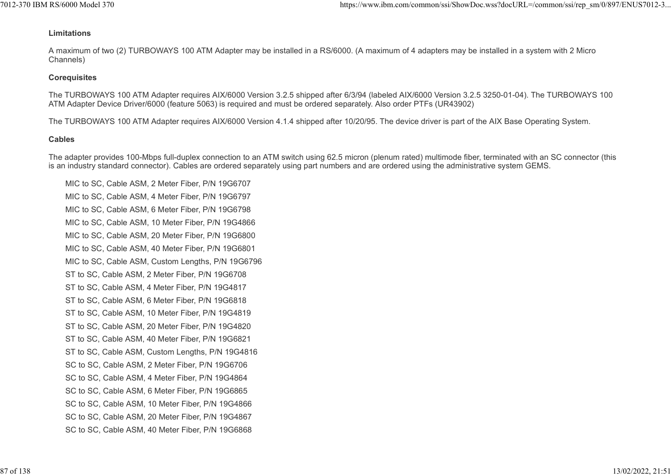#### Limitations

A maximum of two (2) TURBOWAYS 100 ATM Adapter may be installed in a RS/6000. (A maximum of 4 adapters may be installed in a system with 2 Micro Channels) 1012-370 IBM RS/6000 Model 370<br>
Limitations<br>
A maximum of two (2) TURBOWAYS 100 ATM Adapter may be installed in a RS/6000. (A maximum of 4 adapters may be installed in a system with 2 Micro

#### **Corequisites**

The TURBOWAYS 100 ATM Adapter requires AIX/6000 Version 3.2.5 shipped after 6/3/94 (labeled AIX/6000 Version 3.2.5 3250-01-04). The TURBOWAYS 100 ATM Adapter Device Driver/6000 (feature 5063) is required and must be ordered separately. Also order PTFs (UR43902)

The TURBOWAYS 100 ATM Adapter requires AIX/6000 Version 4.1.4 shipped after 10/20/95. The device driver is part of the AIX Base Operating System.

#### Cables

The adapter provides 100-Mbps full-duplex connection to an ATM switch using 62.5 micron (plenum rated) multimode fiber, terminated with an SC connector (this is an industry standard connector). Cables are ordered separately using part numbers and are ordered using the administrative system GEMS.

MIC to SC, Cable ASM, 2 Meter Fiber, P/N 19G6707 MIC to SC, Cable ASM, 4 Meter Fiber, P/N 19G6797 MIC to SC, Cable ASM, 6 Meter Fiber, P/N 19G6798 MIC to SC, Cable ASM, 10 Meter Fiber, P/N 19G4866 MIC to SC, Cable ASM, 20 Meter Fiber, P/N 19G6800 MIC to SC, Cable ASM, 40 Meter Fiber, P/N 19G6801 MIC to SC, Cable ASM, Custom Lengths, P/N 19G6796 ST to SC, Cable ASM, 2 Meter Fiber, P/N 19G6708 ST to SC, Cable ASM, 4 Meter Fiber, P/N 19G4817 ST to SC, Cable ASM, 6 Meter Fiber, P/N 19G6818 ST to SC, Cable ASM, 10 Meter Fiber, P/N 19G4819 ST to SC, Cable ASM, 20 Meter Fiber, P/N 19G4820 ST to SC, Cable ASM, 40 Meter Fiber, P/N 19G6821 ST to SC, Cable ASM, Custom Lengths, P/N 19G4816 SC to SC, Cable ASM, 2 Meter Fiber, P/N 19G6706 SC to SC, Cable ASM, 4 Meter Fiber, P/N 19G4864 SC to SC, Cable ASM, 6 Meter Fiber, P/N 19G6865 SC to SC, Cable ASM, 10 Meter Fiber, P/N 19G4866 SC to SC, Cable ASM, 20 Meter Fiber, P/N 19G4867 SC to SC, Cable ASM, 40 Meter Fiber, P/N 19G6868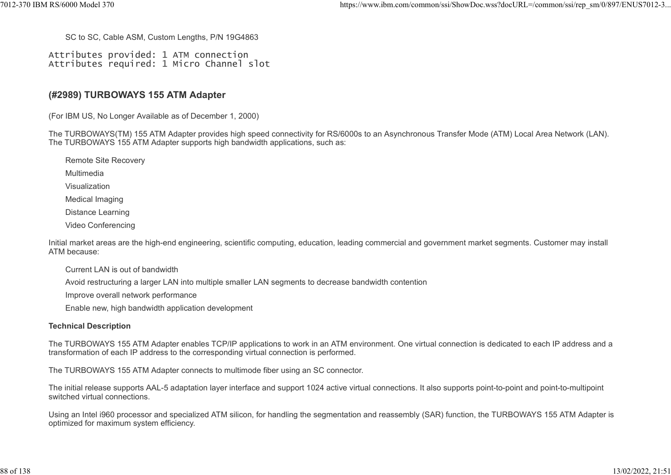SC to SC, Cable ASM, Custom Lengths, P/N 19G4863

Attributes provided: 1 ATM connection Attributes required: 1 Micro Channel slot

#### (#2989) TURBOWAYS 155 ATM Adapter

(For IBM US, No Longer Available as of December 1, 2000)

The TURBOWAYS(TM) 155 ATM Adapter provides high speed connectivity for RS/6000s to an Asynchronous Transfer Mode (ATM) Local Area Network (LAN). The TURBOWAYS 155 ATM Adapter supports high bandwidth applications, such as:

Remote Site Recovery Multimedia Visualization Medical Imaging Distance Learning Video Conferencing

Initial market areas are the high-end engineering, scientific computing, education, leading commercial and government market segments. Customer may install ATM because:

Current LAN is out of bandwidth

Avoid restructuring a larger LAN into multiple smaller LAN segments to decrease bandwidth contention

Improve overall network performance

Enable new, high bandwidth application development

#### Technical Description

The TURBOWAYS 155 ATM Adapter enables TCP/IP applications to work in an ATM environment. One virtual connection is dedicated to each IP address and a transformation of each IP address to the corresponding virtual connection is performed.

The TURBOWAYS 155 ATM Adapter connects to multimode fiber using an SC connector.

The initial release supports AAL-5 adaptation layer interface and support 1024 active virtual connections. It also supports point-to-point and point-to-multipoint switched virtual connections.

Using an Intel i960 processor and specialized ATM silicon, for handling the segmentation and reassembly (SAR) function, the TURBOWAYS 155 ATM Adapter is optimized for maximum system efficiency.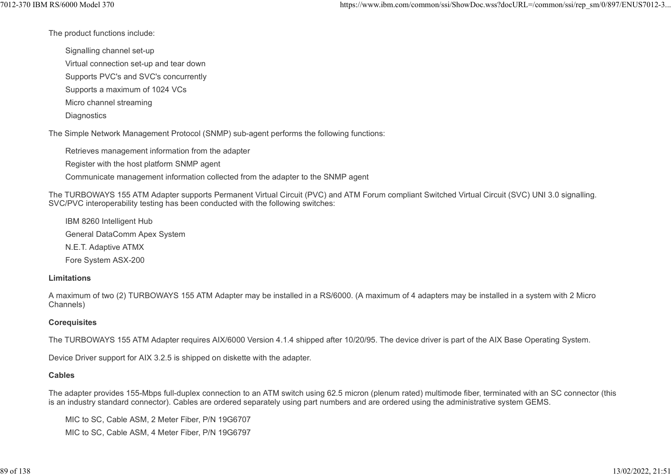The product functions include:

Signalling channel set-up

Virtual connection set-up and tear down

Supports PVC's and SVC's concurrently

Supports a maximum of 1024 VCs

Micro channel streaming

**Diagnostics** 

The Simple Network Management Protocol (SNMP) sub-agent performs the following functions:

Retrieves management information from the adapter

Register with the host platform SNMP agent

Communicate management information collected from the adapter to the SNMP agent

The TURBOWAYS 155 ATM Adapter supports Permanent Virtual Circuit (PVC) and ATM Forum compliant Switched Virtual Circuit (SVC) UNI 3.0 signalling. SVC/PVC interoperability testing has been conducted with the following switches:

IBM 8260 Intelligent Hub General DataComm Apex System N.E.T. Adaptive ATMX Fore System ASX-200

#### Limitations

A maximum of two (2) TURBOWAYS 155 ATM Adapter may be installed in a RS/6000. (A maximum of 4 adapters may be installed in a system with 2 Micro Channels)

#### **Corequisites**

The TURBOWAYS 155 ATM Adapter requires AIX/6000 Version 4.1.4 shipped after 10/20/95. The device driver is part of the AIX Base Operating System.

Device Driver support for AIX 3.2.5 is shipped on diskette with the adapter.

#### Cables

The adapter provides 155-Mbps full-duplex connection to an ATM switch using 62.5 micron (plenum rated) multimode fiber, terminated with an SC connector (this is an industry standard connector). Cables are ordered separately using part numbers and are ordered using the administrative system GEMS.

MIC to SC, Cable ASM, 2 Meter Fiber, P/N 19G6707 MIC to SC, Cable ASM, 4 Meter Fiber, P/N 19G6797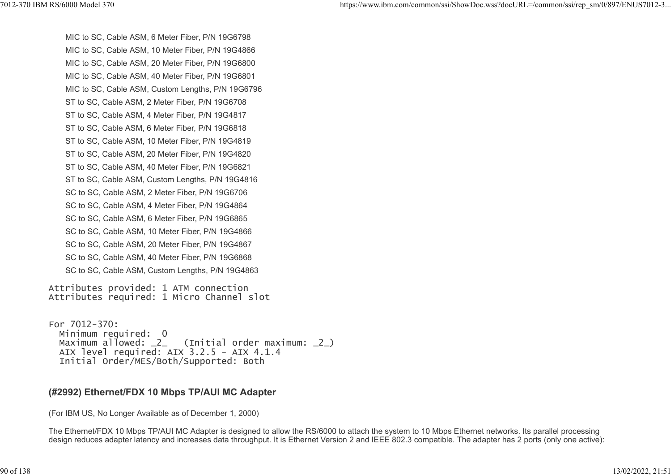MIC to SC, Cable ASM, 6 Meter Fiber, P/N 19G6798 MIC to SC, Cable ASM, 10 Meter Fiber, P/N 19G4866 MIC to SC, Cable ASM, 20 Meter Fiber, P/N 19G6800 MIC to SC, Cable ASM, 40 Meter Fiber, P/N 19G6801 MIC to SC, Cable ASM, Custom Lengths, P/N 19G6796 ST to SC, Cable ASM, 2 Meter Fiber, P/N 19G6708 ST to SC, Cable ASM, 4 Meter Fiber, P/N 19G4817 ST to SC, Cable ASM, 6 Meter Fiber, P/N 19G6818 ST to SC, Cable ASM, 10 Meter Fiber, P/N 19G4819 ST to SC, Cable ASM, 20 Meter Fiber, P/N 19G4820 ST to SC, Cable ASM, 40 Meter Fiber, P/N 19G6821 ST to SC, Cable ASM, Custom Lengths, P/N 19G4816 SC to SC, Cable ASM, 2 Meter Fiber, P/N 19G6706 SC to SC, Cable ASM, 4 Meter Fiber, P/N 19G4864 SC to SC, Cable ASM, 6 Meter Fiber, P/N 19G6865 SC to SC, Cable ASM, 10 Meter Fiber, P/N 19G4866 SC to SC, Cable ASM, 20 Meter Fiber, P/N 19G4867 SC to SC, Cable ASM, 40 Meter Fiber, P/N 19G6868 SC to SC, Cable ASM, Custom Lengths, P/N 19G4863 %7012-370 IBM RS/6000 Model 370<br>https://www.ibm.com/common/ssi/ShowDoc.wss?docURL=/common/ssi/rep\_sm/0/897/ENUS7012-3...<br>MIC to SC, Cable ASM, 6 Meter Fiber, P/N 19G6798<br>MIC to SC, Cable ASM, 10 Meter Fiber, P/N 19G6798

Attributes provided: 1 ATM connection Attributes required: 1 Micro Channel slot

For 7012-370: Minimum required: 0<br>Maximum allowed: \_2\_  $(Initial order maximum: _2)$  AIX level required: AIX 3.2.5 - AIX 4.1.4 Initial Order/MES/Both/Supported: Both

#### (#2992) Ethernet/FDX 10 Mbps TP/AUI MC Adapter

(For IBM US, No Longer Available as of December 1, 2000)

The Ethernet/FDX 10 Mbps TP/AUI MC Adapter is designed to allow the RS/6000 to attach the system to 10 Mbps Ethernet networks. Its parallel processing design reduces adapter latency and increases data throughput. It is Ethernet Version 2 and IEEE 802.3 compatible. The adapter has 2 ports (only one active):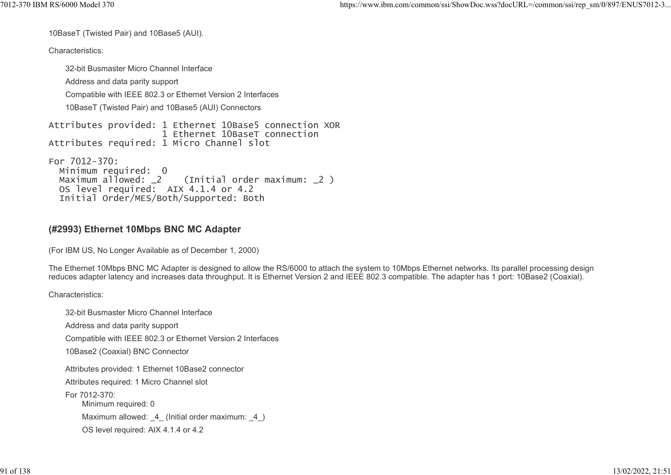10BaseT (Twisted Pair) and 10Base5 (AUI).

Characteristics:

32-bit Busmaster Micro Channel Interface Address and data parity support Compatible with IEEE 802.3 or Ethernet Version 2 Interfaces 10BaseT (Twisted Pair) and 10Base5 (AUI) Connectors Attributes provided: 1 Ethernet 10Base5 connection XOR 1 Ethernet 10BaseT connection Attributes required: 1 Micro Channel slot For 7012-370: Minimum required: 0<br>Maximum allowed: 2 (Initial order maximum: 2) Maximum allowed: \_2 (Initial order maximum: \_2 )

```
 OS level required: AIX 4.1.4 or 4.2
  Initial Order/MES/Both/Supported: Both
```
## (#2993) Ethernet 10Mbps BNC MC Adapter

(For IBM US, No Longer Available as of December 1, 2000)

The Ethernet 10Mbps BNC MC Adapter is designed to allow the RS/6000 to attach the system to 10Mbps Ethernet networks. Its parallel processing design reduces adapter latency and increases data throughput. It is Ethernet Version 2 and IEEE 802.3 compatible. The adapter has 1 port: 10Base2 (Coaxial).

Characteristics:

32-bit Busmaster Micro Channel Interface Address and data parity support Compatible with IEEE 802.3 or Ethernet Version 2 Interfaces 10Base2 (Coaxial) BNC Connector Attributes provided: 1 Ethernet 10Base2 connector Attributes required: 1 Micro Channel slot For 7012-370: Minimum required: 0 Maximum allowed: 4 (Initial order maximum: 4) OS level required: AIX 4.1.4 or 4.2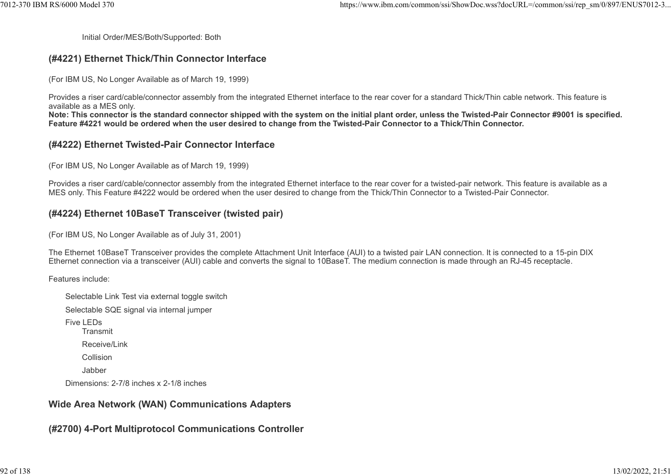Initial Order/MES/Both/Supported: Both

#### (#4221) Ethernet Thick/Thin Connector Interface

(For IBM US, No Longer Available as of March 19, 1999)

Provides a riser card/cable/connector assembly from the integrated Ethernet interface to the rear cover for a standard Thick/Thin cable network. This feature is available as a MES only.

Note: This connector is the standard connector shipped with the system on the initial plant order, unless the Twisted-Pair Connector #9001 is specified. Feature #4221 would be ordered when the user desired to change from the Twisted-Pair Connector to a Thick/Thin Connector.

#### (#4222) Ethernet Twisted-Pair Connector Interface

(For IBM US, No Longer Available as of March 19, 1999)

Provides a riser card/cable/connector assembly from the integrated Ethernet interface to the rear cover for a twisted-pair network. This feature is available as a MES only. This Feature #4222 would be ordered when the user desired to change from the Thick/Thin Connector to a Twisted-Pair Connector.

#### (#4224) Ethernet 10BaseT Transceiver (twisted pair)

(For IBM US, No Longer Available as of July 31, 2001)

The Ethernet 10BaseT Transceiver provides the complete Attachment Unit Interface (AUI) to a twisted pair LAN connection. It is connected to a 15-pin DIX Ethernet connection via a transceiver (AUI) cable and converts the signal to 10BaseT. The medium connection is made through an RJ-45 receptacle.

Features include:

Selectable Link Test via external toggle switch Selectable SQE signal via internal jumper Five LEDs **Transmit** Receive/Link Collision Jabber Dimensions: 2-7/8 inches x 2-1/8 inches

#### Wide Area Network (WAN) Communications Adapters

(#2700) 4-Port Multiprotocol Communications Controller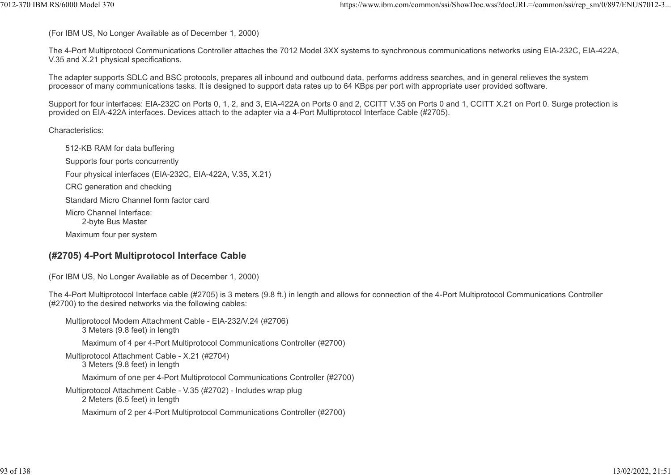(For IBM US, No Longer Available as of December 1, 2000)

The 4-Port Multiprotocol Communications Controller attaches the 7012 Model 3XX systems to synchronous communications networks using EIA-232C, EIA-422A, V.35 and X.21 physical specifications. ttps://www.ibm.com/common/ssi/ShowDoc.wss?docURL=/common/ssi/rep\_sm/0/897/ENUS7012-3...<br>(For IBM US, No Longer Available as of December 1, 2000)<br>The 4-Port Multiprotocol Communications Controller attaches the 7012 Model 3X

The adapter supports SDLC and BSC protocols, prepares all inbound and outbound data, performs address searches, and in general relieves the system processor of many communications tasks. It is designed to support data rates up to 64 KBps per port with appropriate user provided software.

Support for four interfaces: EIA-232C on Ports 0, 1, 2, and 3, EIA-422A on Ports 0 and 2, CCITT V.35 on Ports 0 and 1, CCITT X.21 on Port 0. Surge protection is provided on EIA-422A interfaces. Devices attach to the adapter via a 4-Port Multiprotocol Interface Cable (#2705).

Characteristics:

512-KB RAM for data buffering Supports four ports concurrently Four physical interfaces (EIA-232C, EIA-422A, V.35, X.21) CRC generation and checking Standard Micro Channel form factor card Micro Channel Interface: 2-byte Bus Master Maximum four per system

## (#2705) 4-Port Multiprotocol Interface Cable

(For IBM US, No Longer Available as of December 1, 2000)

The 4-Port Multiprotocol Interface cable (#2705) is 3 meters (9.8 ft.) in length and allows for connection of the 4-Port Multiprotocol Communications Controller (#2700) to the desired networks via the following cables:

Multiprotocol Modem Attachment Cable - EIA-232/V.24 (#2706) 3 Meters (9.8 feet) in length Maximum of 4 per 4-Port Multiprotocol Communications Controller (#2700) Multiprotocol Attachment Cable - X.21 (#2704) 3 Meters (9.8 feet) in length Maximum of one per 4-Port Multiprotocol Communications Controller (#2700) Multiprotocol Attachment Cable - V.35 (#2702) - Includes wrap plug 2 Meters (6.5 feet) in length Maximum of 2 per 4-Port Multiprotocol Communications Controller (#2700)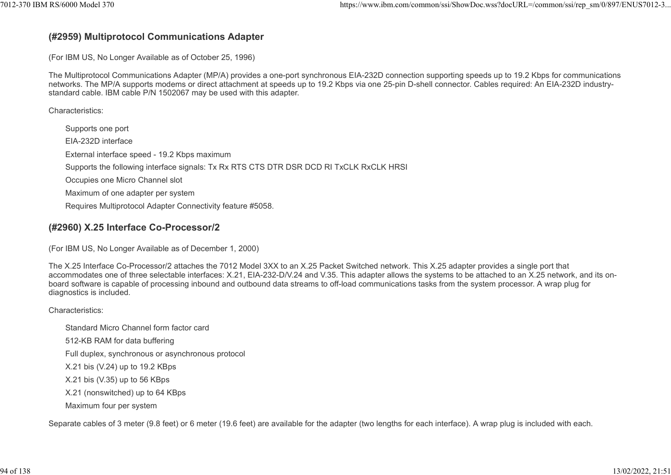#### (#2959) Multiprotocol Communications Adapter

(For IBM US, No Longer Available as of October 25, 1996)

The Multiprotocol Communications Adapter (MP/A) provides a one-port synchronous EIA-232D connection supporting speeds up to 19.2 Kbps for communications networks. The MP/A supports modems or direct attachment at speeds up to 19.2 Kbps via one 25-pin D-shell connector. Cables required: An EIA-232D industrystandard cable. IBM cable P/N 1502067 may be used with this adapter.

Characteristics:

Supports one port EIA-232D interface External interface speed - 19.2 Kbps maximum Supports the following interface signals: Tx Rx RTS CTS DTR DSR DCD RI TxCLK RxCLK HRSI Occupies one Micro Channel slot Maximum of one adapter per system Requires Multiprotocol Adapter Connectivity feature #5058.

## (#2960) X.25 Interface Co-Processor/2

(For IBM US, No Longer Available as of December 1, 2000)

The X.25 Interface Co-Processor/2 attaches the 7012 Model 3XX to an X.25 Packet Switched network. This X.25 adapter provides a single port that accommodates one of three selectable interfaces: X.21, EIA-232-D/V.24 and V.35. This adapter allows the systems to be attached to an X.25 network, and its onboard software is capable of processing inbound and outbound data streams to off-load communications tasks from the system processor. A wrap plug for diagnostics is included.

Characteristics:

Standard Micro Channel form factor card 512-KB RAM for data buffering Full duplex, synchronous or asynchronous protocol X.21 bis (V.24) up to 19.2 KBps X.21 bis (V.35) up to 56 KBps X.21 (nonswitched) up to 64 KBps Maximum four per system

Separate cables of 3 meter (9.8 feet) or 6 meter (19.6 feet) are available for the adapter (two lengths for each interface). A wrap plug is included with each.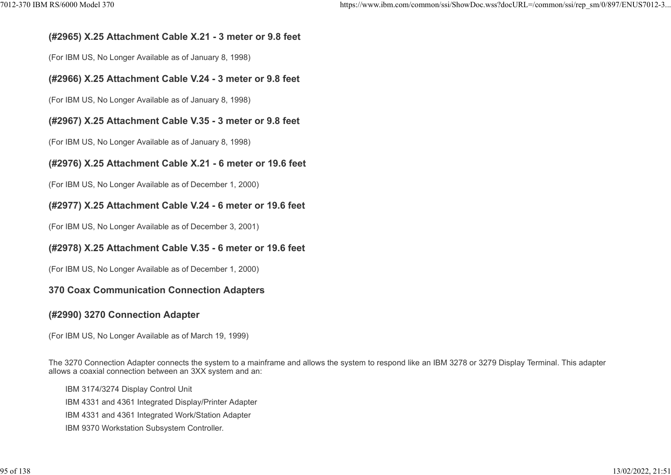#### (#2965) X.25 Attachment Cable X.21 - 3 meter or 9.8 feet

(For IBM US, No Longer Available as of January 8, 1998)

#### (#2966) X.25 Attachment Cable V.24 - 3 meter or 9.8 feet

(For IBM US, No Longer Available as of January 8, 1998)

#### (#2967) X.25 Attachment Cable V.35 - 3 meter or 9.8 feet

(For IBM US, No Longer Available as of January 8, 1998)

#### (#2976) X.25 Attachment Cable X.21 - 6 meter or 19.6 feet

(For IBM US, No Longer Available as of December 1, 2000)

#### (#2977) X.25 Attachment Cable V.24 - 6 meter or 19.6 feet

(For IBM US, No Longer Available as of December 3, 2001)

#### (#2978) X.25 Attachment Cable V.35 - 6 meter or 19.6 feet

(For IBM US, No Longer Available as of December 1, 2000)

#### 370 Coax Communication Connection Adapters

#### (#2990) 3270 Connection Adapter

(For IBM US, No Longer Available as of March 19, 1999)

The 3270 Connection Adapter connects the system to a mainframe and allows the system to respond like an IBM 3278 or 3279 Display Terminal. This adapter allows a coaxial connection between an 3XX system and an:

IBM 3174/3274 Display Control Unit IBM 4331 and 4361 Integrated Display/Printer Adapter IBM 4331 and 4361 Integrated Work/Station Adapter IBM 9370 Workstation Subsystem Controller.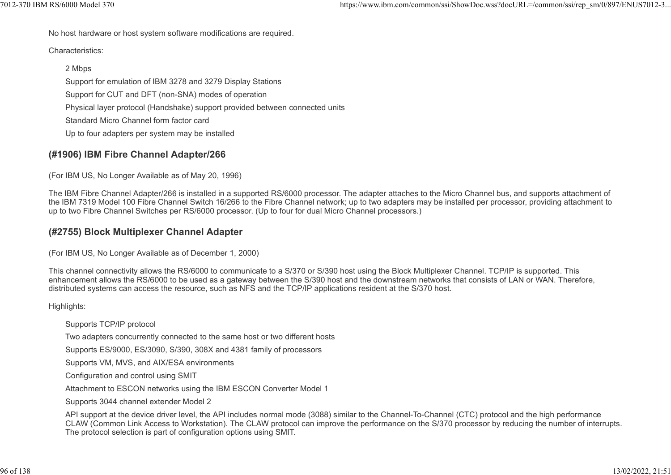No host hardware or host system software modifications are required.

Characteristics:

#### 2 Mbps

Support for emulation of IBM 3278 and 3279 Display Stations

Support for CUT and DFT (non-SNA) modes of operation

Physical layer protocol (Handshake) support provided between connected units

Standard Micro Channel form factor card

Up to four adapters per system may be installed

## (#1906) IBM Fibre Channel Adapter/266

(For IBM US, No Longer Available as of May 20, 1996)

The IBM Fibre Channel Adapter/266 is installed in a supported RS/6000 processor. The adapter attaches to the Micro Channel bus, and supports attachment of the IBM 7319 Model 100 Fibre Channel Switch 16/266 to the Fibre Channel network; up to two adapters may be installed per processor, providing attachment to up to two Fibre Channel Switches per RS/6000 processor. (Up to four for dual Micro Channel processors.)

#### (#2755) Block Multiplexer Channel Adapter

(For IBM US, No Longer Available as of December 1, 2000)

This channel connectivity allows the RS/6000 to communicate to a S/370 or S/390 host using the Block Multiplexer Channel. TCP/IP is supported. This enhancement allows the RS/6000 to be used as a gateway between the S/390 host and the downstream networks that consists of LAN or WAN. Therefore, distributed systems can access the resource, such as NFS and the TCP/IP applications resident at the S/370 host.

Highlights:

Supports TCP/IP protocol

Two adapters concurrently connected to the same host or two different hosts

Supports ES/9000, ES/3090, S/390, 308X and 4381 family of processors

Supports VM, MVS, and AIX/ESA environments

Configuration and control using SMIT

Attachment to ESCON networks using the IBM ESCON Converter Model 1

Supports 3044 channel extender Model 2

API support at the device driver level, the API includes normal mode (3088) similar to the Channel-To-Channel (CTC) protocol and the high performance CLAW (Common Link Access to Workstation). The CLAW protocol can improve the performance on the S/370 processor by reducing the number of interrupts. The protocol selection is part of configuration options using SMIT.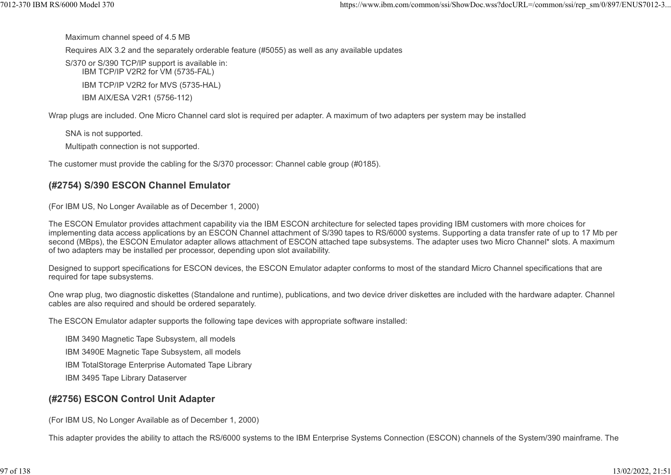Maximum channel speed of 4.5 MB

Requires AIX 3.2 and the separately orderable feature (#5055) as well as any available updates %7012-370 IBM RS/6000 Model 370 https://www.ibm.com/common/ssi/ShowDoc.wss?docURL=/common/ssi/rep\_sm/0/897/ENUS7012-3...<br>Maximum channel speed of 4.5 MB<br>Requires AIX 3.2 and the separately orderable feature (#5055) as well

S/370 or S/390 TCP/IP support is available in: IBM TCP/IP V2R2 for VM (5735-FAL) IBM TCP/IP V2R2 for MVS (5735-HAL)

IBM AIX/ESA V2R1 (5756-112)

Wrap plugs are included. One Micro Channel card slot is required per adapter. A maximum of two adapters per system may be installed

SNA is not supported.

Multipath connection is not supported.

The customer must provide the cabling for the S/370 processor: Channel cable group (#0185).

#### (#2754) S/390 ESCON Channel Emulator

(For IBM US, No Longer Available as of December 1, 2000)

The ESCON Emulator provides attachment capability via the IBM ESCON architecture for selected tapes providing IBM customers with more choices for implementing data access applications by an ESCON Channel attachment of S/390 tapes to RS/6000 systems. Supporting a data transfer rate of up to 17 Mb per second (MBps), the ESCON Emulator adapter allows attachment of ESCON attached tape subsystems. The adapter uses two Micro Channel\* slots. A maximum of two adapters may be installed per processor, depending upon slot availability.

Designed to support specifications for ESCON devices, the ESCON Emulator adapter conforms to most of the standard Micro Channel specifications that are required for tape subsystems.

One wrap plug, two diagnostic diskettes (Standalone and runtime), publications, and two device driver diskettes are included with the hardware adapter. Channel cables are also required and should be ordered separately.

The ESCON Emulator adapter supports the following tape devices with appropriate software installed:

IBM 3490 Magnetic Tape Subsystem, all models

IBM 3490E Magnetic Tape Subsystem, all models

IBM TotalStorage Enterprise Automated Tape Library

IBM 3495 Tape Library Dataserver

#### (#2756) ESCON Control Unit Adapter

(For IBM US, No Longer Available as of December 1, 2000)

This adapter provides the ability to attach the RS/6000 systems to the IBM Enterprise Systems Connection (ESCON) channels of the System/390 mainframe. The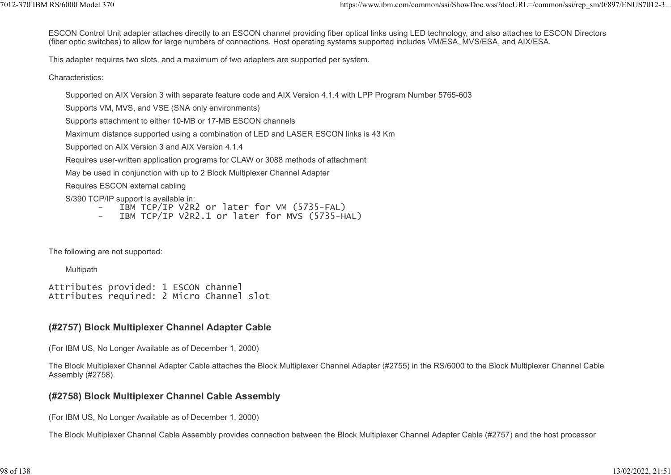ESCON Control Unit adapter attaches directly to an ESCON channel providing fiber optical links using LED technology, and also attaches to ESCON Directors (fiber optic switches) to allow for large numbers of connections. Host operating systems supported includes VM/ESA, MVS/ESA, and AIX/ESA. 1012-370 IBM RS/6000 Model 370<br>ESCON Control Unit adapter attaches directly to an ESCON channel providing fiber optical links using LED technology, and also attaches to ESCON Directors<br>(fiber optic switches) to allow for l

This adapter requires two slots, and a maximum of two adapters are supported per system.

Characteristics:

Supported on AIX Version 3 with separate feature code and AIX Version 4.1.4 with LPP Program Number 5765-603

Supports VM, MVS, and VSE (SNA only environments)

Supports attachment to either 10-MB or 17-MB ESCON channels

Maximum distance supported using a combination of LED and LASER ESCON links is 43 Km

Supported on AIX Version 3 and AIX Version 4.1.4

Requires user-written application programs for CLAW or 3088 methods of attachment

May be used in conjunction with up to 2 Block Multiplexer Channel Adapter

Requires ESCON external cabling

S/390 TCP/IP support is available in:

- IBM TCP/IP V2R2 or later for VM (5735-FAL)
- IBM TCP/IP V2R2.1 or later for MVS (5735-HAL)

The following are not supported:

**Multipath** 

Attributes provided: 1 ESCON channel Attributes required: 2 Micro Channel slot

## (#2757) Block Multiplexer Channel Adapter Cable

(For IBM US, No Longer Available as of December 1, 2000)

The Block Multiplexer Channel Adapter Cable attaches the Block Multiplexer Channel Adapter (#2755) in the RS/6000 to the Block Multiplexer Channel Cable Assembly (#2758).

#### (#2758) Block Multiplexer Channel Cable Assembly

(For IBM US, No Longer Available as of December 1, 2000)

The Block Multiplexer Channel Cable Assembly provides connection between the Block Multiplexer Channel Adapter Cable (#2757) and the host processor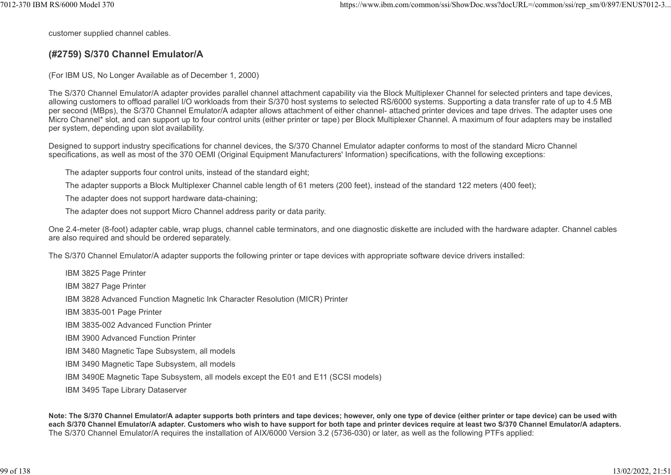customer supplied channel cables.

#### (#2759) S/370 Channel Emulator/A

(For IBM US, No Longer Available as of December 1, 2000)

The S/370 Channel Emulator/A adapter provides parallel channel attachment capability via the Block Multiplexer Channel for selected printers and tape devices, allowing customers to offload parallel I/O workloads from their S/370 host systems to selected RS/6000 systems. Supporting a data transfer rate of up to 4.5 MB per second (MBps), the S/370 Channel Emulator/A adapter allows attachment of either channel- attached printer devices and tape drives. The adapter uses one Micro Channel\* slot, and can support up to four control units (either printer or tape) per Block Multiplexer Channel. A maximum of four adapters may be installed per system, depending upon slot availability.

Designed to support industry specifications for channel devices, the S/370 Channel Emulator adapter conforms to most of the standard Micro Channel specifications, as well as most of the 370 OEMI (Original Equipment Manufacturers' Information) specifications, with the following exceptions:

The adapter supports four control units, instead of the standard eight;

The adapter supports a Block Multiplexer Channel cable length of 61 meters (200 feet), instead of the standard 122 meters (400 feet);

The adapter does not support hardware data-chaining;

The adapter does not support Micro Channel address parity or data parity.

One 2.4-meter (8-foot) adapter cable, wrap plugs, channel cable terminators, and one diagnostic diskette are included with the hardware adapter. Channel cables are also required and should be ordered separately.

The S/370 Channel Emulator/A adapter supports the following printer or tape devices with appropriate software device drivers installed:

IBM 3825 Page Printer

IBM 3827 Page Printer

IBM 3828 Advanced Function Magnetic Ink Character Resolution (MICR) Printer

IBM 3835-001 Page Printer

IBM 3835-002 Advanced Function Printer

IBM 3900 Advanced Function Printer

IBM 3480 Magnetic Tape Subsystem, all models

IBM 3490 Magnetic Tape Subsystem, all models

IBM 3490E Magnetic Tape Subsystem, all models except the E01 and E11 (SCSI models)

IBM 3495 Tape Library Dataserver

Note: The S/370 Channel Emulator/A adapter supports both printers and tape devices; however, only one type of device (either printer or tape device) can be used with each S/370 Channel Emulator/A adapter. Customers who wish to have support for both tape and printer devices require at least two S/370 Channel Emulator/A adapters. The S/370 Channel Emulator/A requires the installation of AIX/6000 Version 3.2 (5736-030) or later, as well as the following PTFs applied: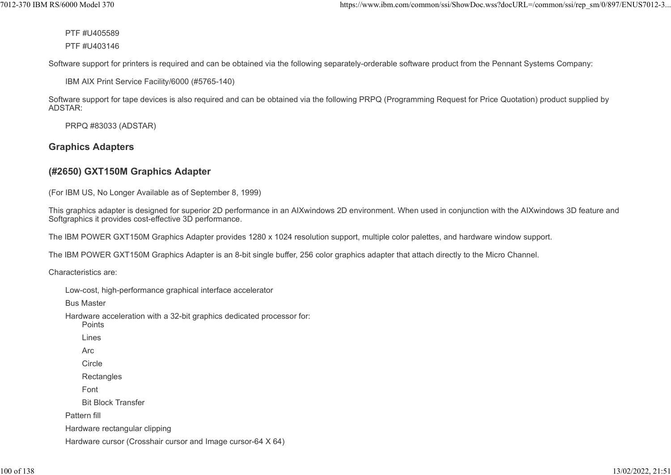PTF #U405589

PTF #U403146

Software support for printers is required and can be obtained via the following separately-orderable software product from the Pennant Systems Company:

IBM AIX Print Service Facility/6000 (#5765-140)

Software support for tape devices is also required and can be obtained via the following PRPQ (Programming Request for Price Quotation) product supplied by ADSTAR:

PRPQ #83033 (ADSTAR)

# Graphics Adapters

# (#2650) GXT150M Graphics Adapter

(For IBM US, No Longer Available as of September 8, 1999)

This graphics adapter is designed for superior 2D performance in an AIXwindows 2D environment. When used in conjunction with the AIXwindows 3D feature and Softgraphics it provides cost-effective 3D performance.

The IBM POWER GXT150M Graphics Adapter provides 1280 x 1024 resolution support, multiple color palettes, and hardware window support.

The IBM POWER GXT150M Graphics Adapter is an 8-bit single buffer, 256 color graphics adapter that attach directly to the Micro Channel.

Characteristics are:

| Low-cost, high-performance graphical interface accelerator                      |
|---------------------------------------------------------------------------------|
| <b>Bus Master</b>                                                               |
| Hardware acceleration with a 32-bit graphics dedicated processor for:<br>Points |
| Lines                                                                           |
| Arc                                                                             |
| Circle                                                                          |
| Rectangles                                                                      |
| Font                                                                            |
| <b>Bit Block Transfer</b>                                                       |
| Pattern fill                                                                    |
| Hardware rectangular clipping                                                   |
| Hardware cursor (Crosshair cursor and Image cursor-64 X 64)                     |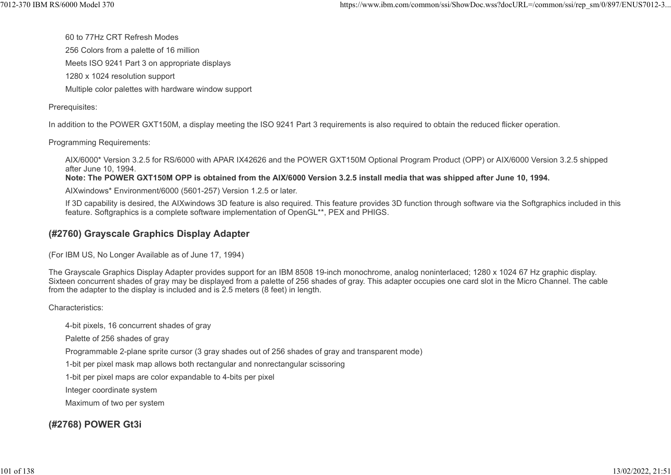60 to 77Hz CRT Refresh Modes 256 Colors from a palette of 16 million Meets ISO 9241 Part 3 on appropriate displays 1280 x 1024 resolution support Multiple color palettes with hardware window support %7012-370 IBM RS/6000 Model 370 https://www.ibm.com/common/ssi/ShowDoc.wss?docURL=/common/ssi/rep\_sm/0/897/ENUS7012-3...<br>60 to 77Hz CRT Refresh Modes<br>256 Colors from a palette of 16 million

Prerequisites:

In addition to the POWER GXT150M, a display meeting the ISO 9241 Part 3 requirements is also required to obtain the reduced flicker operation.

Programming Requirements:

AIX/6000\* Version 3.2.5 for RS/6000 with APAR IX42626 and the POWER GXT150M Optional Program Product (OPP) or AIX/6000 Version 3.2.5 shipped after June 10, 1994.

Note: The POWER GXT150M OPP is obtained from the AIX/6000 Version 3.2.5 install media that was shipped after June 10, 1994.

AIXwindows\* Environment/6000 (5601-257) Version 1.2.5 or later.

If 3D capability is desired, the AIXwindows 3D feature is also required. This feature provides 3D function through software via the Softgraphics included in this feature. Softgraphics is a complete software implementation of OpenGL\*\*, PEX and PHIGS.

#### (#2760) Grayscale Graphics Display Adapter

(For IBM US, No Longer Available as of June 17, 1994)

The Grayscale Graphics Display Adapter provides support for an IBM 8508 19-inch monochrome, analog noninterlaced; 1280 x 1024 67 Hz graphic display. Sixteen concurrent shades of gray may be displayed from a palette of 256 shades of gray. This adapter occupies one card slot in the Micro Channel. The cable from the adapter to the display is included and is 2.5 meters (8 feet) in length.

Characteristics:

4-bit pixels, 16 concurrent shades of gray

Palette of 256 shades of gray

Programmable 2-plane sprite cursor (3 gray shades out of 256 shades of gray and transparent mode)

1-bit per pixel mask map allows both rectangular and nonrectangular scissoring

1-bit per pixel maps are color expandable to 4-bits per pixel

Integer coordinate system

Maximum of two per system

## (#2768) POWER Gt3i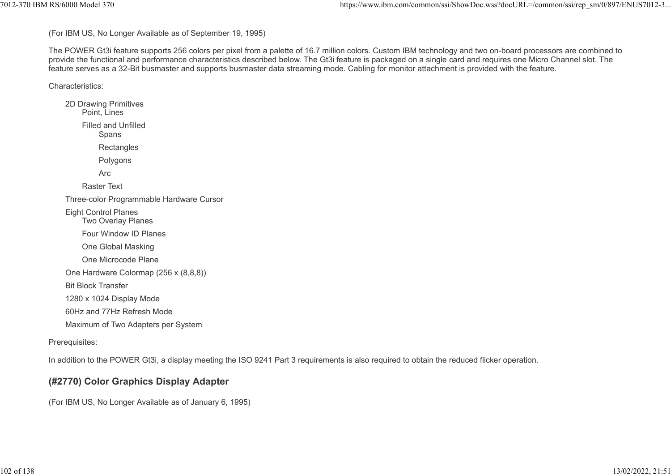(For IBM US, No Longer Available as of September 19, 1995)

The POWER Gt3i feature supports 256 colors per pixel from a palette of 16.7 million colors. Custom IBM technology and two on-board processors are combined to provide the functional and performance characteristics described below. The Gt3i feature is packaged on a single card and requires one Micro Channel slot. The feature serves as a 32-Bit busmaster and supports busmaster data streaming mode. Cabling for monitor attachment is provided with the feature. %%7012-370 IBM RS/6000 Model 370<br>(For IBM US, No Longer Available as of September 19, 1995)<br>The POWER Gt3i feature supports 256 colors per pixel from a palette of 16.7 million colors. Custom IBM technology and two on-board

Characteristics:

2D Drawing Primitives Point, Lines Filled and Unfilled **Spans Rectangles** Polygons Arc **and the contract of the contract of the contract of the contract of the contract of the contract of the contract of the contract of the contract of the contract of the contract of the contract of the contract of the c** Raster Text Three-color Programmable Hardware Cursor Eight Control Planes Two Overlay Planes Four Window ID Planes One Global Masking One Microcode Plane One Hardware Colormap (256 x (8,8,8)) Bit Block Transfer 1280 x 1024 Display Mode 60Hz and 77Hz Refresh Mode Maximum of Two Adapters per System

#### Prerequisites:

In addition to the POWER Gt3i, a display meeting the ISO 9241 Part 3 requirements is also required to obtain the reduced flicker operation.

## (#2770) Color Graphics Display Adapter

(For IBM US, No Longer Available as of January 6, 1995)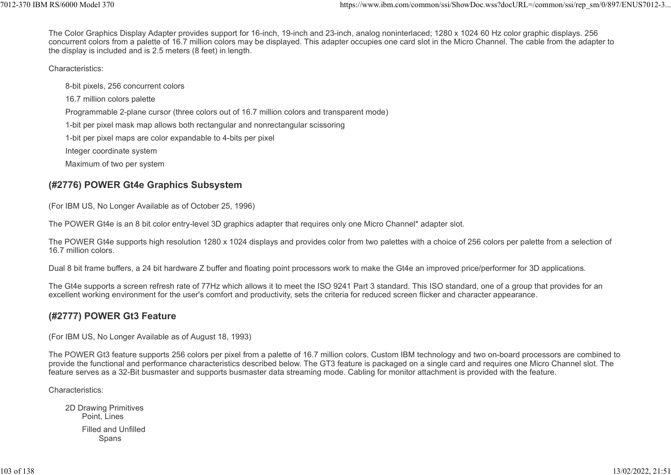The Color Graphics Display Adapter provides support for 16-inch, 19-inch and 23-inch, analog noninterlaced; 1280 x 1024 60 Hz color graphic displays. 256 concurrent colors from a palette of 16.7 million colors may be displayed. This adapter occupies one card slot in the Micro Channel. The cable from the adapter to the display is included and is 2.5 meters (8 feet) in length. %7012-370 IBM RS/6000 Model 370<br>The Color Graphics Display Adapter provides support for 16-inch, 19-inch and 23-inch, analog noninterlaced; 1280 x 1024 60 Hz color graphic displays. 256<br>Concurrent colors from a palette of

Characteristics:

8-bit pixels, 256 concurrent colors 16.7 million colors palette Programmable 2-plane cursor (three colors out of 16.7 million colors and transparent mode) 1-bit per pixel mask map allows both rectangular and nonrectangular scissoring 1-bit per pixel maps are color expandable to 4-bits per pixel

Integer coordinate system

Maximum of two per system

## (#2776) POWER Gt4e Graphics Subsystem

(For IBM US, No Longer Available as of October 25, 1996)

The POWER Gt4e is an 8 bit color entry-level 3D graphics adapter that requires only one Micro Channel\* adapter slot.

The POWER Gt4e supports high resolution 1280 x 1024 displays and provides color from two palettes with a choice of 256 colors per palette from a selection of 16.7 million colors.

Dual 8 bit frame buffers, a 24 bit hardware Z buffer and floating point processors work to make the Gt4e an improved price/performer for 3D applications.

The Gt4e supports a screen refresh rate of 77Hz which allows it to meet the ISO 9241 Part 3 standard. This ISO standard, one of a group that provides for an excellent working environment for the user's comfort and productivity, sets the criteria for reduced screen flicker and character appearance.

#### (#2777) POWER Gt3 Feature

(For IBM US, No Longer Available as of August 18, 1993)

The POWER Gt3 feature supports 256 colors per pixel from a palette of 16.7 million colors. Custom IBM technology and two on-board processors are combined to provide the functional and performance characteristics described below. The GT3 feature is packaged on a single card and requires one Micro Channel slot. The feature serves as a 32-Bit busmaster and supports busmaster data streaming mode. Cabling for monitor attachment is provided with the feature.

Characteristics:

2D Drawing Primitives Point, Lines Filled and Unfilled Spans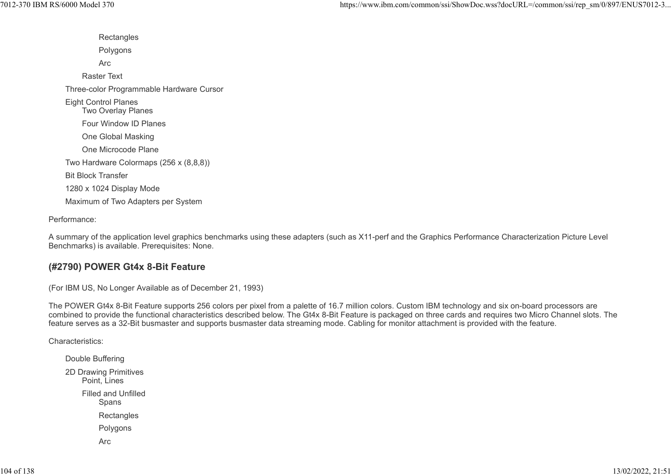**Rectangles** Polygons Arc **and the contract of the contract of the contract of the contract of the contract of the contract of the contract of the contract of the contract of the contract of the contract of the contract of the contract of the c** Raster Text Three-color Programmable Hardware Cursor Eight Control Planes Two Overlay Planes Four Window ID Planes One Global Masking One Microcode Plane Two Hardware Colormaps (256 x (8,8,8)) Bit Block Transfer 1280 x 1024 Display Mode Maximum of Two Adapters per System 7012-370 IBM RS/6000 Model 370 https://www.ibm.com/common/ssi/ShowDoc.wss?docURL=/common/ssi/rep\_sm/0/897/ENUS7012-3...

Performance:

A summary of the application level graphics benchmarks using these adapters (such as X11-perf and the Graphics Performance Characterization Picture Level Benchmarks) is available. Prerequisites: None.

#### (#2790) POWER Gt4x 8-Bit Feature

(For IBM US, No Longer Available as of December 21, 1993)

The POWER Gt4x 8-Bit Feature supports 256 colors per pixel from a palette of 16.7 million colors. Custom IBM technology and six on-board processors are combined to provide the functional characteristics described below. The Gt4x 8-Bit Feature is packaged on three cards and requires two Micro Channel slots. The feature serves as a 32-Bit busmaster and supports busmaster data streaming mode. Cabling for monitor attachment is provided with the feature.

Characteristics:

Double Buffering 2D Drawing Primitives Point, Lines Filled and Unfilled Spans **Rectangles** Polygons Arc **and the contract of the contract of the contract of the contract of the contract of the contract of the contract of the contract of the contract of the contract of the contract of the contract of the contract of the c**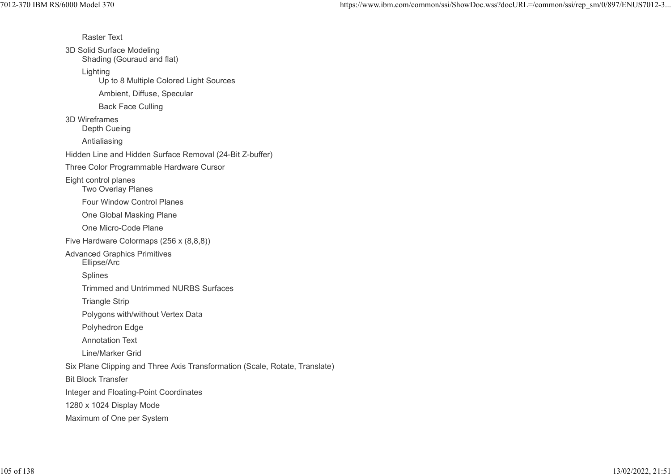Raster Text 3D Solid Surface Modeling Shading (Gouraud and flat) Lighting Up to 8 Multiple Colored Light Sources Ambient, Diffuse, Specular Back Face Culling 3D Wireframes Depth Cueing Antialiasing Hidden Line and Hidden Surface Removal (24-Bit Z-buffer) Three Color Programmable Hardware Cursor Eight control planes Two Overlay Planes Four Window Control Planes One Global Masking Plane One Micro-Code Plane Five Hardware Colormaps (256 x (8,8,8)) Advanced Graphics Primitives Ellipse/Arc Splines Trimmed and Untrimmed NURBS Surfaces Triangle Strip Polygons with/without Vertex Data Polyhedron Edge Annotation Text Line/Marker Grid Six Plane Clipping and Three Axis Transformation (Scale, Rotate, Translate) Bit Block Transfer Integer and Floating-Point Coordinates 1280 x 1024 Display Mode Maximum of One per System %7012-370 IBM RS/6000 Model 370<br>https://www.ibm.com/common/ssi/ShowDoc.wss?docURL=/common/ssi/rep\_sm/0/897/ENUS7012-3...<br>Raster Text<br>3D Solid Surface Modeling<br>Coursul and flat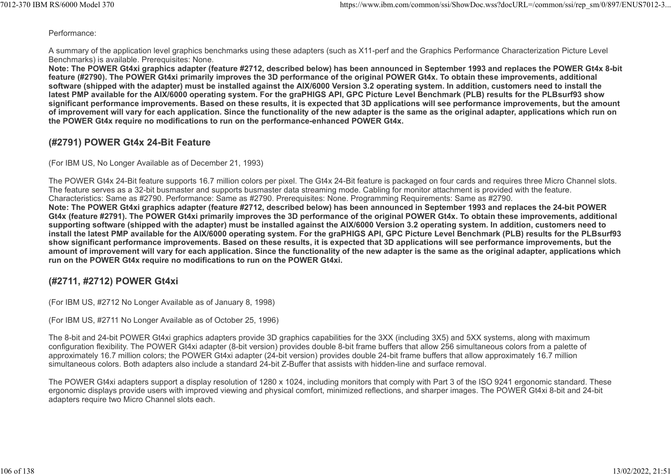Performance:

A summary of the application level graphics benchmarks using these adapters (such as X11-perf and the Graphics Performance Characterization Picture Level Benchmarks) is available. Prerequisites: None. %7012-370 IBM RS/6000 Model 370<br>Performance:<br>A summary of the application level graphics benchmarks using these adapters (such as X11-perf and the Graphics Performance Characterization Picture Level<br>Pershare this studied b

Note: The POWER Gt4xi graphics adapter (feature #2712, described below) has been announced in September 1993 and replaces the POWER Gt4x 8-bit feature (#2790). The POWER Gt4xi primarily improves the 3D performance of the original POWER Gt4x. To obtain these improvements, additional software (shipped with the adapter) must be installed against the AIX/6000 Version 3.2 operating system. In addition, customers need to install the latest PMP available for the AIX/6000 operating system. For the graPHIGS API, GPC Picture Level Benchmark (PLB) results for the PLBsurf93 show significant performance improvements. Based on these results, it is expected that 3D applications will see performance improvements, but the amount of improvement will vary for each application. Since the functionality of the new adapter is the same as the original adapter, applications which run on the POWER Gt4x require no modifications to run on the performance-enhanced POWER Gt4x.

#### (#2791) POWER Gt4x 24-Bit Feature

(For IBM US, No Longer Available as of December 21, 1993)

The POWER Gt4x 24-Bit feature supports 16.7 million colors per pixel. The Gt4x 24-Bit feature is packaged on four cards and requires three Micro Channel slots. The feature serves as a 32-bit busmaster and supports busmaster data streaming mode. Cabling for monitor attachment is provided with the feature. Characteristics: Same as #2790. Performance: Same as #2790. Prerequisites: None. Programming Requirements: Same as #2790. Note: The POWER Gt4xi graphics adapter (feature #2712, described below) has been announced in September 1993 and replaces the 24-bit POWER Gt4x (feature #2791). The POWER Gt4xi primarily improves the 3D performance of the original POWER Gt4x. To obtain these improvements, additional supporting software (shipped with the adapter) must be installed against the AIX/6000 Version 3.2 operating system. In addition, customers need to install the latest PMP available for the AIX/6000 operating system. For the graPHIGS API, GPC Picture Level Benchmark (PLB) results for the PLBsurf93 show significant performance improvements. Based on these results, it is expected that 3D applications will see performance improvements, but the amount of improvement will vary for each application. Since the functionality of the new adapter is the same as the original adapter, applications which run on the POWER Gt4x require no modifications to run on the POWER Gt4xi.

## (#2711, #2712) POWER Gt4xi

(For IBM US, #2712 No Longer Available as of January 8, 1998)

(For IBM US, #2711 No Longer Available as of October 25, 1996)

The 8-bit and 24-bit POWER Gt4xi graphics adapters provide 3D graphics capabilities for the 3XX (including 3X5) and 5XX systems, along with maximum configuration flexibility. The POWER Gt4xi adapter (8-bit version) provides double 8-bit frame buffers that allow 256 simultaneous colors from a palette of approximately 16.7 million colors; the POWER Gt4xi adapter (24-bit version) provides double 24-bit frame buffers that allow approximately 16.7 million simultaneous colors. Both adapters also include a standard 24-bit Z-Buffer that assists with hidden-line and surface removal.

The POWER Gt4xi adapters support a display resolution of 1280 x 1024, including monitors that comply with Part 3 of the ISO 9241 ergonomic standard. These ergonomic displays provide users with improved viewing and physical comfort, minimized reflections, and sharper images. The POWER Gt4xi 8-bit and 24-bit adapters require two Micro Channel slots each.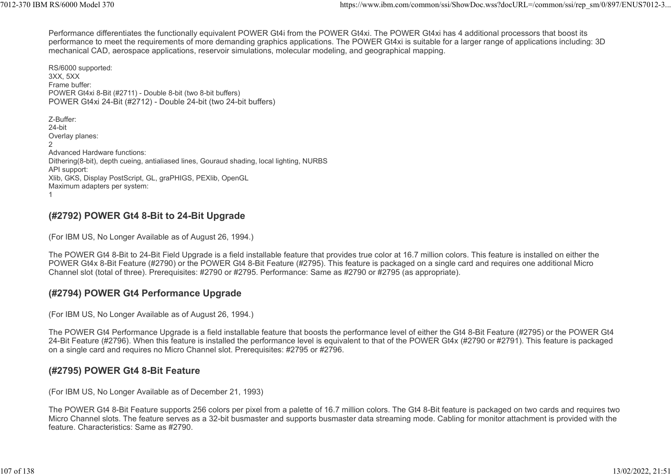Performance differentiates the functionally equivalent POWER Gt4i from the POWER Gt4xi. The POWER Gt4xi has 4 additional processors that boost its performance to meet the requirements of more demanding graphics applications. The POWER Gt4xi is suitable for a larger range of applications including: 3D mechanical CAD, aerospace applications, reservoir simulations, molecular modeling, and geographical mapping. %7012-370 IBM RS/6000 Model 370<br>Performance differentiates the functionally equivalent POWER Gt4i from the POWER Gt4xi. The POWER Gt4xi has 4 additional processors that boost its<br>Performance differentiates the functionally

RS/6000 supported: 3XX, 5XX Frame buffer: POWER Gt4xi 8-Bit (#2711) - Double 8-bit (two 8-bit buffers) POWER Gt4xi 24-Bit (#2712) - Double 24-bit (two 24-bit buffers) Z-Buffer: 24-bit Overlay planes: 2 a *z* a *z* a *z* a *z* a *z* a *z* a *z* a *z* a *z* a *z* a *z* a *z* a *z* a *z* a *z* a *z* Advanced Hardware functions: Dithering(8-bit), depth cueing, antialiased lines, Gouraud shading, local lighting, NURBS API support: Xlib, GKS, Display PostScript, GL, graPHIGS, PEXlib, OpenGL Maximum adapters per system:  $1$ 

#### (#2792) POWER Gt4 8-Bit to 24-Bit Upgrade

(For IBM US, No Longer Available as of August 26, 1994.)

The POWER Gt4 8-Bit to 24-Bit Field Upgrade is a field installable feature that provides true color at 16.7 million colors. This feature is installed on either the POWER Gt4x 8-Bit Feature (#2790) or the POWER Gt4 8-Bit Feature (#2795). This feature is packaged on a single card and requires one additional Micro Channel slot (total of three). Prerequisites: #2790 or #2795. Performance: Same as #2790 or #2795 (as appropriate).

#### (#2794) POWER Gt4 Performance Upgrade

(For IBM US, No Longer Available as of August 26, 1994.)

The POWER Gt4 Performance Upgrade is a field installable feature that boosts the performance level of either the Gt4 8-Bit Feature (#2795) or the POWER Gt4 24-Bit Feature (#2796). When this feature is installed the performance level is equivalent to that of the POWER Gt4x (#2790 or #2791). This feature is packaged on a single card and requires no Micro Channel slot. Prerequisites: #2795 or #2796.

#### (#2795) POWER Gt4 8-Bit Feature

(For IBM US, No Longer Available as of December 21, 1993)

The POWER Gt4 8-Bit Feature supports 256 colors per pixel from a palette of 16.7 million colors. The Gt4 8-Bit feature is packaged on two cards and requires two Micro Channel slots. The feature serves as a 32-bit busmaster and supports busmaster data streaming mode. Cabling for monitor attachment is provided with the feature. Characteristics: Same as #2790.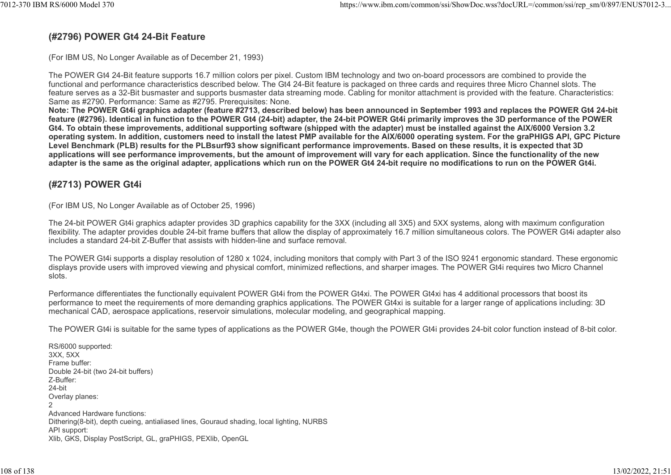#### (#2796) POWER Gt4 24-Bit Feature

(For IBM US, No Longer Available as of December 21, 1993)

The POWER Gt4 24-Bit feature supports 16.7 million colors per pixel. Custom IBM technology and two on-board processors are combined to provide the functional and performance characteristics described below. The Gt4 24-Bit feature is packaged on three cards and requires three Micro Channel slots. The feature serves as a 32-Bit busmaster and supports busmaster data streaming mode. Cabling for monitor attachment is provided with the feature. Characteristics: Same as #2790. Performance: Same as #2795. Prerequisites: None.

Note: The POWER Gt4i graphics adapter (feature #2713, described below) has been announced in September 1993 and replaces the POWER Gt4 24-bit feature (#2796). Identical in function to the POWER Gt4 (24-bit) adapter, the 24-bit POWER Gt4i primarily improves the 3D performance of the POWER Gt4. To obtain these improvements, additional supporting software (shipped with the adapter) must be installed against the AIX/6000 Version 3.2 operating system. In addition, customers need to install the latest PMP available for the AIX/6000 operating system. For the graPHIGS API, GPC Picture Level Benchmark (PLB) results for the PLBsurf93 show significant performance improvements. Based on these results, it is expected that 3D applications will see performance improvements, but the amount of improvement will vary for each application. Since the functionality of the new adapter is the same as the original adapter, applications which run on the POWER Gt4 24-bit require no modifications to run on the POWER Gt4i.

# (#2713) POWER Gt4i

(For IBM US, No Longer Available as of October 25, 1996)

The 24-bit POWER Gt4i graphics adapter provides 3D graphics capability for the 3XX (including all 3X5) and 5XX systems, along with maximum configuration flexibility. The adapter provides double 24-bit frame buffers that allow the display of approximately 16.7 million simultaneous colors. The POWER Gt4i adapter also includes a standard 24-bit Z-Buffer that assists with hidden-line and surface removal.

The POWER Gt4i supports a display resolution of 1280 x 1024, including monitors that comply with Part 3 of the ISO 9241 ergonomic standard. These ergonomic displays provide users with improved viewing and physical comfort, minimized reflections, and sharper images. The POWER Gt4i requires two Micro Channel slots.

Performance differentiates the functionally equivalent POWER Gt4i from the POWER Gt4xi. The POWER Gt4xi has 4 additional processors that boost its performance to meet the requirements of more demanding graphics applications. The POWER Gt4xi is suitable for a larger range of applications including: 3D mechanical CAD, aerospace applications, reservoir simulations, molecular modeling, and geographical mapping.

The POWER Gt4i is suitable for the same types of applications as the POWER Gt4e, though the POWER Gt4i provides 24-bit color function instead of 8-bit color.

RS/6000 supported: 3XX, 5XX Frame buffer: Double 24-bit (two 24-bit buffers) Z-Buffer: 24-bit Overlay planes: 2 and 2 and 2 and 2 and 2 and 2 and 2 and 2 and 2 and 2 and 2 and 2 and 2 and 2 and 2 and 2 and 2 and 2 and 2 Advanced Hardware functions: Dithering(8-bit), depth cueing, antialiased lines, Gouraud shading, local lighting, NURBS API support: Xlib, GKS, Display PostScript, GL, graPHIGS, PEXlib, OpenGL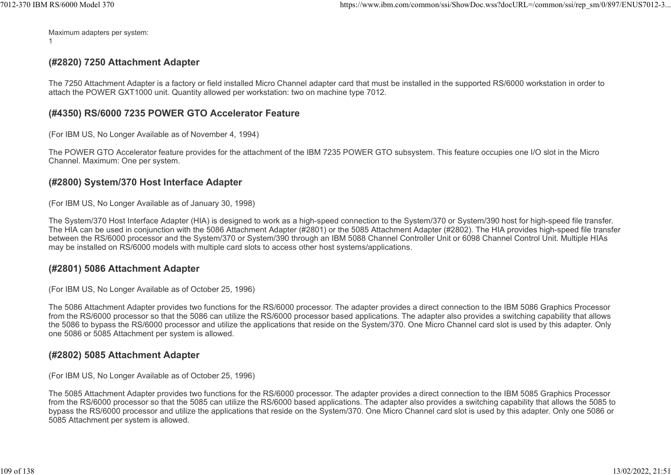Maximum adapters per system:  $1$ 

## (#2820) 7250 Attachment Adapter

The 7250 Attachment Adapter is a factory or field installed Micro Channel adapter card that must be installed in the supported RS/6000 workstation in order to attach the POWER GXT1000 unit. Quantity allowed per workstation: two on machine type 7012.

#### (#4350) RS/6000 7235 POWER GTO Accelerator Feature

(For IBM US, No Longer Available as of November 4, 1994)

The POWER GTO Accelerator feature provides for the attachment of the IBM 7235 POWER GTO subsystem. This feature occupies one I/O slot in the Micro Channel. Maximum: One per system.

#### (#2800) System/370 Host Interface Adapter

(For IBM US, No Longer Available as of January 30, 1998)

The System/370 Host Interface Adapter (HIA) is designed to work as a high-speed connection to the System/370 or System/390 host for high-speed file transfer. The HIA can be used in conjunction with the 5086 Attachment Adapter (#2801) or the 5085 Attachment Adapter (#2802). The HIA provides high-speed file transfer between the RS/6000 processor and the System/370 or System/390 through an IBM 5088 Channel Controller Unit or 6098 Channel Control Unit. Multiple HIAs may be installed on RS/6000 models with multiple card slots to access other host systems/applications.

#### (#2801) 5086 Attachment Adapter

(For IBM US, No Longer Available as of October 25, 1996)

The 5086 Attachment Adapter provides two functions for the RS/6000 processor. The adapter provides a direct connection to the IBM 5086 Graphics Processor from the RS/6000 processor so that the 5086 can utilize the RS/6000 processor based applications. The adapter also provides a switching capability that allows the 5086 to bypass the RS/6000 processor and utilize the applications that reside on the System/370. One Micro Channel card slot is used by this adapter. Only one 5086 or 5085 Attachment per system is allowed.

#### (#2802) 5085 Attachment Adapter

(For IBM US, No Longer Available as of October 25, 1996)

The 5085 Attachment Adapter provides two functions for the RS/6000 processor. The adapter provides a direct connection to the IBM 5085 Graphics Processor from the RS/6000 processor so that the 5085 can utilize the RS/6000 based applications. The adapter also provides a switching capability that allows the 5085 to bypass the RS/6000 processor and utilize the applications that reside on the System/370. One Micro Channel card slot is used by this adapter. Only one 5086 or 5085 Attachment per system is allowed.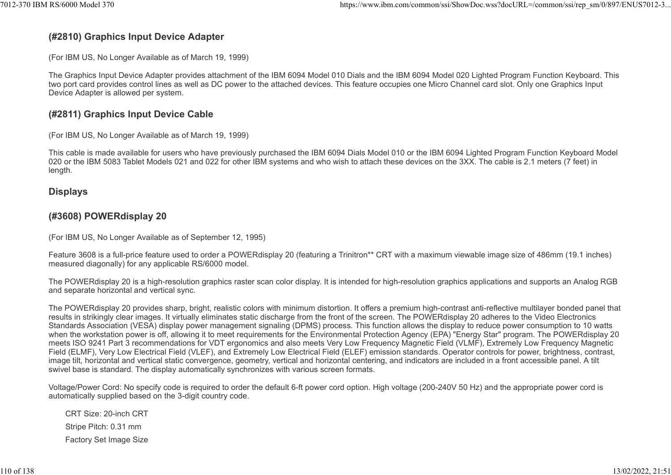## (#2810) Graphics Input Device Adapter

(For IBM US, No Longer Available as of March 19, 1999)

The Graphics Input Device Adapter provides attachment of the IBM 6094 Model 010 Dials and the IBM 6094 Model 020 Lighted Program Function Keyboard. This two port card provides control lines as well as DC power to the attached devices. This feature occupies one Micro Channel card slot. Only one Graphics Input Device Adapter is allowed per system.

#### (#2811) Graphics Input Device Cable

(For IBM US, No Longer Available as of March 19, 1999)

This cable is made available for users who have previously purchased the IBM 6094 Dials Model 010 or the IBM 6094 Lighted Program Function Keyboard Model 020 or the IBM 5083 Tablet Models 021 and 022 for other IBM systems and who wish to attach these devices on the 3XX. The cable is 2.1 meters (7 feet) in length.

#### **Displays**

#### (#3608) POWERdisplay 20

(For IBM US, No Longer Available as of September 12, 1995)

Feature 3608 is a full-price feature used to order a POWERdisplay 20 (featuring a Trinitron\*\* CRT with a maximum viewable image size of 486mm (19.1 inches) measured diagonally) for any applicable RS/6000 model.

The POWERdisplay 20 is a high-resolution graphics raster scan color display. It is intended for high-resolution graphics applications and supports an Analog RGB and separate horizontal and vertical sync.

The POWERdisplay 20 provides sharp, bright, realistic colors with minimum distortion. It offers a premium high-contrast anti-reflective multilayer bonded panel that results in strikingly clear images. It virtually eliminates static discharge from the front of the screen. The POWERdisplay 20 adheres to the Video Electronics Standards Association (VESA) display power management signaling (DPMS) process. This function allows the display to reduce power consumption to 10 watts when the workstation power is off, allowing it to meet requirements for the Environmental Protection Agency (EPA) "Energy Star" program. The POWERdisplay 20 meets ISO 9241 Part 3 recommendations for VDT ergonomics and also meets Very Low Frequency Magnetic Field (VLMF), Extremely Low Frequency Magnetic Field (ELMF), Very Low Electrical Field (VLEF), and Extremely Low Electrical Field (ELEF) emission standards. Operator controls for power, brightness, contrast, image tilt, horizontal and vertical static convergence, geometry, vertical and horizontal centering, and indicators are included in a front accessible panel. A tilt swivel base is standard. The display automatically synchronizes with various screen formats.

Voltage/Power Cord: No specify code is required to order the default 6-ft power cord option. High voltage (200-240V 50 Hz) and the appropriate power cord is automatically supplied based on the 3-digit country code.

CRT Size: 20-inch CRT Stripe Pitch: 0.31 mm Factory Set Image Size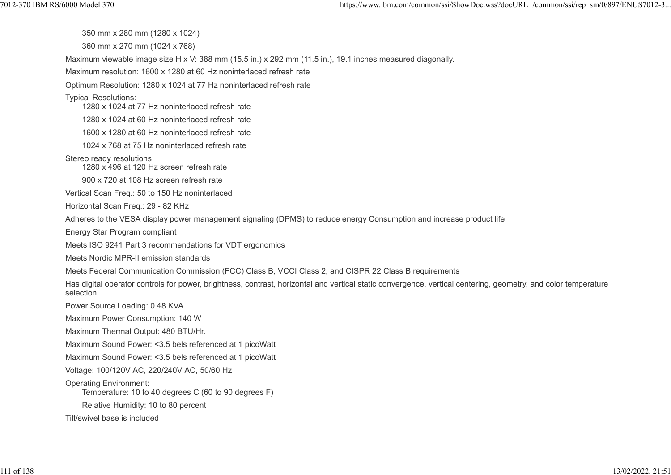350 mm x 280 mm (1280 x 1024)

360 mm x 270 mm (1024 x 768)

Maximum viewable image size H x V: 388 mm (15.5 in.) x 292 mm (11.5 in.), 19.1 inches measured diagonally.

Maximum resolution: 1600 x 1280 at 60 Hz noninterlaced refresh rate

Optimum Resolution: 1280 x 1024 at 77 Hz noninterlaced refresh rate

Typical Resolutions:

1280 x 1024 at 77 Hz noninterlaced refresh rate

1280 x 1024 at 60 Hz noninterlaced refresh rate

1600 x 1280 at 60 Hz noninterlaced refresh rate

1024 x 768 at 75 Hz noninterlaced refresh rate

Stereo ready resolutions

1280 x 496 at 120 Hz screen refresh rate

900 x 720 at 108 Hz screen refresh rate

Vertical Scan Freq.: 50 to 150 Hz noninterlaced

Horizontal Scan Freq.: 29 - 82 KHz

Adheres to the VESA display power management signaling (DPMS) to reduce energy Consumption and increase product life

Energy Star Program compliant

Meets ISO 9241 Part 3 recommendations for VDT ergonomics

Meets Nordic MPR-II emission standards

Meets Federal Communication Commission (FCC) Class B, VCCI Class 2, and CISPR 22 Class B requirements

Has digital operator controls for power, brightness, contrast, horizontal and vertical static convergence, vertical centering, geometry, and color temperature selection.

Power Source Loading: 0.48 KVA

Maximum Power Consumption: 140 W

Maximum Thermal Output: 480 BTU/Hr.

Maximum Sound Power: <3.5 bels referenced at 1 picoWatt

Maximum Sound Power: <3.5 bels referenced at 1 picoWatt

Voltage: 100/120V AC, 220/240V AC, 50/60 Hz

Operating Environment:

Temperature: 10 to 40 degrees C (60 to 90 degrees F)

Relative Humidity: 10 to 80 percent

Tilt/swivel base is included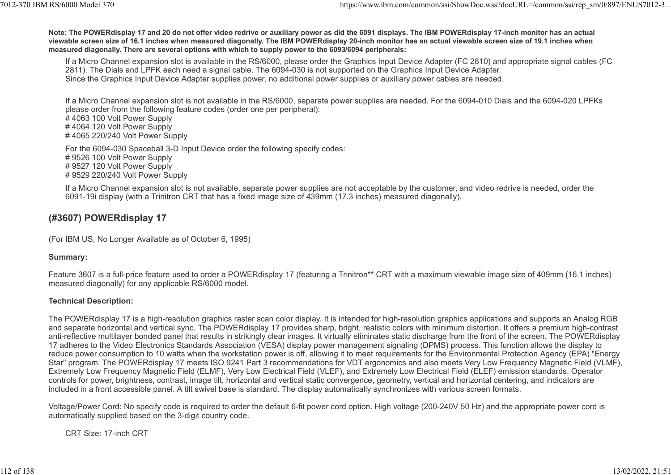Note: The POWERdisplay 17 and 20 do not offer video redrive or auxiliary power as did the 6091 displays. The IBM POWERdisplay 17-inch monitor has an actual viewable screen size of 16.1 inches when measured diagonally. The IBM POWERdisplay 20-inch monitor has an actual viewable screen size of 19.1 inches when measured diagonally. There are several options with which to supply power to the 6093/6094 peripherals: 12-370 IBM RS/6000 Model 370<br>Note: The POWERdisplay 17 and 20 do not offer video redrive or auxiliary power as did the 6091 displays. The IBM POWERdisplay 17-inch monitor has an actual<br>viewable screen size of 16.1 inches w

If a Micro Channel expansion slot is available in the RS/6000, please order the Graphics Input Device Adapter (FC 2810) and appropriate signal cables (FC 2811). The Dials and LPFK each need a signal cable. The 6094-030 is not supported on the Graphics Input Device Adapter. Since the Graphics Input Device Adapter supplies power, no additional power supplies or auxiliary power cables are needed.

If a Micro Channel expansion slot is not available in the RS/6000, separate power supplies are needed. For the 6094-010 Dials and the 6094-020 LPFKs please order from the following feature codes (order one per peripheral):

# 4063 100 Volt Power Supply # 4064 120 Volt Power Supply # 4065 220/240 Volt Power Supply

For the 6094-030 Spaceball 3-D Input Device order the following specify codes: # 9526 100 Volt Power Supply # 9527 120 Volt Power Supply # 9529 220/240 Volt Power Supply

If a Micro Channel expansion slot is not available, separate power supplies are not acceptable by the customer, and video redrive is needed, order the 6091-19i display (with a Trinitron CRT that has a fixed image size of 439mm (17.3 inches) measured diagonally).

## (#3607) POWERdisplay 17

(For IBM US, No Longer Available as of October 6, 1995)

#### Summary:

Feature 3607 is a full-price feature used to order a POWERdisplay 17 (featuring a Trinitron\*\* CRT with a maximum viewable image size of 409mm (16.1 inches) measured diagonally) for any applicable RS/6000 model.

#### Technical Description:

The POWERdisplay 17 is a high-resolution graphics raster scan color display. It is intended for high-resolution graphics applications and supports an Analog RGB and separate horizontal and vertical sync. The POWERdisplay 17 provides sharp, bright, realistic colors with minimum distortion. It offers a premium high-contrast anti-reflective multilayer bonded panel that results in strikingly clear images. It virtually eliminates static discharge from the front of the screen. The POWERdisplay 17 adheres to the Video Electronics Standards Association (VESA) display power management signaling (DPMS) process. This function allows the display to reduce power consumption to 10 watts when the workstation power is off, allowing it to meet requirements for the Environmental Protection Agency (EPA) "Energy Star" program. The POWERdisplay 17 meets ISO 9241 Part 3 recommendations for VDT ergonomics and also meets Very Low Frequency Magnetic Field (VLMF), Extremely Low Frequency Magnetic Field (ELMF), Very Low Electrical Field (VLEF), and Extremely Low Electrical Field (ELEF) emission standards. Operator controls for power, brightness, contrast, image tilt, horizontal and vertical static convergence, geometry, vertical and horizontal centering, and indicators are included in a front accessible panel. A tilt swivel base is standard. The display automatically synchronizes with various screen formats.

Voltage/Power Cord: No specify code is required to order the default 6-fit power cord option. High voltage (200-240V 50 Hz) and the appropriate power cord is automatically supplied based on the 3-digit country code.

CRT Size: 17-inch CRT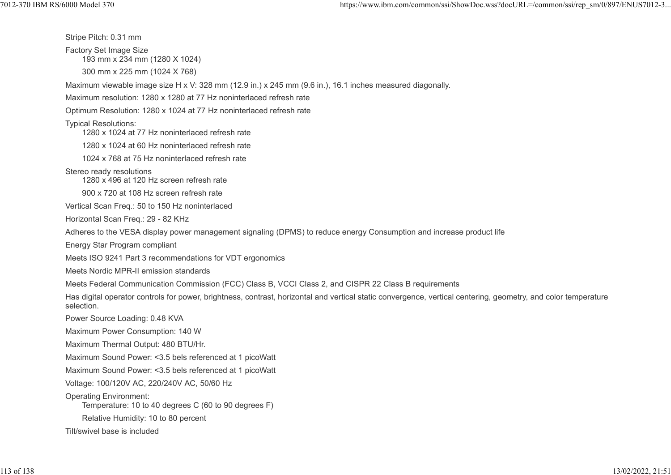Stripe Pitch: 0.31 mm Factory Set Image Size 193 mm x 234 mm (1280 X 1024) 300 mm x 225 mm (1024 X 768) Maximum viewable image size H x V: 328 mm (12.9 in.) x 245 mm (9.6 in.), 16.1 inches measured diagonally. Maximum resolution: 1280 x 1280 at 77 Hz noninterlaced refresh rate Optimum Resolution: 1280 x 1024 at 77 Hz noninterlaced refresh rate Typical Resolutions: 1280 x 1024 at 77 Hz noninterlaced refresh rate 1280 x 1024 at 60 Hz noninterlaced refresh rate 1024 x 768 at 75 Hz noninterlaced refresh rate Stereo ready resolutions 1280 x 496 at 120 Hz screen refresh rate 900 x 720 at 108 Hz screen refresh rate Vertical Scan Freq.: 50 to 150 Hz noninterlaced Horizontal Scan Freq.: 29 - 82 KHz Adheres to the VESA display power management signaling (DPMS) to reduce energy Consumption and increase product life Energy Star Program compliant Meets ISO 9241 Part 3 recommendations for VDT ergonomics Meets Nordic MPR-II emission standards Meets Federal Communication Commission (FCC) Class B, VCCI Class 2, and CISPR 22 Class B requirements Has digital operator controls for power, brightness, contrast, horizontal and vertical static convergence, vertical centering, geometry, and color temperature selection. Power Source Loading: 0.48 KVA Maximum Power Consumption: 140 W Maximum Thermal Output: 480 BTU/Hr. Maximum Sound Power: <3.5 bels referenced at 1 picoWatt Maximum Sound Power: <3.5 bels referenced at 1 picoWatt Voltage: 100/120V AC, 220/240V AC, 50/60 Hz Operating Environment: Temperature: 10 to 40 degrees C (60 to 90 degrees F) Relative Humidity: 10 to 80 percent Tilt/swivel base is included 1012-370 IBM RS/6000 Model 370<br>
Stripe Pitch: 0.31 mm<br>
Factory Set Image Size<br>
Factory Set Image Size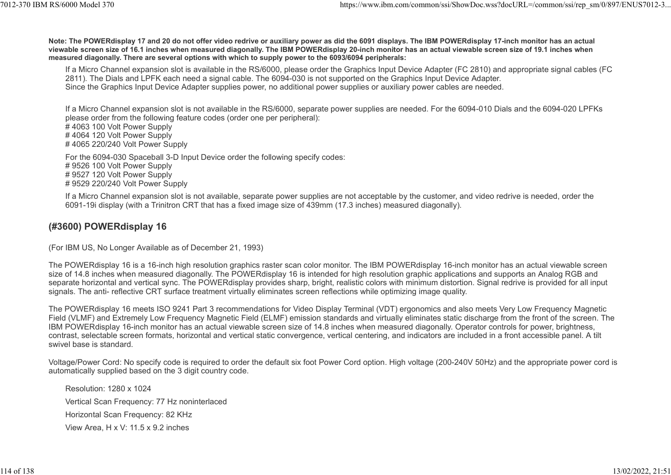Note: The POWERdisplay 17 and 20 do not offer video redrive or auxiliary power as did the 6091 displays. The IBM POWERdisplay 17-inch monitor has an actual viewable screen size of 16.1 inches when measured diagonally. The IBM POWERdisplay 20-inch monitor has an actual viewable screen size of 19.1 inches when measured diagonally. There are several options with which to supply power to the 6093/6094 peripherals: %%%7012-370 IBM RS/6000 Model 370<br>https://www.ibm.com/common/ssi/ShowDoc.wss?docURL=/common/ssi/rep\_sm/0/897/ENUS7012-3...<br>Note: The POWERdisplay 17 and 20 do not offer video redrive or auxiliary power as did the 6091 disp

If a Micro Channel expansion slot is available in the RS/6000, please order the Graphics Input Device Adapter (FC 2810) and appropriate signal cables (FC 2811). The Dials and LPFK each need a signal cable. The 6094-030 is not supported on the Graphics Input Device Adapter. Since the Graphics Input Device Adapter supplies power, no additional power supplies or auxiliary power cables are needed.

If a Micro Channel expansion slot is not available in the RS/6000, separate power supplies are needed. For the 6094-010 Dials and the 6094-020 LPFKs please order from the following feature codes (order one per peripheral): # 4063 100 Volt Power Supply # 4064 120 Volt Power Supply

# 4065 220/240 Volt Power Supply

For the 6094-030 Spaceball 3-D Input Device order the following specify codes: # 9526 100 Volt Power Supply # 9527 120 Volt Power Supply # 9529 220/240 Volt Power Supply

If a Micro Channel expansion slot is not available, separate power supplies are not acceptable by the customer, and video redrive is needed, order the 6091-19i display (with a Trinitron CRT that has a fixed image size of 439mm (17.3 inches) measured diagonally).

#### (#3600) POWERdisplay 16

(For IBM US, No Longer Available as of December 21, 1993)

The POWERdisplay 16 is a 16-inch high resolution graphics raster scan color monitor. The IBM POWERdisplay 16-inch monitor has an actual viewable screen size of 14.8 inches when measured diagonally. The POWERdisplay 16 is intended for high resolution graphic applications and supports an Analog RGB and separate horizontal and vertical sync. The POWERdisplay provides sharp, bright, realistic colors with minimum distortion. Signal redrive is provided for all input signals. The anti- reflective CRT surface treatment virtually eliminates screen reflections while optimizing image quality.

The POWERdisplay 16 meets ISO 9241 Part 3 recommendations for Video Display Terminal (VDT) ergonomics and also meets Very Low Frequency Magnetic Field (VLMF) and Extremely Low Frequency Magnetic Field (ELMF) emission standards and virtually eliminates static discharge from the front of the screen. The IBM POWERdisplay 16-inch monitor has an actual viewable screen size of 14.8 inches when measured diagonally. Operator controls for power, brightness, contrast, selectable screen formats, horizontal and vertical static convergence, vertical centering, and indicators are included in a front accessible panel. A tilt swivel base is standard.

Voltage/Power Cord: No specify code is required to order the default six foot Power Cord option. High voltage (200-240V 50Hz) and the appropriate power cord is automatically supplied based on the 3 digit country code.

Resolution: 1280 x 1024 Vertical Scan Frequency: 77 Hz noninterlaced Horizontal Scan Frequency: 82 KHz View Area, H x V: 11.5 x 9.2 inches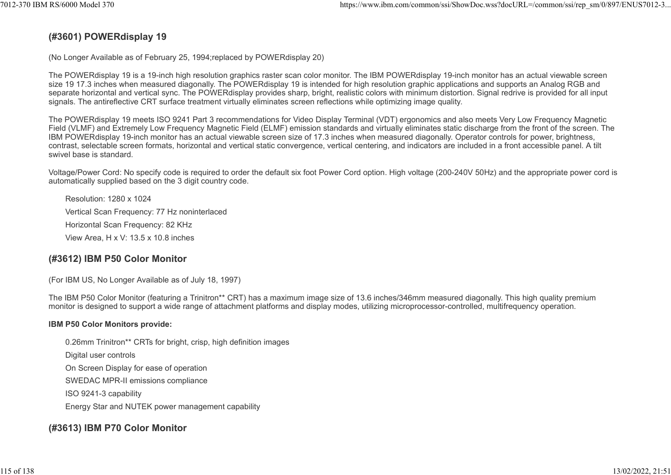## (#3601) POWERdisplay 19

(No Longer Available as of February 25, 1994;replaced by POWERdisplay 20)

The POWERdisplay 19 is a 19-inch high resolution graphics raster scan color monitor. The IBM POWERdisplay 19-inch monitor has an actual viewable screen size 19 17.3 inches when measured diagonally. The POWERdisplay 19 is intended for high resolution graphic applications and supports an Analog RGB and separate horizontal and vertical sync. The POWERdisplay provides sharp, bright, realistic colors with minimum distortion. Signal redrive is provided for all input signals. The antireflective CRT surface treatment virtually eliminates screen reflections while optimizing image quality.

The POWERdisplay 19 meets ISO 9241 Part 3 recommendations for Video Display Terminal (VDT) ergonomics and also meets Very Low Frequency Magnetic Field (VLMF) and Extremely Low Frequency Magnetic Field (ELMF) emission standards and virtually eliminates static discharge from the front of the screen. The IBM POWERdisplay 19-inch monitor has an actual viewable screen size of 17.3 inches when measured diagonally. Operator controls for power, brightness, contrast, selectable screen formats, horizontal and vertical static convergence, vertical centering, and indicators are included in a front accessible panel. A tilt swivel base is standard.

Voltage/Power Cord: No specify code is required to order the default six foot Power Cord option. High voltage (200-240V 50Hz) and the appropriate power cord is automatically supplied based on the 3 digit country code.

Resolution: 1280 x 1024 Vertical Scan Frequency: 77 Hz noninterlaced Horizontal Scan Frequency: 82 KHz View Area, H x V: 13.5 x 10.8 inches

## (#3612) IBM P50 Color Monitor

(For IBM US, No Longer Available as of July 18, 1997)

The IBM P50 Color Monitor (featuring a Trinitron\*\* CRT) has a maximum image size of 13.6 inches/346mm measured diagonally. This high quality premium monitor is designed to support a wide range of attachment platforms and display modes, utilizing microprocessor-controlled, multifrequency operation.

#### IBM P50 Color Monitors provide:

0.26mm Trinitron\*\* CRTs for bright, crisp, high definition images Digital user controls On Screen Display for ease of operation SWEDAC MPR-II emissions compliance ISO 9241-3 capability Energy Star and NUTEK power management capability

## (#3613) IBM P70 Color Monitor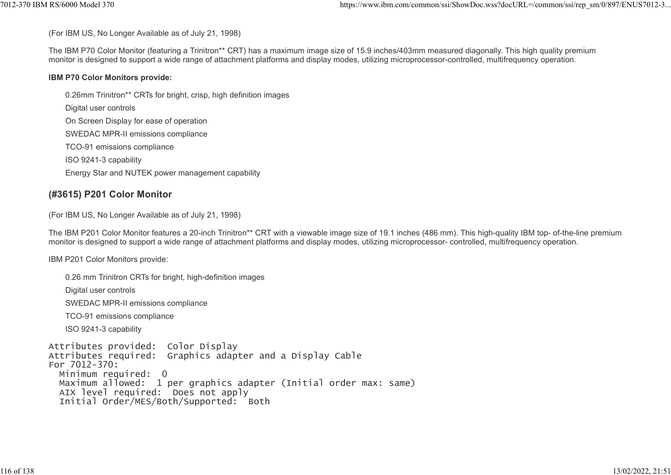(For IBM US, No Longer Available as of July 21, 1998)

The IBM P70 Color Monitor (featuring a Trinitron\*\* CRT) has a maximum image size of 15.9 inches/403mm measured diagonally. This high quality premium monitor is designed to support a wide range of attachment platforms and display modes, utilizing microprocessor-controlled, multifrequency operation. %%7012-370 IBM RS/6000 Model 370<br>(For IBM US, No Longer Available as of July 21, 1998)<br>The IBM P70 Color Monitor (featuring a Trinitron\*\* CRT) has a maximum image size of 15.9 inches/403mm measured diagonally. This high qu

#### IBM P70 Color Monitors provide:

0.26mm Trinitron\*\* CRTs for bright, crisp, high definition images Digital user controls On Screen Display for ease of operation SWEDAC MPR-II emissions compliance TCO-91 emissions compliance ISO 9241-3 capability Energy Star and NUTEK power management capability

## (#3615) P201 Color Monitor

(For IBM US, No Longer Available as of July 21, 1998)

The IBM P201 Color Monitor features a 20-inch Trinitron\*\* CRT with a viewable image size of 19.1 inches (486 mm). This high-quality IBM top- of-the-line premium monitor is designed to support a wide range of attachment platforms and display modes, utilizing microprocessor- controlled, multifrequency operation.

IBM P201 Color Monitors provide:

0.26 mm Trinitron CRTs for bright, high-definition images Digital user controls SWEDAC MPR-II emissions compliance TCO-91 emissions compliance ISO 9241-3 capability Attributes provided: Color Display Attributes required: Graphics adapter and a Display Cable For 7012-370: Minimum required: 0 Maximum allowed: 1 per graphics adapter (Initial order max: same) AIX level required: Does not apply Initial Order/MES/Both/Supported: Both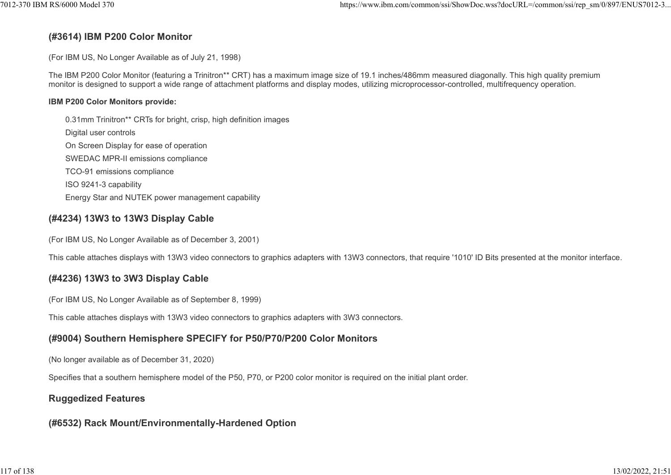#### (#3614) IBM P200 Color Monitor

(For IBM US, No Longer Available as of July 21, 1998)

The IBM P200 Color Monitor (featuring a Trinitron\*\* CRT) has a maximum image size of 19.1 inches/486mm measured diagonally. This high quality premium monitor is designed to support a wide range of attachment platforms and display modes, utilizing microprocessor-controlled, multifrequency operation.

#### IBM P200 Color Monitors provide:

0.31mm Trinitron\*\* CRTs for bright, crisp, high definition images Digital user controls On Screen Display for ease of operation SWEDAC MPR-II emissions compliance TCO-91 emissions compliance ISO 9241-3 capability Energy Star and NUTEK power management capability

#### (#4234) 13W3 to 13W3 Display Cable

(For IBM US, No Longer Available as of December 3, 2001)

This cable attaches displays with 13W3 video connectors to graphics adapters with 13W3 connectors, that require '1010' ID Bits presented at the monitor interface.

#### (#4236) 13W3 to 3W3 Display Cable

(For IBM US, No Longer Available as of September 8, 1999)

This cable attaches displays with 13W3 video connectors to graphics adapters with 3W3 connectors.

## (#9004) Southern Hemisphere SPECIFY for P50/P70/P200 Color Monitors

(No longer available as of December 31, 2020)

Specifies that a southern hemisphere model of the P50, P70, or P200 color monitor is required on the initial plant order.

#### Ruggedized Features

#### (#6532) Rack Mount/Environmentally-Hardened Option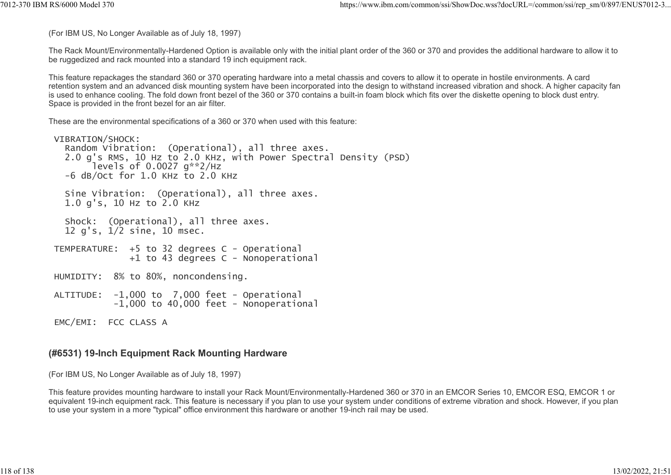(For IBM US, No Longer Available as of July 18, 1997)

The Rack Mount/Environmentally-Hardened Option is available only with the initial plant order of the 360 or 370 and provides the additional hardware to allow it to be ruggedized and rack mounted into a standard 19 inch equipment rack. ttps://www.ibm.com/common/ssi/ShowDoc.wss?docURL=/common/ssi/rep\_sm/0/897/ENUS7012-3...<br>(For IBM US, No Longer Available as of July 18, 1997)<br>The Rack Mount/Environmentally-Hardened Option is available only with the initia

This feature repackages the standard 360 or 370 operating hardware into a metal chassis and covers to allow it to operate in hostile environments. A card retention system and an advanced disk mounting system have been incorporated into the design to withstand increased vibration and shock. A higher capacity fan is used to enhance cooling. The fold down front bezel of the 360 or 370 contains a built-in foam block which fits over the diskette opening to block dust entry. Space is provided in the front bezel for an air filter.

These are the environmental specifications of a 360 or 370 when used with this feature:

```
 VIBRATION/SHOCK:
   Random Vibration: (Operational), all three axes.
   2.0 g's RMS, 10 Hz to 2.0 KHz, with Power Spectral Density (PSD)
       \intlevels of 0.0027 a**2/Hz -6 dB/Oct for 1.0 KHz to 2.0 KHz
   Sine Vibration: (Operational), all three axes.
   1.0 g's, 10 Hz to 2.0 KHz
   Shock: (Operational), all three axes.
   12 g's, 1/2 sine, 10 msec.
 TEMPERATURE: +5 to 32 degrees C - Operational
               +1 to 43 degrees C - Nonoperational
 HUMIDITY: 8% to 80%, noncondensing.
 ALTITUDE: -1,000 to 7,000 feet - Operational
           -1,000 to 40,000 feet - Nonoperational
 EMC/EMI: FCC CLASS A
```
#### (#6531) 19-Inch Equipment Rack Mounting Hardware

(For IBM US, No Longer Available as of July 18, 1997)

This feature provides mounting hardware to install your Rack Mount/Environmentally-Hardened 360 or 370 in an EMCOR Series 10, EMCOR ESQ, EMCOR 1 or equivalent 19-inch equipment rack. This feature is necessary if you plan to use your system under conditions of extreme vibration and shock. However, if you plan to use your system in a more "typical" office environment this hardware or another 19-inch rail may be used.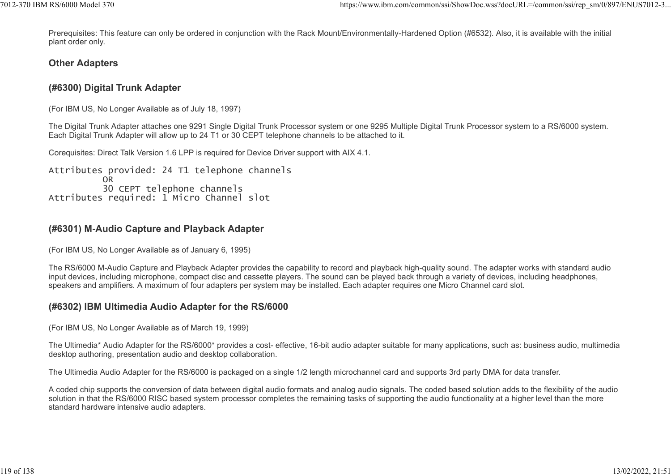Prerequisites: This feature can only be ordered in conjunction with the Rack Mount/Environmentally-Hardened Option (#6532). Also, it is available with the initial plant order only. %7012-370 IBM RS/6000 Model 370<br>https://www.ibm.com/common/ssi/ShowDoc.wss?docURL=/common/ssi/rep\_sm/0/897/ENUS7012-3...<br>Prerequisites: This feature can only be ordered in conjunction with the Rack Mount/Environmentally-Ha

#### Other Adapters

## (#6300) Digital Trunk Adapter

(For IBM US, No Longer Available as of July 18, 1997)

The Digital Trunk Adapter attaches one 9291 Single Digital Trunk Processor system or one 9295 Multiple Digital Trunk Processor system to a RS/6000 system. Each Digital Trunk Adapter will allow up to 24 T1 or 30 CEPT telephone channels to be attached to it.

Corequisites: Direct Talk Version 1.6 LPP is required for Device Driver support with AIX 4.1.

Attributes provided: 24 T1 telephone channels OR DESCRIPTION OF THE CONTROL OF THE CONTROL OF THE CONTROL OF THE CONTROL OF THE CONTROL OF THE CONTROL OF THE CONTROL OF THE CONTROL OF THE CONTROL OF THE CONTROL OF THE CONTROL OF THE CONTROL OF THE CONTROL OF THE CONTR 30 CEPT telephone channels Attributes required: 1 Micro Channel slot

## (#6301) M-Audio Capture and Playback Adapter

(For IBM US, No Longer Available as of January 6, 1995)

The RS/6000 M-Audio Capture and Playback Adapter provides the capability to record and playback high-quality sound. The adapter works with standard audio input devices, including microphone, compact disc and cassette players. The sound can be played back through a variety of devices, including headphones, speakers and amplifiers. A maximum of four adapters per system may be installed. Each adapter requires one Micro Channel card slot.

## (#6302) IBM Ultimedia Audio Adapter for the RS/6000

(For IBM US, No Longer Available as of March 19, 1999)

The Ultimedia\* Audio Adapter for the RS/6000\* provides a cost- effective, 16-bit audio adapter suitable for many applications, such as: business audio, multimedia desktop authoring, presentation audio and desktop collaboration.

The Ultimedia Audio Adapter for the RS/6000 is packaged on a single 1/2 length microchannel card and supports 3rd party DMA for data transfer.

A coded chip supports the conversion of data between digital audio formats and analog audio signals. The coded based solution adds to the flexibility of the audio solution in that the RS/6000 RISC based system processor completes the remaining tasks of supporting the audio functionality at a higher level than the more standard hardware intensive audio adapters.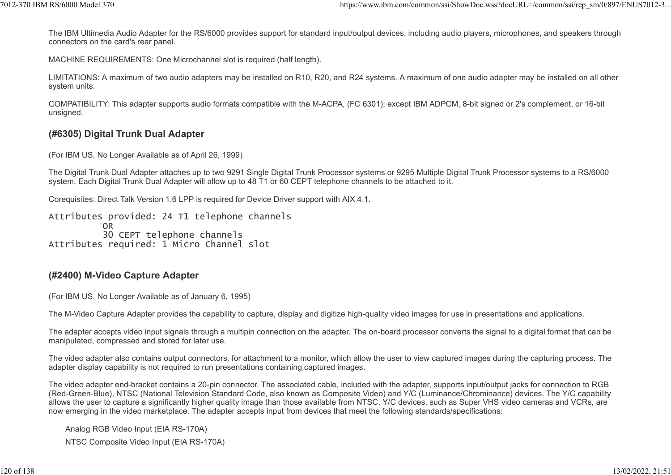The IBM Ultimedia Audio Adapter for the RS/6000 provides support for standard input/output devices, including audio players, microphones, and speakers through connectors on the card's rear panel. 1012-370 IBM RS/6000 Model 370<br>The IBM Ultimedia Audio Adapter for the RS/6000 provides support for standard input/output devices, including audio players, microphones, and speakers through<br>connectors on the card's rear pa

MACHINE REQUIREMENTS: One Microchannel slot is required (half length).

LIMITATIONS: A maximum of two audio adapters may be installed on R10, R20, and R24 systems. A maximum of one audio adapter may be installed on all other system units.

COMPATIBILITY: This adapter supports audio formats compatible with the M-ACPA, (FC 6301); except IBM ADPCM, 8-bit signed or 2's complement, or 16-bit unsigned.

#### (#6305) Digital Trunk Dual Adapter

(For IBM US, No Longer Available as of April 26, 1999)

The Digital Trunk Dual Adapter attaches up to two 9291 Single Digital Trunk Processor systems or 9295 Multiple Digital Trunk Processor systems to a RS/6000 system. Each Digital Trunk Dual Adapter will allow up to 48 T1 or 60 CEPT telephone channels to be attached to it.

Corequisites: Direct Talk Version 1.6 LPP is required for Device Driver support with AIX 4.1.

Attributes provided: 24 T1 telephone channels OR **OR OR OR OR**  30 CEPT telephone channels Attributes required: 1 Micro Channel slot

#### (#2400) M-Video Capture Adapter

(For IBM US, No Longer Available as of January 6, 1995)

The M-Video Capture Adapter provides the capability to capture, display and digitize high-quality video images for use in presentations and applications.

The adapter accepts video input signals through a multipin connection on the adapter. The on-board processor converts the signal to a digital format that can be manipulated, compressed and stored for later use.

The video adapter also contains output connectors, for attachment to a monitor, which allow the user to view captured images during the capturing process. The adapter display capability is not required to run presentations containing captured images.

The video adapter end-bracket contains a 20-pin connector. The associated cable, included with the adapter, supports input/output jacks for connection to RGB (Red-Green-Blue), NTSC (National Television Standard Code, also known as Composite Video) and Y/C (Luminance/Chrominance) devices. The Y/C capability allows the user to capture a significantly higher quality image than those available from NTSC. Y/C devices, such as Super VHS video cameras and VCRs, are now emerging in the video marketplace. The adapter accepts input from devices that meet the following standards/specifications:

Analog RGB Video Input (EIA RS-170A)

NTSC Composite Video Input (EIA RS-170A)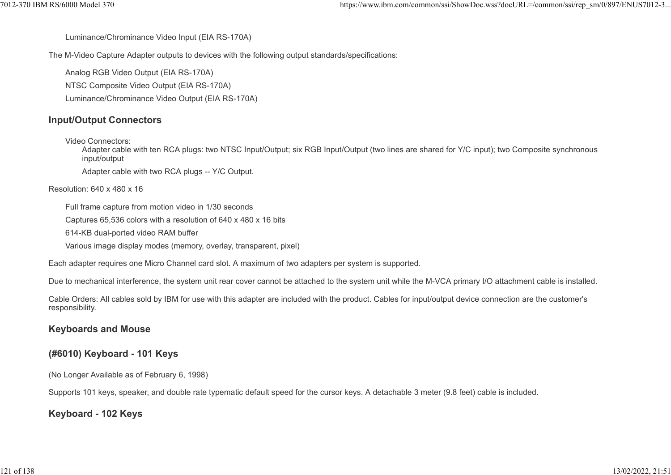Luminance/Chrominance Video Input (EIA RS-170A)

The M-Video Capture Adapter outputs to devices with the following output standards/specifications: %7012-370 IBM RS/6000 Model 370 https://www.ibm.com/common/ssi/ShowDoc.wss?docURL=/common/ssi/rep\_sm/0/897/ENUS7012-3<br>Luminance/Chrominance Video Input (EIA RS-170A)<br>The M-Video Capture Adapter outputs to devices with the

Analog RGB Video Output (EIA RS-170A) NTSC Composite Video Output (EIA RS-170A) Luminance/Chrominance Video Output (EIA RS-170A)

#### Input/Output Connectors

Video Connectors:

Adapter cable with ten RCA plugs: two NTSC Input/Output; six RGB Input/Output (two lines are shared for Y/C input); two Composite synchronous input/output

Adapter cable with two RCA plugs -- Y/C Output.

#### Resolution: 640 x 480 x 16

Full frame capture from motion video in 1/30 seconds

Captures 65,536 colors with a resolution of 640 x 480 x 16 bits

614-KB dual-ported video RAM buffer

Various image display modes (memory, overlay, transparent, pixel)

Each adapter requires one Micro Channel card slot. A maximum of two adapters per system is supported.

Due to mechanical interference, the system unit rear cover cannot be attached to the system unit while the M-VCA primary I/O attachment cable is installed.

Cable Orders: All cables sold by IBM for use with this adapter are included with the product. Cables for input/output device connection are the customer's responsibility.

#### Keyboards and Mouse

#### (#6010) Keyboard - 101 Keys

(No Longer Available as of February 6, 1998)

Supports 101 keys, speaker, and double rate typematic default speed for the cursor keys. A detachable 3 meter (9.8 feet) cable is included.

#### Keyboard - 102 Keys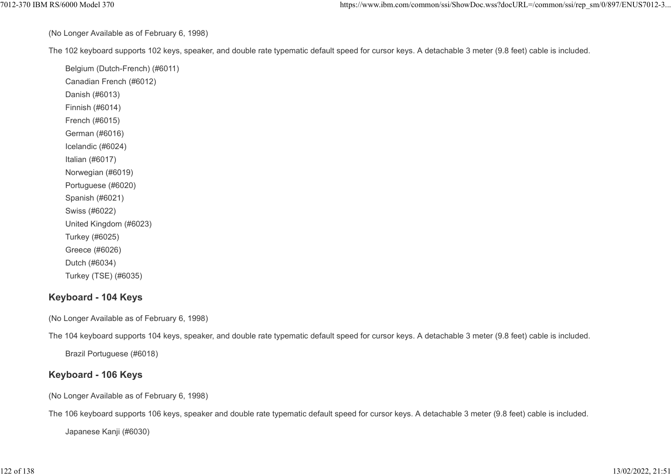(No Longer Available as of February 6, 1998)

The 102 keyboard supports 102 keys, speaker, and double rate typematic default speed for cursor keys. A detachable 3 meter (9.8 feet) cable is included. https://www.ibm.com/common/ssi/ShowDoc.wss?docURL=/common/ssi/rep\_sm/0/897/ENUS7012-3...<br>(No Longer Available as of February 6, 1998)<br>The 102 keyboard supports 102 keys, speaker, and double rate typematic default speed fo

Belgium (Dutch-French) (#6011) Canadian French (#6012) Danish (#6013) Finnish (#6014) French (#6015) German (#6016) Icelandic (#6024) Italian (#6017) Norwegian (#6019) Portuguese (#6020) Spanish (#6021) Swiss (#6022) United Kingdom (#6023) Turkey (#6025) Greece (#6026) Dutch (#6034) Turkey (TSE) (#6035)

## Keyboard - 104 Keys

(No Longer Available as of February 6, 1998)

The 104 keyboard supports 104 keys, speaker, and double rate typematic default speed for cursor keys. A detachable 3 meter (9.8 feet) cable is included.

Brazil Portuguese (#6018)

## Keyboard - 106 Keys

(No Longer Available as of February 6, 1998)

The 106 keyboard supports 106 keys, speaker and double rate typematic default speed for cursor keys. A detachable 3 meter (9.8 feet) cable is included.

Japanese Kanji (#6030)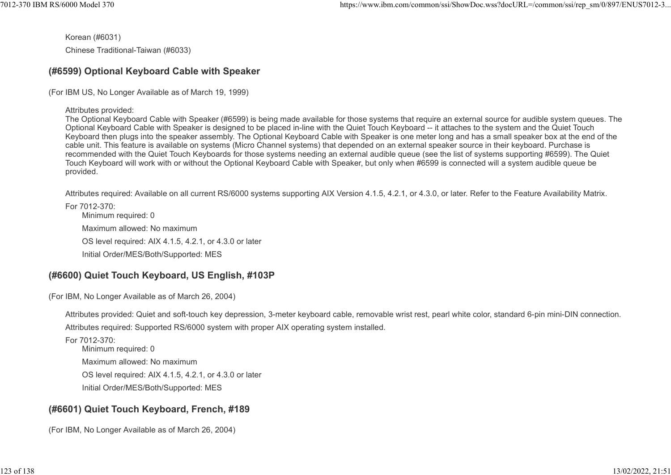Korean (#6031) Chinese Traditional-Taiwan (#6033)

## (#6599) Optional Keyboard Cable with Speaker

(For IBM US, No Longer Available as of March 19, 1999)

Attributes provided:

The Optional Keyboard Cable with Speaker (#6599) is being made available for those systems that require an external source for audible system queues. The Optional Keyboard Cable with Speaker is designed to be placed in-line with the Quiet Touch Keyboard -- it attaches to the system and the Quiet Touch Keyboard then plugs into the speaker assembly. The Optional Keyboard Cable with Speaker is one meter long and has a small speaker box at the end of the cable unit. This feature is available on systems (Micro Channel systems) that depended on an external speaker source in their keyboard. Purchase is recommended with the Quiet Touch Keyboards for those systems needing an external audible queue (see the list of systems supporting #6599). The Quiet Touch Keyboard will work with or without the Optional Keyboard Cable with Speaker, but only when #6599 is connected will a system audible queue be provided.

Attributes required: Available on all current RS/6000 systems supporting AIX Version 4.1.5, 4.2.1, or 4.3.0, or later. Refer to the Feature Availability Matrix.

For 7012-370:

Minimum required: 0 Maximum allowed: No maximum OS level required: AIX 4.1.5, 4.2.1, or 4.3.0 or later Initial Order/MES/Both/Supported: MES

# (#6600) Quiet Touch Keyboard, US English, #103P

(For IBM, No Longer Available as of March 26, 2004)

Attributes provided: Quiet and soft-touch key depression, 3-meter keyboard cable, removable wrist rest, pearl white color, standard 6-pin mini-DIN connection. Attributes required: Supported RS/6000 system with proper AIX operating system installed.

For 7012-370: Minimum required: 0 Maximum allowed: No maximum OS level required: AIX 4.1.5, 4.2.1, or 4.3.0 or later Initial Order/MES/Both/Supported: MES

# (#6601) Quiet Touch Keyboard, French, #189

(For IBM, No Longer Available as of March 26, 2004)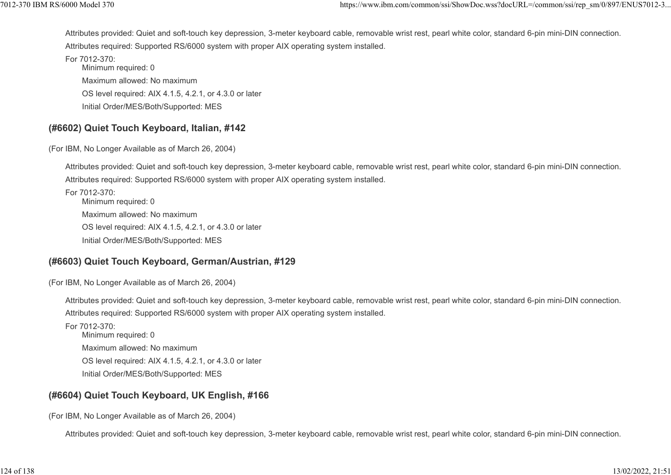Attributes provided: Quiet and soft-touch key depression, 3-meter keyboard cable, removable wrist rest, pearl white color, standard 6-pin mini-DIN connection. Attributes required: Supported RS/6000 system with proper AIX operating system installed. ttps://www.ibm.com/common/ssi/ShowDoc.wss?docURL=/common/ssi/rep\_sm/0/897/ENUS7012-3...<br>Attributes provided: Quiet and soft-touch key depression, 3-meter keyboard cable, removable wrist rest, pearl white color, standard 6-

For 7012-370: Minimum required: 0 Maximum allowed: No maximum OS level required: AIX 4.1.5, 4.2.1, or 4.3.0 or later Initial Order/MES/Both/Supported: MES

#### (#6602) Quiet Touch Keyboard, Italian, #142

(For IBM, No Longer Available as of March 26, 2004)

Attributes provided: Quiet and soft-touch key depression, 3-meter keyboard cable, removable wrist rest, pearl white color, standard 6-pin mini-DIN connection. Attributes required: Supported RS/6000 system with proper AIX operating system installed.

For 7012-370: Minimum required: 0 Maximum allowed: No maximum OS level required: AIX 4.1.5, 4.2.1, or 4.3.0 or later Initial Order/MES/Both/Supported: MES

## (#6603) Quiet Touch Keyboard, German/Austrian, #129

(For IBM, No Longer Available as of March 26, 2004)

Attributes provided: Quiet and soft-touch key depression, 3-meter keyboard cable, removable wrist rest, pearl white color, standard 6-pin mini-DIN connection. Attributes required: Supported RS/6000 system with proper AIX operating system installed.

For 7012-370: Minimum required: 0 Maximum allowed: No maximum OS level required: AIX 4.1.5, 4.2.1, or 4.3.0 or later Initial Order/MES/Both/Supported: MES

## (#6604) Quiet Touch Keyboard, UK English, #166

(For IBM, No Longer Available as of March 26, 2004)

Attributes provided: Quiet and soft-touch key depression, 3-meter keyboard cable, removable wrist rest, pearl white color, standard 6-pin mini-DIN connection.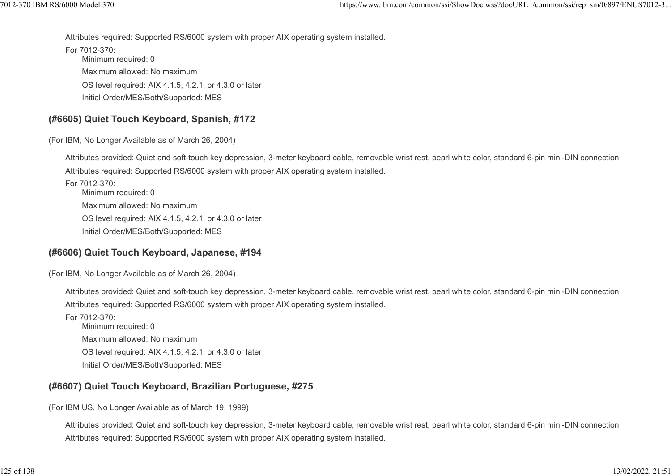Attributes required: Supported RS/6000 system with proper AIX operating system installed. 1012-370 IBM RS/6000 Model 370<br>https://www.ibm.com/common/ssi/ShowDoc.wss?docURL=/common/ssi/rep\_sm/0/897/ENUS7012-3...<br>Attributes required: Supported RS/6000 system with proper AIX operating system installed.<br>For 7012-370

For 7012-370: Minimum required: 0 Maximum allowed: No maximum OS level required: AIX 4.1.5, 4.2.1, or 4.3.0 or later Initial Order/MES/Both/Supported: MES

## (#6605) Quiet Touch Keyboard, Spanish, #172

(For IBM, No Longer Available as of March 26, 2004)

Attributes provided: Quiet and soft-touch key depression, 3-meter keyboard cable, removable wrist rest, pearl white color, standard 6-pin mini-DIN connection. Attributes required: Supported RS/6000 system with proper AIX operating system installed.

For 7012-370: Minimum required: 0 Maximum allowed: No maximum OS level required: AIX 4.1.5, 4.2.1, or 4.3.0 or later Initial Order/MES/Both/Supported: MES

## (#6606) Quiet Touch Keyboard, Japanese, #194

(For IBM, No Longer Available as of March 26, 2004)

Attributes provided: Quiet and soft-touch key depression, 3-meter keyboard cable, removable wrist rest, pearl white color, standard 6-pin mini-DIN connection. Attributes required: Supported RS/6000 system with proper AIX operating system installed.

For 7012-370: Minimum required: 0 Maximum allowed: No maximum OS level required: AIX 4.1.5, 4.2.1, or 4.3.0 or later Initial Order/MES/Both/Supported: MES

## (#6607) Quiet Touch Keyboard, Brazilian Portuguese, #275

(For IBM US, No Longer Available as of March 19, 1999)

Attributes provided: Quiet and soft-touch key depression, 3-meter keyboard cable, removable wrist rest, pearl white color, standard 6-pin mini-DIN connection. Attributes required: Supported RS/6000 system with proper AIX operating system installed.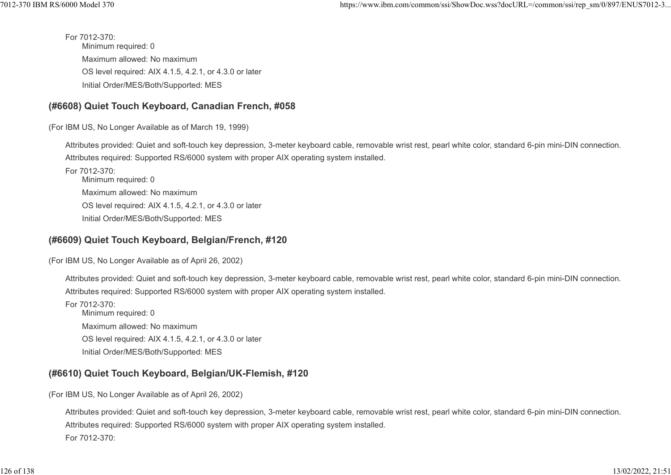For 7012-370: Minimum required: 0 Maximum allowed: No maximum OS level required: AIX 4.1.5, 4.2.1, or 4.3.0 or later Initial Order/MES/Both/Supported: MES %7012-370 IBM RS/6000 Model 370<br>https://www.ibm.com/common/ssi/ShowDoc.wss?docURL=/common/ssi/rep\_sm/0/897/ENUS7012-3...<br>For 7012-370:<br>Minimum required: 0

## (#6608) Quiet Touch Keyboard, Canadian French, #058

(For IBM US, No Longer Available as of March 19, 1999)

Attributes provided: Quiet and soft-touch key depression, 3-meter keyboard cable, removable wrist rest, pearl white color, standard 6-pin mini-DIN connection. Attributes required: Supported RS/6000 system with proper AIX operating system installed.

For 7012-370: Minimum required: 0 Maximum allowed: No maximum OS level required: AIX 4.1.5, 4.2.1, or 4.3.0 or later Initial Order/MES/Both/Supported: MES

## (#6609) Quiet Touch Keyboard, Belgian/French, #120

(For IBM US, No Longer Available as of April 26, 2002)

Attributes provided: Quiet and soft-touch key depression, 3-meter keyboard cable, removable wrist rest, pearl white color, standard 6-pin mini-DIN connection. Attributes required: Supported RS/6000 system with proper AIX operating system installed.

For 7012-370: Minimum required: 0 Maximum allowed: No maximum OS level required: AIX 4.1.5, 4.2.1, or 4.3.0 or later Initial Order/MES/Both/Supported: MES

## (#6610) Quiet Touch Keyboard, Belgian/UK-Flemish, #120

(For IBM US, No Longer Available as of April 26, 2002)

Attributes provided: Quiet and soft-touch key depression, 3-meter keyboard cable, removable wrist rest, pearl white color, standard 6-pin mini-DIN connection. Attributes required: Supported RS/6000 system with proper AIX operating system installed. For 7012-370: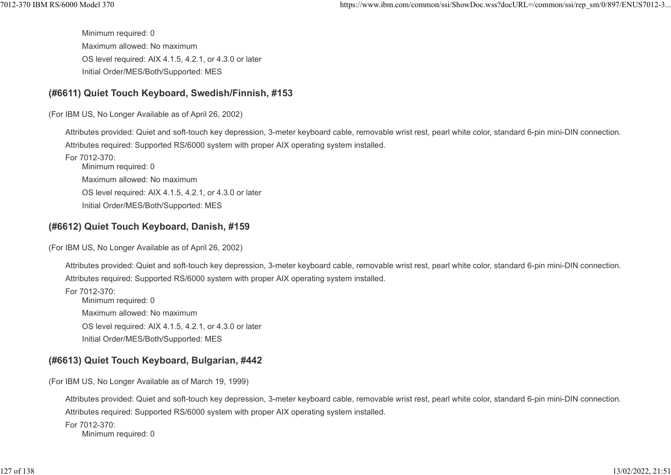Minimum required: 0 Maximum allowed: No maximum OS level required: AIX 4.1.5, 4.2.1, or 4.3.0 or later Initial Order/MES/Both/Supported: MES 1012-370 IBM RS/6000 Model 370<br>https://www.ibm.com/common/ssi/ShowDoc.wss?docURL=/common/ssi/rep\_sm/0/897/ENUS7012-3...<br>Minimum required: 0<br>Maximum allowed: No maximum

## (#6611) Quiet Touch Keyboard, Swedish/Finnish, #153

(For IBM US, No Longer Available as of April 26, 2002)

Attributes provided: Quiet and soft-touch key depression, 3-meter keyboard cable, removable wrist rest, pearl white color, standard 6-pin mini-DIN connection. Attributes required: Supported RS/6000 system with proper AIX operating system installed.

For 7012-370: Minimum required: 0 Maximum allowed: No maximum OS level required: AIX 4.1.5, 4.2.1, or 4.3.0 or later Initial Order/MES/Both/Supported: MES

## (#6612) Quiet Touch Keyboard, Danish, #159

(For IBM US, No Longer Available as of April 26, 2002)

Attributes provided: Quiet and soft-touch key depression, 3-meter keyboard cable, removable wrist rest, pearl white color, standard 6-pin mini-DIN connection. Attributes required: Supported RS/6000 system with proper AIX operating system installed.

For 7012-370: Minimum required: 0 Maximum allowed: No maximum OS level required: AIX 4.1.5, 4.2.1, or 4.3.0 or later Initial Order/MES/Both/Supported: MES

# (#6613) Quiet Touch Keyboard, Bulgarian, #442

(For IBM US, No Longer Available as of March 19, 1999)

Attributes provided: Quiet and soft-touch key depression, 3-meter keyboard cable, removable wrist rest, pearl white color, standard 6-pin mini-DIN connection. Attributes required: Supported RS/6000 system with proper AIX operating system installed.

For 7012-370: Minimum required: 0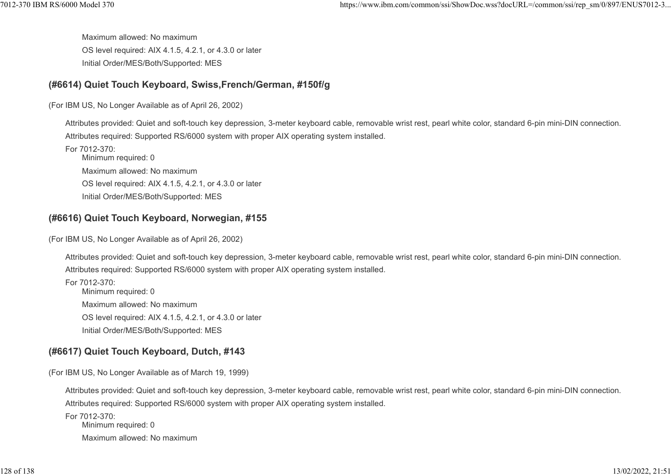Maximum allowed: No maximum OS level required: AIX 4.1.5, 4.2.1, or 4.3.0 or later Initial Order/MES/Both/Supported: MES %7012-370 IBM RS/6000 Model 370 https://www.ibm.com/common/ssi/ShowDoc.wss?docURL=/common/ssi/rep\_sm/0/897/ENUS7012-3...<br>Maximum allowed: No maximum<br>OS level required: AIX 4.1.5, 4.2.1, or 4.3.0 or later

## (#6614) Quiet Touch Keyboard, Swiss,French/German, #150f/g

(For IBM US, No Longer Available as of April 26, 2002)

Attributes provided: Quiet and soft-touch key depression, 3-meter keyboard cable, removable wrist rest, pearl white color, standard 6-pin mini-DIN connection. Attributes required: Supported RS/6000 system with proper AIX operating system installed.

For 7012-370: Minimum required: 0 Maximum allowed: No maximum OS level required: AIX 4.1.5, 4.2.1, or 4.3.0 or later Initial Order/MES/Both/Supported: MES

## (#6616) Quiet Touch Keyboard, Norwegian, #155

(For IBM US, No Longer Available as of April 26, 2002)

Attributes provided: Quiet and soft-touch key depression, 3-meter keyboard cable, removable wrist rest, pearl white color, standard 6-pin mini-DIN connection. Attributes required: Supported RS/6000 system with proper AIX operating system installed.

For 7012-370: Minimum required: 0 Maximum allowed: No maximum OS level required: AIX 4.1.5, 4.2.1, or 4.3.0 or later Initial Order/MES/Both/Supported: MES

# (#6617) Quiet Touch Keyboard, Dutch, #143

(For IBM US, No Longer Available as of March 19, 1999)

Attributes provided: Quiet and soft-touch key depression, 3-meter keyboard cable, removable wrist rest, pearl white color, standard 6-pin mini-DIN connection. Attributes required: Supported RS/6000 system with proper AIX operating system installed.

For 7012-370: Minimum required: 0 Maximum allowed: No maximum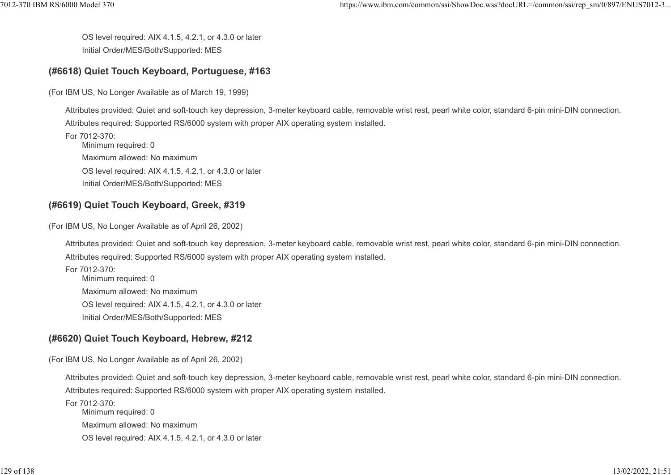OS level required: AIX 4.1.5, 4.2.1, or 4.3.0 or later Initial Order/MES/Both/Supported: MES %%7012-370 IBM RS/6000 Model 370 https://www.ibm.com/common/ssi/ShowDoc.wss?docURL=/common/ssi/rep\_sm/0/897/ENUS7012-3<br>OS level required: AIX 4.1.5, 4.2.1, or 4.3.0 or later<br>Initial Order/MES/Both/Supported: MES

## (#6618) Quiet Touch Keyboard, Portuguese, #163

(For IBM US, No Longer Available as of March 19, 1999)

Attributes provided: Quiet and soft-touch key depression, 3-meter keyboard cable, removable wrist rest, pearl white color, standard 6-pin mini-DIN connection. Attributes required: Supported RS/6000 system with proper AIX operating system installed.

For 7012-370: Minimum required: 0 Maximum allowed: No maximum OS level required: AIX 4.1.5, 4.2.1, or 4.3.0 or later Initial Order/MES/Both/Supported: MES

## (#6619) Quiet Touch Keyboard, Greek, #319

(For IBM US, No Longer Available as of April 26, 2002)

Attributes provided: Quiet and soft-touch key depression, 3-meter keyboard cable, removable wrist rest, pearl white color, standard 6-pin mini-DIN connection. Attributes required: Supported RS/6000 system with proper AIX operating system installed.

For 7012-370: Minimum required: 0 Maximum allowed: No maximum OS level required: AIX 4.1.5, 4.2.1, or 4.3.0 or later Initial Order/MES/Both/Supported: MES

# (#6620) Quiet Touch Keyboard, Hebrew, #212

(For IBM US, No Longer Available as of April 26, 2002)

Attributes provided: Quiet and soft-touch key depression, 3-meter keyboard cable, removable wrist rest, pearl white color, standard 6-pin mini-DIN connection. Attributes required: Supported RS/6000 system with proper AIX operating system installed.

For 7012-370: Minimum required: 0 Maximum allowed: No maximum OS level required: AIX 4.1.5, 4.2.1, or 4.3.0 or later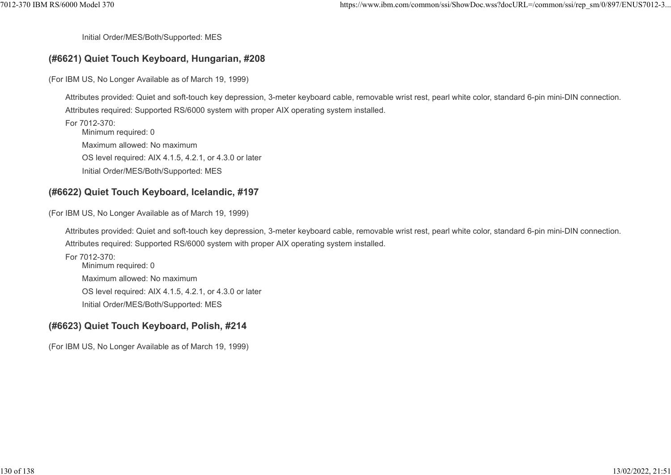Initial Order/MES/Both/Supported: MES

#### (#6621) Quiet Touch Keyboard, Hungarian, #208

(For IBM US, No Longer Available as of March 19, 1999)

Attributes provided: Quiet and soft-touch key depression, 3-meter keyboard cable, removable wrist rest, pearl white color, standard 6-pin mini-DIN connection. Attributes required: Supported RS/6000 system with proper AIX operating system installed.

For 7012-370: Minimum required: 0 Maximum allowed: No maximum OS level required: AIX 4.1.5, 4.2.1, or 4.3.0 or later Initial Order/MES/Both/Supported: MES

#### (#6622) Quiet Touch Keyboard, Icelandic, #197

(For IBM US, No Longer Available as of March 19, 1999)

Attributes provided: Quiet and soft-touch key depression, 3-meter keyboard cable, removable wrist rest, pearl white color, standard 6-pin mini-DIN connection. Attributes required: Supported RS/6000 system with proper AIX operating system installed.

For 7012-370: Minimum required: 0 Maximum allowed: No maximum OS level required: AIX 4.1.5, 4.2.1, or 4.3.0 or later Initial Order/MES/Both/Supported: MES

#### (#6623) Quiet Touch Keyboard, Polish, #214

(For IBM US, No Longer Available as of March 19, 1999)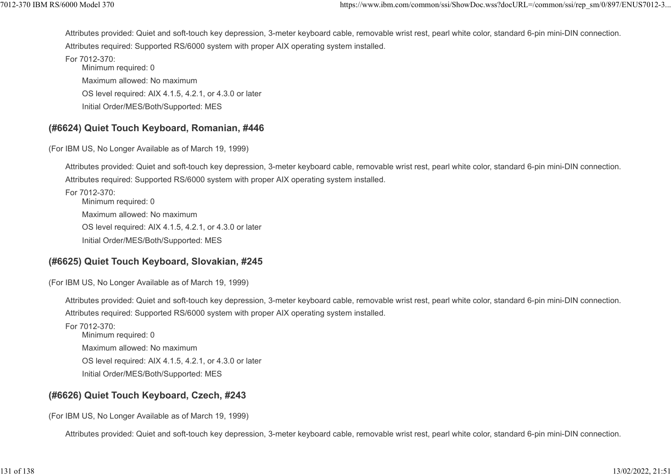Attributes provided: Quiet and soft-touch key depression, 3-meter keyboard cable, removable wrist rest, pearl white color, standard 6-pin mini-DIN connection. Attributes required: Supported RS/6000 system with proper AIX operating system installed. ttps://www.ibm.com/common/ssi/ShowDoc.wss?docURL=/common/ssi/rep\_sm/0/897/ENUS7012-3...<br>Attributes provided: Quiet and soft-touch key depression, 3-meter keyboard cable, removable wrist rest, pearl white color, standard 6-

For 7012-370: Minimum required: 0 Maximum allowed: No maximum OS level required: AIX 4.1.5, 4.2.1, or 4.3.0 or later Initial Order/MES/Both/Supported: MES

#### (#6624) Quiet Touch Keyboard, Romanian, #446

(For IBM US, No Longer Available as of March 19, 1999)

Attributes provided: Quiet and soft-touch key depression, 3-meter keyboard cable, removable wrist rest, pearl white color, standard 6-pin mini-DIN connection. Attributes required: Supported RS/6000 system with proper AIX operating system installed.

For 7012-370: Minimum required: 0 Maximum allowed: No maximum OS level required: AIX 4.1.5, 4.2.1, or 4.3.0 or later Initial Order/MES/Both/Supported: MES

## (#6625) Quiet Touch Keyboard, Slovakian, #245

(For IBM US, No Longer Available as of March 19, 1999)

Attributes provided: Quiet and soft-touch key depression, 3-meter keyboard cable, removable wrist rest, pearl white color, standard 6-pin mini-DIN connection. Attributes required: Supported RS/6000 system with proper AIX operating system installed.

For 7012-370: Minimum required: 0 Maximum allowed: No maximum OS level required: AIX 4.1.5, 4.2.1, or 4.3.0 or later Initial Order/MES/Both/Supported: MES

## (#6626) Quiet Touch Keyboard, Czech, #243

(For IBM US, No Longer Available as of March 19, 1999)

Attributes provided: Quiet and soft-touch key depression, 3-meter keyboard cable, removable wrist rest, pearl white color, standard 6-pin mini-DIN connection.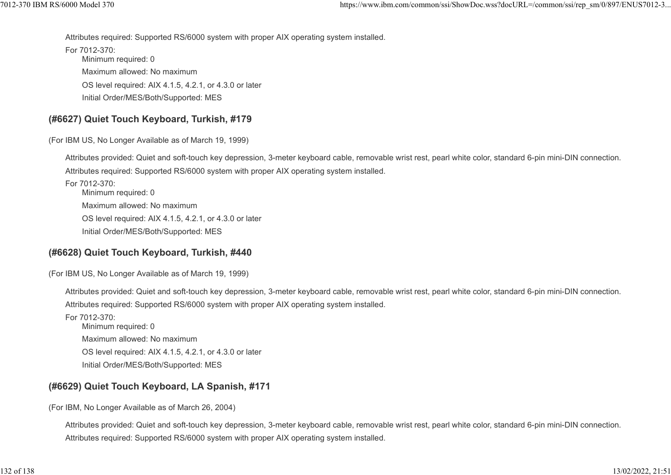Attributes required: Supported RS/6000 system with proper AIX operating system installed. 1012-370 IBM RS/6000 Model 370<br>https://www.ibm.com/common/ssi/ShowDoc.wss?docURL=/common/ssi/rep\_sm/0/897/ENUS7012-3...<br>Attributes required: Supported RS/6000 system with proper AIX operating system installed.<br>For 7012-370

For 7012-370: Minimum required: 0 Maximum allowed: No maximum OS level required: AIX 4.1.5, 4.2.1, or 4.3.0 or later Initial Order/MES/Both/Supported: MES

## (#6627) Quiet Touch Keyboard, Turkish, #179

(For IBM US, No Longer Available as of March 19, 1999)

Attributes provided: Quiet and soft-touch key depression, 3-meter keyboard cable, removable wrist rest, pearl white color, standard 6-pin mini-DIN connection. Attributes required: Supported RS/6000 system with proper AIX operating system installed.

For 7012-370: Minimum required: 0 Maximum allowed: No maximum OS level required: AIX 4.1.5, 4.2.1, or 4.3.0 or later Initial Order/MES/Both/Supported: MES

## (#6628) Quiet Touch Keyboard, Turkish, #440

(For IBM US, No Longer Available as of March 19, 1999)

Attributes provided: Quiet and soft-touch key depression, 3-meter keyboard cable, removable wrist rest, pearl white color, standard 6-pin mini-DIN connection. Attributes required: Supported RS/6000 system with proper AIX operating system installed.

For 7012-370: Minimum required: 0 Maximum allowed: No maximum OS level required: AIX 4.1.5, 4.2.1, or 4.3.0 or later Initial Order/MES/Both/Supported: MES

# (#6629) Quiet Touch Keyboard, LA Spanish, #171

(For IBM, No Longer Available as of March 26, 2004)

Attributes provided: Quiet and soft-touch key depression, 3-meter keyboard cable, removable wrist rest, pearl white color, standard 6-pin mini-DIN connection. Attributes required: Supported RS/6000 system with proper AIX operating system installed.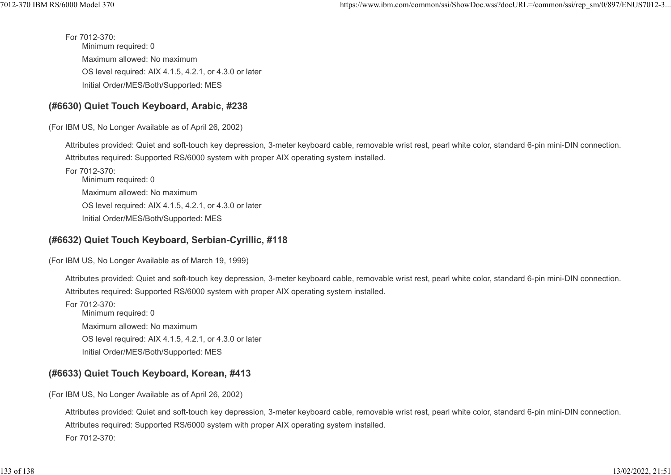For 7012-370: Minimum required: 0 Maximum allowed: No maximum OS level required: AIX 4.1.5, 4.2.1, or 4.3.0 or later Initial Order/MES/Both/Supported: MES %7012-370 IBM RS/6000 Model 370<br>https://www.ibm.com/common/ssi/ShowDoc.wss?docURL=/common/ssi/rep\_sm/0/897/ENUS7012-3...<br>For 7012-370:<br>Minimum required: 0

## (#6630) Quiet Touch Keyboard, Arabic, #238

(For IBM US, No Longer Available as of April 26, 2002)

Attributes provided: Quiet and soft-touch key depression, 3-meter keyboard cable, removable wrist rest, pearl white color, standard 6-pin mini-DIN connection. Attributes required: Supported RS/6000 system with proper AIX operating system installed.

For 7012-370: Minimum required: 0 Maximum allowed: No maximum OS level required: AIX 4.1.5, 4.2.1, or 4.3.0 or later Initial Order/MES/Both/Supported: MES

## (#6632) Quiet Touch Keyboard, Serbian-Cyrillic, #118

(For IBM US, No Longer Available as of March 19, 1999)

Attributes provided: Quiet and soft-touch key depression, 3-meter keyboard cable, removable wrist rest, pearl white color, standard 6-pin mini-DIN connection. Attributes required: Supported RS/6000 system with proper AIX operating system installed.

For 7012-370: Minimum required: 0 Maximum allowed: No maximum OS level required: AIX 4.1.5, 4.2.1, or 4.3.0 or later Initial Order/MES/Both/Supported: MES

## (#6633) Quiet Touch Keyboard, Korean, #413

(For IBM US, No Longer Available as of April 26, 2002)

Attributes provided: Quiet and soft-touch key depression, 3-meter keyboard cable, removable wrist rest, pearl white color, standard 6-pin mini-DIN connection. Attributes required: Supported RS/6000 system with proper AIX operating system installed. For 7012-370: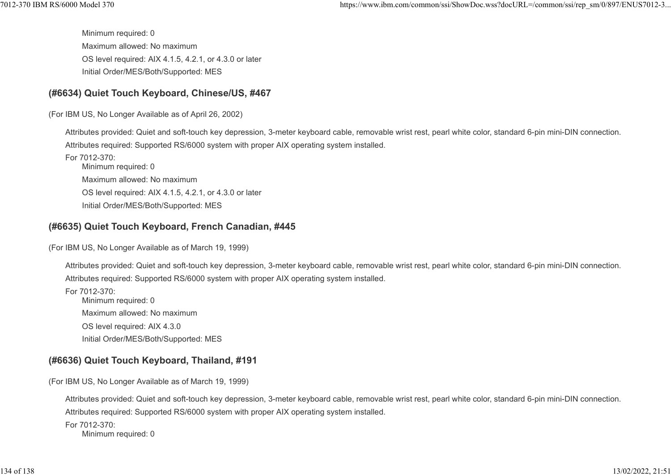Minimum required: 0 Maximum allowed: No maximum OS level required: AIX 4.1.5, 4.2.1, or 4.3.0 or later Initial Order/MES/Both/Supported: MES 1012-370 IBM RS/6000 Model 370<br>https://www.ibm.com/common/ssi/ShowDoc.wss?docURL=/common/ssi/rep\_sm/0/897/ENUS7012-3...<br>Minimum required: 0<br>Maximum allowed: No maximum

## (#6634) Quiet Touch Keyboard, Chinese/US, #467

(For IBM US, No Longer Available as of April 26, 2002)

Attributes provided: Quiet and soft-touch key depression, 3-meter keyboard cable, removable wrist rest, pearl white color, standard 6-pin mini-DIN connection. Attributes required: Supported RS/6000 system with proper AIX operating system installed.

For 7012-370: Minimum required: 0 Maximum allowed: No maximum OS level required: AIX 4.1.5, 4.2.1, or 4.3.0 or later Initial Order/MES/Both/Supported: MES

## (#6635) Quiet Touch Keyboard, French Canadian, #445

(For IBM US, No Longer Available as of March 19, 1999)

Attributes provided: Quiet and soft-touch key depression, 3-meter keyboard cable, removable wrist rest, pearl white color, standard 6-pin mini-DIN connection. Attributes required: Supported RS/6000 system with proper AIX operating system installed.

For 7012-370: Minimum required: 0 Maximum allowed: No maximum OS level required: AIX 4.3.0 Initial Order/MES/Both/Supported: MES

# (#6636) Quiet Touch Keyboard, Thailand, #191

(For IBM US, No Longer Available as of March 19, 1999)

Attributes provided: Quiet and soft-touch key depression, 3-meter keyboard cable, removable wrist rest, pearl white color, standard 6-pin mini-DIN connection. Attributes required: Supported RS/6000 system with proper AIX operating system installed.

For 7012-370: Minimum required: 0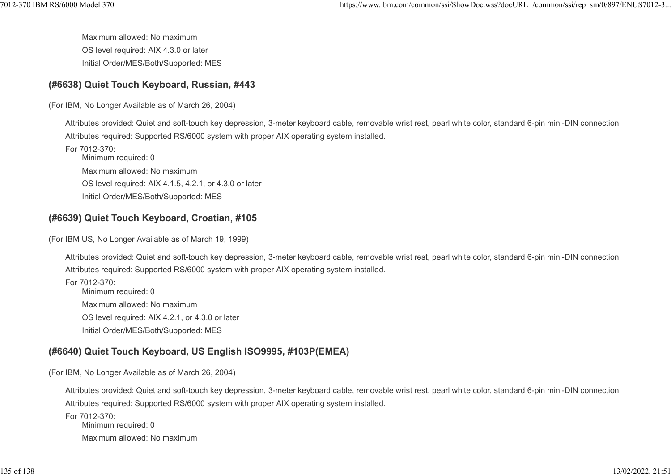Maximum allowed: No maximum OS level required: AIX 4.3.0 or later Initial Order/MES/Both/Supported: MES %7012-370 IBM RS/6000 Model 370 https://www.ibm.com/common/ssi/ShowDoc.wss?docURL=/common/ssi/rep\_sm/0/897/ENUS7012-3<br>Maximum allowed: No maximum<br>OS level required: AIX 4.3.0 or later

#### (#6638) Quiet Touch Keyboard, Russian, #443

(For IBM, No Longer Available as of March 26, 2004)

Attributes provided: Quiet and soft-touch key depression, 3-meter keyboard cable, removable wrist rest, pearl white color, standard 6-pin mini-DIN connection. Attributes required: Supported RS/6000 system with proper AIX operating system installed.

For 7012-370: Minimum required: 0 Maximum allowed: No maximum OS level required: AIX 4.1.5, 4.2.1, or 4.3.0 or later Initial Order/MES/Both/Supported: MES

## (#6639) Quiet Touch Keyboard, Croatian, #105

(For IBM US, No Longer Available as of March 19, 1999)

Attributes provided: Quiet and soft-touch key depression, 3-meter keyboard cable, removable wrist rest, pearl white color, standard 6-pin mini-DIN connection. Attributes required: Supported RS/6000 system with proper AIX operating system installed.

For 7012-370: Minimum required: 0 Maximum allowed: No maximum OS level required: AIX 4.2.1, or 4.3.0 or later Initial Order/MES/Both/Supported: MES

# (#6640) Quiet Touch Keyboard, US English ISO9995, #103P(EMEA)

(For IBM, No Longer Available as of March 26, 2004)

Attributes provided: Quiet and soft-touch key depression, 3-meter keyboard cable, removable wrist rest, pearl white color, standard 6-pin mini-DIN connection. Attributes required: Supported RS/6000 system with proper AIX operating system installed.

For 7012-370: Minimum required: 0 Maximum allowed: No maximum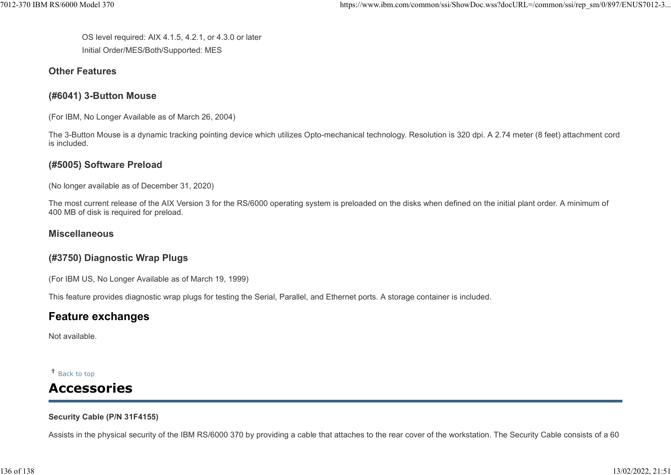OS level required: AIX 4.1.5, 4.2.1, or 4.3.0 or later Initial Order/MES/Both/Supported: MES %%7012-370 IBM RS/6000 Model 370 https://www.ibm.com/common/ssi/ShowDoc.wss?docURL=/common/ssi/rep\_sm/0/897/ENUS7012-3<br>OS level required: AIX 4.1.5, 4.2.1, or 4.3.0 or later<br>Initial Order/MES/Both/Supported: MES

#### Other Features

## (#6041) 3-Button Mouse

(For IBM, No Longer Available as of March 26, 2004)

The 3-Button Mouse is a dynamic tracking pointing device which utilizes Opto-mechanical technology. Resolution is 320 dpi. A 2.74 meter (8 feet) attachment cord is included.

## (#5005) Software Preload

(No longer available as of December 31, 2020)

The most current release of the AIX Version 3 for the RS/6000 operating system is preloaded on the disks when defined on the initial plant order. A minimum of 400 MB of disk is required for preload.

#### Miscellaneous

# (#3750) Diagnostic Wrap Plugs

(For IBM US, No Longer Available as of March 19, 1999)

This feature provides diagnostic wrap plugs for testing the Serial, Parallel, and Ethernet ports. A storage container is included.

# Feature exchanges

Not available.

Back to top

# Accessories

#### Security Cable (P/N 31F4155)

Assists in the physical security of the IBM RS/6000 370 by providing a cable that attaches to the rear cover of the workstation. The Security Cable consists of a 60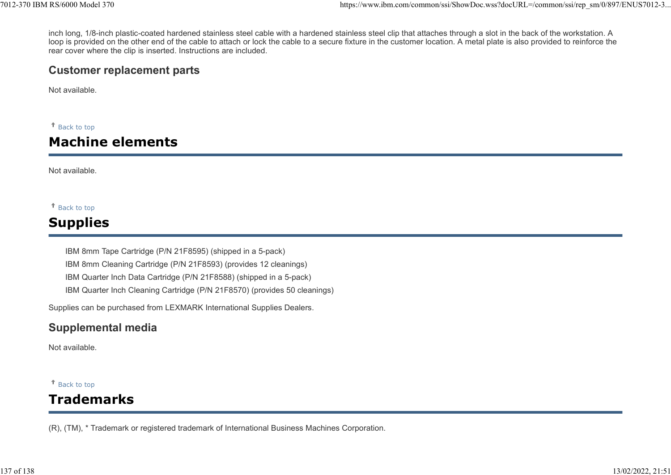inch long, 1/8-inch plastic-coated hardened stainless steel cable with a hardened stainless steel clip that attaches through a slot in the back of the workstation. A loop is provided on the other end of the cable to attach or lock the cable to a secure fixture in the customer location. A metal plate is also provided to reinforce the rear cover where the clip is inserted. Instructions are included. %7012-370 IBM RS/6000 Model 370<br>https://www.ibm.com/common/ssi/ShowDoc.wss?docURL=/common/ssi/rep\_sm/0/897/ENUS7012-3...<br>inch long, 1/8-inch plastic-coated hardened stainless steel cable with a hardened stainless steel cli

# Customer replacement parts

Not available.

Back to top

# Machine elements

Not available.

#### Back to top

# Supplies

IBM 8mm Tape Cartridge (P/N 21F8595) (shipped in a 5-pack) IBM 8mm Cleaning Cartridge (P/N 21F8593) (provides 12 cleanings) IBM Quarter Inch Data Cartridge (P/N 21F8588) (shipped in a 5-pack) IBM Quarter Inch Cleaning Cartridge (P/N 21F8570) (provides 50 cleanings)

Supplies can be purchased from LEXMARK International Supplies Dealers.

# Supplemental media

Not available.

#### Back to top

# Trademarks

(R), (TM), \* Trademark or registered trademark of International Business Machines Corporation.